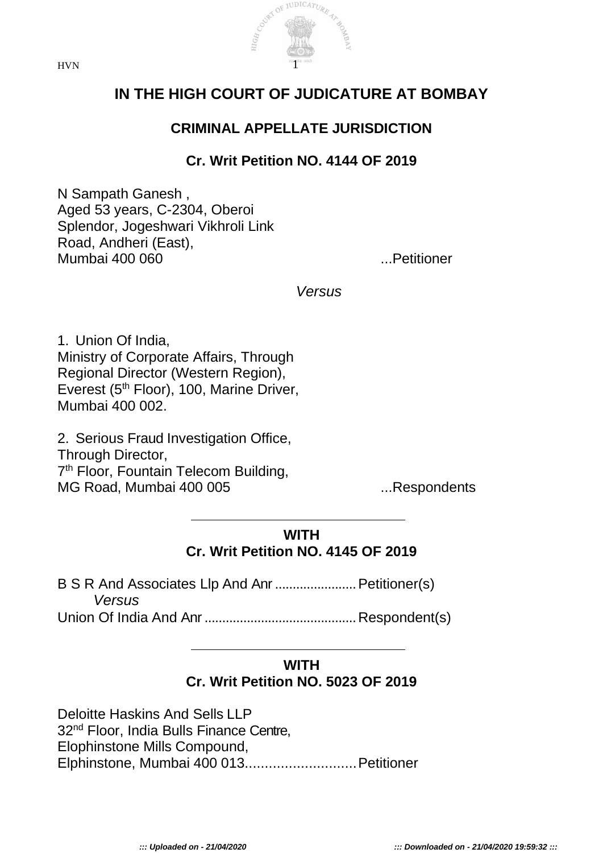



# **IN THE HIGH COURT OF JUDICATURE AT BOMBAY**

## **CRIMINAL APPELLATE JURISDICTION**

## **Cr. Writ Petition NO. 4144 OF 2019**

N Sampath Ganesh , Aged 53 years, C-2304, Oberoi Splendor, Jogeshwari Vikhroli Link Road, Andheri (East), Mumbai 400 060 ...Petitioner

*Versus*

1. Union Of India, Ministry of Corporate Affairs, Through Regional Director (Western Region), Everest (5<sup>th</sup> Floor), 100, Marine Driver, Mumbai 400 002.

2. Serious Fraud Investigation Office, Through Director, 7<sup>th</sup> Floor, Fountain Telecom Building, MG Road, Mumbai 400 005 ...Respondents

### **WITH Cr. Writ Petition NO. 4145 OF 2019**

B S R And Associates Llp And Anr.......................Petitioner(s) *Versus*

Union Of India And Anr...........................................Respondent(s)

#### **WITH Cr. Writ Petition NO. 5023 OF 2019**

Deloitte Haskins And Sells LLP 32<sup>nd</sup> Floor, India Bulls Finance Centre, Elophinstone Mills Compound, Elphinstone, Mumbai 400 013............................Petitioner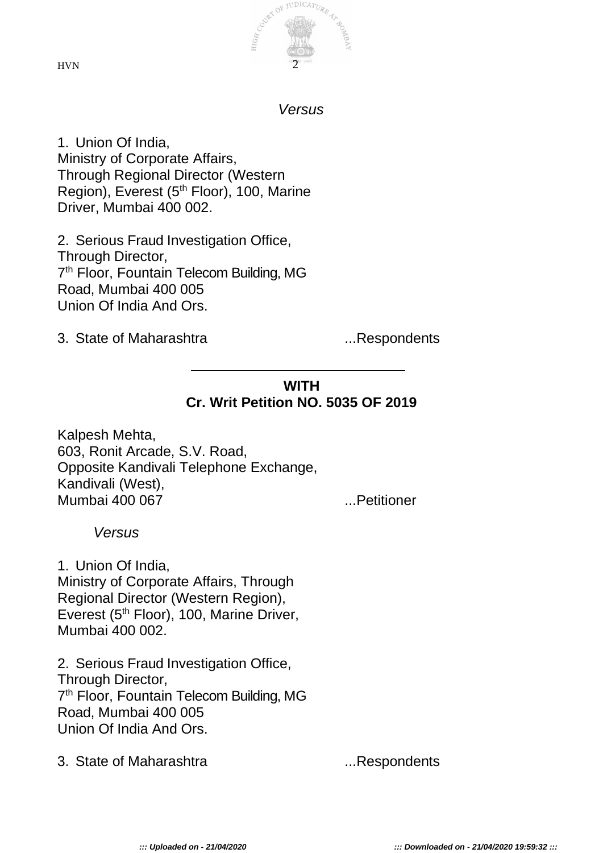JUDICATUR

 $HVN$  2

#### *Versus*

1. Union Of India, Ministry of Corporate Affairs, Through Regional Director (Western Region), Everest (5<sup>th</sup> Floor), 100, Marine Driver, Mumbai 400 002.

2. Serious Fraud Investigation Office, Through Director, 7<sup>th</sup> Floor, Fountain Telecom Building, MG Road, Mumbai 400 005 Union Of India And Ors.

3. State of Maharashtra ...Respondents

#### **WITH Cr. Writ Petition NO. 5035 OF 2019**

Kalpesh Mehta, 603, Ronit Arcade, S.V. Road, Opposite Kandivali Telephone Exchange, Kandivali (West), Mumbai 400 067 ...Petitioner

*Versus*

1. Union Of India, Ministry of Corporate Affairs, Through Regional Director (Western Region), Everest (5<sup>th</sup> Floor), 100, Marine Driver, Mumbai 400 002.

2. Serious Fraud Investigation Office, Through Director, 7<sup>th</sup> Floor, Fountain Telecom Building, MG Road, Mumbai 400 005 Union Of India And Ors.

3. State of Maharashtra ...Respondents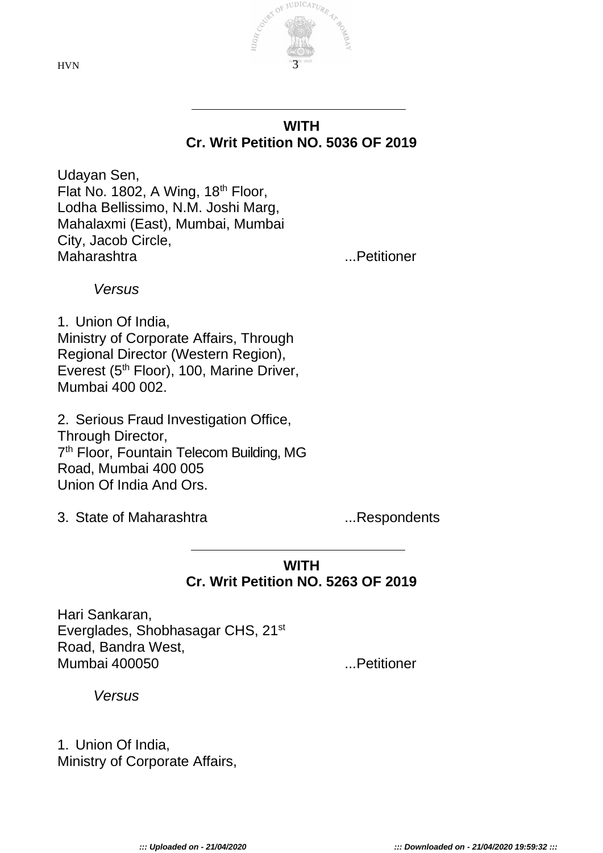$HVN$  3

#### **WITH Cr. Writ Petition NO. 5036 OF 2019**

Udayan Sen, Flat No. 1802, A Wing,  $18<sup>th</sup>$  Floor, Lodha Bellissimo, N.M. Joshi Marg, Mahalaxmi (East), Mumbai, Mumbai City, Jacob Circle, Maharashtra ...Petitioner

*Versus*

1. Union Of India, Ministry of Corporate Affairs, Through Regional Director (Western Region), Everest (5<sup>th</sup> Floor), 100, Marine Driver, Mumbai 400 002.

2. Serious Fraud Investigation Office, Through Director, 7<sup>th</sup> Floor, Fountain Telecom Building, MG Road, Mumbai 400 005 Union Of India And Ors.

3. State of Maharashtra ...Respondents

#### **WITH Cr. Writ Petition NO. 5263 OF 2019**

Hari Sankaran, Everglades, Shobhasagar CHS, 21st Road, Bandra West, Mumbai 400050 ...Petitioner

*Versus*

1. Union Of India, Ministry of Corporate Affairs,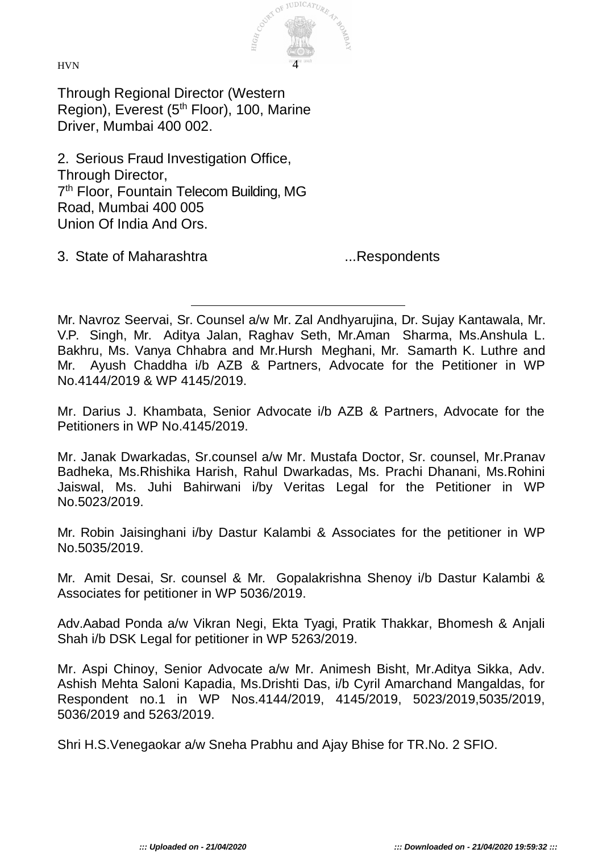

Through Regional Director (Western Region), Everest (5<sup>th</sup> Floor), 100, Marine Driver, Mumbai 400 002.

2. Serious Fraud Investigation Office, Through Director, 7<sup>th</sup> Floor, Fountain Telecom Building, MG Road, Mumbai 400 005 Union Of India And Ors.

3. State of Maharashtra ...Respondents

Mr. Darius J. Khambata, Senior Advocate i/b AZB & Partners, Advocate for the Petitioners in WP No.4145/2019.

Mr. Janak Dwarkadas, Sr.counsel a/w Mr. Mustafa Doctor, Sr. counsel, Mr.Pranav Badheka, Ms.Rhishika Harish, Rahul Dwarkadas, Ms. Prachi Dhanani, Ms.Rohini Jaiswal, Ms. Juhi Bahirwani i/by Veritas Legal for the Petitioner in WP No.5023/2019.

Mr. Robin Jaisinghani i/by Dastur Kalambi & Associates for the petitioner in WP No.5035/2019.

Mr. Amit Desai, Sr. counsel & Mr. Gopalakrishna Shenoy i/b Dastur Kalambi & Associates for petitioner in WP 5036/2019.

Adv.Aabad Ponda a/w Vikran Negi, Ekta Tyagi, Pratik Thakkar, Bhomesh & Anjali Shah i/b DSK Legal for petitioner in WP 5263/2019.

Mr. Aspi Chinoy, Senior Advocate a/w Mr. Animesh Bisht, Mr.Aditya Sikka, Adv. Ashish Mehta Saloni Kapadia, Ms.Drishti Das, i/b Cyril Amarchand Mangaldas, for Respondent no.1 in WP Nos.4144/2019, 4145/2019, 5023/2019,5035/2019, 5036/2019 and 5263/2019.

Shri H.S.Venegaokar a/w Sneha Prabhu and Ajay Bhise for TR.No. 2 SFIO.

Mr. Navroz Seervai, Sr. Counsel a/w Mr. Zal Andhyarujina, Dr. Sujay Kantawala, Mr. V.P. Singh, Mr. Aditya Jalan, Raghav Seth, Mr.Aman Sharma, Ms.Anshula L. Bakhru, Ms. Vanya Chhabra and Mr.Hursh Meghani, Mr. Samarth K. Luthre and Mr. Ayush Chaddha i/b AZB & Partners, Advocate for the Petitioner in WP No.4144/2019 & WP 4145/2019.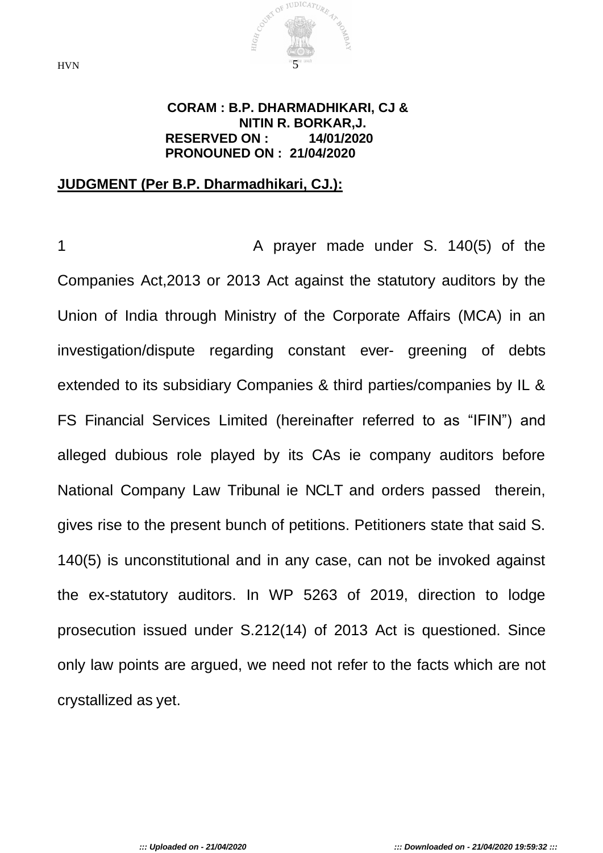

#### **CORAM : B.P. DHARMADHIKARI, CJ & NITIN R. BORKAR,J. RESERVED ON : 14/01/2020 PRONOUNED ON : 21/04/2020**

#### **JUDGMENT (Per B.P. Dharmadhikari, CJ.):**

1 A prayer made under S. 140(5) of the Companies Act,2013 or 2013 Act against the statutory auditors by the Union of India through Ministry of the Corporate Affairs (MCA) in an investigation/dispute regarding constant ever- greening of debts extended to its subsidiary Companies & third parties/companies by IL & FS Financial Services Limited (hereinafter referred to as "IFIN") and alleged dubious role played by its CAs ie company auditors before National Company Law Tribunal ie NCLT and orders passed therein, gives rise to the present bunch of petitions. Petitioners state that said S. 140(5) is unconstitutional and in any case, can not be invoked against the ex-statutory auditors. In WP 5263 of 2019, direction to lodge prosecution issued under S.212(14) of 2013 Act is questioned. Since only law points are argued, we need not refer to the facts which are not crystallized as yet.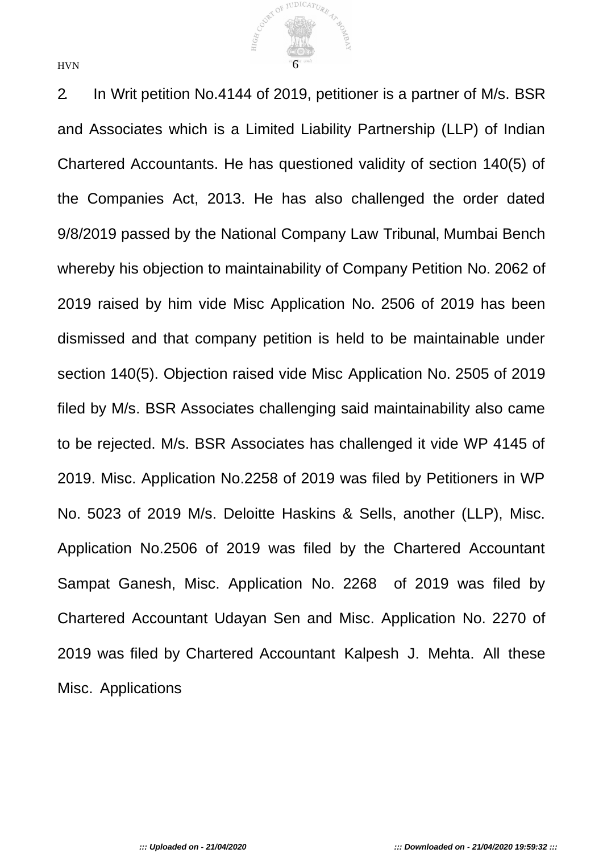COURT OF JUDICATURE 47  $HVN$  6

2. In Writ petition No.4144 of 2019, petitioner is a partner of M/s. BSR and Associates which is a Limited Liability Partnership (LLP) of Indian Chartered Accountants. He has questioned validity of section 140(5) of the Companies Act, 2013. He has also challenged the order dated 9/8/2019 passed by the National Company Law Tribunal, Mumbai Bench whereby his objection to maintainability of Company Petition No. 2062 of 2019 raised by him vide Misc Application No. 2506 of 2019 has been dismissed and that company petition is held to be maintainable under section 140(5). Objection raised vide Misc Application No. 2505 of 2019 filed by M/s. BSR Associates challenging said maintainability also came to be rejected. M/s. BSR Associates has challenged it vide WP 4145 of 2019. Misc. Application No.2258 of 2019 was filed by Petitioners in WP No. 5023 of 2019 M/s. Deloitte Haskins & Sells, another (LLP), Misc. Application No.2506 of 2019 was filed by the Chartered Accountant Sampat Ganesh, Misc. Application No. 2268 of 2019 was filed by Chartered Accountant Udayan Sen and Misc. Application No. 2270 of 2019 was filed by Chartered Accountant Kalpesh J. Mehta. All these Misc. Applications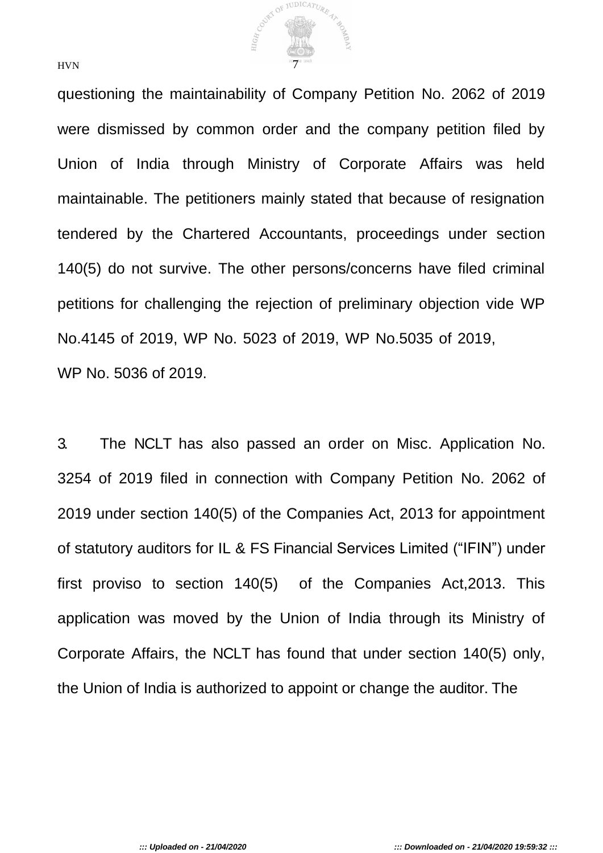

questioning the maintainability of Company Petition No. 2062 of 2019 were dismissed by common order and the company petition filed by Union of India through Ministry of Corporate Affairs was held maintainable. The petitioners mainly stated that because of resignation tendered by the Chartered Accountants, proceedings under section 140(5) do not survive. The other persons/concerns have filed criminal petitions for challenging the rejection of preliminary objection vide WP No.4145 of 2019, WP No. 5023 of 2019, WP No.5035 of 2019, WP No. 5036 of 2019.

3. The NCLT has also passed an order on Misc. Application No. 3254 of 2019 filed in connection with Company Petition No. 2062 of 2019 under section 140(5) of the Companies Act, 2013 for appointment of statutory auditors for IL & FS Financial Services Limited ("IFIN") under first proviso to section 140(5) of the Companies Act,2013. This application was moved by the Union of India through its Ministry of Corporate Affairs, the NCLT has found that under section 140(5) only, the Union of India is authorized to appoint or change the auditor. The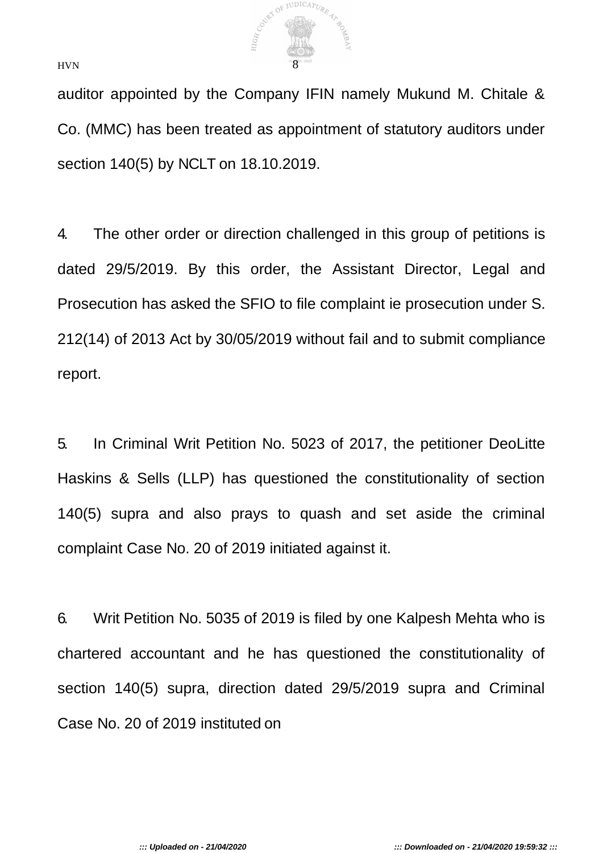

auditor appointed by the Company IFIN namely Mukund M. Chitale & Co. (MMC) has been treated as appointment of statutory auditors under section 140(5) by NCLT on 18.10.2019.

4. The other order or direction challenged in this group of petitions is dated 29/5/2019. By this order, the Assistant Director, Legal and Prosecution has asked the SFIO to file complaint ie prosecution under S. 212(14) of 2013 Act by 30/05/2019 without fail and to submit compliance report.

5. In Criminal Writ Petition No. 5023 of 2017, the petitioner DeoLitte Haskins & Sells (LLP) has questioned the constitutionality of section 140(5) supra and also prays to quash and set aside the criminal complaint Case No. 20 of 2019 initiated against it.

6. Writ Petition No. 5035 of 2019 is filed by one Kalpesh Mehta who is chartered accountant and he has questioned the constitutionality of section 140(5) supra, direction dated 29/5/2019 supra and Criminal Case No. 20 of 2019 instituted on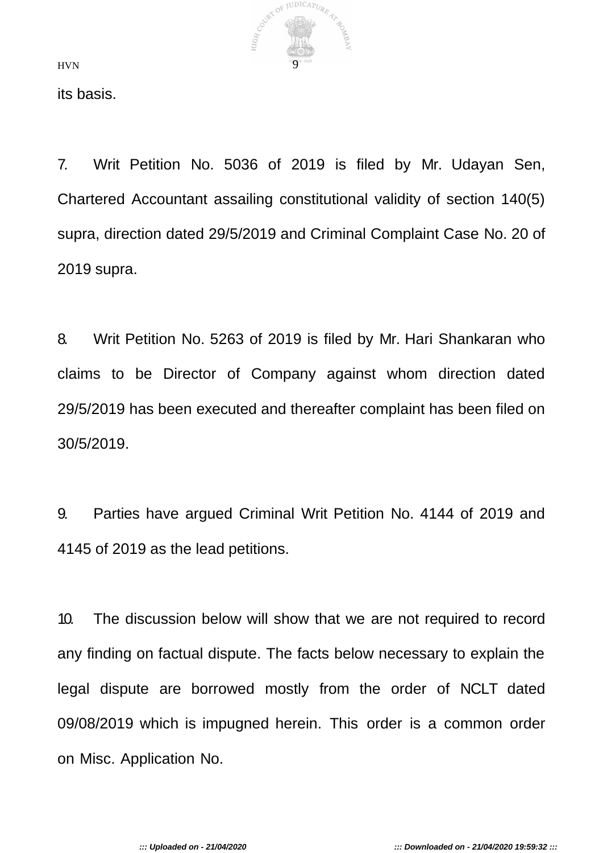

its basis.

7. Writ Petition No. 5036 of 2019 is filed by Mr. Udayan Sen, Chartered Accountant assailing constitutional validity of section 140(5) supra, direction dated 29/5/2019 and Criminal Complaint Case No. 20 of 2019 supra.

8. Writ Petition No. 5263 of 2019 is filed by Mr. Hari Shankaran who claims to be Director of Company against whom direction dated 29/5/2019 has been executed and thereafter complaint has been filed on 30/5/2019.

9. Parties have argued Criminal Writ Petition No. 4144 of 2019 and 4145 of 2019 as the lead petitions.

10. The discussion below will show that we are not required to record any finding on factual dispute. The facts below necessary to explain the legal dispute are borrowed mostly from the order of NCLT dated 09/08/2019 which is impugned herein. This order is a common order on Misc. Application No.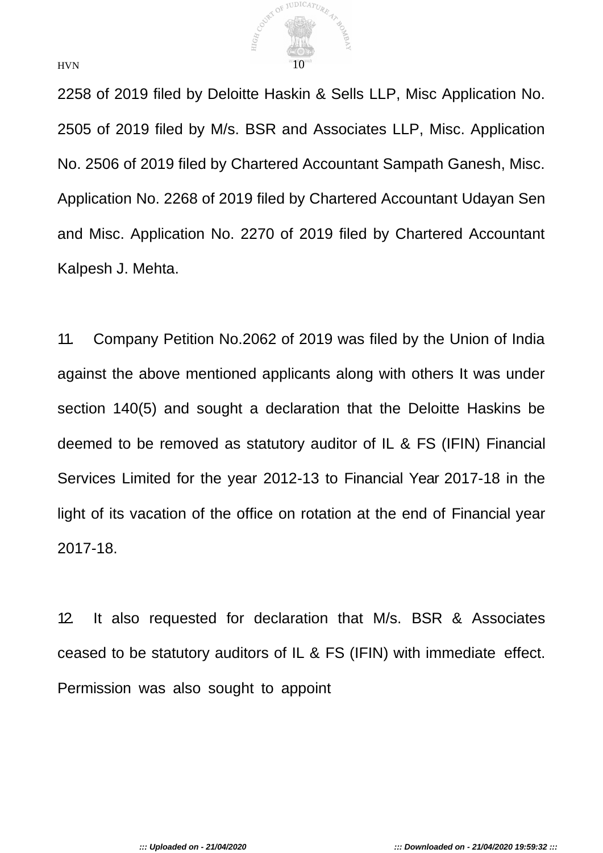

2258 of 2019 filed by Deloitte Haskin & Sells LLP, Misc Application No. 2505 of 2019 filed by M/s. BSR and Associates LLP, Misc. Application No. 2506 of 2019 filed by Chartered Accountant Sampath Ganesh, Misc. Application No. 2268 of 2019 filed by Chartered Accountant Udayan Sen and Misc. Application No. 2270 of 2019 filed by Chartered Accountant Kalpesh J. Mehta.

11. Company Petition No.2062 of 2019 was filed by the Union of India against the above mentioned applicants along with others It was under section 140(5) and sought a declaration that the Deloitte Haskins be deemed to be removed as statutory auditor of IL & FS (IFIN) Financial Services Limited for the year 2012-13 to Financial Year 2017-18 in the light of its vacation of the office on rotation at the end of Financial year 2017-18.

12. It also requested for declaration that M/s. BSR & Associates ceased to be statutory auditors of IL & FS (IFIN) with immediate effect. Permission was also sought to appoint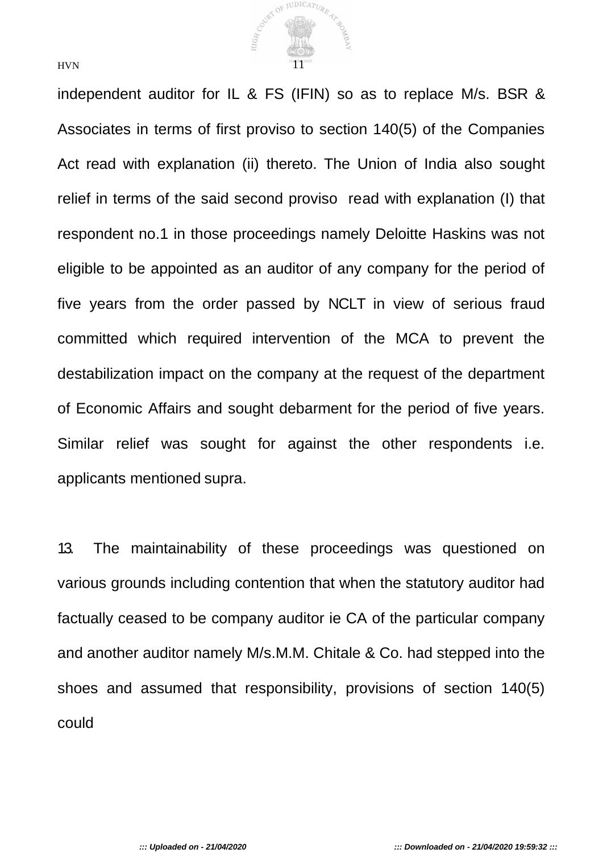

independent auditor for IL & FS (IFIN) so as to replace M/s. BSR & Associates in terms of first proviso to section 140(5) of the Companies Act read with explanation (ii) thereto. The Union of India also sought relief in terms of the said second proviso read with explanation (I) that respondent no.1 in those proceedings namely Deloitte Haskins was not eligible to be appointed as an auditor of any company for the period of five years from the order passed by NCLT in view of serious fraud committed which required intervention of the MCA to prevent the destabilization impact on the company at the request of the department of Economic Affairs and sought debarment for the period of five years. Similar relief was sought for against the other respondents i.e. applicants mentioned supra.

13. The maintainability of these proceedings was questioned on various grounds including contention that when the statutory auditor had factually ceased to be company auditor ie CA of the particular company and another auditor namely M/s.M.M. Chitale & Co. had stepped into the shoes and assumed that responsibility, provisions of section 140(5) could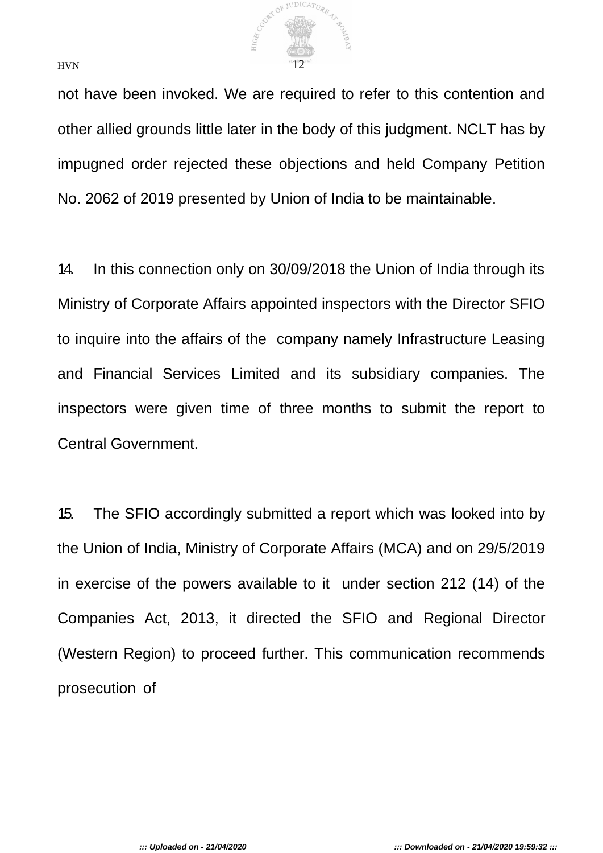

not have been invoked. We are required to refer to this contention and other allied grounds little later in the body of this judgment. NCLT has by impugned order rejected these objections and held Company Petition No. 2062 of 2019 presented by Union of India to be maintainable.

14. In this connection only on 30/09/2018 the Union of India through its Ministry of Corporate Affairs appointed inspectors with the Director SFIO to inquire into the affairs of the company namely Infrastructure Leasing and Financial Services Limited and its subsidiary companies. The inspectors were given time of three months to submit the report to Central Government.

15. The SFIO accordingly submitted a report which was looked into by the Union of India, Ministry of Corporate Affairs (MCA) and on 29/5/2019 in exercise of the powers available to it under section 212 (14) of the Companies Act, 2013, it directed the SFIO and Regional Director (Western Region) to proceed further. This communication recommends prosecution of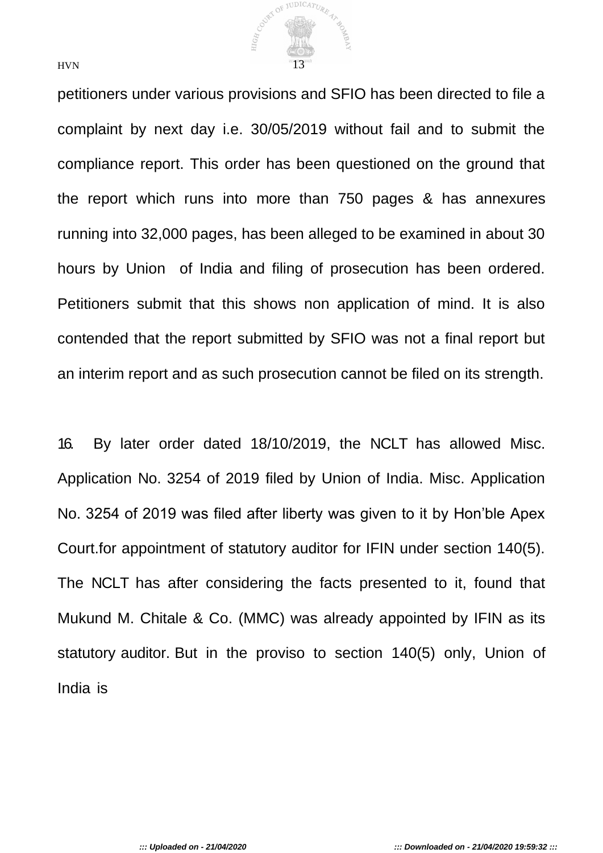

petitioners under various provisions and SFIO has been directed to file a complaint by next day i.e. 30/05/2019 without fail and to submit the compliance report. This order has been questioned on the ground that the report which runs into more than 750 pages & has annexures running into 32,000 pages, has been alleged to be examined in about 30 hours by Union of India and filing of prosecution has been ordered. Petitioners submit that this shows non application of mind. It is also contended that the report submitted by SFIO was not a final report but an interim report and as such prosecution cannot be filed on its strength.

16. By later order dated 18/10/2019, the NCLT has allowed Misc. Application No. 3254 of 2019 filed by Union of India. Misc. Application No. 3254 of 2019 was filed after liberty was given to it by Hon'ble Apex Court.for appointment of statutory auditor for IFIN under section 140(5). The NCLT has after considering the facts presented to it, found that Mukund M. Chitale & Co. (MMC) was already appointed by IFIN as its statutory auditor. But in the proviso to section 140(5) only, Union of India is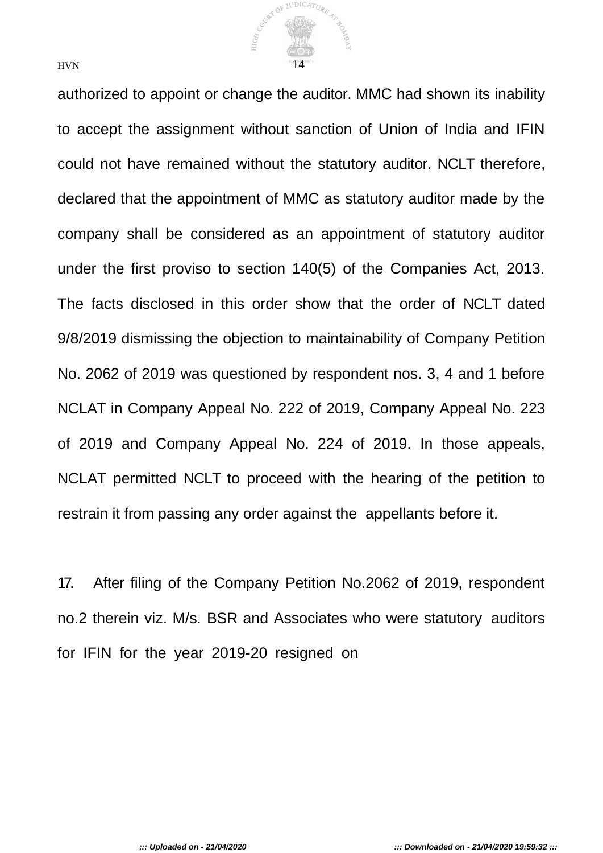

authorized to appoint or change the auditor. MMC had shown its inability to accept the assignment without sanction of Union of India and IFIN could not have remained without the statutory auditor. NCLT therefore, declared that the appointment of MMC as statutory auditor made by the company shall be considered as an appointment of statutory auditor under the first proviso to section 140(5) of the Companies Act, 2013. The facts disclosed in this order show that the order of NCLT dated 9/8/2019 dismissing the objection to maintainability of Company Petition No. 2062 of 2019 was questioned by respondent nos. 3, 4 and 1 before NCLAT in Company Appeal No. 222 of 2019, Company Appeal No. 223 of 2019 and Company Appeal No. 224 of 2019. In those appeals, NCLAT permitted NCLT to proceed with the hearing of the petition to restrain it from passing any order against the appellants before it.

17. After filing of the Company Petition No.2062 of 2019, respondent no.2 therein viz. M/s. BSR and Associates who were statutory auditors for IFIN for the year 2019-20 resigned on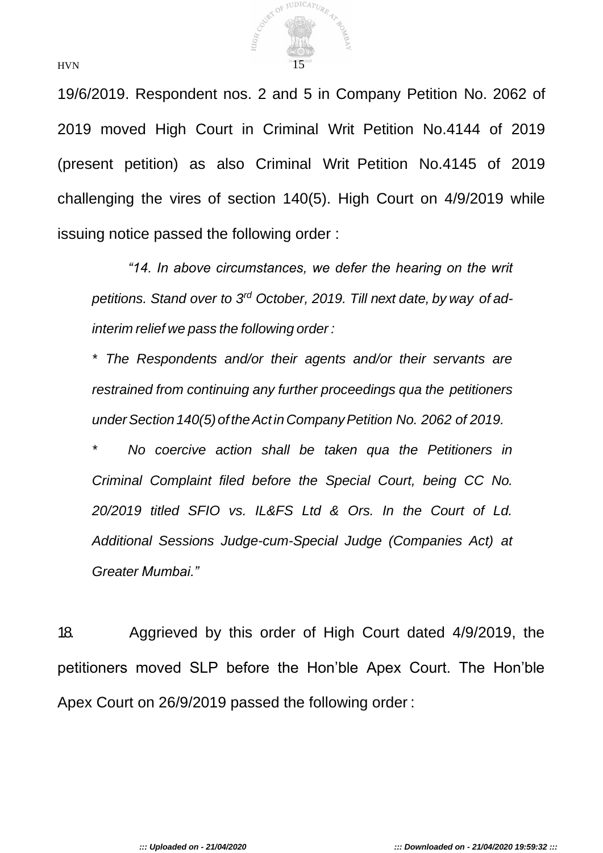

19/6/2019. Respondent nos. 2 and 5 in Company Petition No. 2062 of 2019 moved High Court in Criminal Writ Petition No.4144 of 2019 (present petition) as also Criminal Writ Petition No.4145 of 2019 challenging the vires of section 140(5). High Court on 4/9/2019 while issuing notice passed the following order :

*"14. In above circumstances, we defer the hearing on the writ petitions. Stand over to 3rd October, 2019. Till next date, by way of adinterim relief we pass the following order :*

*\* The Respondents and/or their agents and/or their servants are restrained from continuing any further proceedings qua the petitioners underSection140(5)oftheActin CompanyPetition No. 2062 of 2019.*

*\* No coercive action shall be taken qua the Petitioners in Criminal Complaint filed before the Special Court, being CC No. 20/2019 titled SFIO vs. IL&FS Ltd & Ors. In the Court of Ld. Additional Sessions Judge-cum-Special Judge (Companies Act) at Greater Mumbai."*

18. Aggrieved by this order of High Court dated 4/9/2019, the petitioners moved SLP before the Hon'ble Apex Court. The Hon'ble Apex Court on 26/9/2019 passed the following order :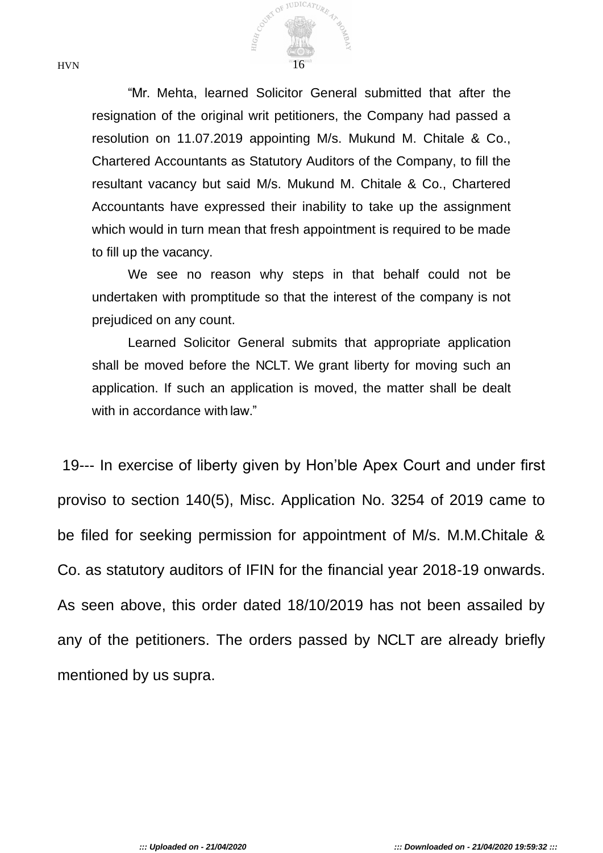

"Mr. Mehta, learned Solicitor General submitted that after the resignation of the original writ petitioners, the Company had passed a resolution on 11.07.2019 appointing M/s. Mukund M. Chitale & Co., Chartered Accountants as Statutory Auditors of the Company, to fill the resultant vacancy but said M/s. Mukund M. Chitale & Co., Chartered Accountants have expressed their inability to take up the assignment which would in turn mean that fresh appointment is required to be made to fill up the vacancy.

We see no reason why steps in that behalf could not be undertaken with promptitude so that the interest of the company is not prejudiced on any count.

Learned Solicitor General submits that appropriate application shall be moved before the NCLT. We grant liberty for moving such an application. If such an application is moved, the matter shall be dealt with in accordance with law."

19--- In exercise of liberty given by Hon'ble Apex Court and under first proviso to section 140(5), Misc. Application No. 3254 of 2019 came to be filed for seeking permission for appointment of M/s. M.M.Chitale & Co. as statutory auditors of IFIN for the financial year 2018-19 onwards. As seen above, this order dated 18/10/2019 has not been assailed by any of the petitioners. The orders passed by NCLT are already briefly mentioned by us supra.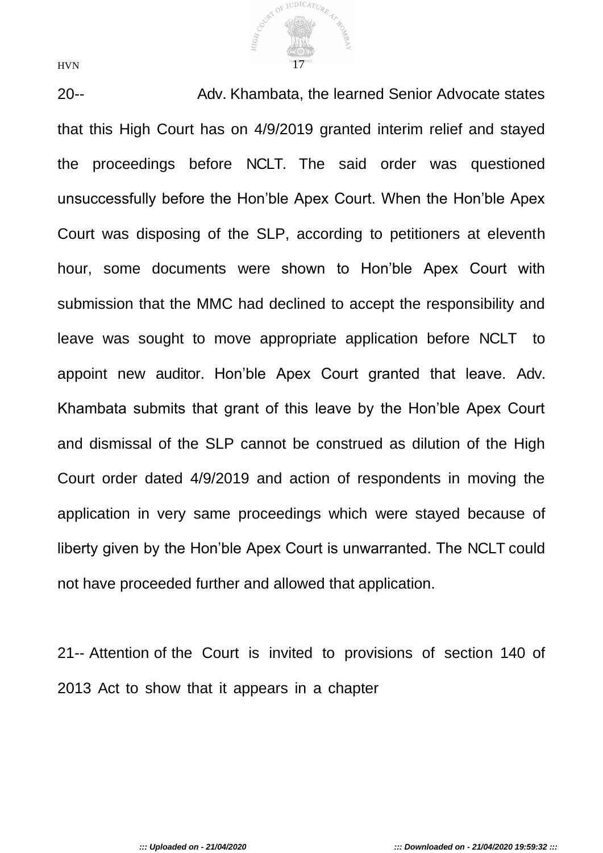COVEY OF JUDICATURE 47 HIG<sub>H</sub>  $HVN$  17

20-- Adv. Khambata, the learned Senior Advocate states that this High Court has on 4/9/2019 granted interim relief and stayed the proceedings before NCLT. The said order was questioned unsuccessfully before the Hon'ble Apex Court. When the Hon'ble Apex Court was disposing of the SLP, according to petitioners at eleventh hour, some documents were shown to Hon'ble Apex Court with submission that the MMC had declined to accept the responsibility and leave was sought to move appropriate application before NCLT to appoint new auditor. Hon'ble Apex Court granted that leave. Adv. Khambata submits that grant of this leave by the Hon'ble Apex Court and dismissal of the SLP cannot be construed as dilution of the High Court order dated 4/9/2019 and action of respondents in moving the application in very same proceedings which were stayed because of liberty given by the Hon'ble Apex Court is unwarranted. The NCLT could not have proceeded further and allowed that application.

21-- Attention of the Court is invited to provisions of section 140 of 2013 Act to show that it appears in a chapter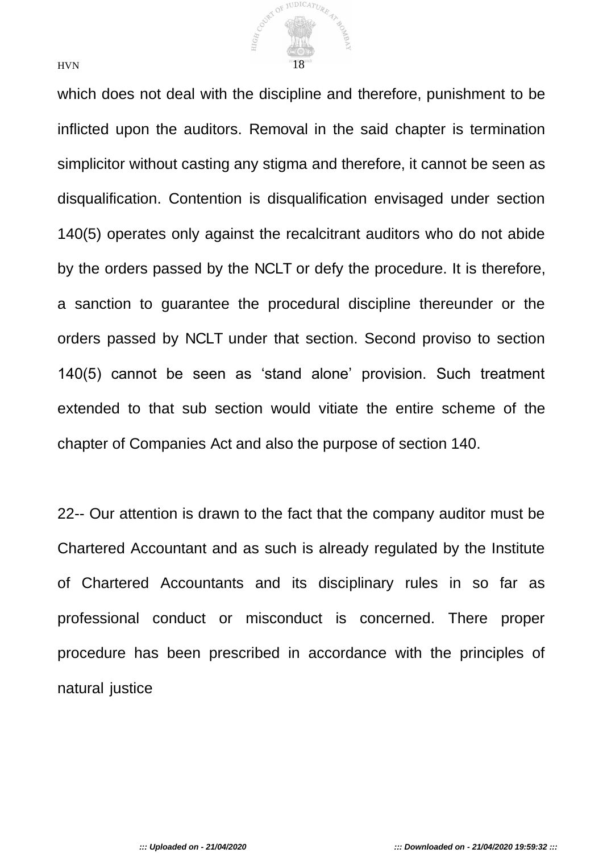

which does not deal with the discipline and therefore, punishment to be inflicted upon the auditors. Removal in the said chapter is termination simplicitor without casting any stigma and therefore, it cannot be seen as disqualification. Contention is disqualification envisaged under section 140(5) operates only against the recalcitrant auditors who do not abide by the orders passed by the NCLT or defy the procedure. It is therefore, a sanction to guarantee the procedural discipline thereunder or the orders passed by NCLT under that section. Second proviso to section 140(5) cannot be seen as 'stand alone' provision. Such treatment extended to that sub section would vitiate the entire scheme of the chapter of Companies Act and also the purpose of section 140.

22-- Our attention is drawn to the fact that the company auditor must be Chartered Accountant and as such is already regulated by the Institute of Chartered Accountants and its disciplinary rules in so far as professional conduct or misconduct is concerned. There proper procedure has been prescribed in accordance with the principles of natural justice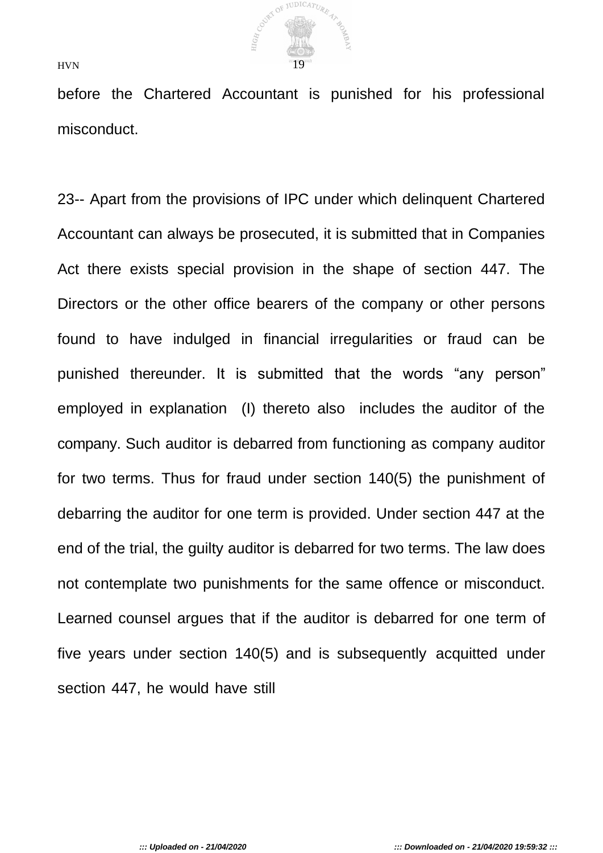

before the Chartered Accountant is punished for his professional misconduct.

23-- Apart from the provisions of IPC under which delinquent Chartered Accountant can always be prosecuted, it is submitted that in Companies Act there exists special provision in the shape of section 447. The Directors or the other office bearers of the company or other persons found to have indulged in financial irregularities or fraud can be punished thereunder. It is submitted that the words "any person" employed in explanation (I) thereto also includes the auditor of the company. Such auditor is debarred from functioning as company auditor for two terms. Thus for fraud under section 140(5) the punishment of debarring the auditor for one term is provided. Under section 447 at the end of the trial, the guilty auditor is debarred for two terms. The law does not contemplate two punishments for the same offence or misconduct. Learned counsel argues that if the auditor is debarred for one term of five years under section 140(5) and is subsequently acquitted under section 447, he would have still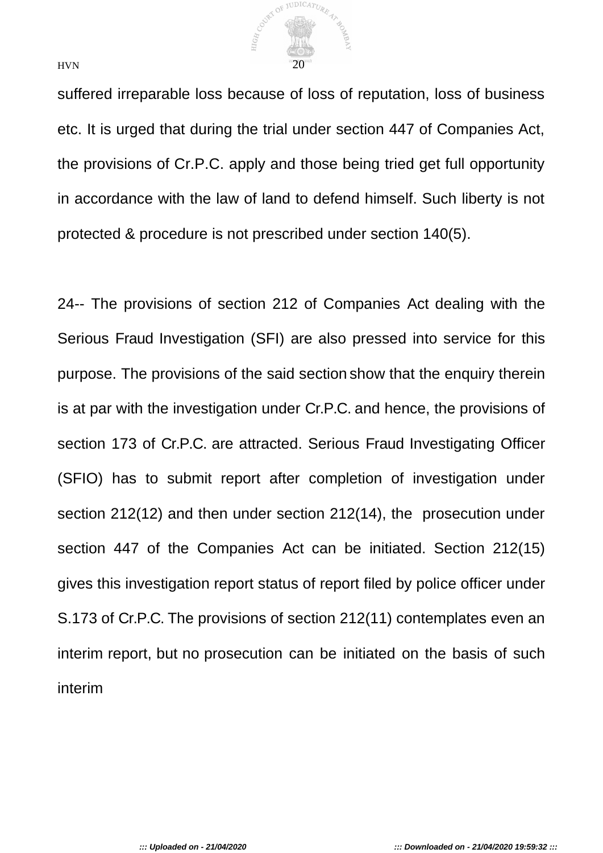

suffered irreparable loss because of loss of reputation, loss of business etc. It is urged that during the trial under section 447 of Companies Act, the provisions of Cr.P.C. apply and those being tried get full opportunity in accordance with the law of land to defend himself. Such liberty is not protected & procedure is not prescribed under section 140(5).

24-- The provisions of section 212 of Companies Act dealing with the Serious Fraud Investigation (SFI) are also pressed into service for this purpose. The provisions of the said section show that the enquiry therein is at par with the investigation under Cr.P.C. and hence, the provisions of section 173 of Cr.P.C. are attracted. Serious Fraud Investigating Officer (SFIO) has to submit report after completion of investigation under section 212(12) and then under section 212(14), the prosecution under section 447 of the Companies Act can be initiated. Section 212(15) gives this investigation report status of report filed by police officer under S.173 of Cr.P.C. The provisions of section 212(11) contemplates even an interim report, but no prosecution can be initiated on the basis of such interim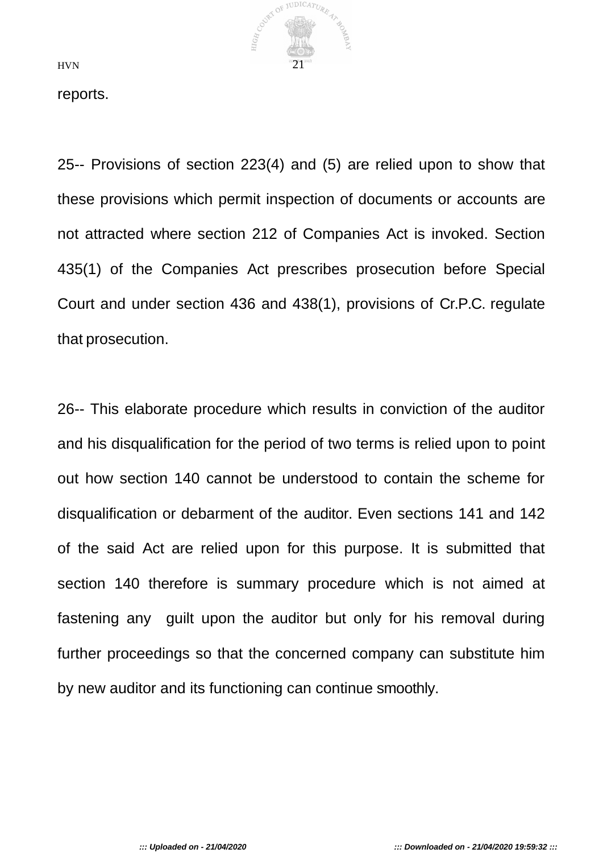

reports.

25-- Provisions of section 223(4) and (5) are relied upon to show that these provisions which permit inspection of documents or accounts are not attracted where section 212 of Companies Act is invoked. Section 435(1) of the Companies Act prescribes prosecution before Special Court and under section 436 and 438(1), provisions of Cr.P.C. regulate that prosecution.

26-- This elaborate procedure which results in conviction of the auditor and his disqualification for the period of two terms is relied upon to point out how section 140 cannot be understood to contain the scheme for disqualification or debarment of the auditor. Even sections 141 and 142 of the said Act are relied upon for this purpose. It is submitted that section 140 therefore is summary procedure which is not aimed at fastening any guilt upon the auditor but only for his removal during further proceedings so that the concerned company can substitute him by new auditor and its functioning can continue smoothly.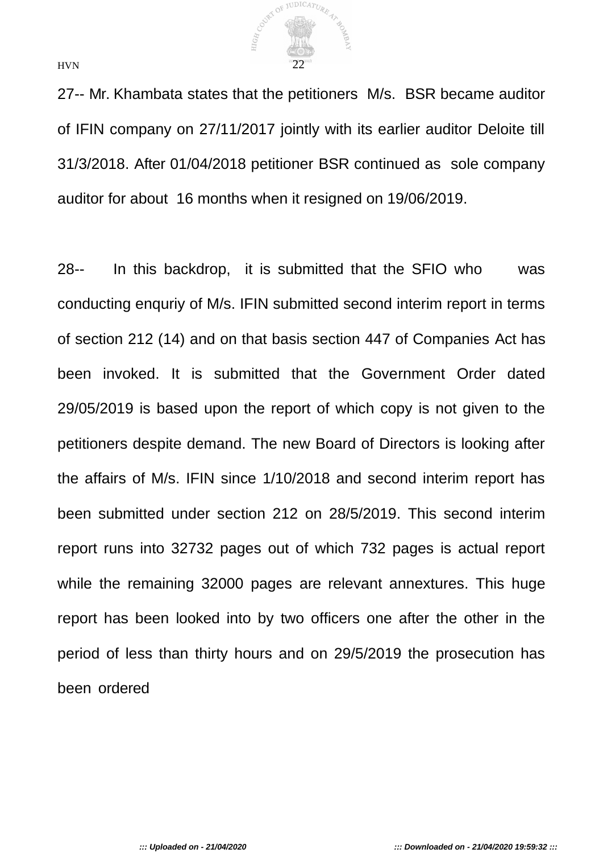

27-- Mr. Khambata states that the petitioners M/s. BSR became auditor of IFIN company on 27/11/2017 jointly with its earlier auditor Deloite till 31/3/2018. After 01/04/2018 petitioner BSR continued as sole company auditor for about 16 months when it resigned on 19/06/2019.

28-- In this backdrop, it is submitted that the SFIO who was conducting enquriy of M/s. IFIN submitted second interim report in terms of section 212 (14) and on that basis section 447 of Companies Act has been invoked. It is submitted that the Government Order dated 29/05/2019 is based upon the report of which copy is not given to the petitioners despite demand. The new Board of Directors is looking after the affairs of M/s. IFIN since 1/10/2018 and second interim report has been submitted under section 212 on 28/5/2019. This second interim report runs into 32732 pages out of which 732 pages is actual report while the remaining 32000 pages are relevant annextures. This huge report has been looked into by two officers one after the other in the period of less than thirty hours and on 29/5/2019 the prosecution has been ordered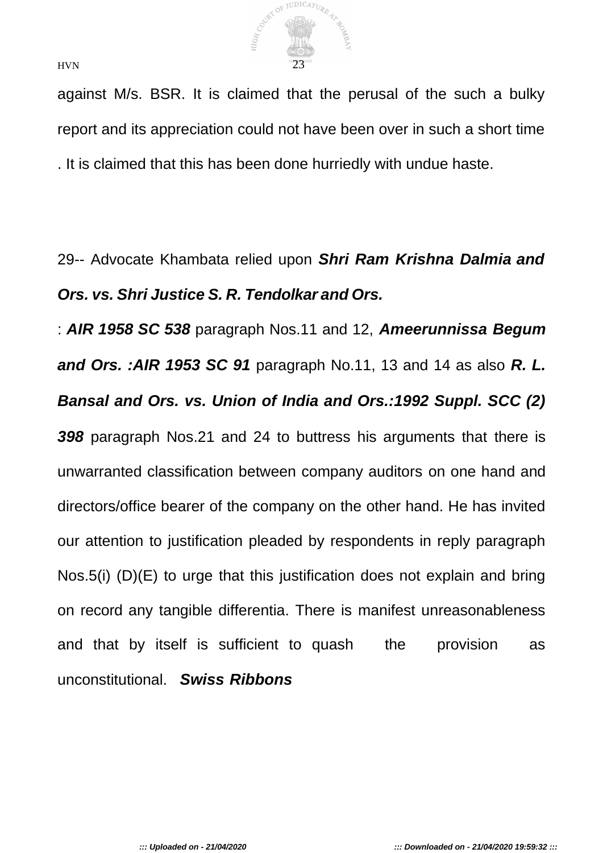

against M/s. BSR. It is claimed that the perusal of the such a bulky report and its appreciation could not have been over in such a short time . It is claimed that this has been done hurriedly with undue haste.

# 29-- Advocate Khambata relied upon *Shri Ram Krishna Dalmia and Ors. vs. Shri Justice S. R. Tendolkar and Ors.*

: *AIR 1958 SC 538* paragraph Nos.11 and 12, *Ameerunnissa Begum and Ors. :AIR 1953 SC 91* paragraph No.11, 13 and 14 as also *R. L. Bansal and Ors. vs. Union of India and Ors.:1992 Suppl. SCC (2) 398* paragraph Nos.21 and 24 to buttress his arguments that there is unwarranted classification between company auditors on one hand and directors/office bearer of the company on the other hand. He has invited our attention to justification pleaded by respondents in reply paragraph Nos.5(i) (D)(E) to urge that this justification does not explain and bring on record any tangible differentia. There is manifest unreasonableness and that by itself is sufficient to quash the provision as unconstitutional. *Swiss Ribbons*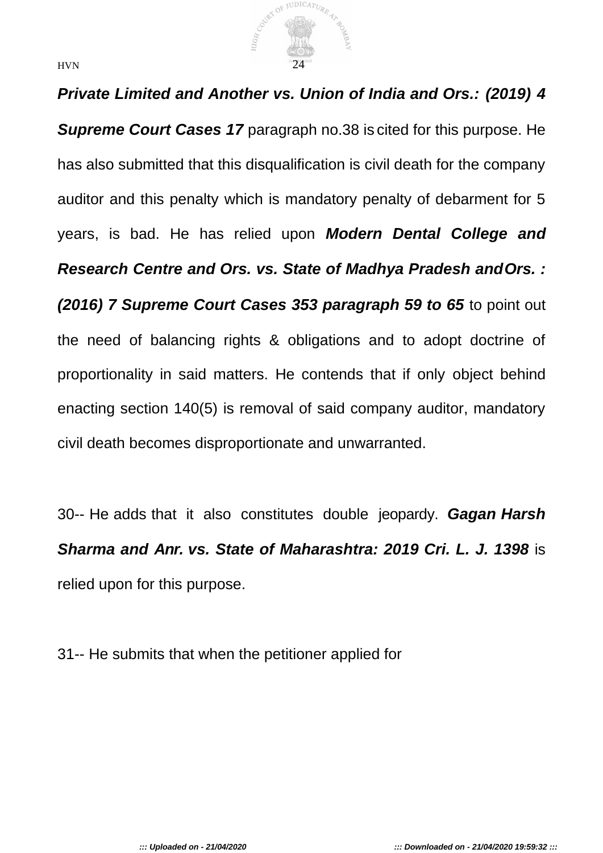

## *Private Limited and Another vs. Union of India and Ors.: (2019) 4*

*Supreme Court Cases 17* paragraph no.38 is cited for this purpose. He has also submitted that this disqualification is civil death for the company auditor and this penalty which is mandatory penalty of debarment for 5 years, is bad. He has relied upon *Modern Dental College and Research Centre and Ors. vs. State of Madhya Pradesh andOrs. : (2016) 7 Supreme Court Cases 353 paragraph 59 to 65* to point out the need of balancing rights & obligations and to adopt doctrine of proportionality in said matters. He contends that if only object behind enacting section 140(5) is removal of said company auditor, mandatory civil death becomes disproportionate and unwarranted.

30-- He adds that it also constitutes double jeopardy. *Gagan Harsh Sharma and Anr. vs. State of Maharashtra: 2019 Cri. L. J. 1398* is relied upon for this purpose.

31-- He submits that when the petitioner applied for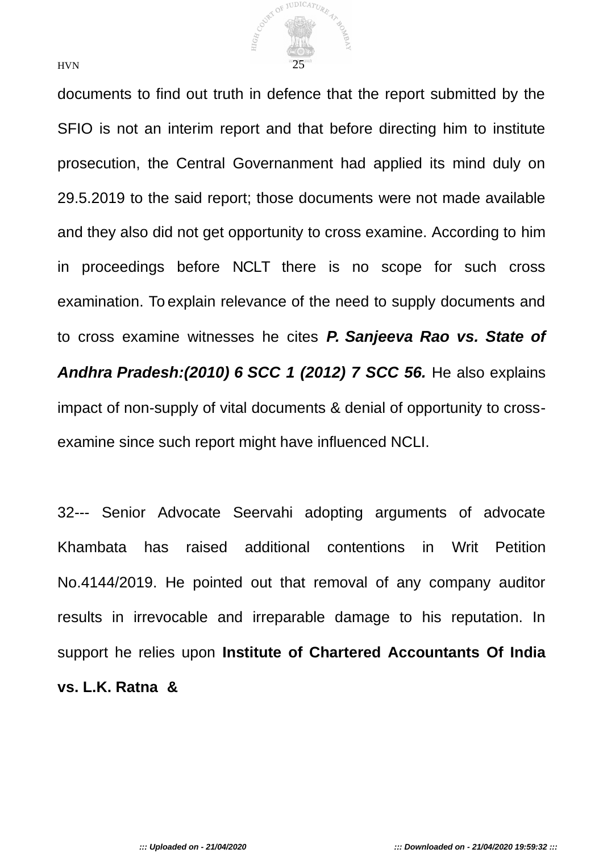

documents to find out truth in defence that the report submitted by the SFIO is not an interim report and that before directing him to institute prosecution, the Central Governanment had applied its mind duly on 29.5.2019 to the said report; those documents were not made available and they also did not get opportunity to cross examine. According to him in proceedings before NCLT there is no scope for such cross examination. To explain relevance of the need to supply documents and to cross examine witnesses he cites *P. Sanjeeva Rao vs. State of Andhra Pradesh:(2010) 6 SCC 1 (2012) 7 SCC 56.* He also explains impact of non-supply of vital documents & denial of opportunity to crossexamine since such report might have influenced NCLI.

32--- Senior Advocate Seervahi adopting arguments of advocate Khambata has raised additional contentions in Writ Petition No.4144/2019. He pointed out that removal of any company auditor results in irrevocable and irreparable damage to his reputation. In support he relies upon **Institute of Chartered Accountants Of India vs. L.K. Ratna &**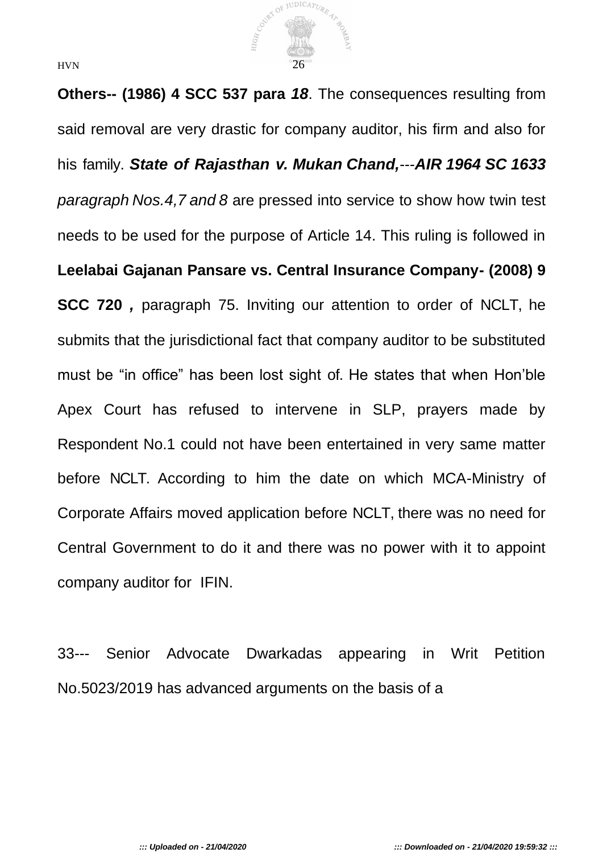

**Others-- (1986) 4 SCC 537 para** *18*. The consequences resulting from said removal are very drastic for company auditor, his firm and also for his family. *State of Rajasthan v. Mukan Chand,*---*AIR 1964 SC 1633 paragraph Nos.4,7 and 8* are pressed into service to show how twin test needs to be used for the purpose of Article 14. This ruling is followed in **Leelabai Gajanan Pansare vs. Central Insurance Company- (2008) 9 SCC 720** *,* paragraph 75. Inviting our attention to order of NCLT, he submits that the jurisdictional fact that company auditor to be substituted must be "in office" has been lost sight of. He states that when Hon'ble Apex Court has refused to intervene in SLP, prayers made by Respondent No.1 could not have been entertained in very same matter before NCLT. According to him the date on which MCA-Ministry of Corporate Affairs moved application before NCLT, there was no need for Central Government to do it and there was no power with it to appoint company auditor for IFIN.

33--- Senior Advocate Dwarkadas appearing in Writ Petition No.5023/2019 has advanced arguments on the basis of a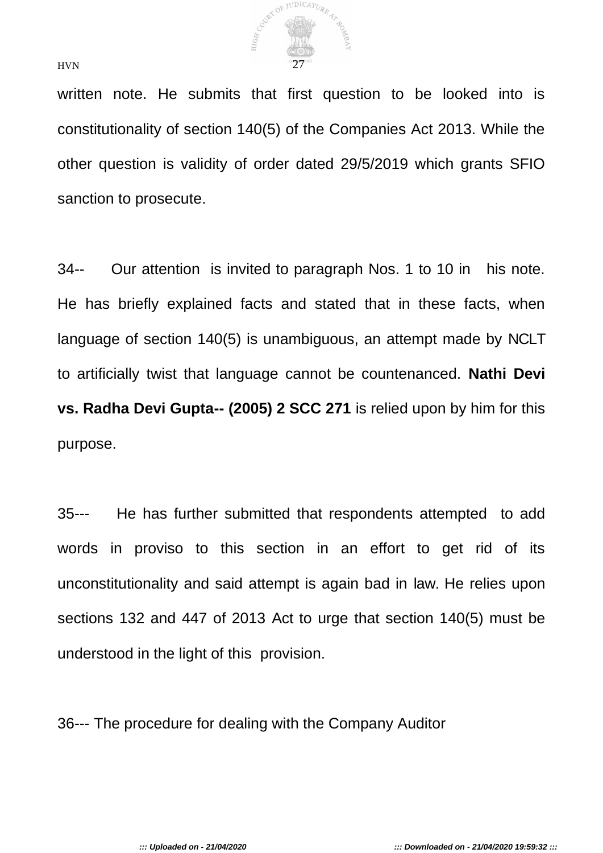

written note. He submits that first question to be looked into is constitutionality of section 140(5) of the Companies Act 2013. While the other question is validity of order dated 29/5/2019 which grants SFIO sanction to prosecute.

34-- Our attention is invited to paragraph Nos. 1 to 10 in his note. He has briefly explained facts and stated that in these facts, when language of section 140(5) is unambiguous, an attempt made by NCLT to artificially twist that language cannot be countenanced. **Nathi Devi vs. Radha Devi Gupta-- (2005) 2 SCC 271** is relied upon by him for this purpose.

35--- He has further submitted that respondents attempted to add words in proviso to this section in an effort to get rid of its unconstitutionality and said attempt is again bad in law. He relies upon sections 132 and 447 of 2013 Act to urge that section 140(5) must be understood in the light of this provision.

36--- The procedure for dealing with the Company Auditor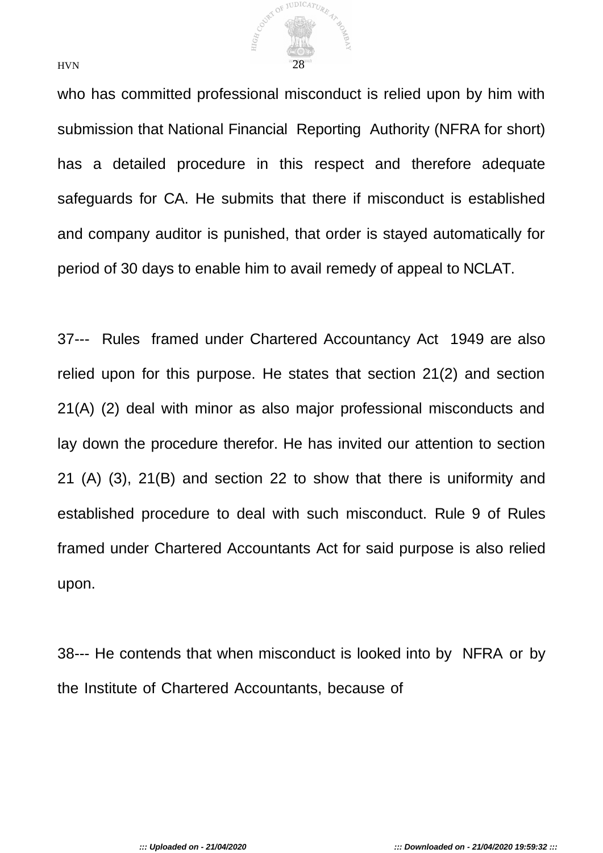

who has committed professional misconduct is relied upon by him with submission that National Financial Reporting Authority (NFRA for short) has a detailed procedure in this respect and therefore adequate safeguards for CA. He submits that there if misconduct is established and company auditor is punished, that order is stayed automatically for period of 30 days to enable him to avail remedy of appeal to NCLAT.

37--- Rules framed under Chartered Accountancy Act 1949 are also relied upon for this purpose. He states that section 21(2) and section 21(A) (2) deal with minor as also major professional misconducts and lay down the procedure therefor. He has invited our attention to section 21 (A) (3), 21(B) and section 22 to show that there is uniformity and established procedure to deal with such misconduct. Rule 9 of Rules framed under Chartered Accountants Act for said purpose is also relied upon.

38--- He contends that when misconduct is looked into by NFRA or by the Institute of Chartered Accountants, because of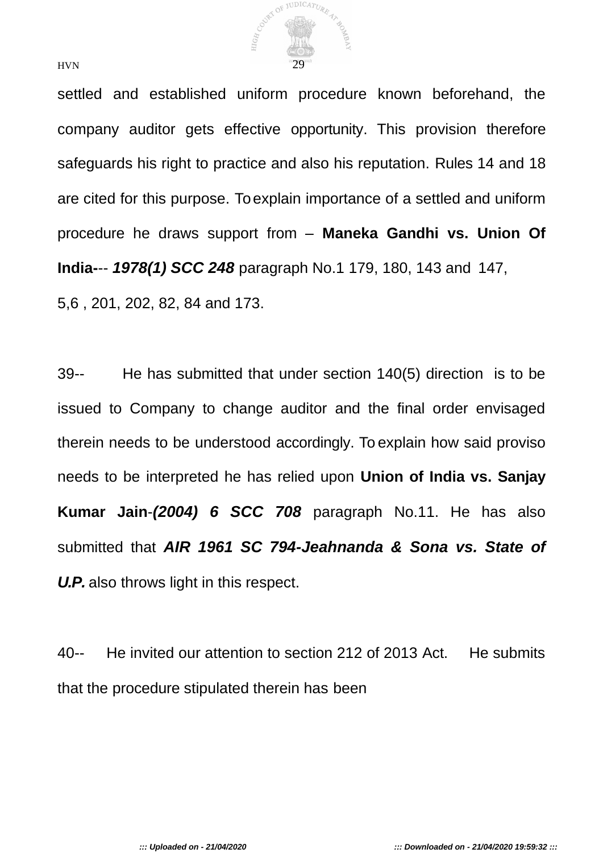

settled and established uniform procedure known beforehand, the company auditor gets effective opportunity. This provision therefore safeguards his right to practice and also his reputation. Rules 14 and 18 are cited for this purpose. To explain importance of a settled and uniform procedure he draws support from – **Maneka Gandhi vs. Union Of India-**-- *1978(1) SCC 248* paragraph No.1 179, 180, 143 and 147, 5,6 , 201, 202, 82, 84 and 173.

39-- He has submitted that under section 140(5) direction is to be issued to Company to change auditor and the final order envisaged therein needs to be understood accordingly. To explain how said proviso needs to be interpreted he has relied upon **Union of India vs. Sanjay Kumar Jain**-*(2004) 6 SCC 708* paragraph No.11. He has also submitted that *AIR 1961 SC 794-Jeahnanda & Sona vs. State of U.P.* also throws light in this respect.

40-- He invited our attention to section 212 of 2013 Act. He submits that the procedure stipulated therein has been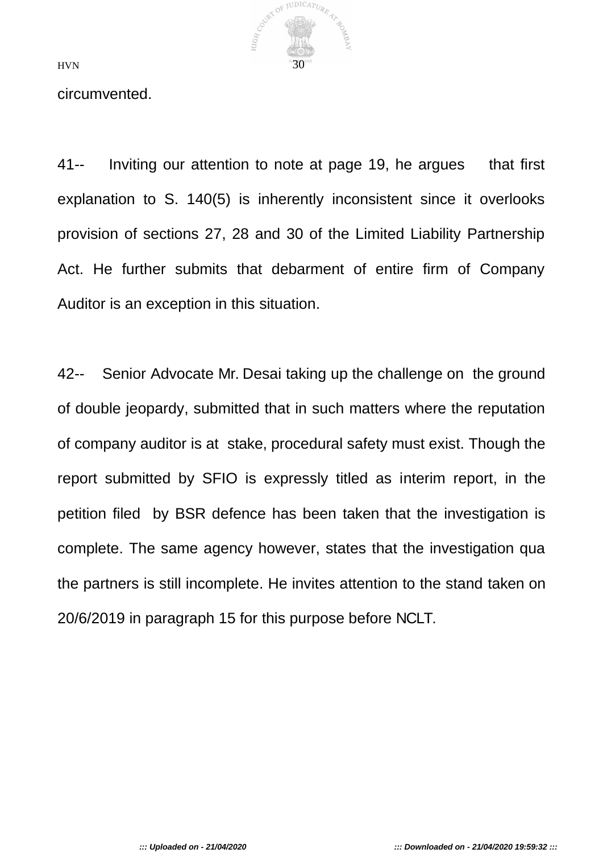

circumvented.

41-- Inviting our attention to note at page 19, he argues that first explanation to S. 140(5) is inherently inconsistent since it overlooks provision of sections 27, 28 and 30 of the Limited Liability Partnership Act. He further submits that debarment of entire firm of Company Auditor is an exception in this situation.

42-- Senior Advocate Mr. Desai taking up the challenge on the ground of double jeopardy, submitted that in such matters where the reputation of company auditor is at stake, procedural safety must exist. Though the report submitted by SFIO is expressly titled as interim report, in the petition filed by BSR defence has been taken that the investigation is complete. The same agency however, states that the investigation qua the partners is still incomplete. He invites attention to the stand taken on 20/6/2019 in paragraph 15 for this purpose before NCLT.

*::: Uploaded on - 21/04/2020 ::: Downloaded on - 21/04/2020 19:59:32 :::*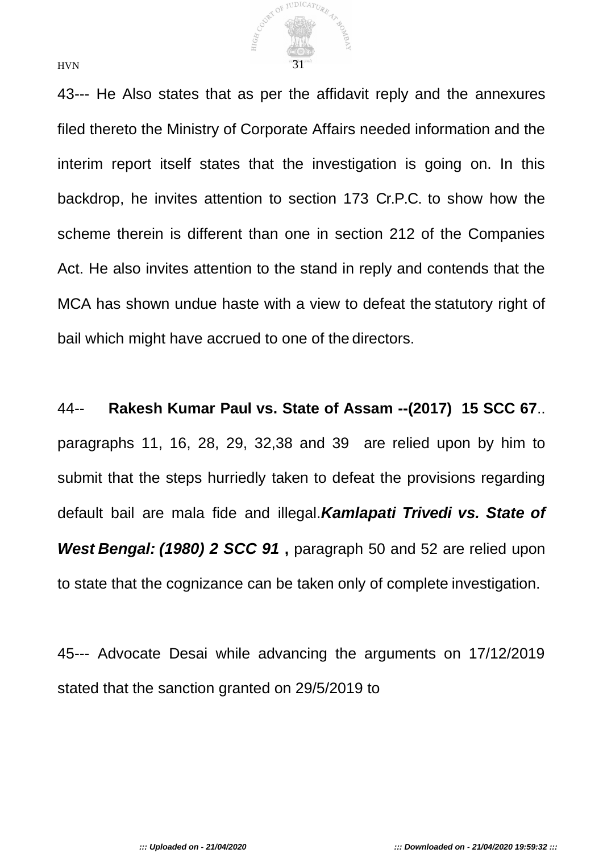

43--- He Also states that as per the affidavit reply and the annexures filed thereto the Ministry of Corporate Affairs needed information and the interim report itself states that the investigation is going on. In this backdrop, he invites attention to section 173 Cr.P.C. to show how the scheme therein is different than one in section 212 of the Companies Act. He also invites attention to the stand in reply and contends that the MCA has shown undue haste with a view to defeat the statutory right of bail which might have accrued to one of the directors.

44-- **Rakesh Kumar Paul vs. State of Assam --(2017) 15 SCC 67**.. paragraphs 11, 16, 28, 29, 32,38 and 39 are relied upon by him to submit that the steps hurriedly taken to defeat the provisions regarding default bail are mala fide and illegal.*Kamlapati Trivedi vs. State of West Bengal: (1980) 2 SCC 91* **,** paragraph 50 and 52 are relied upon to state that the cognizance can be taken only of complete investigation.

45--- Advocate Desai while advancing the arguments on 17/12/2019 stated that the sanction granted on 29/5/2019 to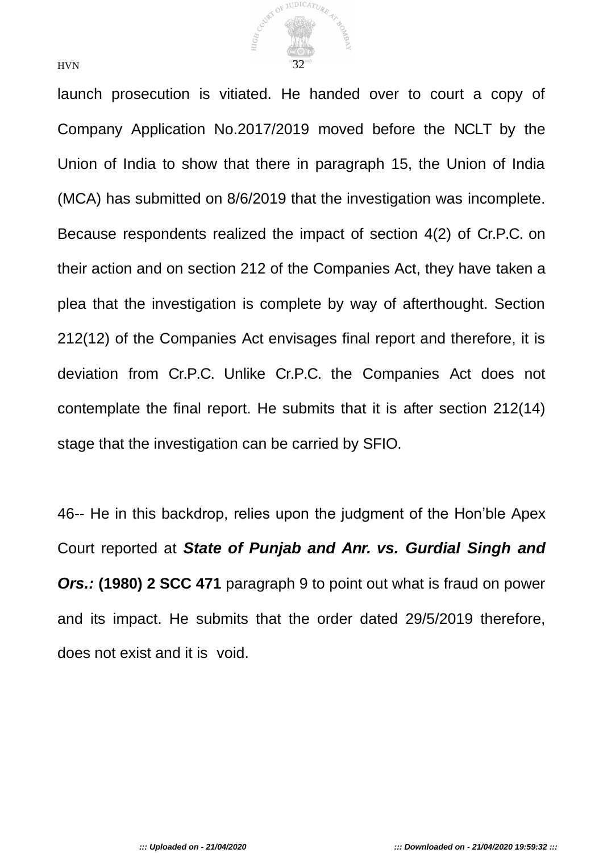

launch prosecution is vitiated. He handed over to court a copy of Company Application No.2017/2019 moved before the NCLT by the Union of India to show that there in paragraph 15, the Union of India (MCA) has submitted on 8/6/2019 that the investigation was incomplete. Because respondents realized the impact of section 4(2) of Cr.P.C. on their action and on section 212 of the Companies Act, they have taken a plea that the investigation is complete by way of afterthought. Section 212(12) of the Companies Act envisages final report and therefore, it is deviation from Cr.P.C. Unlike Cr.P.C. the Companies Act does not contemplate the final report. He submits that it is after section 212(14) stage that the investigation can be carried by SFIO.

46-- He in this backdrop, relies upon the judgment of the Hon'ble Apex Court reported at *State of Punjab and Anr. vs. Gurdial Singh and Ors.:* **(1980) 2 SCC 471** paragraph 9 to point out what is fraud on power and its impact. He submits that the order dated 29/5/2019 therefore, does not exist and it is void.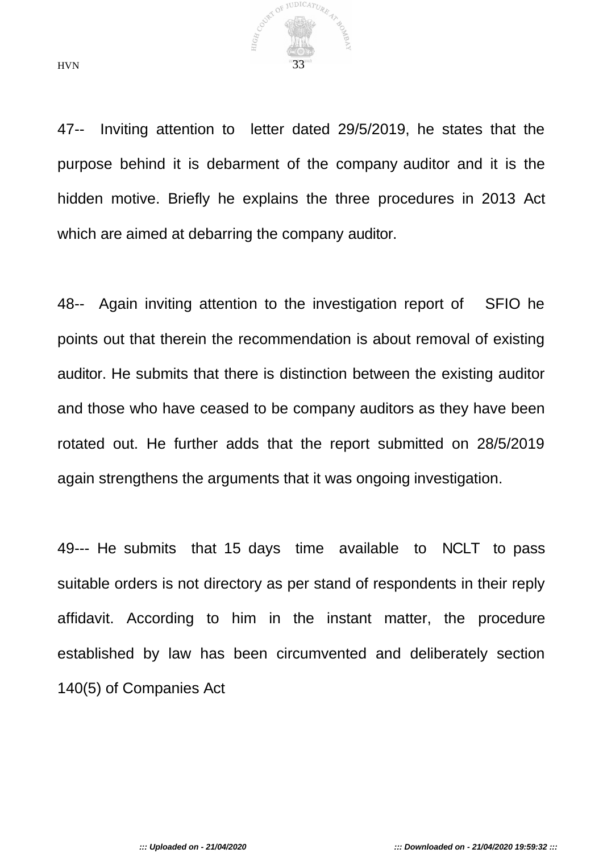

47-- Inviting attention to letter dated 29/5/2019, he states that the purpose behind it is debarment of the company auditor and it is the hidden motive. Briefly he explains the three procedures in 2013 Act which are aimed at debarring the company auditor.

48-- Again inviting attention to the investigation report of SFIO he points out that therein the recommendation is about removal of existing auditor. He submits that there is distinction between the existing auditor and those who have ceased to be company auditors as they have been rotated out. He further adds that the report submitted on 28/5/2019 again strengthens the arguments that it was ongoing investigation.

49--- He submits that 15 days time available to NCLT to pass suitable orders is not directory as per stand of respondents in their reply affidavit. According to him in the instant matter, the procedure established by law has been circumvented and deliberately section 140(5) of Companies Act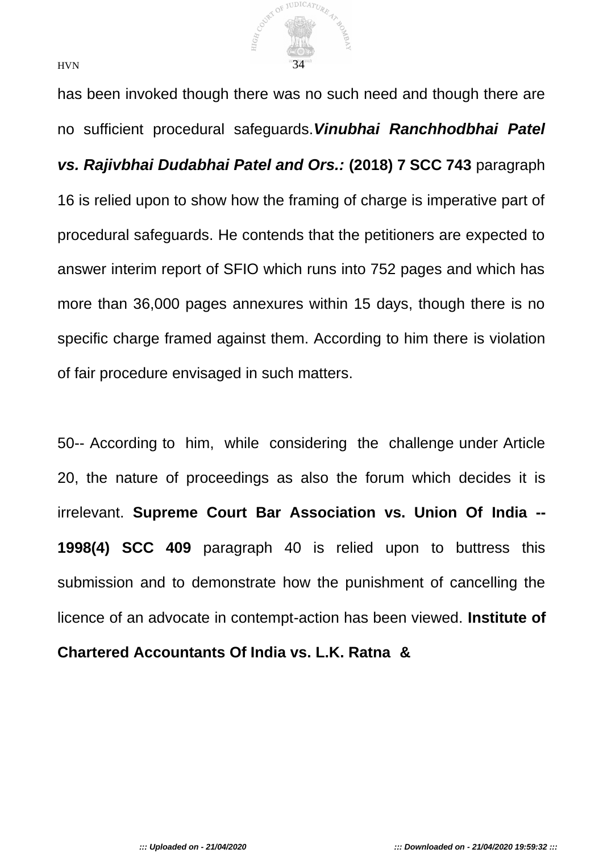

has been invoked though there was no such need and though there are no sufficient procedural safeguards.*Vinubhai Ranchhodbhai Patel vs. Rajivbhai Dudabhai Patel and Ors.:* **(2018) 7 SCC 743** paragraph 16 is relied upon to show how the framing of charge is imperative part of procedural safeguards. He contends that the petitioners are expected to answer interim report of SFIO which runs into 752 pages and which has more than 36,000 pages annexures within 15 days, though there is no specific charge framed against them. According to him there is violation of fair procedure envisaged in such matters.

50-- According to him, while considering the challenge under Article 20, the nature of proceedings as also the forum which decides it is irrelevant. **Supreme Court Bar Association vs. Union Of India -- 1998(4) SCC 409** paragraph 40 is relied upon to buttress this submission and to demonstrate how the punishment of cancelling the licence of an advocate in contempt-action has been viewed. **Institute of Chartered Accountants Of India vs. L.K. Ratna &**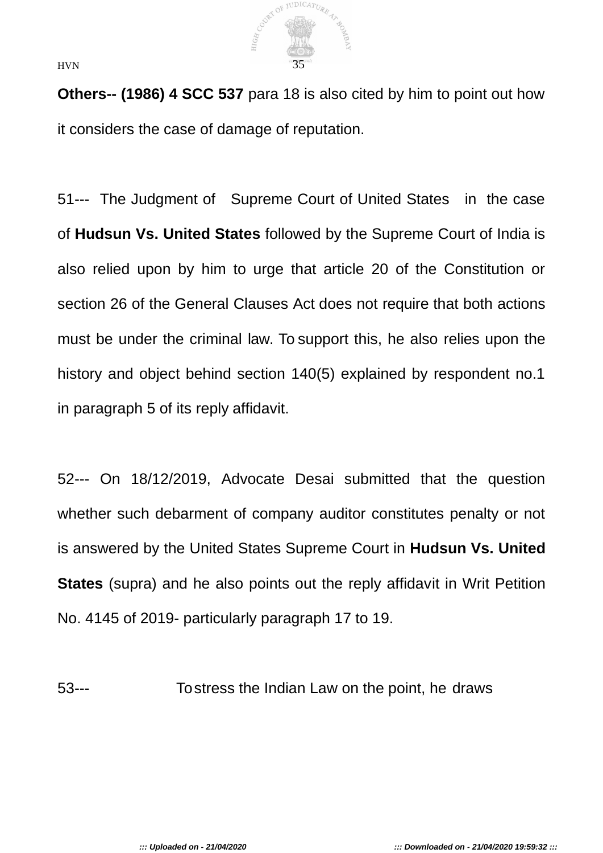

**Others-- (1986) 4 SCC 537** para 18 is also cited by him to point out how it considers the case of damage of reputation.

51--- The Judgment of Supreme Court of United States in the case of **Hudsun Vs. United States** followed by the Supreme Court of India is also relied upon by him to urge that article 20 of the Constitution or section 26 of the General Clauses Act does not require that both actions must be under the criminal law. To support this, he also relies upon the history and object behind section 140(5) explained by respondent no.1 in paragraph 5 of its reply affidavit.

52--- On 18/12/2019, Advocate Desai submitted that the question whether such debarment of company auditor constitutes penalty or not is answered by the United States Supreme Court in **Hudsun Vs. United States** (supra) and he also points out the reply affidavit in Writ Petition No. 4145 of 2019- particularly paragraph 17 to 19.

53--- To stress the Indian Law on the point, he draws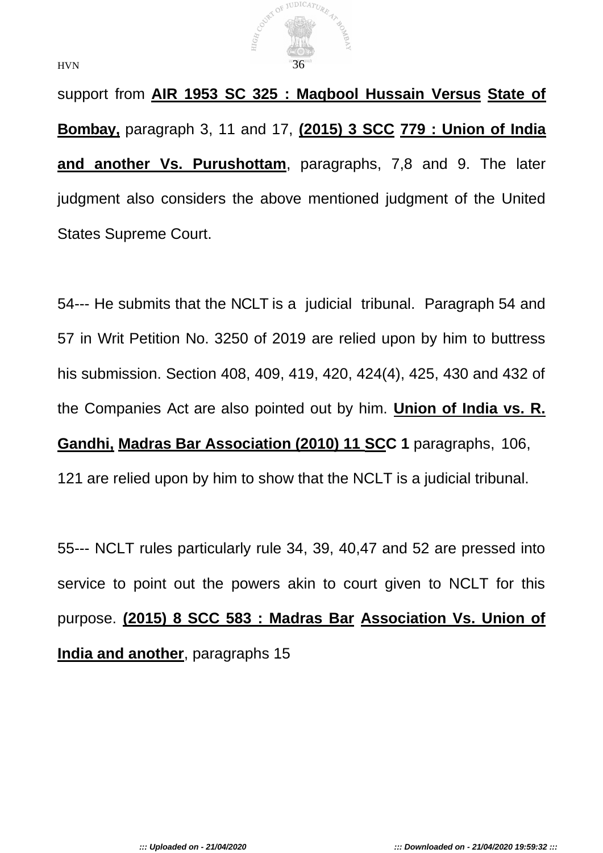

support from **AIR 1953 SC 325 : Maqbool Hussain Versus State of Bombay,** paragraph 3, 11 and 17, **(2015) 3 SCC 779 : Union of India and another Vs. Purushottam**, paragraphs, 7,8 and 9. The later judgment also considers the above mentioned judgment of the United States Supreme Court.

54--- He submits that the NCLT is a judicial tribunal. Paragraph 54 and 57 in Writ Petition No. 3250 of 2019 are relied upon by him to buttress his submission. Section 408, 409, 419, 420, 424(4), 425, 430 and 432 of the Companies Act are also pointed out by him. **Union of India vs. R. Gandhi, Madras Bar Association (2010) 11 SCC 1** paragraphs, 106, 121 are relied upon by him to show that the NCLT is a judicial tribunal.

55--- NCLT rules particularly rule 34, 39, 40,47 and 52 are pressed into service to point out the powers akin to court given to NCLT for this purpose. **(2015) 8 SCC 583 : Madras Bar Association Vs. Union of India and another**, paragraphs 15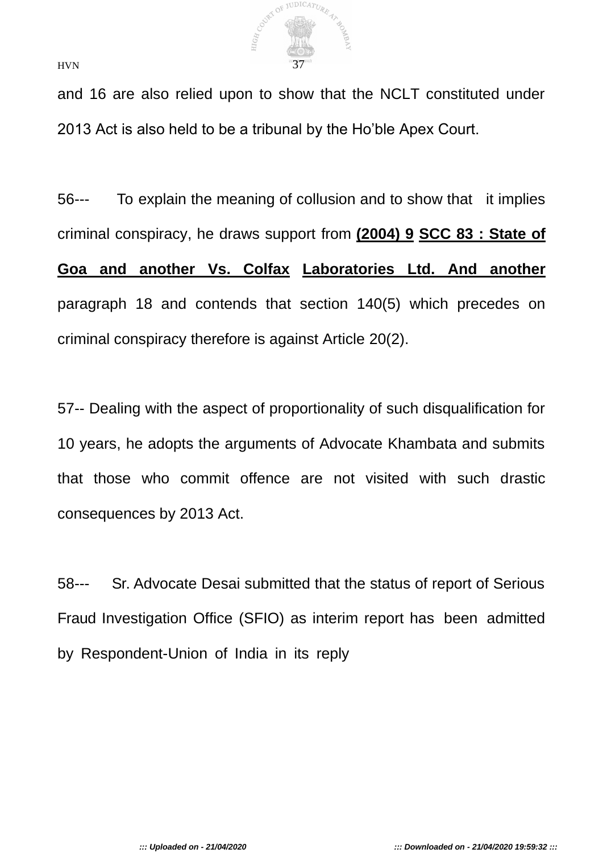

and 16 are also relied upon to show that the NCLT constituted under 2013 Act is also held to be a tribunal by the Ho'ble Apex Court.

56--- To explain the meaning of collusion and to show that it implies criminal conspiracy, he draws support from **(2004) 9 SCC 83 : State of** 

**Goa and another Vs. Colfax Laboratories Ltd. And another** paragraph 18 and contends that section 140(5) which precedes on criminal conspiracy therefore is against Article 20(2).

57-- Dealing with the aspect of proportionality of such disqualification for 10 years, he adopts the arguments of Advocate Khambata and submits that those who commit offence are not visited with such drastic consequences by 2013 Act.

58--- Sr. Advocate Desai submitted that the status of report of Serious Fraud Investigation Office (SFIO) as interim report has been admitted by Respondent-Union of India in its reply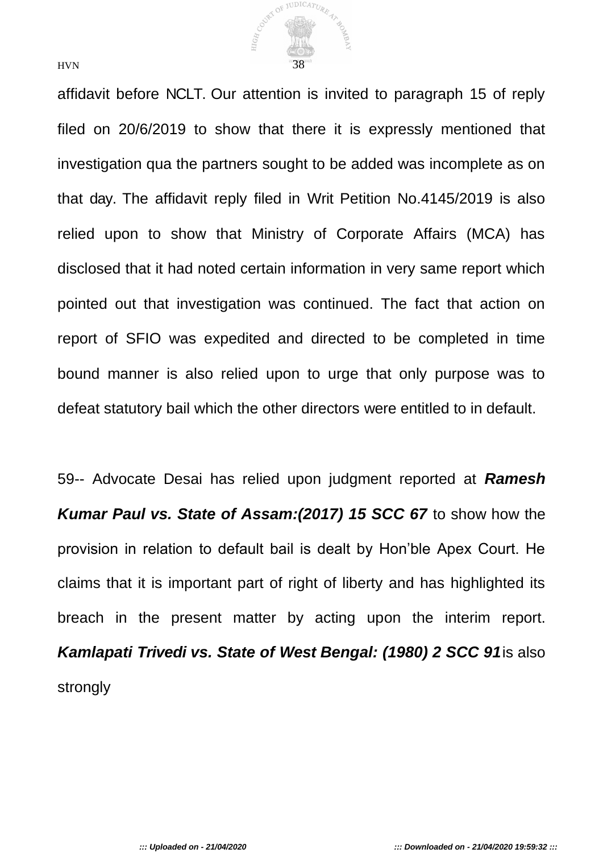

affidavit before NCLT. Our attention is invited to paragraph 15 of reply filed on 20/6/2019 to show that there it is expressly mentioned that investigation qua the partners sought to be added was incomplete as on that day. The affidavit reply filed in Writ Petition No.4145/2019 is also relied upon to show that Ministry of Corporate Affairs (MCA) has disclosed that it had noted certain information in very same report which pointed out that investigation was continued. The fact that action on report of SFIO was expedited and directed to be completed in time bound manner is also relied upon to urge that only purpose was to defeat statutory bail which the other directors were entitled to in default.

59-- Advocate Desai has relied upon judgment reported at *Ramesh Kumar Paul vs. State of Assam:(2017) 15 SCC 67* to show how the provision in relation to default bail is dealt by Hon'ble Apex Court. He claims that it is important part of right of liberty and has highlighted its breach in the present matter by acting upon the interim report. *Kamlapati Trivedi vs. State of West Bengal: (1980) 2 SCC 91*is also strongly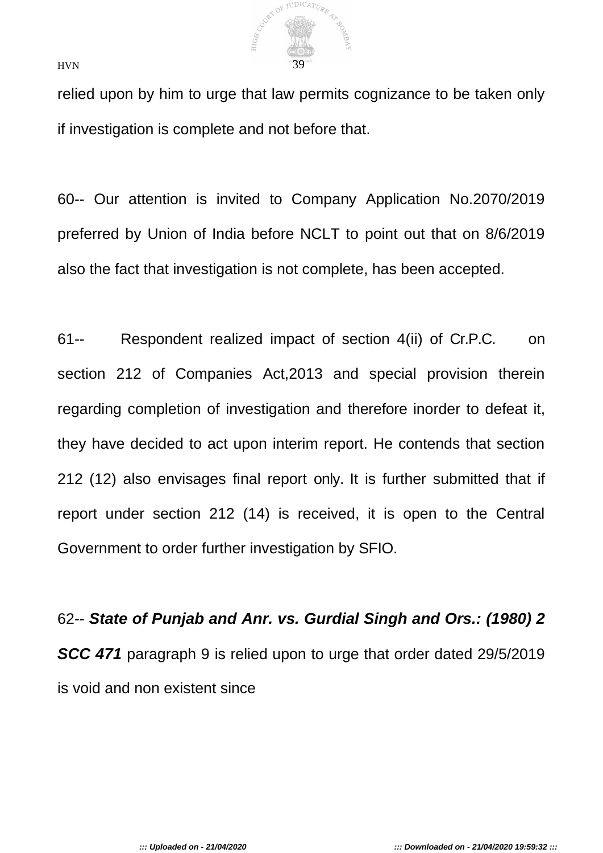

relied upon by him to urge that law permits cognizance to be taken only if investigation is complete and not before that.

60-- Our attention is invited to Company Application No.2070/2019 preferred by Union of India before NCLT to point out that on 8/6/2019 also the fact that investigation is not complete, has been accepted.

61-- Respondent realized impact of section 4(ii) of Cr.P.C. on section 212 of Companies Act,2013 and special provision therein regarding completion of investigation and therefore inorder to defeat it, they have decided to act upon interim report. He contends that section 212 (12) also envisages final report only. It is further submitted that if report under section 212 (14) is received, it is open to the Central Government to order further investigation by SFIO.

62-- *State of Punjab and Anr. vs. Gurdial Singh and Ors.: (1980) 2*  **SCC 471** paragraph 9 is relied upon to urge that order dated 29/5/2019 is void and non existent since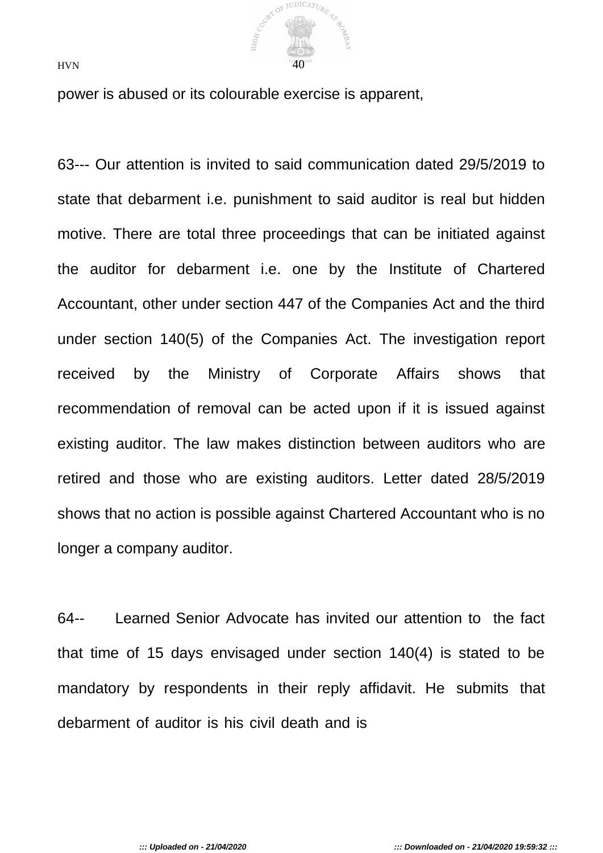

power is abused or its colourable exercise is apparent,

63--- Our attention is invited to said communication dated 29/5/2019 to state that debarment i.e. punishment to said auditor is real but hidden motive. There are total three proceedings that can be initiated against the auditor for debarment i.e. one by the Institute of Chartered Accountant, other under section 447 of the Companies Act and the third under section 140(5) of the Companies Act. The investigation report received by the Ministry of Corporate Affairs shows that recommendation of removal can be acted upon if it is issued against existing auditor. The law makes distinction between auditors who are retired and those who are existing auditors. Letter dated 28/5/2019 shows that no action is possible against Chartered Accountant who is no longer a company auditor.

64-- Learned Senior Advocate has invited our attention to the fact that time of 15 days envisaged under section 140(4) is stated to be mandatory by respondents in their reply affidavit. He submits that debarment of auditor is his civil death and is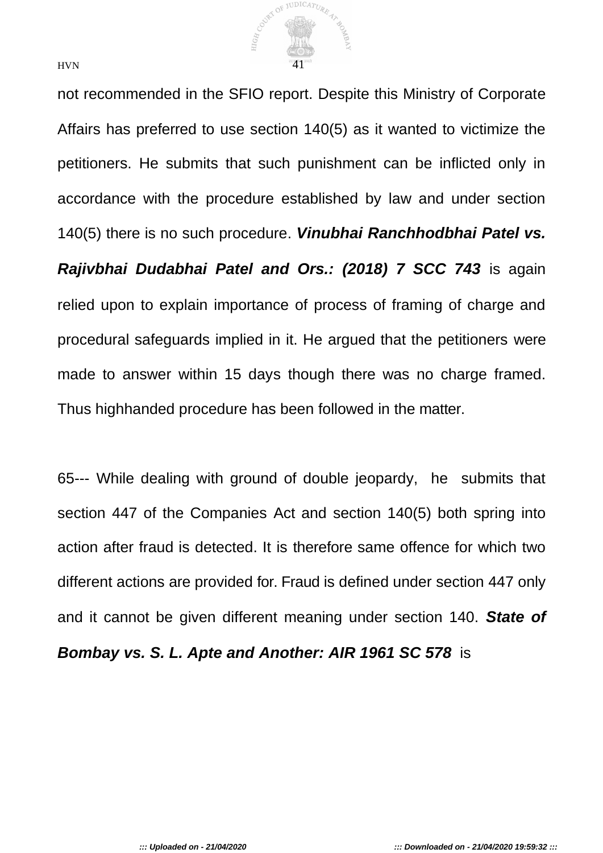

not recommended in the SFIO report. Despite this Ministry of Corporate Affairs has preferred to use section 140(5) as it wanted to victimize the petitioners. He submits that such punishment can be inflicted only in accordance with the procedure established by law and under section 140(5) there is no such procedure. *Vinubhai Ranchhodbhai Patel vs.* 

*Rajivbhai Dudabhai Patel and Ors.: (2018) 7 SCC 743* is again relied upon to explain importance of process of framing of charge and procedural safeguards implied in it. He argued that the petitioners were made to answer within 15 days though there was no charge framed. Thus highhanded procedure has been followed in the matter.

65--- While dealing with ground of double jeopardy, he submits that section 447 of the Companies Act and section 140(5) both spring into action after fraud is detected. It is therefore same offence for which two different actions are provided for. Fraud is defined under section 447 only and it cannot be given different meaning under section 140. *State of Bombay vs. S. L. Apte and Another: AIR 1961 SC 578* is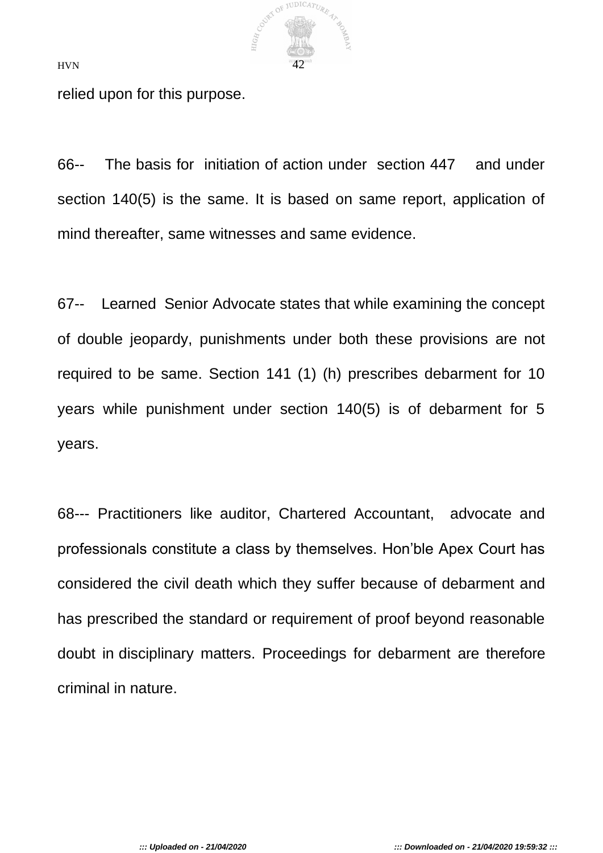

relied upon for this purpose.

66-- The basis for initiation of action under section 447 and under section 140(5) is the same. It is based on same report, application of mind thereafter, same witnesses and same evidence.

67-- Learned Senior Advocate states that while examining the concept of double jeopardy, punishments under both these provisions are not required to be same. Section 141 (1) (h) prescribes debarment for 10 years while punishment under section 140(5) is of debarment for 5 years.

68--- Practitioners like auditor, Chartered Accountant, advocate and professionals constitute a class by themselves. Hon'ble Apex Court has considered the civil death which they suffer because of debarment and has prescribed the standard or requirement of proof beyond reasonable doubt in disciplinary matters. Proceedings for debarment are therefore criminal in nature.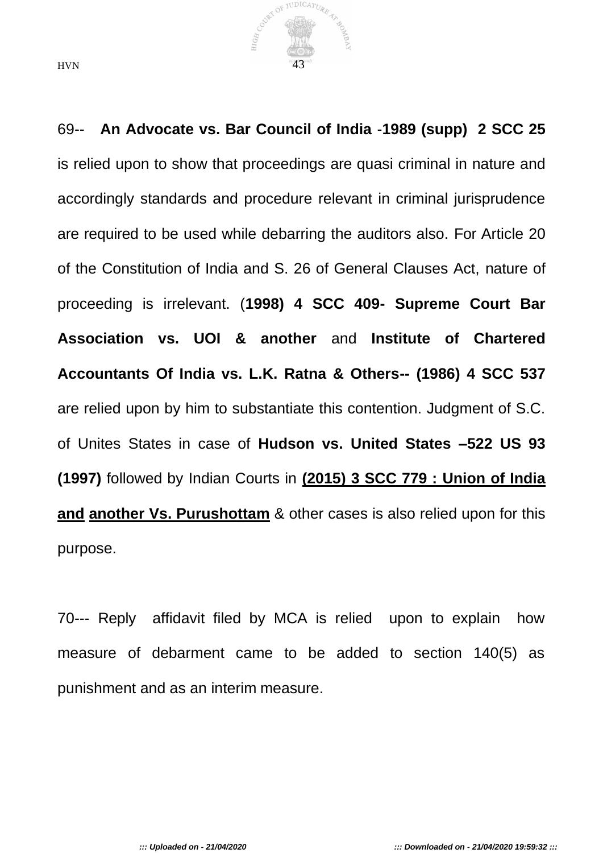

69-- **An Advocate vs. Bar Council of India** -**1989 (supp) 2 SCC 25**  is relied upon to show that proceedings are quasi criminal in nature and accordingly standards and procedure relevant in criminal jurisprudence are required to be used while debarring the auditors also. For Article 20 of the Constitution of India and S. 26 of General Clauses Act, nature of proceeding is irrelevant. (**1998) 4 SCC 409- Supreme Court Bar Association vs. UOI & another** and **Institute of Chartered Accountants Of India vs. L.K. Ratna & Others-- (1986) 4 SCC 537**  are relied upon by him to substantiate this contention. Judgment of S.C. of Unites States in case of **Hudson vs. United States –522 US 93 (1997)** followed by Indian Courts in **(2015) 3 SCC 779 : Union of India and another Vs. Purushottam** & other cases is also relied upon for this purpose.

70--- Reply affidavit filed by MCA is relied upon to explain how measure of debarment came to be added to section 140(5) as punishment and as an interim measure.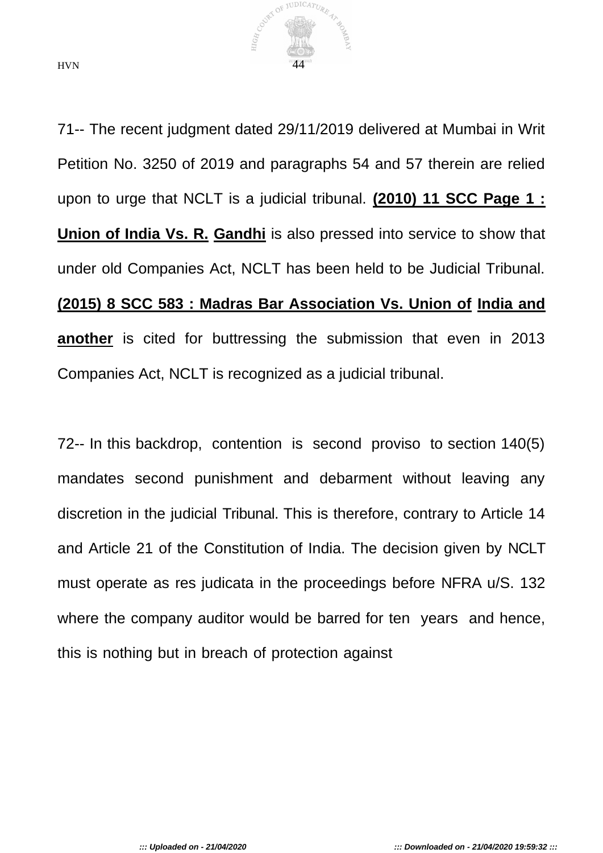

71-- The recent judgment dated 29/11/2019 delivered at Mumbai in Writ Petition No. 3250 of 2019 and paragraphs 54 and 57 therein are relied upon to urge that NCLT is a judicial tribunal. **(2010) 11 SCC Page 1 : Union of India Vs. R. Gandhi** is also pressed into service to show that under old Companies Act, NCLT has been held to be Judicial Tribunal. **(2015) 8 SCC 583 : Madras Bar Association Vs. Union of India and another** is cited for buttressing the submission that even in 2013 Companies Act, NCLT is recognized as a judicial tribunal.

72-- In this backdrop, contention is second proviso to section 140(5) mandates second punishment and debarment without leaving any discretion in the judicial Tribunal. This is therefore, contrary to Article 14 and Article 21 of the Constitution of India. The decision given by NCLT must operate as res judicata in the proceedings before NFRA u/S. 132 where the company auditor would be barred for ten years and hence, this is nothing but in breach of protection against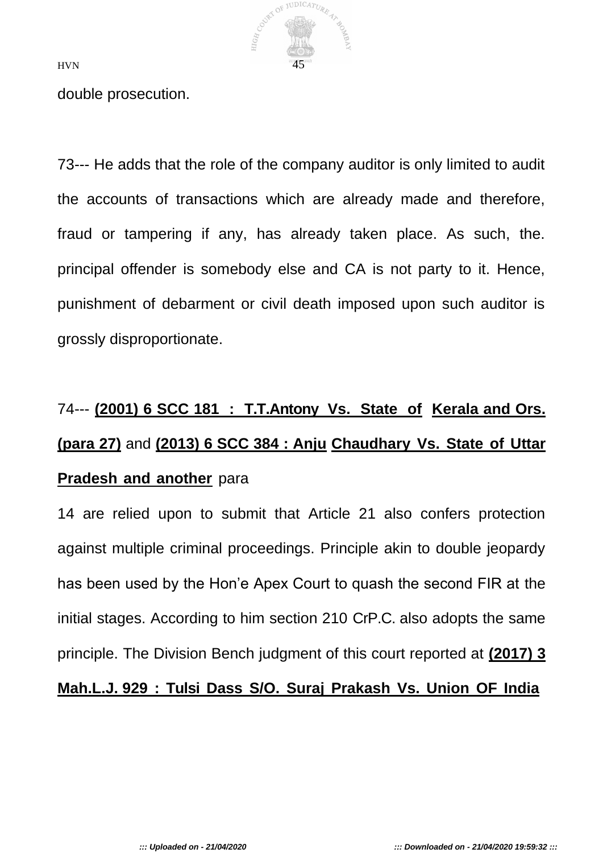

double prosecution.

73--- He adds that the role of the company auditor is only limited to audit the accounts of transactions which are already made and therefore, fraud or tampering if any, has already taken place. As such, the. principal offender is somebody else and CA is not party to it. Hence, punishment of debarment or civil death imposed upon such auditor is grossly disproportionate.

# 74--- **(2001) 6 SCC 181 : T.T.Antony Vs. State of Kerala and Ors. (para 27)** and **(2013) 6 SCC 384 : Anju Chaudhary Vs. State of Uttar Pradesh and another** para

14 are relied upon to submit that Article 21 also confers protection against multiple criminal proceedings. Principle akin to double jeopardy has been used by the Hon'e Apex Court to quash the second FIR at the initial stages. According to him section 210 CrP.C. also adopts the same principle. The Division Bench judgment of this court reported at **(2017) 3** 

## **Mah.L.J. 929 : Tulsi Dass S/O. Suraj Prakash Vs. Union OF India**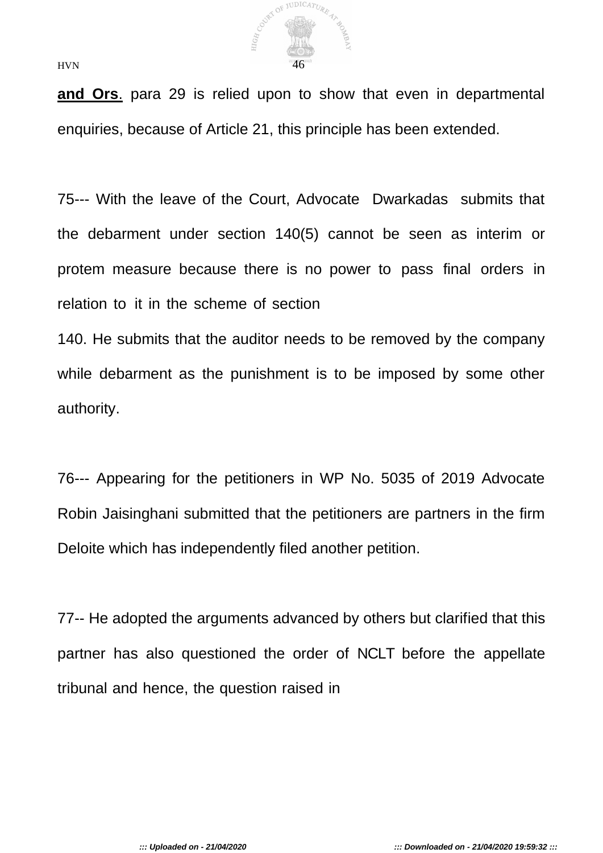

**and Ors**. para 29 is relied upon to show that even in departmental enquiries, because of Article 21, this principle has been extended.

75--- With the leave of the Court, Advocate Dwarkadas submits that the debarment under section 140(5) cannot be seen as interim or protem measure because there is no power to pass final orders in relation to it in the scheme of section

140. He submits that the auditor needs to be removed by the company while debarment as the punishment is to be imposed by some other authority.

76--- Appearing for the petitioners in WP No. 5035 of 2019 Advocate Robin Jaisinghani submitted that the petitioners are partners in the firm Deloite which has independently filed another petition.

77-- He adopted the arguments advanced by others but clarified that this partner has also questioned the order of NCLT before the appellate tribunal and hence, the question raised in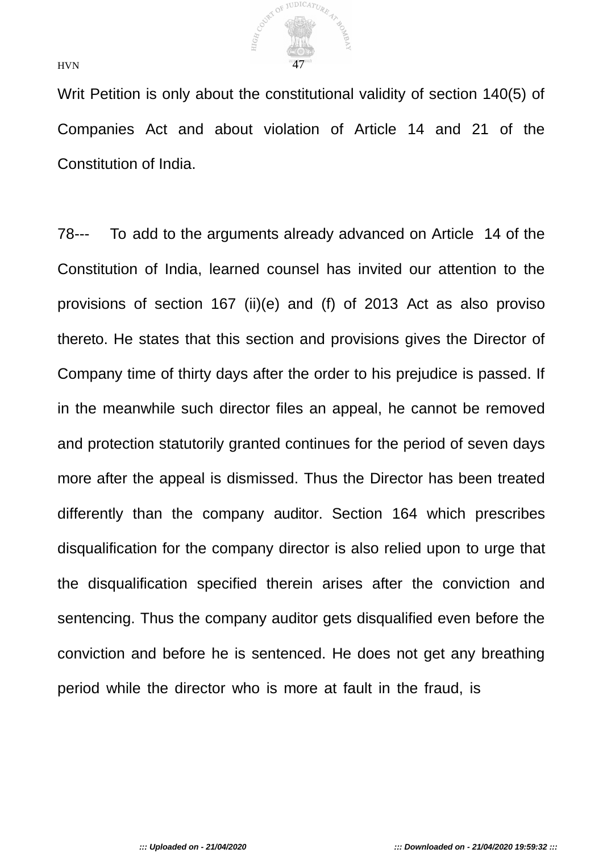

Writ Petition is only about the constitutional validity of section 140(5) of Companies Act and about violation of Article 14 and 21 of the Constitution of India.

78--- To add to the arguments already advanced on Article 14 of the Constitution of India, learned counsel has invited our attention to the provisions of section 167 (ii)(e) and (f) of 2013 Act as also proviso thereto. He states that this section and provisions gives the Director of Company time of thirty days after the order to his prejudice is passed. If in the meanwhile such director files an appeal, he cannot be removed and protection statutorily granted continues for the period of seven days more after the appeal is dismissed. Thus the Director has been treated differently than the company auditor. Section 164 which prescribes disqualification for the company director is also relied upon to urge that the disqualification specified therein arises after the conviction and sentencing. Thus the company auditor gets disqualified even before the conviction and before he is sentenced. He does not get any breathing period while the director who is more at fault in the fraud, is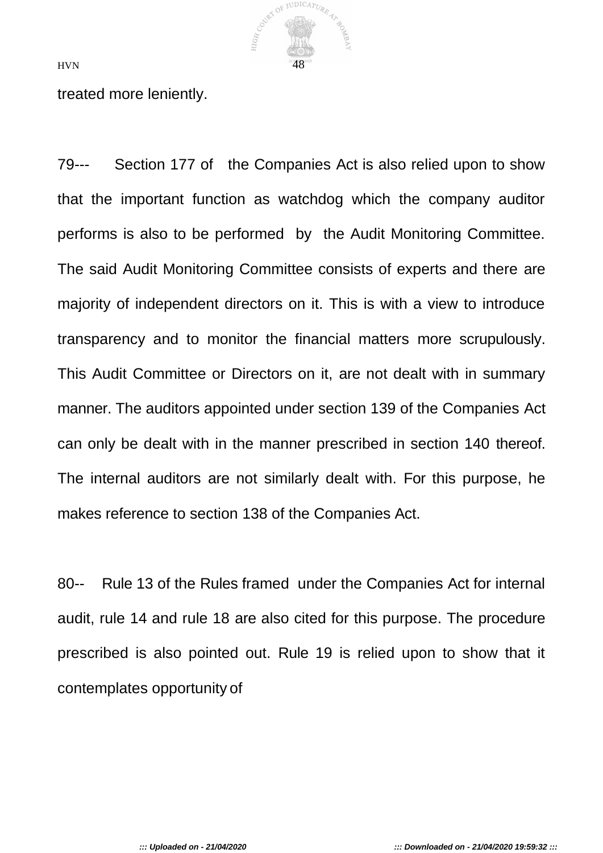

treated more leniently.

79--- Section 177 of the Companies Act is also relied upon to show that the important function as watchdog which the company auditor performs is also to be performed by the Audit Monitoring Committee. The said Audit Monitoring Committee consists of experts and there are majority of independent directors on it. This is with a view to introduce transparency and to monitor the financial matters more scrupulously. This Audit Committee or Directors on it, are not dealt with in summary manner. The auditors appointed under section 139 of the Companies Act can only be dealt with in the manner prescribed in section 140 thereof. The internal auditors are not similarly dealt with. For this purpose, he makes reference to section 138 of the Companies Act.

80-- Rule 13 of the Rules framed under the Companies Act for internal audit, rule 14 and rule 18 are also cited for this purpose. The procedure prescribed is also pointed out. Rule 19 is relied upon to show that it contemplates opportunity of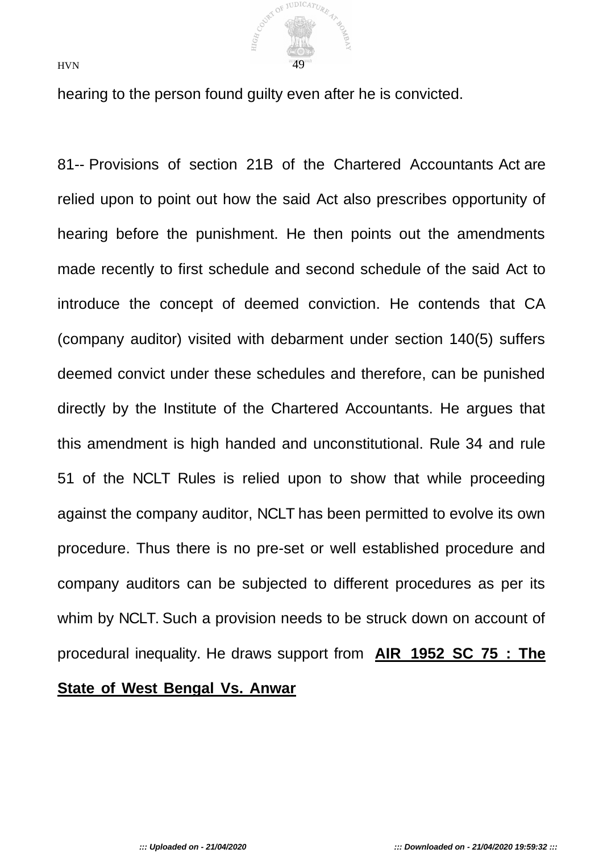

hearing to the person found guilty even after he is convicted.

81-- Provisions of section 21B of the Chartered Accountants Act are relied upon to point out how the said Act also prescribes opportunity of hearing before the punishment. He then points out the amendments made recently to first schedule and second schedule of the said Act to introduce the concept of deemed conviction. He contends that CA (company auditor) visited with debarment under section 140(5) suffers deemed convict under these schedules and therefore, can be punished directly by the Institute of the Chartered Accountants. He argues that this amendment is high handed and unconstitutional. Rule 34 and rule 51 of the NCLT Rules is relied upon to show that while proceeding against the company auditor, NCLT has been permitted to evolve its own procedure. Thus there is no pre-set or well established procedure and company auditors can be subjected to different procedures as per its whim by NCLT. Such a provision needs to be struck down on account of procedural inequality. He draws support from **AIR 1952 SC 75 : The**

#### **State of West Bengal Vs. Anwar**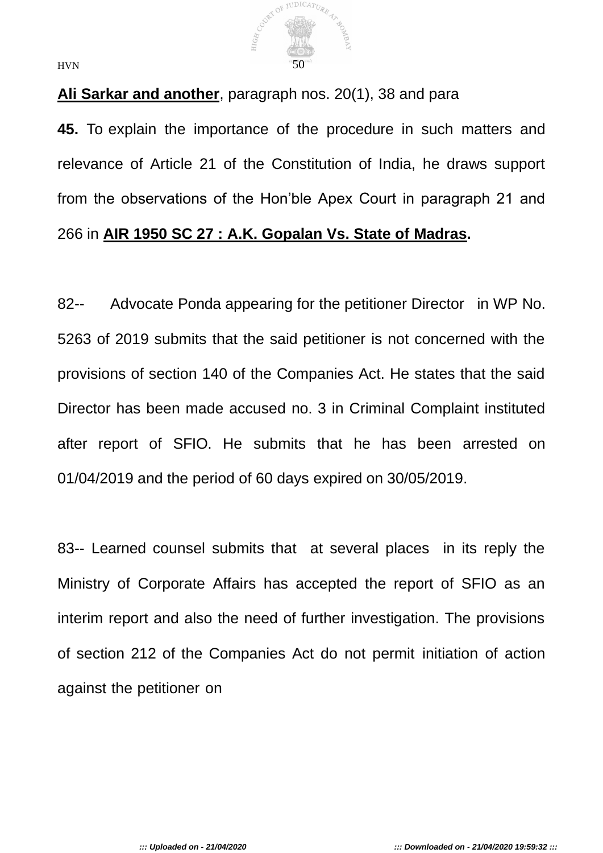

## **Ali Sarkar and another**, paragraph nos. 20(1), 38 and para

**45.** To explain the importance of the procedure in such matters and relevance of Article 21 of the Constitution of India, he draws support from the observations of the Hon'ble Apex Court in paragraph 21 and 266 in **AIR 1950 SC 27 : A.K. Gopalan Vs. State of Madras.**

82-- Advocate Ponda appearing for the petitioner Director in WP No. 5263 of 2019 submits that the said petitioner is not concerned with the provisions of section 140 of the Companies Act. He states that the said Director has been made accused no. 3 in Criminal Complaint instituted after report of SFIO. He submits that he has been arrested on 01/04/2019 and the period of 60 days expired on 30/05/2019.

83-- Learned counsel submits that at several places in its reply the Ministry of Corporate Affairs has accepted the report of SFIO as an interim report and also the need of further investigation. The provisions of section 212 of the Companies Act do not permit initiation of action against the petitioner on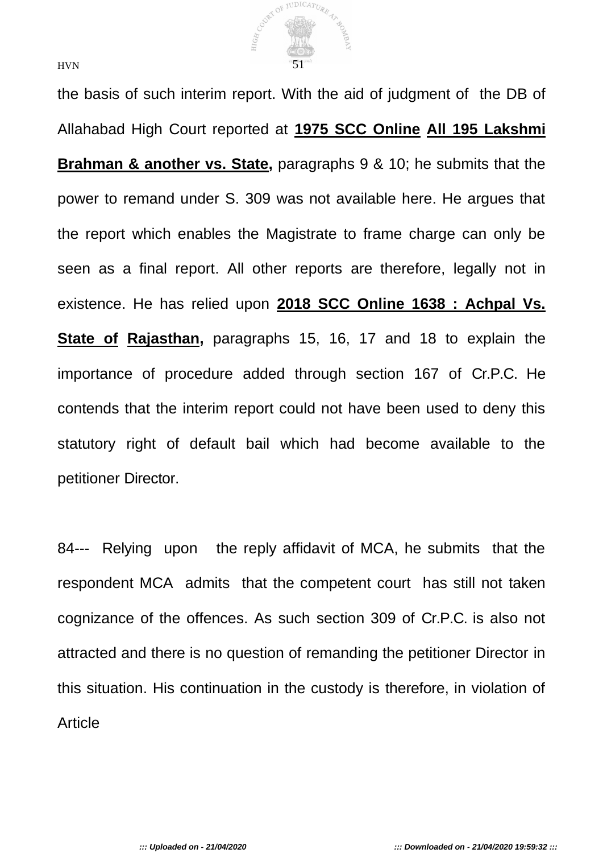

the basis of such interim report. With the aid of judgment of the DB of Allahabad High Court reported at **1975 SCC Online All 195 Lakshmi Brahman & another vs. State,** paragraphs 9 & 10; he submits that the power to remand under S. 309 was not available here. He argues that the report which enables the Magistrate to frame charge can only be seen as a final report. All other reports are therefore, legally not in existence. He has relied upon **2018 SCC Online 1638 : Achpal Vs. State of Rajasthan,** paragraphs 15, 16, 17 and 18 to explain the importance of procedure added through section 167 of Cr.P.C. He contends that the interim report could not have been used to deny this statutory right of default bail which had become available to the petitioner Director.

84--- Relying upon the reply affidavit of MCA, he submits that the respondent MCA admits that the competent court has still not taken cognizance of the offences. As such section 309 of Cr.P.C. is also not attracted and there is no question of remanding the petitioner Director in this situation. His continuation in the custody is therefore, in violation of Article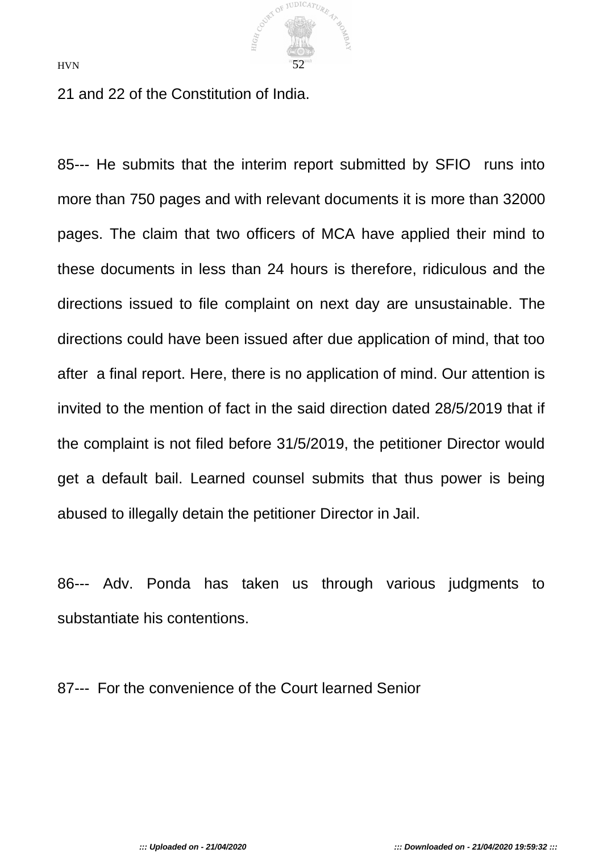

21 and 22 of the Constitution of India.

85--- He submits that the interim report submitted by SFIO runs into more than 750 pages and with relevant documents it is more than 32000 pages. The claim that two officers of MCA have applied their mind to these documents in less than 24 hours is therefore, ridiculous and the directions issued to file complaint on next day are unsustainable. The directions could have been issued after due application of mind, that too after a final report. Here, there is no application of mind. Our attention is invited to the mention of fact in the said direction dated 28/5/2019 that if the complaint is not filed before 31/5/2019, the petitioner Director would get a default bail. Learned counsel submits that thus power is being abused to illegally detain the petitioner Director in Jail.

86--- Adv. Ponda has taken us through various judgments to substantiate his contentions.

87--- For the convenience of the Court learned Senior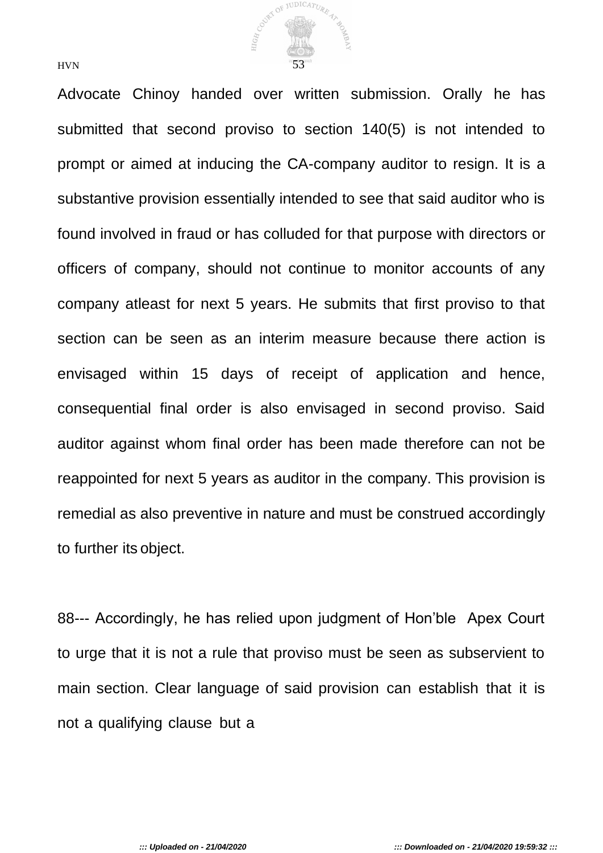

Advocate Chinoy handed over written submission. Orally he has submitted that second proviso to section 140(5) is not intended to prompt or aimed at inducing the CA-company auditor to resign. It is a substantive provision essentially intended to see that said auditor who is found involved in fraud or has colluded for that purpose with directors or officers of company, should not continue to monitor accounts of any company atleast for next 5 years. He submits that first proviso to that section can be seen as an interim measure because there action is envisaged within 15 days of receipt of application and hence, consequential final order is also envisaged in second proviso. Said auditor against whom final order has been made therefore can not be reappointed for next 5 years as auditor in the company. This provision is remedial as also preventive in nature and must be construed accordingly to further its object.

88--- Accordingly, he has relied upon judgment of Hon'ble Apex Court to urge that it is not a rule that proviso must be seen as subservient to main section. Clear language of said provision can establish that it is not a qualifying clause but a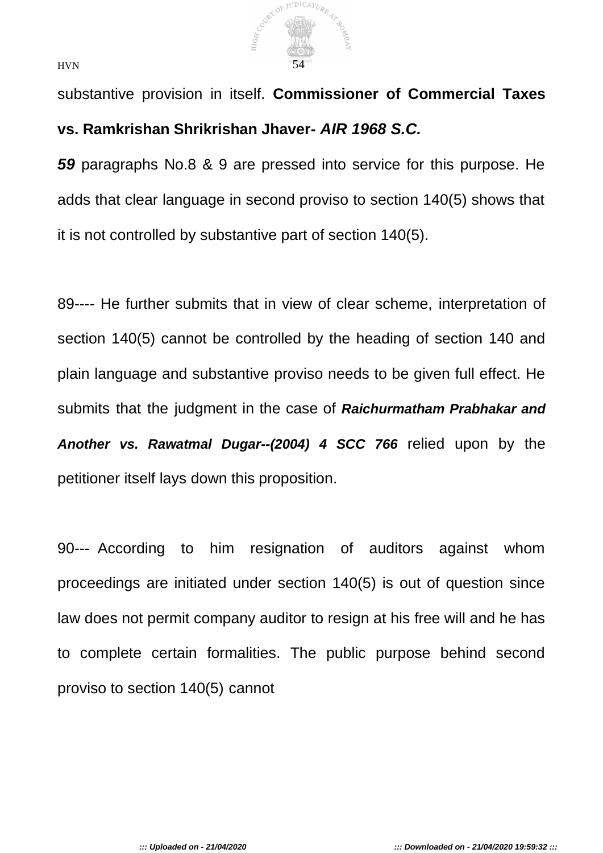

substantive provision in itself. **Commissioner of Commercial Taxes vs. Ramkrishan Shrikrishan Jhaver-** *AIR 1968 S.C.*

*59* paragraphs No.8 & 9 are pressed into service for this purpose. He adds that clear language in second proviso to section 140(5) shows that it is not controlled by substantive part of section 140(5).

89---- He further submits that in view of clear scheme, interpretation of section 140(5) cannot be controlled by the heading of section 140 and plain language and substantive proviso needs to be given full effect. He submits that the judgment in the case of *Raichurmatham Prabhakar and Another vs. Rawatmal Dugar--(2004) 4 SCC 766* relied upon by the petitioner itself lays down this proposition.

90--- According to him resignation of auditors against whom proceedings are initiated under section 140(5) is out of question since law does not permit company auditor to resign at his free will and he has to complete certain formalities. The public purpose behind second proviso to section 140(5) cannot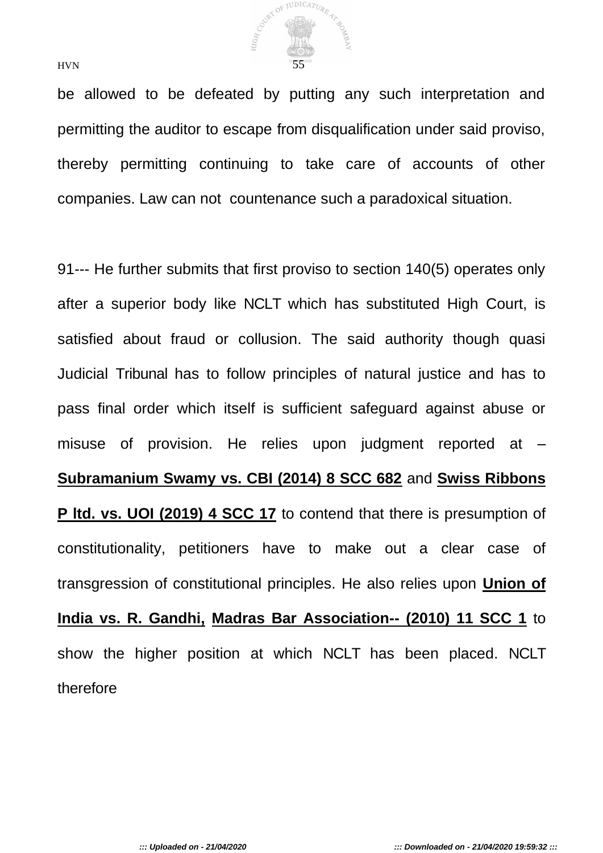

be allowed to be defeated by putting any such interpretation and permitting the auditor to escape from disqualification under said proviso, thereby permitting continuing to take care of accounts of other companies. Law can not countenance such a paradoxical situation.

91--- He further submits that first proviso to section 140(5) operates only after a superior body like NCLT which has substituted High Court, is satisfied about fraud or collusion. The said authority though quasi Judicial Tribunal has to follow principles of natural justice and has to pass final order which itself is sufficient safeguard against abuse or misuse of provision. He relies upon judgment reported at – **Subramanium Swamy vs. CBI (2014) 8 SCC 682** and **Swiss Ribbons**  P ltd. vs. UOI (2019) 4 SCC 17 to contend that there is presumption of constitutionality, petitioners have to make out a clear case of transgression of constitutional principles. He also relies upon **Union of India vs. R. Gandhi, Madras Bar Association-- (2010) 11 SCC 1** to show the higher position at which NCLT has been placed. NCLT therefore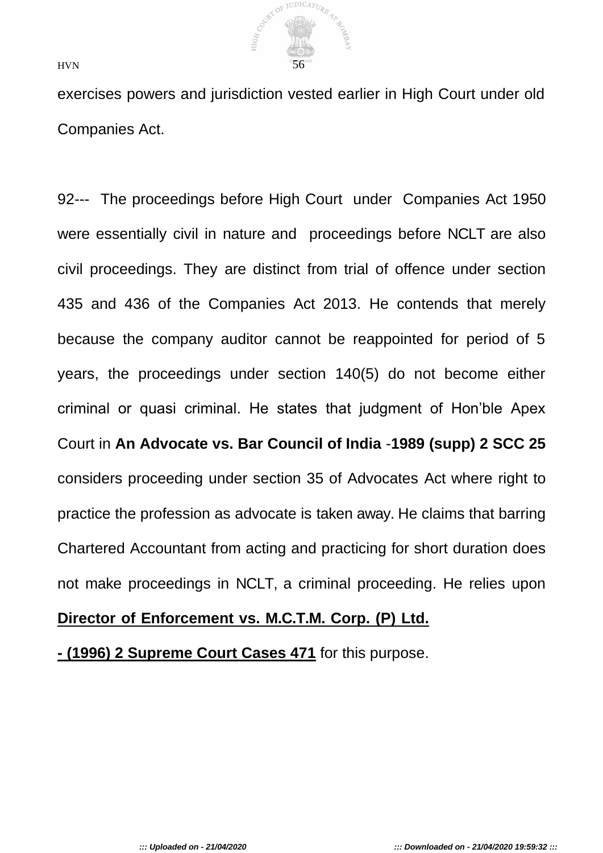

exercises powers and jurisdiction vested earlier in High Court under old Companies Act.

92--- The proceedings before High Court under Companies Act 1950 were essentially civil in nature and proceedings before NCLT are also civil proceedings. They are distinct from trial of offence under section 435 and 436 of the Companies Act 2013. He contends that merely because the company auditor cannot be reappointed for period of 5 years, the proceedings under section 140(5) do not become either criminal or quasi criminal. He states that judgment of Hon'ble Apex Court in **An Advocate vs. Bar Council of India** -**1989 (supp) 2 SCC 25**  considers proceeding under section 35 of Advocates Act where right to practice the profession as advocate is taken away. He claims that barring Chartered Accountant from acting and practicing for short duration does not make proceedings in NCLT, a criminal proceeding. He relies upon

#### **Director of Enforcement vs. M.C.T.M. Corp. (P) Ltd.**

**- (1996) 2 Supreme Court Cases 471** for this purpose.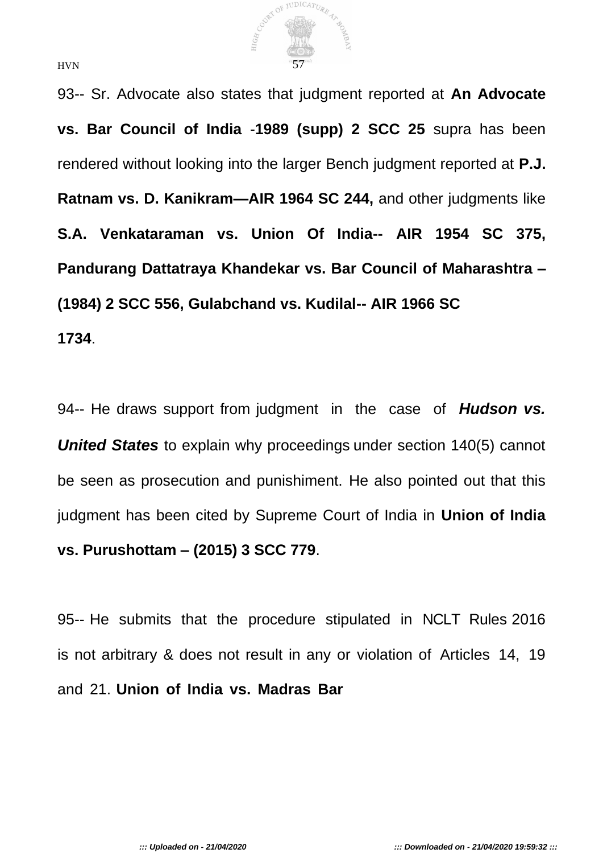

93-- Sr. Advocate also states that judgment reported at **An Advocate vs. Bar Council of India** -**1989 (supp) 2 SCC 25** supra has been rendered without looking into the larger Bench judgment reported at **P.J. Ratnam vs. D. Kanikram—AIR 1964 SC 244,** and other judgments like **S.A. Venkataraman vs. Union Of India-- AIR 1954 SC 375, Pandurang Dattatraya Khandekar vs. Bar Council of Maharashtra – (1984) 2 SCC 556, Gulabchand vs. Kudilal-- AIR 1966 SC 1734**.

94-- He draws support from judgment in the case of *Hudson vs. United States* to explain why proceedings under section 140(5) cannot be seen as prosecution and punishiment. He also pointed out that this judgment has been cited by Supreme Court of India in **Union of India vs. Purushottam – (2015) 3 SCC 779**.

95-- He submits that the procedure stipulated in NCLT Rules 2016 is not arbitrary & does not result in any or violation of Articles 14, 19 and 21. **Union of India vs. Madras Bar**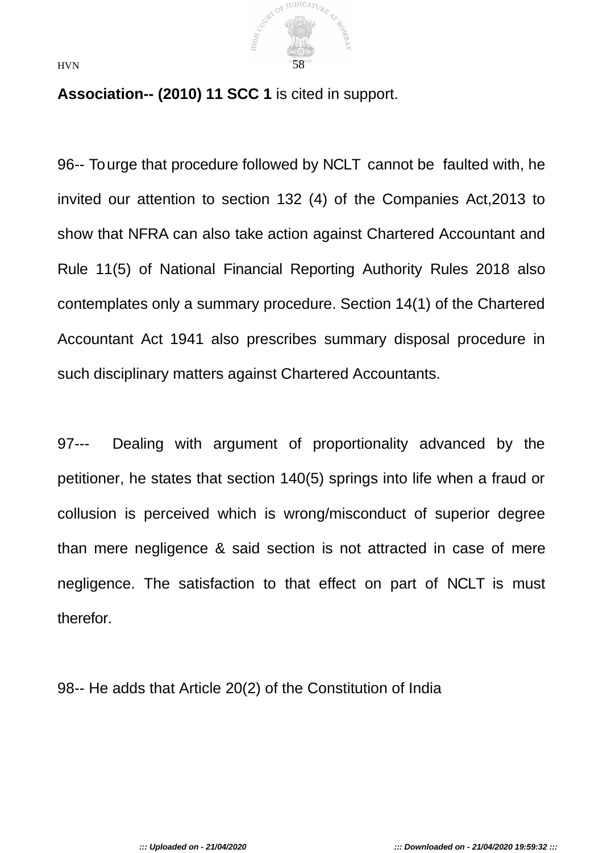

**Association-- (2010) 11 SCC 1** is cited in support.

96-- To urge that procedure followed by NCLT cannot be faulted with, he invited our attention to section 132 (4) of the Companies Act,2013 to show that NFRA can also take action against Chartered Accountant and Rule 11(5) of National Financial Reporting Authority Rules 2018 also contemplates only a summary procedure. Section 14(1) of the Chartered Accountant Act 1941 also prescribes summary disposal procedure in such disciplinary matters against Chartered Accountants.

97--- Dealing with argument of proportionality advanced by the petitioner, he states that section 140(5) springs into life when a fraud or collusion is perceived which is wrong/misconduct of superior degree than mere negligence & said section is not attracted in case of mere negligence. The satisfaction to that effect on part of NCLT is must therefor.

98-- He adds that Article 20(2) of the Constitution of India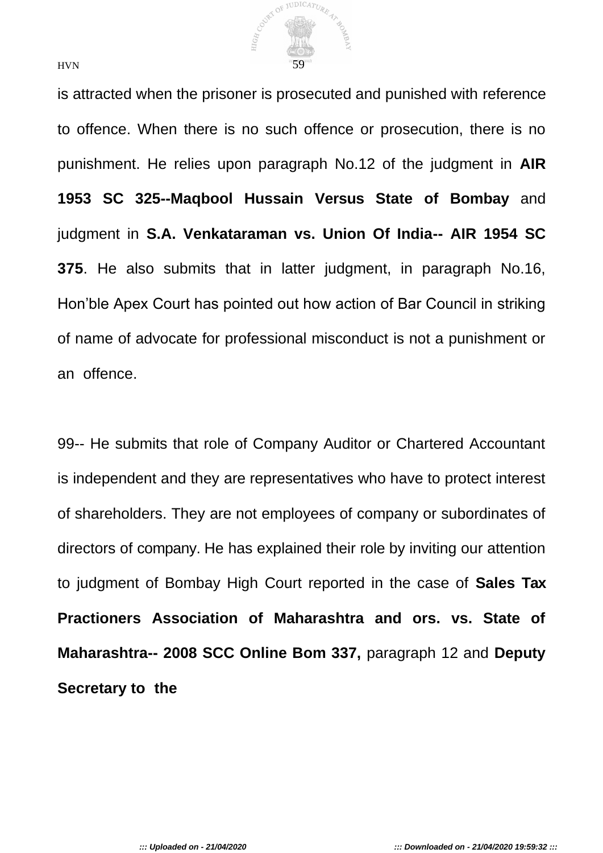

is attracted when the prisoner is prosecuted and punished with reference to offence. When there is no such offence or prosecution, there is no punishment. He relies upon paragraph No.12 of the judgment in **AIR 1953 SC 325--Maqbool Hussain Versus State of Bombay** and judgment in **S.A. Venkataraman vs. Union Of India-- AIR 1954 SC 375**. He also submits that in latter judgment, in paragraph No.16, Hon'ble Apex Court has pointed out how action of Bar Council in striking of name of advocate for professional misconduct is not a punishment or an offence.

99-- He submits that role of Company Auditor or Chartered Accountant is independent and they are representatives who have to protect interest of shareholders. They are not employees of company or subordinates of directors of company. He has explained their role by inviting our attention to judgment of Bombay High Court reported in the case of **Sales Tax Practioners Association of Maharashtra and ors. vs. State of Maharashtra-- 2008 SCC Online Bom 337,** paragraph 12 and **Deputy Secretary to the**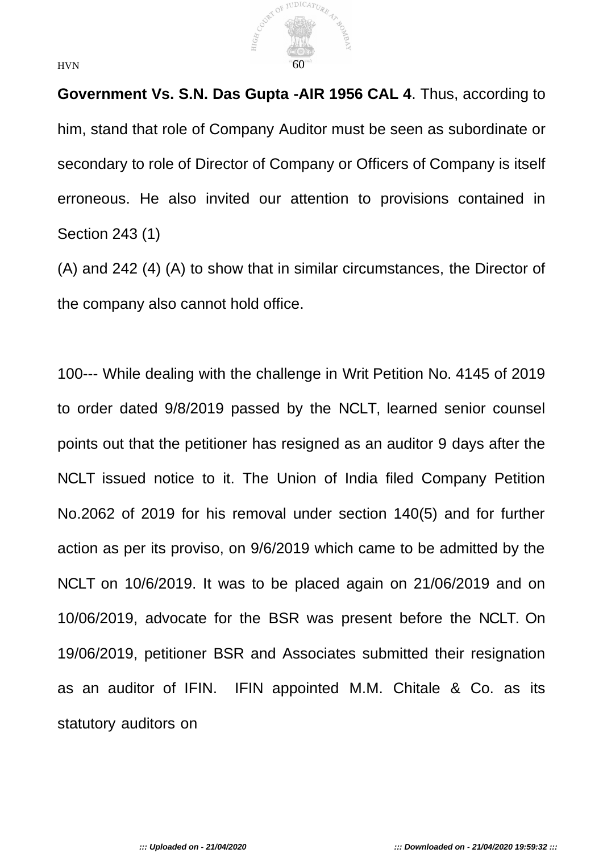

**Government Vs. S.N. Das Gupta -AIR 1956 CAL 4**. Thus, according to him, stand that role of Company Auditor must be seen as subordinate or secondary to role of Director of Company or Officers of Company is itself erroneous. He also invited our attention to provisions contained in Section 243 (1)

(A) and 242 (4) (A) to show that in similar circumstances, the Director of the company also cannot hold office.

100--- While dealing with the challenge in Writ Petition No. 4145 of 2019 to order dated 9/8/2019 passed by the NCLT, learned senior counsel points out that the petitioner has resigned as an auditor 9 days after the NCLT issued notice to it. The Union of India filed Company Petition No.2062 of 2019 for his removal under section 140(5) and for further action as per its proviso, on 9/6/2019 which came to be admitted by the NCLT on 10/6/2019. It was to be placed again on 21/06/2019 and on 10/06/2019, advocate for the BSR was present before the NCLT. On 19/06/2019, petitioner BSR and Associates submitted their resignation as an auditor of IFIN. IFIN appointed M.M. Chitale & Co. as its statutory auditors on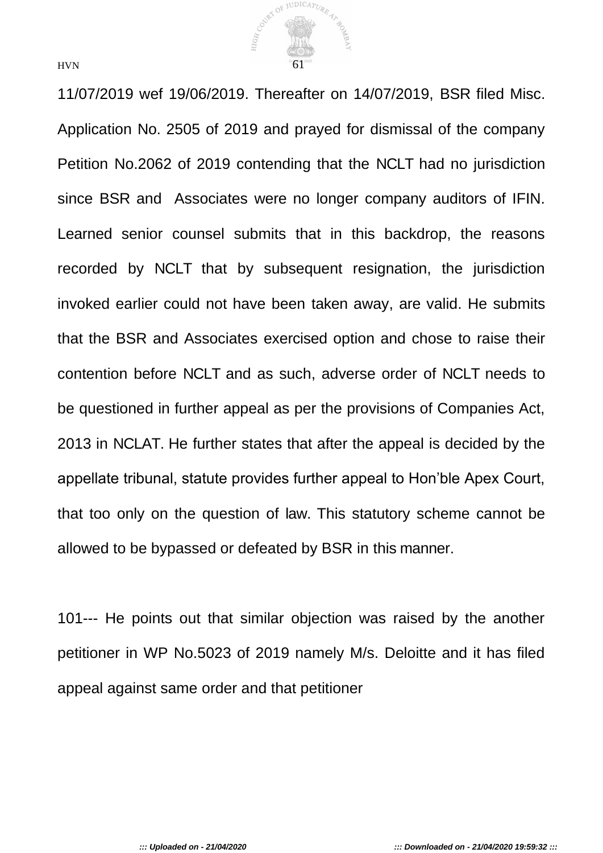

11/07/2019 wef 19/06/2019. Thereafter on 14/07/2019, BSR filed Misc. Application No. 2505 of 2019 and prayed for dismissal of the company Petition No.2062 of 2019 contending that the NCLT had no jurisdiction since BSR and Associates were no longer company auditors of IFIN. Learned senior counsel submits that in this backdrop, the reasons recorded by NCLT that by subsequent resignation, the jurisdiction invoked earlier could not have been taken away, are valid. He submits that the BSR and Associates exercised option and chose to raise their contention before NCLT and as such, adverse order of NCLT needs to be questioned in further appeal as per the provisions of Companies Act, 2013 in NCLAT. He further states that after the appeal is decided by the appellate tribunal, statute provides further appeal to Hon'ble Apex Court, that too only on the question of law. This statutory scheme cannot be allowed to be bypassed or defeated by BSR in this manner.

101--- He points out that similar objection was raised by the another petitioner in WP No.5023 of 2019 namely M/s. Deloitte and it has filed appeal against same order and that petitioner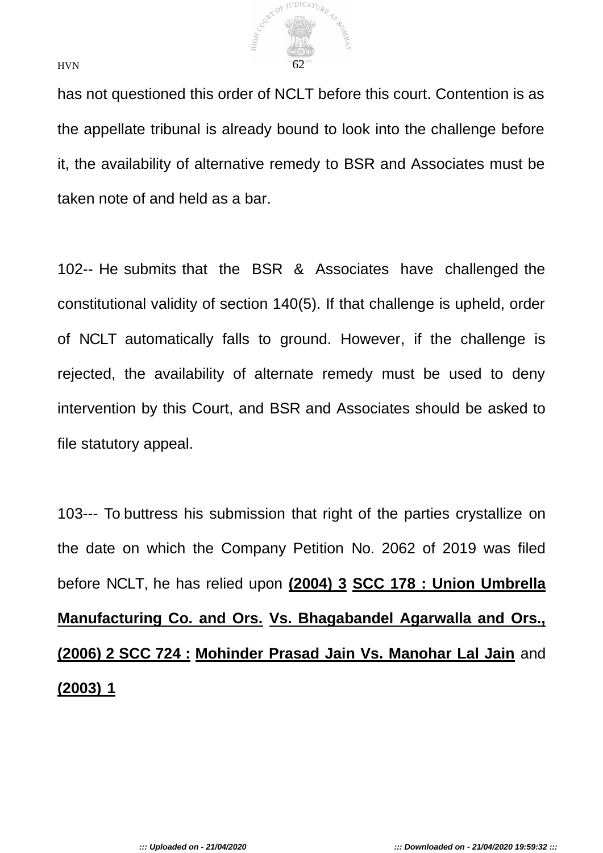

has not questioned this order of NCLT before this court. Contention is as the appellate tribunal is already bound to look into the challenge before it, the availability of alternative remedy to BSR and Associates must be taken note of and held as a bar.

102-- He submits that the BSR & Associates have challenged the constitutional validity of section 140(5). If that challenge is upheld, order of NCLT automatically falls to ground. However, if the challenge is rejected, the availability of alternate remedy must be used to deny intervention by this Court, and BSR and Associates should be asked to file statutory appeal.

103--- To buttress his submission that right of the parties crystallize on the date on which the Company Petition No. 2062 of 2019 was filed before NCLT, he has relied upon **(2004) 3 SCC 178 : Union Umbrella Manufacturing Co. and Ors. Vs. Bhagabandel Agarwalla and Ors., (2006) 2 SCC 724 : Mohinder Prasad Jain Vs. Manohar Lal Jain** and **(2003) 1**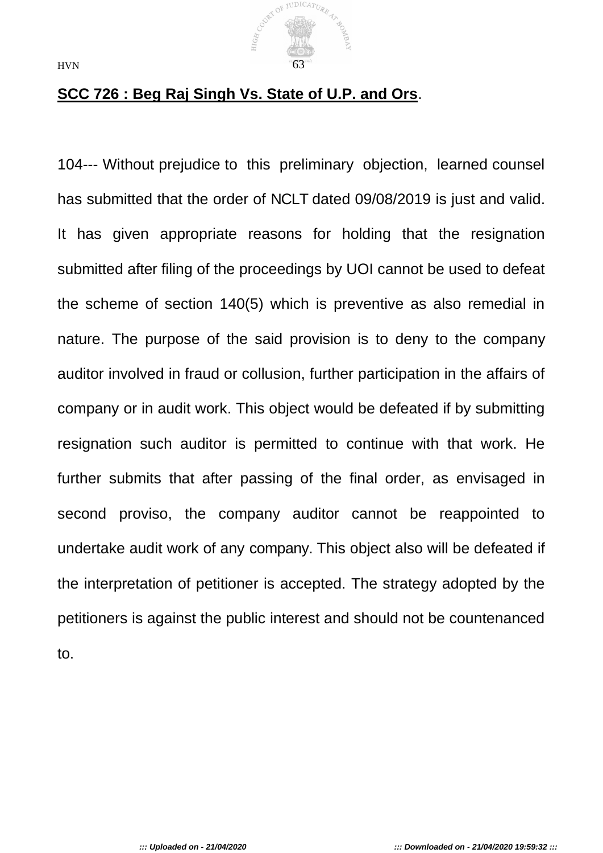

# **SCC 726 : Beg Raj Singh Vs. State of U.P. and Ors**.

104--- Without prejudice to this preliminary objection, learned counsel has submitted that the order of NCLT dated 09/08/2019 is just and valid. It has given appropriate reasons for holding that the resignation submitted after filing of the proceedings by UOI cannot be used to defeat the scheme of section 140(5) which is preventive as also remedial in nature. The purpose of the said provision is to deny to the company auditor involved in fraud or collusion, further participation in the affairs of company or in audit work. This object would be defeated if by submitting resignation such auditor is permitted to continue with that work. He further submits that after passing of the final order, as envisaged in second proviso, the company auditor cannot be reappointed to undertake audit work of any company. This object also will be defeated if the interpretation of petitioner is accepted. The strategy adopted by the petitioners is against the public interest and should not be countenanced to.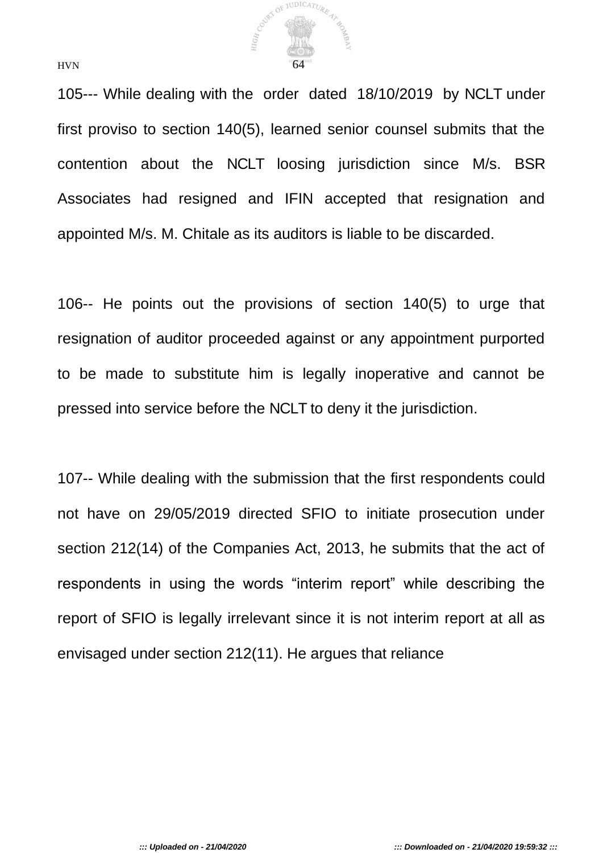

105--- While dealing with the order dated 18/10/2019 by NCLT under first proviso to section 140(5), learned senior counsel submits that the contention about the NCLT loosing jurisdiction since M/s. BSR Associates had resigned and IFIN accepted that resignation and appointed M/s. M. Chitale as its auditors is liable to be discarded.

106-- He points out the provisions of section 140(5) to urge that resignation of auditor proceeded against or any appointment purported to be made to substitute him is legally inoperative and cannot be pressed into service before the NCLT to deny it the jurisdiction.

107-- While dealing with the submission that the first respondents could not have on 29/05/2019 directed SFIO to initiate prosecution under section 212(14) of the Companies Act, 2013, he submits that the act of respondents in using the words "interim report" while describing the report of SFIO is legally irrelevant since it is not interim report at all as envisaged under section 212(11). He argues that reliance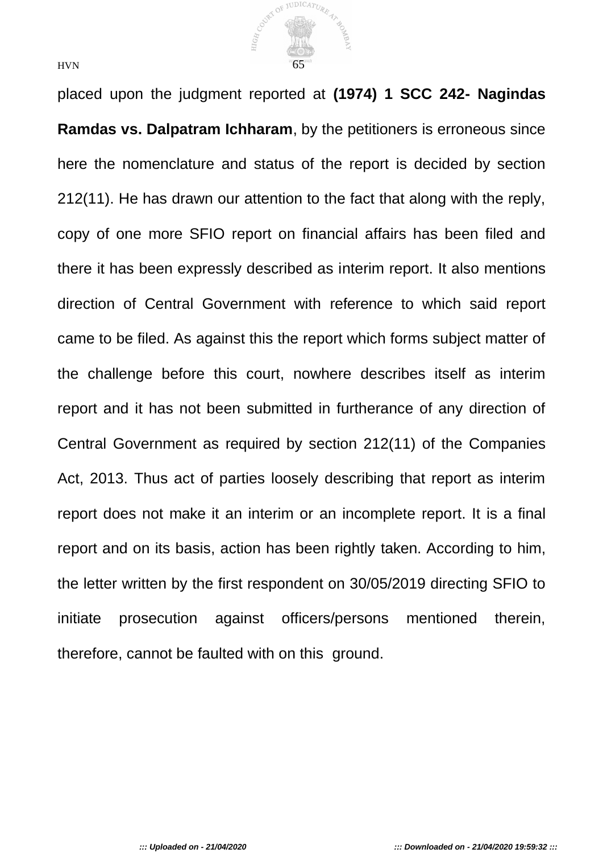

placed upon the judgment reported at **(1974) 1 SCC 242- Nagindas Ramdas vs. Dalpatram Ichharam**, by the petitioners is erroneous since here the nomenclature and status of the report is decided by section 212(11). He has drawn our attention to the fact that along with the reply, copy of one more SFIO report on financial affairs has been filed and there it has been expressly described as interim report. It also mentions direction of Central Government with reference to which said report came to be filed. As against this the report which forms subject matter of the challenge before this court, nowhere describes itself as interim report and it has not been submitted in furtherance of any direction of Central Government as required by section 212(11) of the Companies Act, 2013. Thus act of parties loosely describing that report as interim report does not make it an interim or an incomplete report. It is a final report and on its basis, action has been rightly taken. According to him, the letter written by the first respondent on 30/05/2019 directing SFIO to initiate prosecution against officers/persons mentioned therein, therefore, cannot be faulted with on this ground.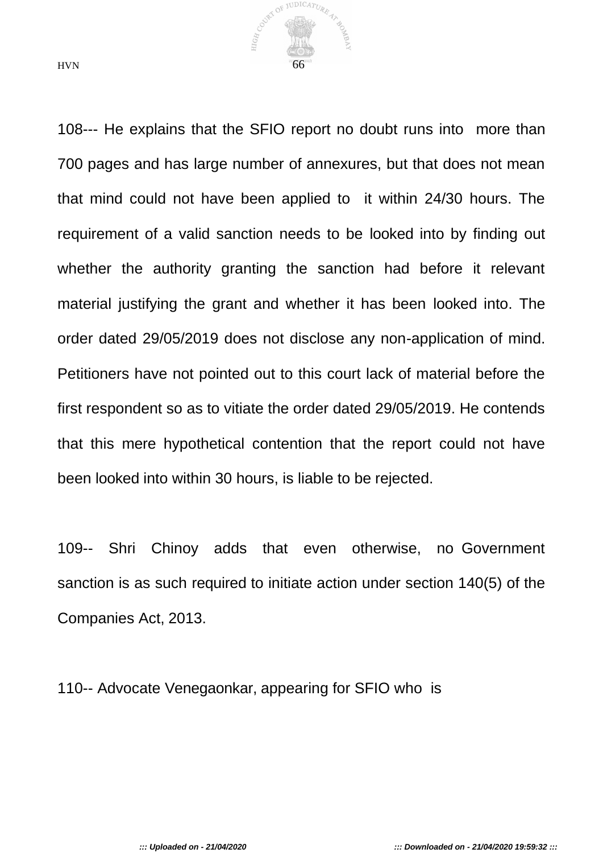

108--- He explains that the SFIO report no doubt runs into more than 700 pages and has large number of annexures, but that does not mean that mind could not have been applied to it within 24/30 hours. The requirement of a valid sanction needs to be looked into by finding out whether the authority granting the sanction had before it relevant material justifying the grant and whether it has been looked into. The order dated 29/05/2019 does not disclose any non-application of mind. Petitioners have not pointed out to this court lack of material before the first respondent so as to vitiate the order dated 29/05/2019. He contends that this mere hypothetical contention that the report could not have been looked into within 30 hours, is liable to be rejected.

109-- Shri Chinoy adds that even otherwise, no Government sanction is as such required to initiate action under section 140(5) of the Companies Act, 2013.

110-- Advocate Venegaonkar, appearing for SFIO who is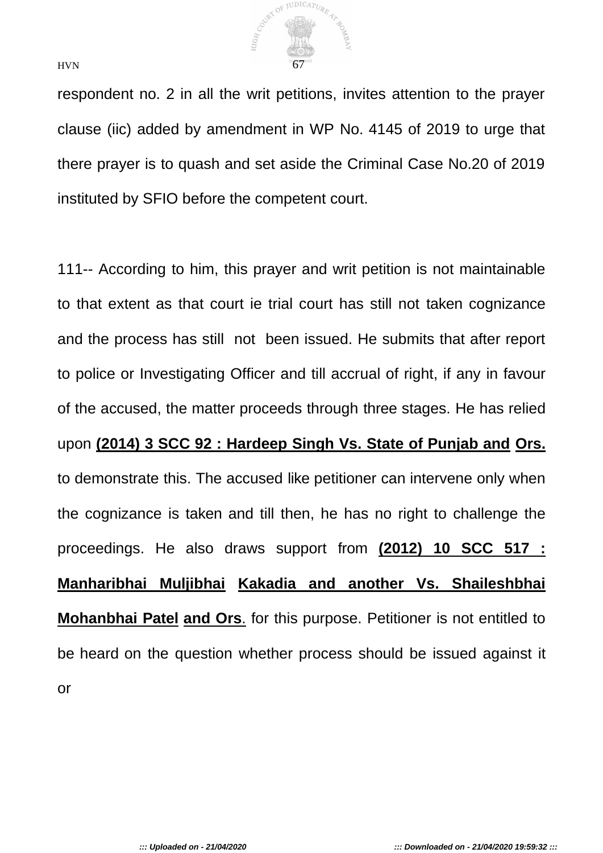

respondent no. 2 in all the writ petitions, invites attention to the prayer clause (iic) added by amendment in WP No. 4145 of 2019 to urge that there prayer is to quash and set aside the Criminal Case No.20 of 2019 instituted by SFIO before the competent court.

111-- According to him, this prayer and writ petition is not maintainable to that extent as that court ie trial court has still not taken cognizance and the process has still not been issued. He submits that after report to police or Investigating Officer and till accrual of right, if any in favour of the accused, the matter proceeds through three stages. He has relied upon **(2014) 3 SCC 92 : Hardeep Singh Vs. State of Punjab and Ors.** to demonstrate this. The accused like petitioner can intervene only when the cognizance is taken and till then, he has no right to challenge the proceedings. He also draws support from **(2012) 10 SCC 517 : Manharibhai Muljibhai Kakadia and another Vs. Shaileshbhai Mohanbhai Patel and Ors**. for this purpose. Petitioner is not entitled to be heard on the question whether process should be issued against it or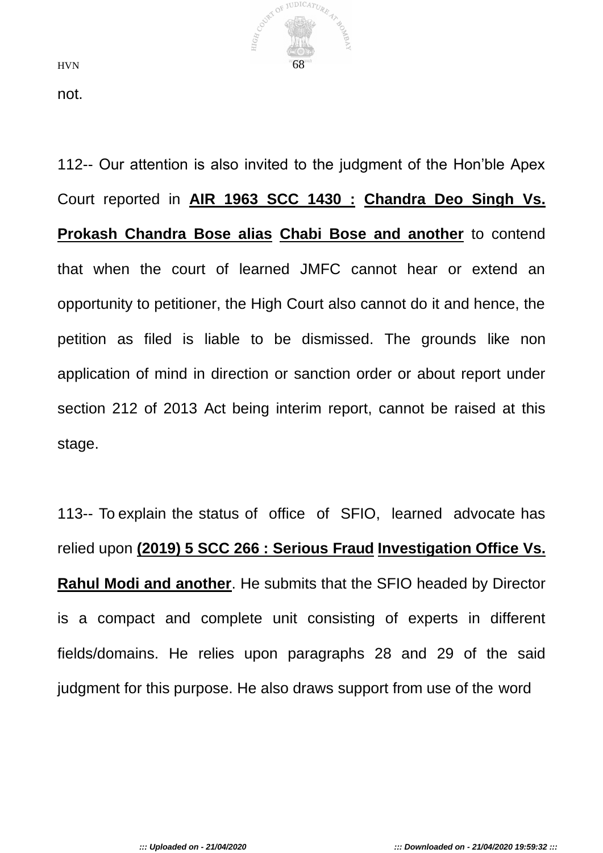

not.

112-- Our attention is also invited to the judgment of the Hon'ble Apex Court reported in **AIR 1963 SCC 1430 : Chandra Deo Singh Vs. Prokash Chandra Bose alias Chabi Bose and another** to contend that when the court of learned JMFC cannot hear or extend an opportunity to petitioner, the High Court also cannot do it and hence, the petition as filed is liable to be dismissed. The grounds like non application of mind in direction or sanction order or about report under section 212 of 2013 Act being interim report, cannot be raised at this stage.

113-- To explain the status of office of SFIO, learned advocate has relied upon **(2019) 5 SCC 266 : Serious Fraud Investigation Office Vs. Rahul Modi and another**. He submits that the SFIO headed by Director is a compact and complete unit consisting of experts in different fields/domains. He relies upon paragraphs 28 and 29 of the said judgment for this purpose. He also draws support from use of the word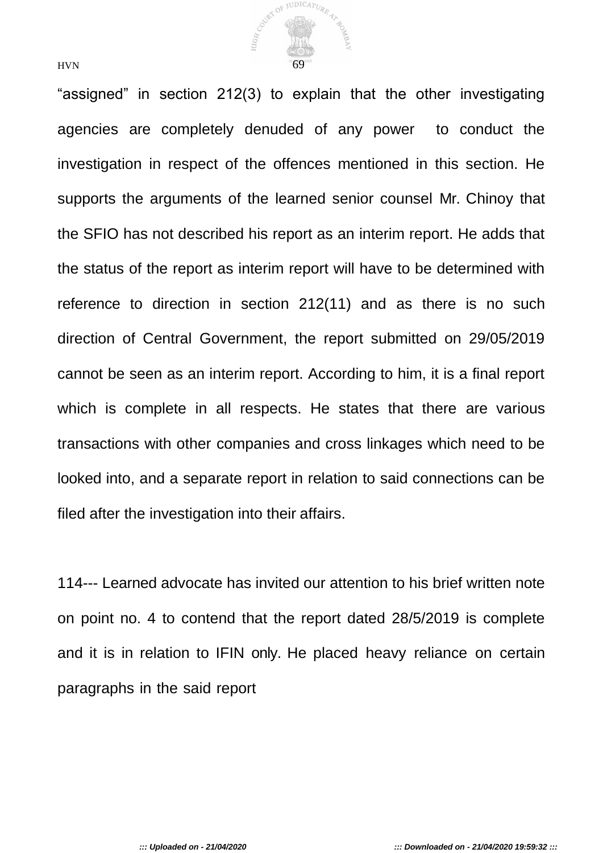

"assigned" in section 212(3) to explain that the other investigating agencies are completely denuded of any power to conduct the investigation in respect of the offences mentioned in this section. He supports the arguments of the learned senior counsel Mr. Chinoy that the SFIO has not described his report as an interim report. He adds that the status of the report as interim report will have to be determined with reference to direction in section 212(11) and as there is no such direction of Central Government, the report submitted on 29/05/2019 cannot be seen as an interim report. According to him, it is a final report which is complete in all respects. He states that there are various transactions with other companies and cross linkages which need to be looked into, and a separate report in relation to said connections can be filed after the investigation into their affairs.

114--- Learned advocate has invited our attention to his brief written note on point no. 4 to contend that the report dated 28/5/2019 is complete and it is in relation to IFIN only. He placed heavy reliance on certain paragraphs in the said report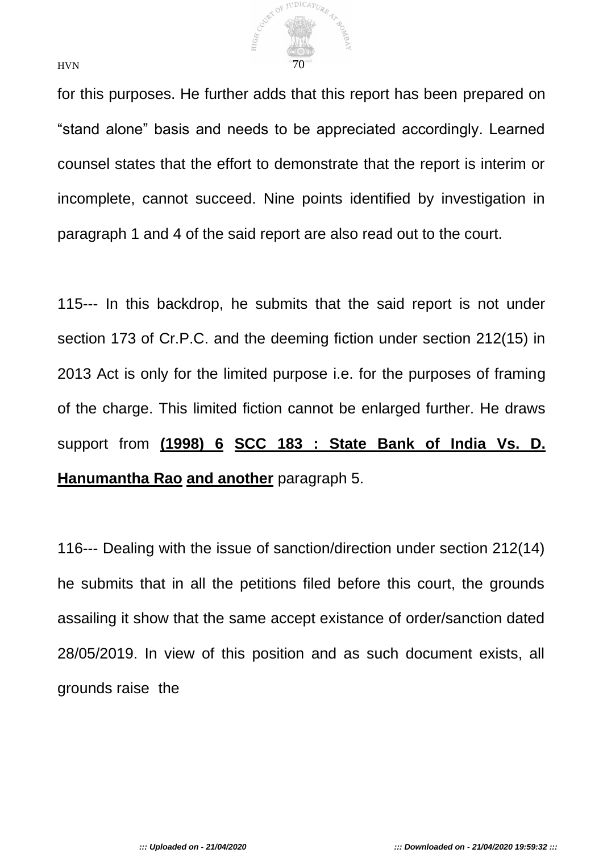

for this purposes. He further adds that this report has been prepared on "stand alone" basis and needs to be appreciated accordingly. Learned counsel states that the effort to demonstrate that the report is interim or incomplete, cannot succeed. Nine points identified by investigation in paragraph 1 and 4 of the said report are also read out to the court.

115--- In this backdrop, he submits that the said report is not under section 173 of Cr.P.C. and the deeming fiction under section 212(15) in 2013 Act is only for the limited purpose i.e. for the purposes of framing of the charge. This limited fiction cannot be enlarged further. He draws support from **(1998) 6 SCC 183 : State Bank of India Vs. D. Hanumantha Rao and another** paragraph 5.

116--- Dealing with the issue of sanction/direction under section 212(14) he submits that in all the petitions filed before this court, the grounds assailing it show that the same accept existance of order/sanction dated 28/05/2019. In view of this position and as such document exists, all grounds raise the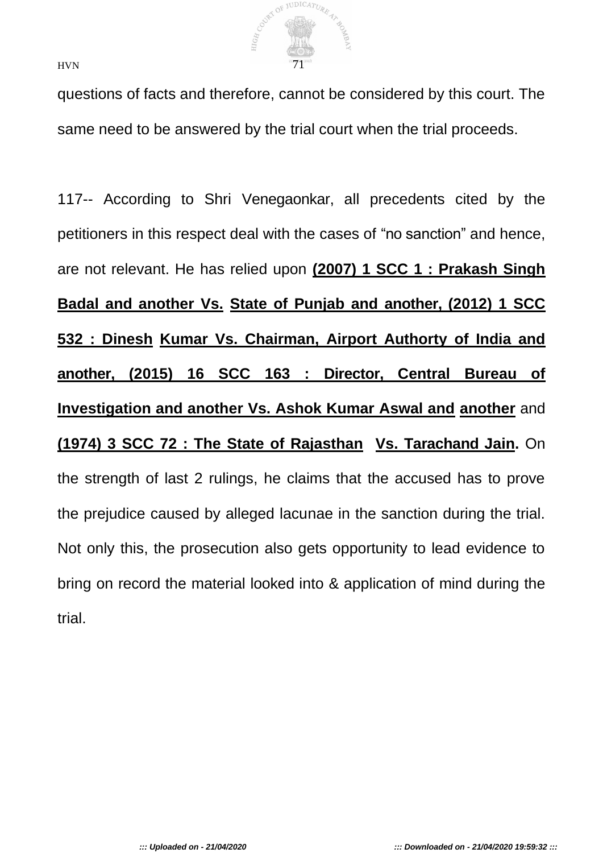

questions of facts and therefore, cannot be considered by this court. The same need to be answered by the trial court when the trial proceeds.

117-- According to Shri Venegaonkar, all precedents cited by the petitioners in this respect deal with the cases of "no sanction" and hence, are not relevant. He has relied upon **(2007) 1 SCC 1 : Prakash Singh Badal and another Vs. State of Punjab and another, (2012) 1 SCC 532 : Dinesh Kumar Vs. Chairman, Airport Authorty of India and another, (2015) 16 SCC 163 : Director, Central Bureau of Investigation and another Vs. Ashok Kumar Aswal and another** and **(1974) 3 SCC 72 : The State of Rajasthan Vs. Tarachand Jain.** On the strength of last 2 rulings, he claims that the accused has to prove the prejudice caused by alleged lacunae in the sanction during the trial. Not only this, the prosecution also gets opportunity to lead evidence to bring on record the material looked into & application of mind during the trial.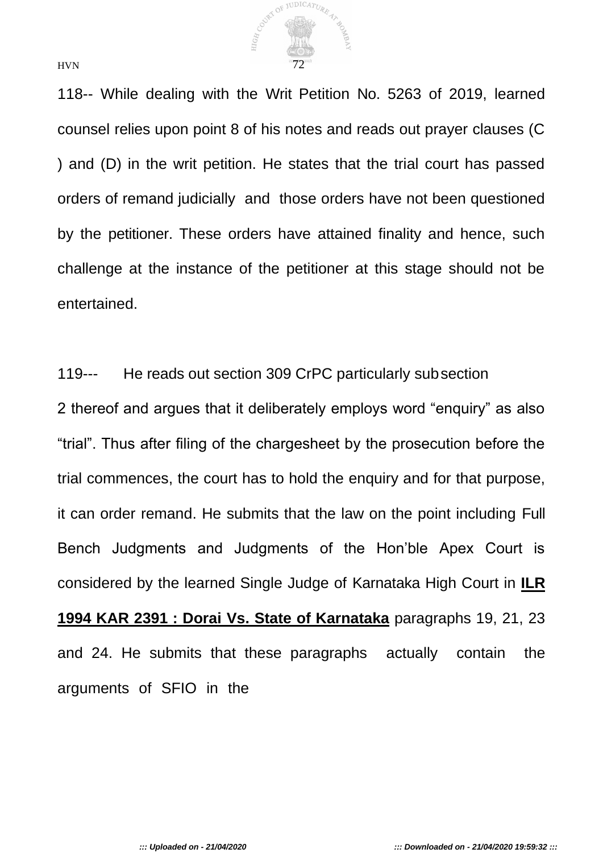

118-- While dealing with the Writ Petition No. 5263 of 2019, learned counsel relies upon point 8 of his notes and reads out prayer clauses (C ) and (D) in the writ petition. He states that the trial court has passed orders of remand judicially and those orders have not been questioned by the petitioner. These orders have attained finality and hence, such challenge at the instance of the petitioner at this stage should not be entertained.

119--- He reads out section 309 CrPC particularly subsection 2 thereof and argues that it deliberately employs word "enquiry" as also "trial". Thus after filing of the chargesheet by the prosecution before the trial commences, the court has to hold the enquiry and for that purpose, it can order remand. He submits that the law on the point including Full Bench Judgments and Judgments of the Hon'ble Apex Court is considered by the learned Single Judge of Karnataka High Court in **ILR 1994 KAR 2391 : Dorai Vs. State of Karnataka** paragraphs 19, 21, 23 and 24. He submits that these paragraphs actually contain the arguments of SFIO in the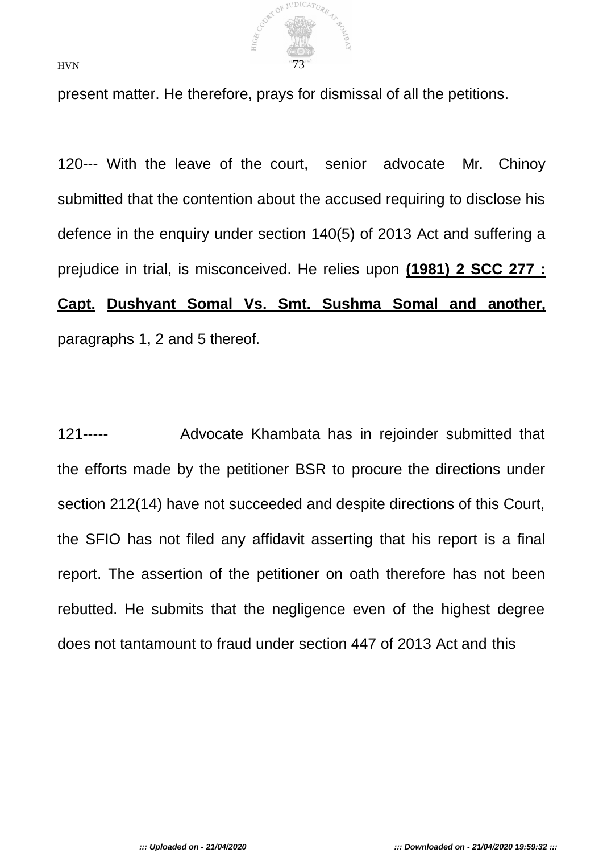

present matter. He therefore, prays for dismissal of all the petitions.

120--- With the leave of the court, senior advocate Mr. Chinoy submitted that the contention about the accused requiring to disclose his defence in the enquiry under section 140(5) of 2013 Act and suffering a prejudice in trial, is misconceived. He relies upon **(1981) 2 SCC 277 : Capt. Dushyant Somal Vs. Smt. Sushma Somal and another,** paragraphs 1, 2 and 5 thereof.

121----- Advocate Khambata has in rejoinder submitted that the efforts made by the petitioner BSR to procure the directions under section 212(14) have not succeeded and despite directions of this Court, the SFIO has not filed any affidavit asserting that his report is a final report. The assertion of the petitioner on oath therefore has not been rebutted. He submits that the negligence even of the highest degree does not tantamount to fraud under section 447 of 2013 Act and this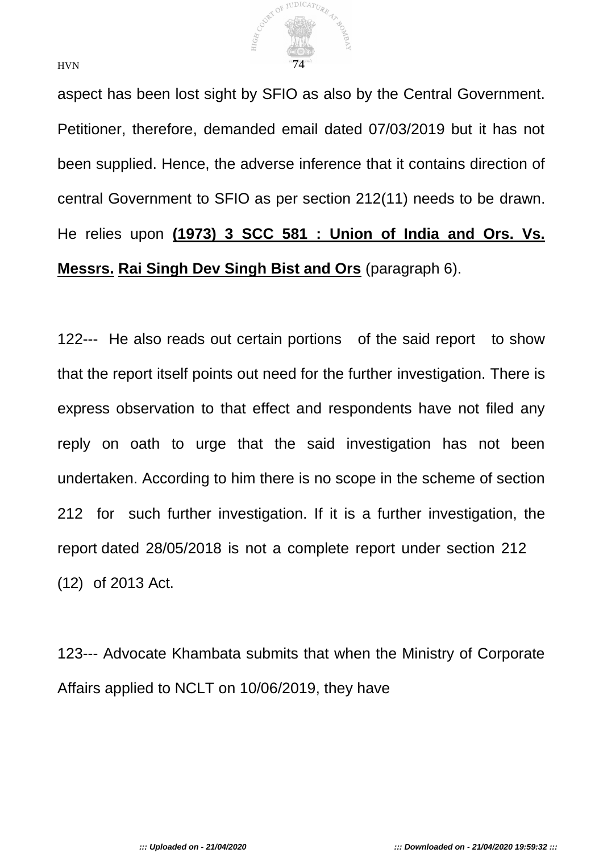

aspect has been lost sight by SFIO as also by the Central Government. Petitioner, therefore, demanded email dated 07/03/2019 but it has not been supplied. Hence, the adverse inference that it contains direction of

central Government to SFIO as per section 212(11) needs to be drawn. He relies upon **(1973) 3 SCC 581 : Union of India and Ors. Vs. Messrs. Rai Singh Dev Singh Bist and Ors** (paragraph 6).

122--- He also reads out certain portions of the said report to show that the report itself points out need for the further investigation. There is express observation to that effect and respondents have not filed any reply on oath to urge that the said investigation has not been undertaken. According to him there is no scope in the scheme of section 212 for such further investigation. If it is a further investigation, the report dated 28/05/2018 is not a complete report under section 212 (12) of 2013 Act.

123--- Advocate Khambata submits that when the Ministry of Corporate Affairs applied to NCLT on 10/06/2019, they have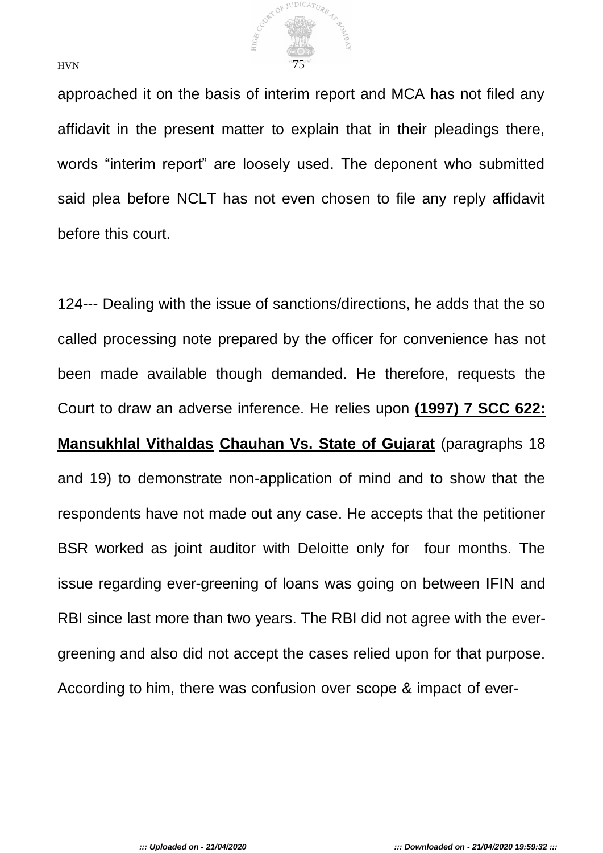

approached it on the basis of interim report and MCA has not filed any affidavit in the present matter to explain that in their pleadings there, words "interim report" are loosely used. The deponent who submitted said plea before NCLT has not even chosen to file any reply affidavit before this court.

124--- Dealing with the issue of sanctions/directions, he adds that the so called processing note prepared by the officer for convenience has not been made available though demanded. He therefore, requests the Court to draw an adverse inference. He relies upon **(1997) 7 SCC 622: Mansukhlal Vithaldas Chauhan Vs. State of Gujarat** (paragraphs 18 and 19) to demonstrate non-application of mind and to show that the respondents have not made out any case. He accepts that the petitioner BSR worked as joint auditor with Deloitte only for four months. The issue regarding ever-greening of loans was going on between IFIN and RBI since last more than two years. The RBI did not agree with the evergreening and also did not accept the cases relied upon for that purpose. According to him, there was confusion over scope & impact of ever-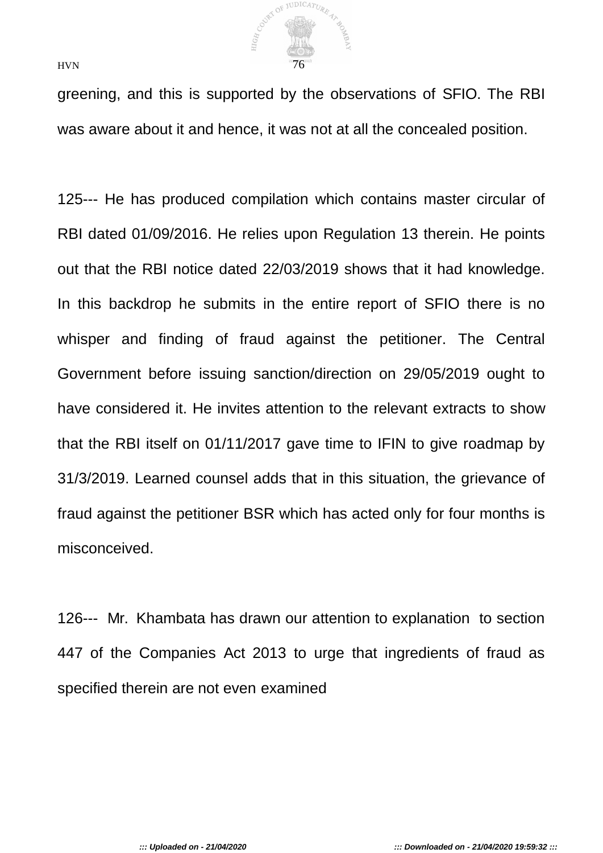

greening, and this is supported by the observations of SFIO. The RBI was aware about it and hence, it was not at all the concealed position.

125--- He has produced compilation which contains master circular of RBI dated 01/09/2016. He relies upon Regulation 13 therein. He points out that the RBI notice dated 22/03/2019 shows that it had knowledge. In this backdrop he submits in the entire report of SFIO there is no whisper and finding of fraud against the petitioner. The Central Government before issuing sanction/direction on 29/05/2019 ought to have considered it. He invites attention to the relevant extracts to show that the RBI itself on 01/11/2017 gave time to IFIN to give roadmap by 31/3/2019. Learned counsel adds that in this situation, the grievance of fraud against the petitioner BSR which has acted only for four months is misconceived.

126--- Mr. Khambata has drawn our attention to explanation to section 447 of the Companies Act 2013 to urge that ingredients of fraud as specified therein are not even examined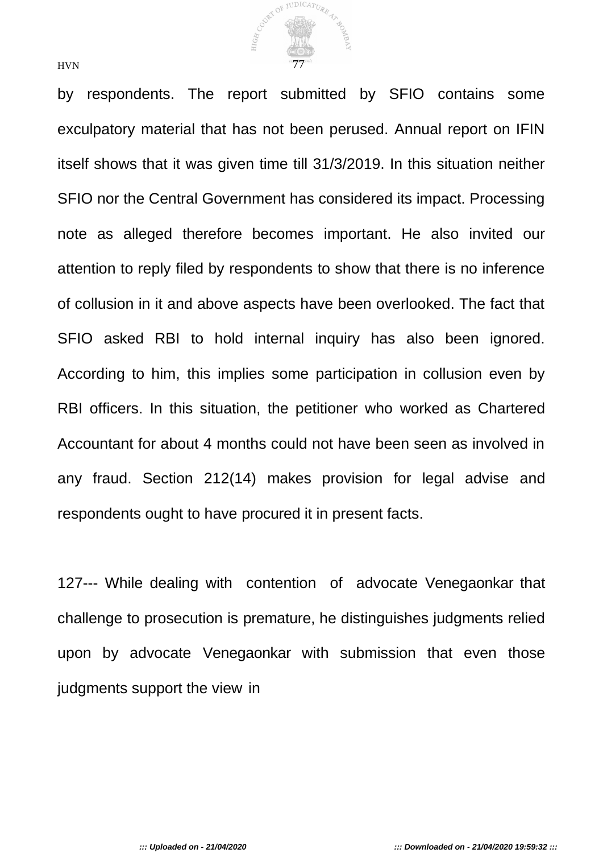

by respondents. The report submitted by SFIO contains some exculpatory material that has not been perused. Annual report on IFIN itself shows that it was given time till 31/3/2019. In this situation neither SFIO nor the Central Government has considered its impact. Processing note as alleged therefore becomes important. He also invited our attention to reply filed by respondents to show that there is no inference of collusion in it and above aspects have been overlooked. The fact that SFIO asked RBI to hold internal inquiry has also been ignored. According to him, this implies some participation in collusion even by RBI officers. In this situation, the petitioner who worked as Chartered Accountant for about 4 months could not have been seen as involved in any fraud. Section 212(14) makes provision for legal advise and respondents ought to have procured it in present facts.

127--- While dealing with contention of advocate Venegaonkar that challenge to prosecution is premature, he distinguishes judgments relied upon by advocate Venegaonkar with submission that even those judgments support the view in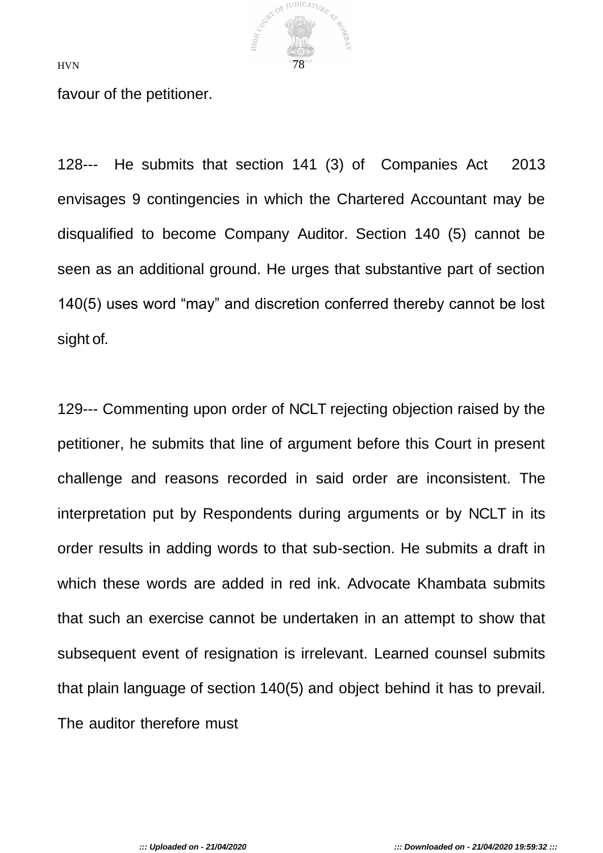

favour of the petitioner.

128--- He submits that section 141 (3) of Companies Act 2013 envisages 9 contingencies in which the Chartered Accountant may be disqualified to become Company Auditor. Section 140 (5) cannot be seen as an additional ground. He urges that substantive part of section 140(5) uses word "may" and discretion conferred thereby cannot be lost sight of.

129--- Commenting upon order of NCLT rejecting objection raised by the petitioner, he submits that line of argument before this Court in present challenge and reasons recorded in said order are inconsistent. The interpretation put by Respondents during arguments or by NCLT in its order results in adding words to that sub-section. He submits a draft in which these words are added in red ink. Advocate Khambata submits that such an exercise cannot be undertaken in an attempt to show that subsequent event of resignation is irrelevant. Learned counsel submits that plain language of section 140(5) and object behind it has to prevail. The auditor therefore must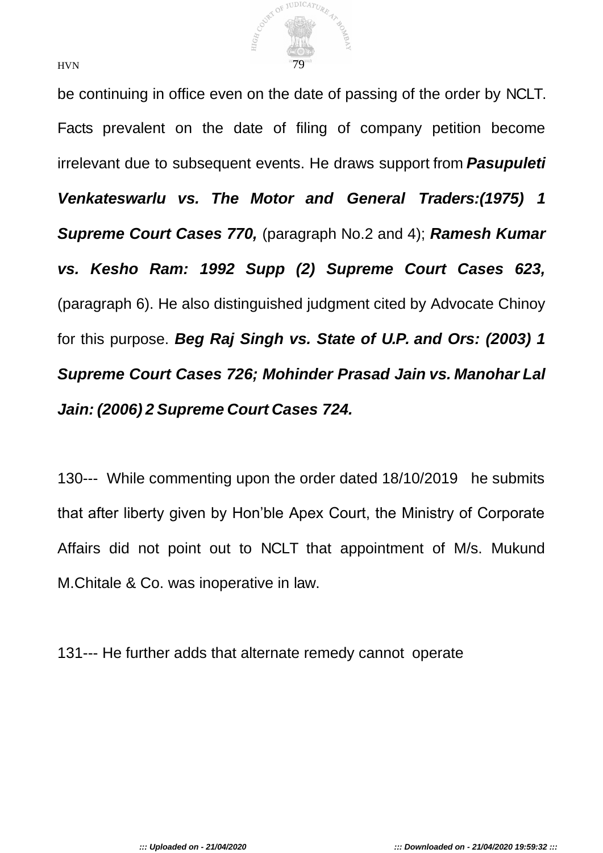

be continuing in office even on the date of passing of the order by NCLT. Facts prevalent on the date of filing of company petition become irrelevant due to subsequent events. He draws support from *Pasupuleti Venkateswarlu vs. The Motor and General Traders:(1975) 1 Supreme Court Cases 770,* (paragraph No.2 and 4); *Ramesh Kumar vs. Kesho Ram: 1992 Supp (2) Supreme Court Cases 623,*  (paragraph 6). He also distinguished judgment cited by Advocate Chinoy for this purpose. *Beg Raj Singh vs. State of U.P. and Ors: (2003) 1 Supreme Court Cases 726; Mohinder Prasad Jain vs. Manohar Lal Jain: (2006) 2 Supreme Court Cases 724.*

130--- While commenting upon the order dated 18/10/2019 he submits that after liberty given by Hon'ble Apex Court, the Ministry of Corporate Affairs did not point out to NCLT that appointment of M/s. Mukund M.Chitale & Co. was inoperative in law.

131--- He further adds that alternate remedy cannot operate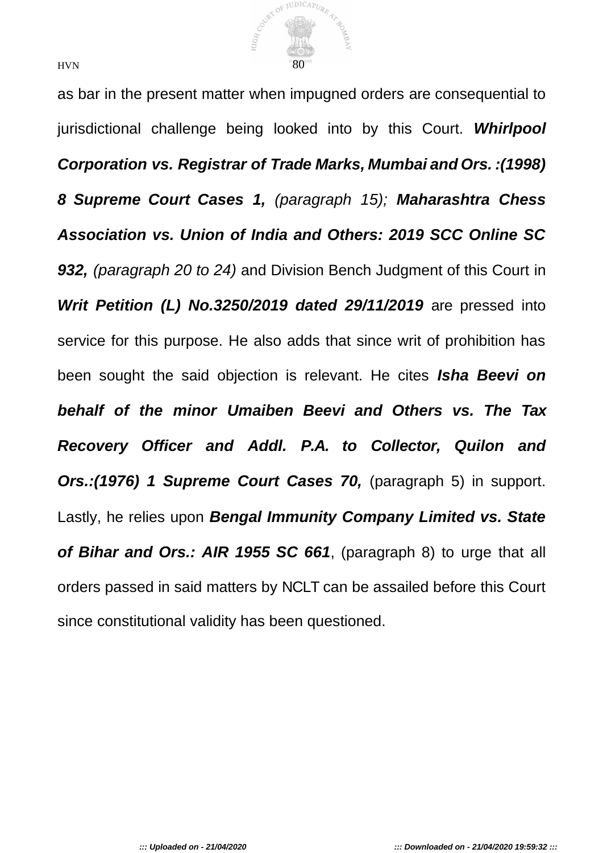

as bar in the present matter when impugned orders are consequential to jurisdictional challenge being looked into by this Court. *Whirlpool Corporation vs. Registrar of Trade Marks, Mumbai and Ors. :(1998) 8 Supreme Court Cases 1, (paragraph 15); Maharashtra Chess Association vs. Union of India and Others: 2019 SCC Online SC 932, (paragraph 20 to 24)* and Division Bench Judgment of this Court in *Writ Petition (L) No.3250/2019 dated 29/11/2019* **are pressed into** service for this purpose. He also adds that since writ of prohibition has been sought the said objection is relevant. He cites *Isha Beevi on behalf of the minor Umaiben Beevi and Others vs. The Tax Recovery Officer and Addl. P.A. to Collector, Quilon and Ors.:(1976) 1 Supreme Court Cases 70,* (paragraph 5) in support. Lastly, he relies upon *Bengal Immunity Company Limited vs. State of Bihar and Ors.: AIR 1955 SC 661*, (paragraph 8) to urge that all orders passed in said matters by NCLT can be assailed before this Court since constitutional validity has been questioned.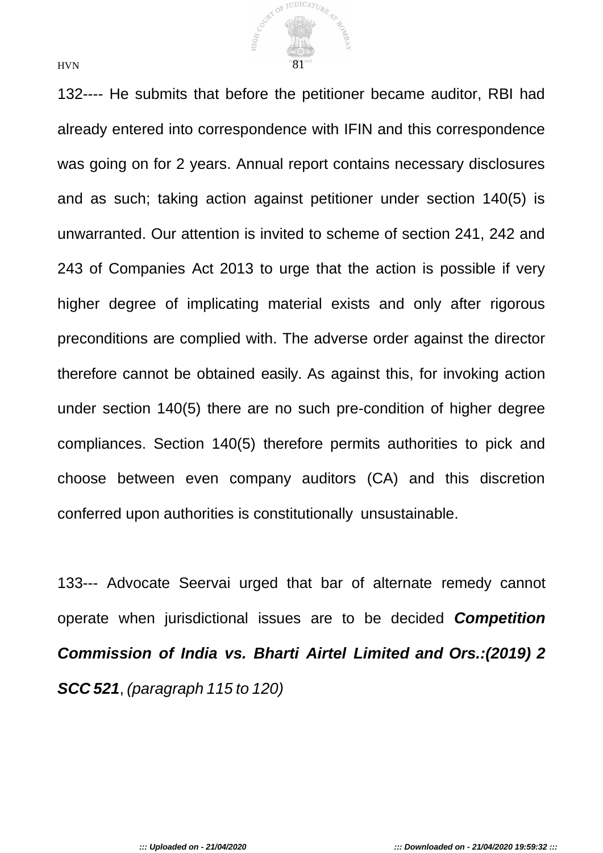

132---- He submits that before the petitioner became auditor, RBI had already entered into correspondence with IFIN and this correspondence was going on for 2 years. Annual report contains necessary disclosures and as such; taking action against petitioner under section 140(5) is unwarranted. Our attention is invited to scheme of section 241, 242 and 243 of Companies Act 2013 to urge that the action is possible if very higher degree of implicating material exists and only after rigorous preconditions are complied with. The adverse order against the director therefore cannot be obtained easily. As against this, for invoking action under section 140(5) there are no such pre-condition of higher degree compliances. Section 140(5) therefore permits authorities to pick and choose between even company auditors (CA) and this discretion conferred upon authorities is constitutionally unsustainable.

133--- Advocate Seervai urged that bar of alternate remedy cannot operate when jurisdictional issues are to be decided *Competition Commission of India vs. Bharti Airtel Limited and Ors.:(2019) 2 SCC 521*, *(paragraph 115 to 120)*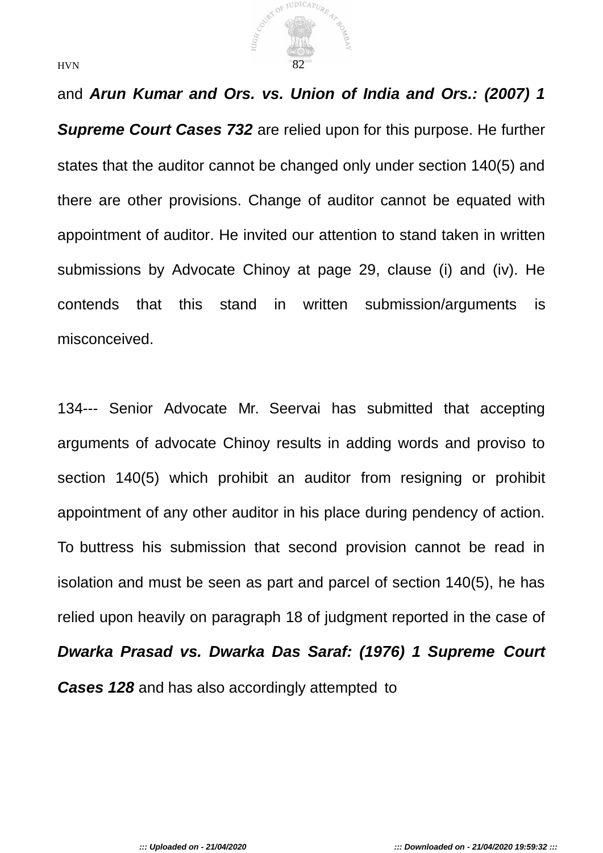

and *Arun Kumar and Ors. vs. Union of India and Ors.: (2007) 1 Supreme Court Cases 732* are relied upon for this purpose. He further states that the auditor cannot be changed only under section 140(5) and there are other provisions. Change of auditor cannot be equated with appointment of auditor. He invited our attention to stand taken in written submissions by Advocate Chinoy at page 29, clause (i) and (iv). He contends that this stand in written submission/arguments is misconceived.

134--- Senior Advocate Mr. Seervai has submitted that accepting arguments of advocate Chinoy results in adding words and proviso to section 140(5) which prohibit an auditor from resigning or prohibit appointment of any other auditor in his place during pendency of action. To buttress his submission that second provision cannot be read in isolation and must be seen as part and parcel of section 140(5), he has relied upon heavily on paragraph 18 of judgment reported in the case of *Dwarka Prasad vs. Dwarka Das Saraf: (1976) 1 Supreme Court Cases 128* and has also accordingly attempted to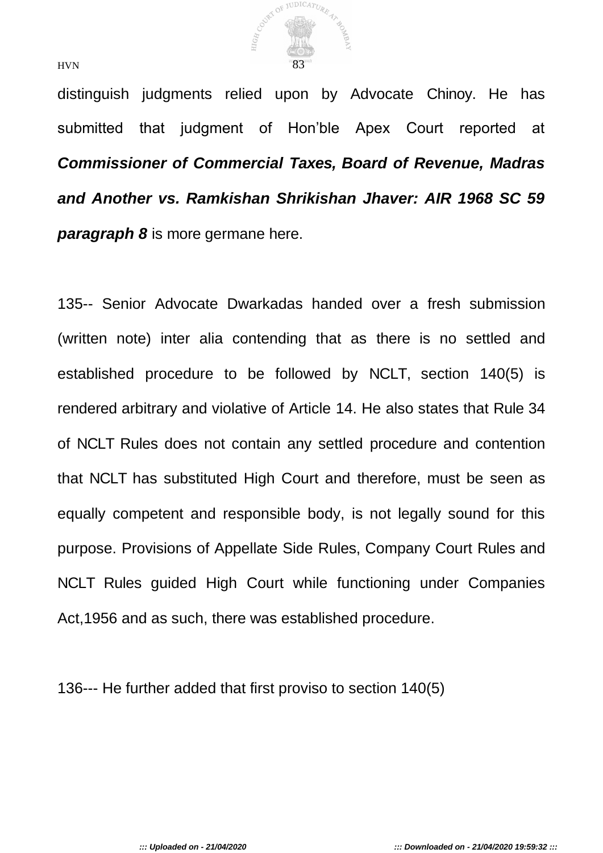

distinguish judgments relied upon by Advocate Chinoy. He has submitted that judgment of Hon'ble Apex Court reported at *Commissioner of Commercial Taxes, Board of Revenue, Madras and Another vs. Ramkishan Shrikishan Jhaver: AIR 1968 SC 59 paragraph 8* is more germane here.

135-- Senior Advocate Dwarkadas handed over a fresh submission (written note) inter alia contending that as there is no settled and established procedure to be followed by NCLT, section 140(5) is rendered arbitrary and violative of Article 14. He also states that Rule 34 of NCLT Rules does not contain any settled procedure and contention that NCLT has substituted High Court and therefore, must be seen as equally competent and responsible body, is not legally sound for this purpose. Provisions of Appellate Side Rules, Company Court Rules and NCLT Rules guided High Court while functioning under Companies Act,1956 and as such, there was established procedure.

136--- He further added that first proviso to section 140(5)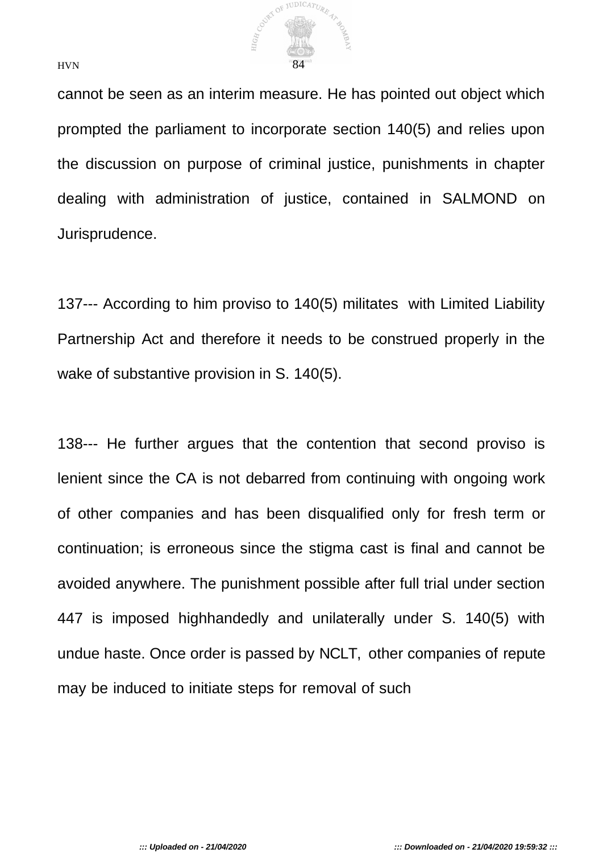

cannot be seen as an interim measure. He has pointed out object which prompted the parliament to incorporate section 140(5) and relies upon the discussion on purpose of criminal justice, punishments in chapter dealing with administration of justice, contained in SALMOND on Jurisprudence.

137--- According to him proviso to 140(5) militates with Limited Liability Partnership Act and therefore it needs to be construed properly in the wake of substantive provision in S. 140(5).

138--- He further argues that the contention that second proviso is lenient since the CA is not debarred from continuing with ongoing work of other companies and has been disqualified only for fresh term or continuation; is erroneous since the stigma cast is final and cannot be avoided anywhere. The punishment possible after full trial under section 447 is imposed highhandedly and unilaterally under S. 140(5) with undue haste. Once order is passed by NCLT, other companies of repute may be induced to initiate steps for removal of such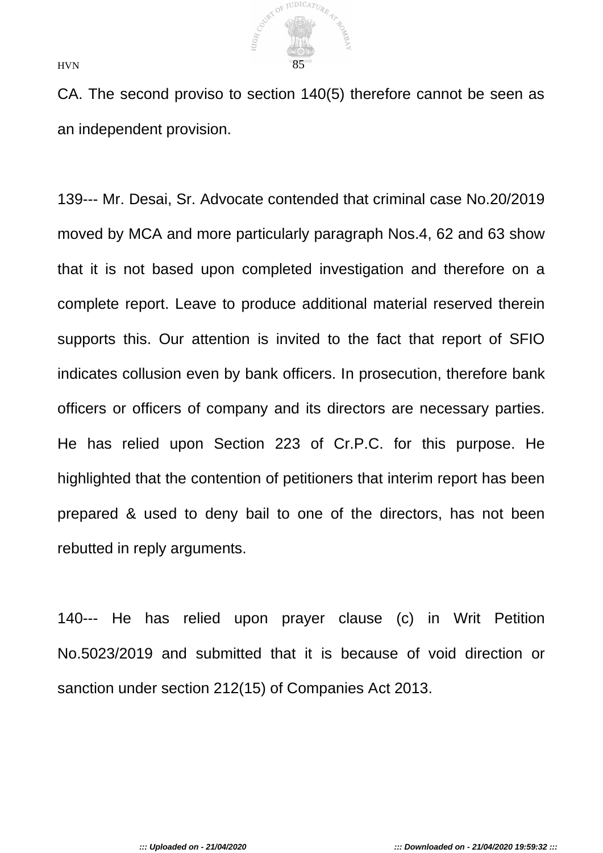

CA. The second proviso to section 140(5) therefore cannot be seen as an independent provision.

139--- Mr. Desai, Sr. Advocate contended that criminal case No.20/2019 moved by MCA and more particularly paragraph Nos.4, 62 and 63 show that it is not based upon completed investigation and therefore on a complete report. Leave to produce additional material reserved therein supports this. Our attention is invited to the fact that report of SFIO indicates collusion even by bank officers. In prosecution, therefore bank officers or officers of company and its directors are necessary parties. He has relied upon Section 223 of Cr.P.C. for this purpose. He highlighted that the contention of petitioners that interim report has been prepared & used to deny bail to one of the directors, has not been rebutted in reply arguments.

140--- He has relied upon prayer clause (c) in Writ Petition No.5023/2019 and submitted that it is because of void direction or sanction under section 212(15) of Companies Act 2013.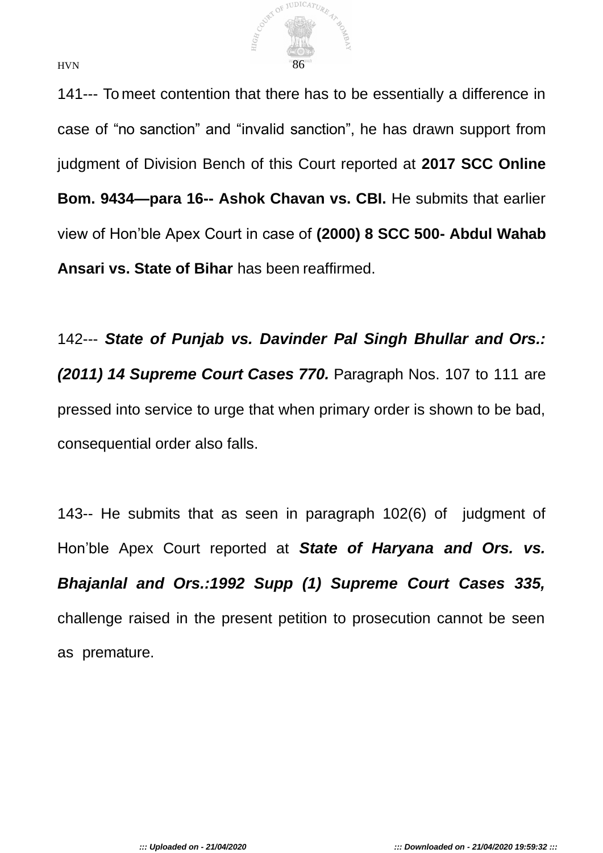

141--- To meet contention that there has to be essentially a difference in case of "no sanction" and "invalid sanction", he has drawn support from judgment of Division Bench of this Court reported at **2017 SCC Online Bom. 9434—para 16-- Ashok Chavan vs. CBI.** He submits that earlier view of Hon'ble Apex Court in case of **(2000) 8 SCC 500- Abdul Wahab Ansari vs. State of Bihar** has been reaffirmed.

142--- *State of Punjab vs. Davinder Pal Singh Bhullar and Ors.: (2011) 14 Supreme Court Cases 770.* Paragraph Nos. 107 to 111 are pressed into service to urge that when primary order is shown to be bad, consequential order also falls.

143-- He submits that as seen in paragraph 102(6) of judgment of Hon'ble Apex Court reported at *State of Haryana and Ors. vs. Bhajanlal and Ors.:1992 Supp (1) Supreme Court Cases 335,*  challenge raised in the present petition to prosecution cannot be seen as premature.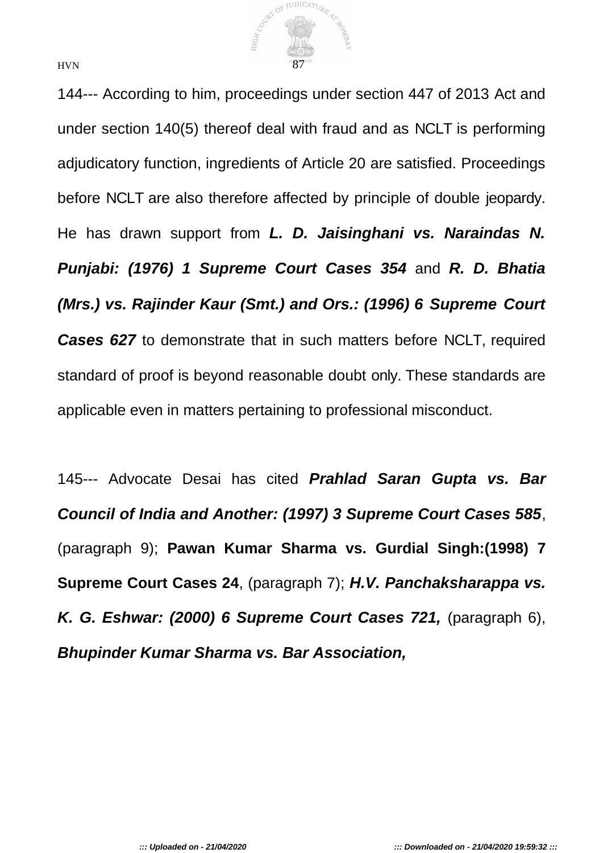

144--- According to him, proceedings under section 447 of 2013 Act and under section 140(5) thereof deal with fraud and as NCLT is performing adjudicatory function, ingredients of Article 20 are satisfied. Proceedings before NCLT are also therefore affected by principle of double jeopardy. He has drawn support from *L. D. Jaisinghani vs. Naraindas N. Punjabi: (1976) 1 Supreme Court Cases 354* and *R. D. Bhatia (Mrs.) vs. Rajinder Kaur (Smt.) and Ors.: (1996) 6 Supreme Court Cases 627* to demonstrate that in such matters before NCLT, required standard of proof is beyond reasonable doubt only. These standards are applicable even in matters pertaining to professional misconduct.

145--- Advocate Desai has cited *Prahlad Saran Gupta vs. Bar Council of India and Another: (1997) 3 Supreme Court Cases 585*, (paragraph 9); **Pawan Kumar Sharma vs. Gurdial Singh:(1998) 7 Supreme Court Cases 24**, (paragraph 7); *H.V. Panchaksharappa vs. K. G. Eshwar: (2000) 6 Supreme Court Cases 721,* (paragraph 6), *Bhupinder Kumar Sharma vs. Bar Association,*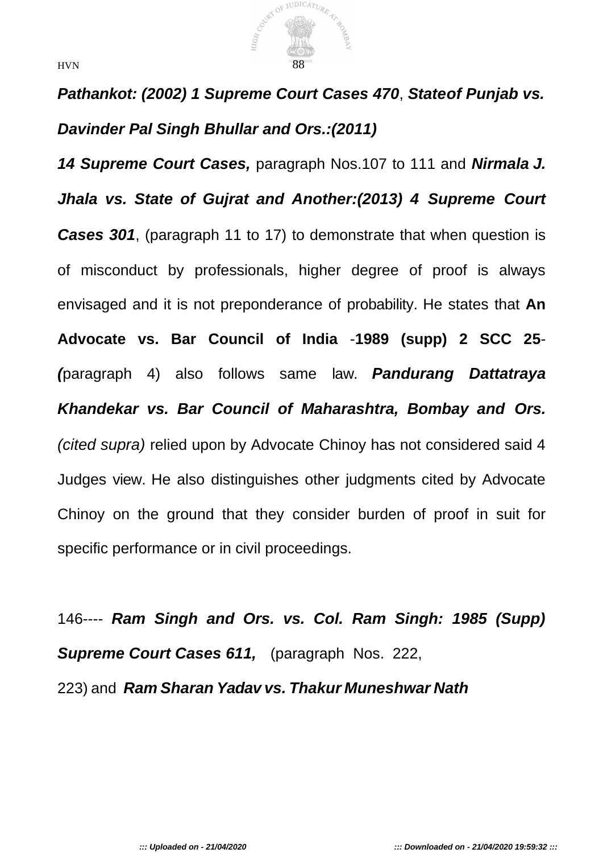

*Pathankot: (2002) 1 Supreme Court Cases 470*, *Stateof Punjab vs. Davinder Pal Singh Bhullar and Ors.:(2011)*

*14 Supreme Court Cases,* paragraph Nos.107 to 111 and *Nirmala J. Jhala vs. State of Gujrat and Another:(2013) 4 Supreme Court*  **Cases 301**, (paragraph 11 to 17) to demonstrate that when question is of misconduct by professionals, higher degree of proof is always envisaged and it is not preponderance of probability. He states that **An Advocate vs. Bar Council of India** -**1989 (supp) 2 SCC 25**- *(*paragraph 4) also follows same law. *Pandurang Dattatraya Khandekar vs. Bar Council of Maharashtra, Bombay and Ors. (cited supra)* relied upon by Advocate Chinoy has not considered said 4 Judges view. He also distinguishes other judgments cited by Advocate Chinoy on the ground that they consider burden of proof in suit for specific performance or in civil proceedings.

146---- *Ram Singh and Ors. vs. Col. Ram Singh: 1985 (Supp) Supreme Court Cases 611,* (paragraph Nos. 222, 223) and *Ram Sharan Yadav vs. Thakur Muneshwar Nath*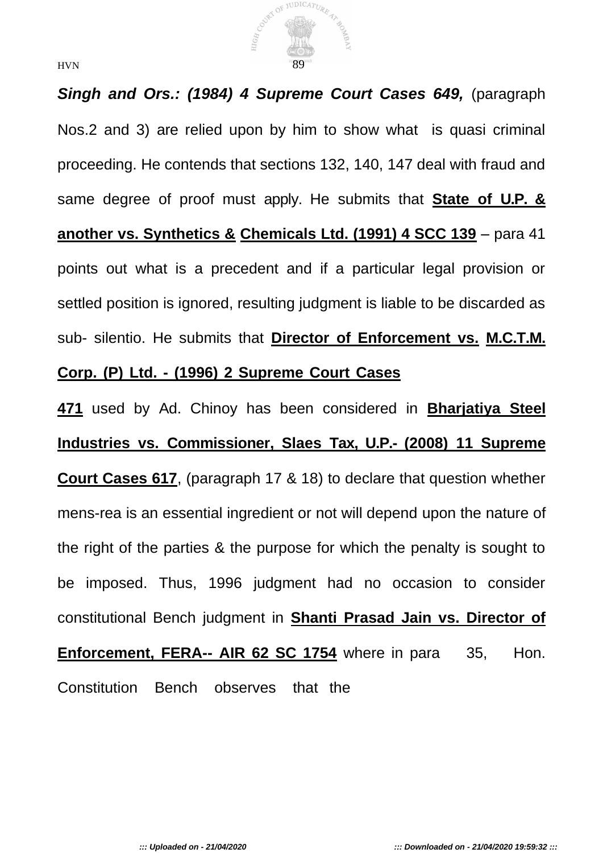

**Singh and Ors.: (1984) 4 Supreme Court Cases 649, (paragraph)** Nos.2 and 3) are relied upon by him to show what is quasi criminal proceeding. He contends that sections 132, 140, 147 deal with fraud and same degree of proof must apply. He submits that **State of U.P. & another vs. Synthetics & Chemicals Ltd. (1991) 4 SCC 139** – para 41 points out what is a precedent and if a particular legal provision or settled position is ignored, resulting judgment is liable to be discarded as sub- silentio. He submits that **Director of Enforcement vs. M.C.T.M. Corp. (P) Ltd. - (1996) 2 Supreme Court Cases**

**471** used by Ad. Chinoy has been considered in **Bharjatiya Steel Industries vs. Commissioner, Slaes Tax, U.P.- (2008) 11 Supreme Court Cases 617**, (paragraph 17 & 18) to declare that question whether mens-rea is an essential ingredient or not will depend upon the nature of the right of the parties & the purpose for which the penalty is sought to be imposed. Thus, 1996 judgment had no occasion to consider constitutional Bench judgment in **Shanti Prasad Jain vs. Director of Enforcement, FERA-- AIR 62 SC 1754** where in para 35, Hon. Constitution Bench observes that the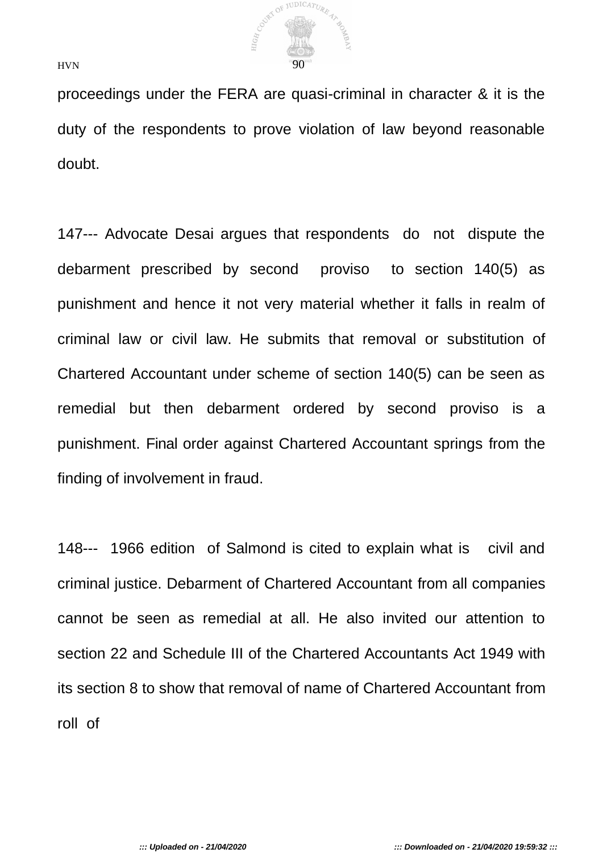

proceedings under the FERA are quasi-criminal in character & it is the duty of the respondents to prove violation of law beyond reasonable doubt.

147--- Advocate Desai argues that respondents do not dispute the debarment prescribed by second proviso to section 140(5) as punishment and hence it not very material whether it falls in realm of criminal law or civil law. He submits that removal or substitution of Chartered Accountant under scheme of section 140(5) can be seen as remedial but then debarment ordered by second proviso is a punishment. Final order against Chartered Accountant springs from the finding of involvement in fraud.

148--- 1966 edition of Salmond is cited to explain what is civil and criminal justice. Debarment of Chartered Accountant from all companies cannot be seen as remedial at all. He also invited our attention to section 22 and Schedule III of the Chartered Accountants Act 1949 with its section 8 to show that removal of name of Chartered Accountant from roll of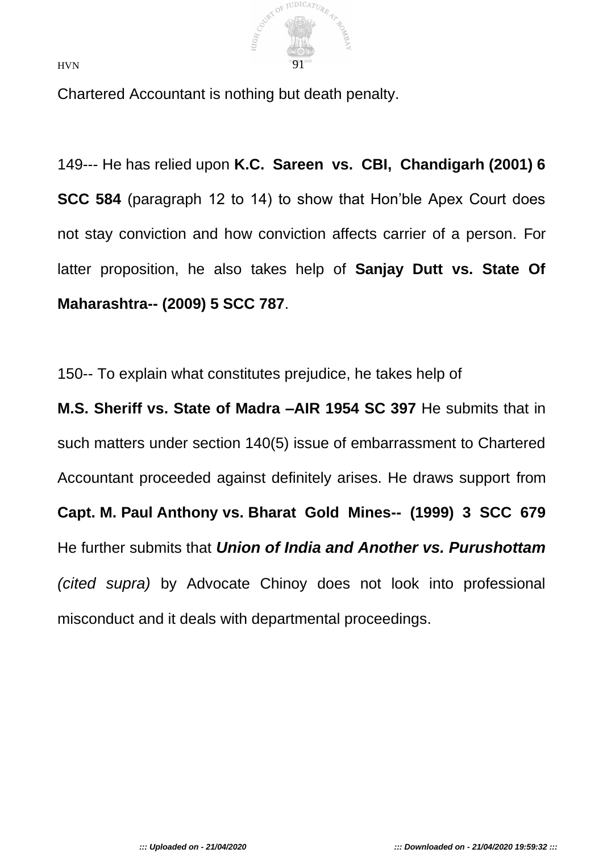

Chartered Accountant is nothing but death penalty.

149--- He has relied upon **K.C. Sareen vs. CBI, Chandigarh (2001) 6 SCC 584** (paragraph 12 to 14) to show that Hon'ble Apex Court does not stay conviction and how conviction affects carrier of a person. For latter proposition, he also takes help of **Sanjay Dutt vs. State Of Maharashtra-- (2009) 5 SCC 787**.

150-- To explain what constitutes prejudice, he takes help of

**M.S. Sheriff vs. State of Madra –AIR 1954 SC 397** He submits that in such matters under section 140(5) issue of embarrassment to Chartered Accountant proceeded against definitely arises. He draws support from **Capt. M. Paul Anthony vs. Bharat Gold Mines-- (1999) 3 SCC 679**  He further submits that *Union of India and Another vs. Purushottam (cited supra)* by Advocate Chinoy does not look into professional misconduct and it deals with departmental proceedings.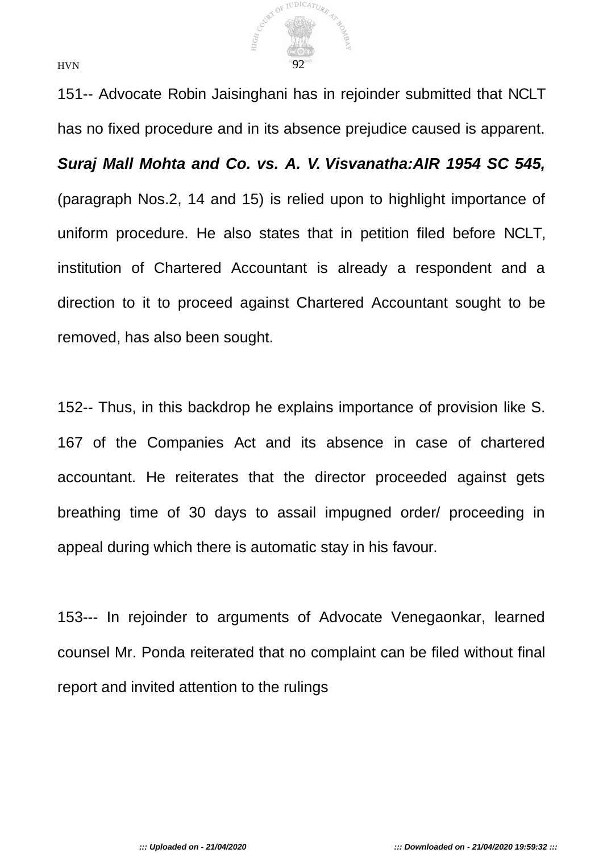

151-- Advocate Robin Jaisinghani has in rejoinder submitted that NCLT has no fixed procedure and in its absence prejudice caused is apparent.

*Suraj Mall Mohta and Co. vs. A. V. Visvanatha:AIR 1954 SC 545,*  (paragraph Nos.2, 14 and 15) is relied upon to highlight importance of uniform procedure. He also states that in petition filed before NCLT, institution of Chartered Accountant is already a respondent and a direction to it to proceed against Chartered Accountant sought to be removed, has also been sought.

152-- Thus, in this backdrop he explains importance of provision like S. 167 of the Companies Act and its absence in case of chartered accountant. He reiterates that the director proceeded against gets breathing time of 30 days to assail impugned order/ proceeding in appeal during which there is automatic stay in his favour.

153--- In rejoinder to arguments of Advocate Venegaonkar, learned counsel Mr. Ponda reiterated that no complaint can be filed without final report and invited attention to the rulings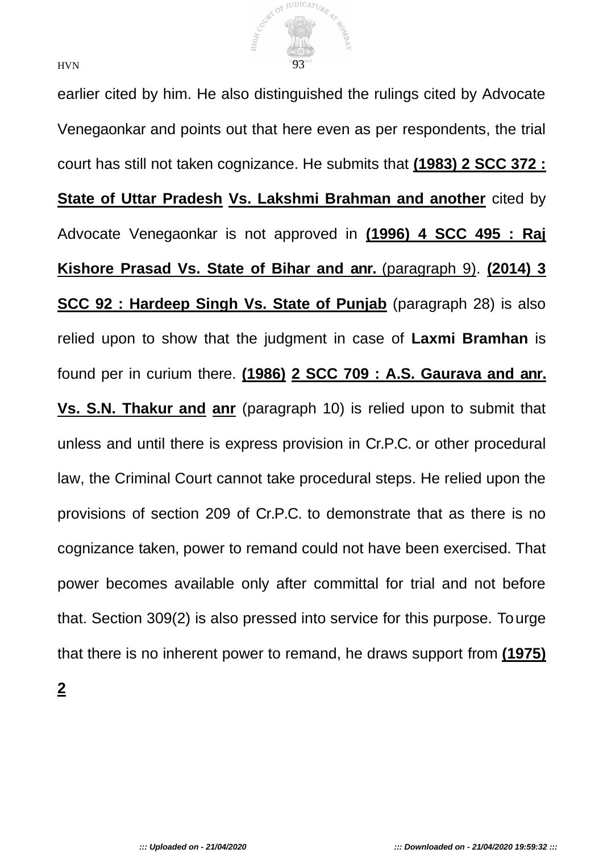

earlier cited by him. He also distinguished the rulings cited by Advocate Venegaonkar and points out that here even as per respondents, the trial court has still not taken cognizance. He submits that **(1983) 2 SCC 372 : State of Uttar Pradesh Vs. Lakshmi Brahman and another** cited by Advocate Venegaonkar is not approved in **(1996) 4 SCC 495 : Raj Kishore Prasad Vs. State of Bihar and anr.** (paragraph 9). **(2014) 3 SCC 92 : Hardeep Singh Vs. State of Punjab** (paragraph 28) is also relied upon to show that the judgment in case of **Laxmi Bramhan** is found per in curium there. **(1986) 2 SCC 709 : A.S. Gaurava and anr. Vs. S.N. Thakur and anr** (paragraph 10) is relied upon to submit that unless and until there is express provision in Cr.P.C. or other procedural law, the Criminal Court cannot take procedural steps. He relied upon the provisions of section 209 of Cr.P.C. to demonstrate that as there is no cognizance taken, power to remand could not have been exercised. That power becomes available only after committal for trial and not before that. Section 309(2) is also pressed into service for this purpose. To urge that there is no inherent power to remand, he draws support from **(1975)**

**2**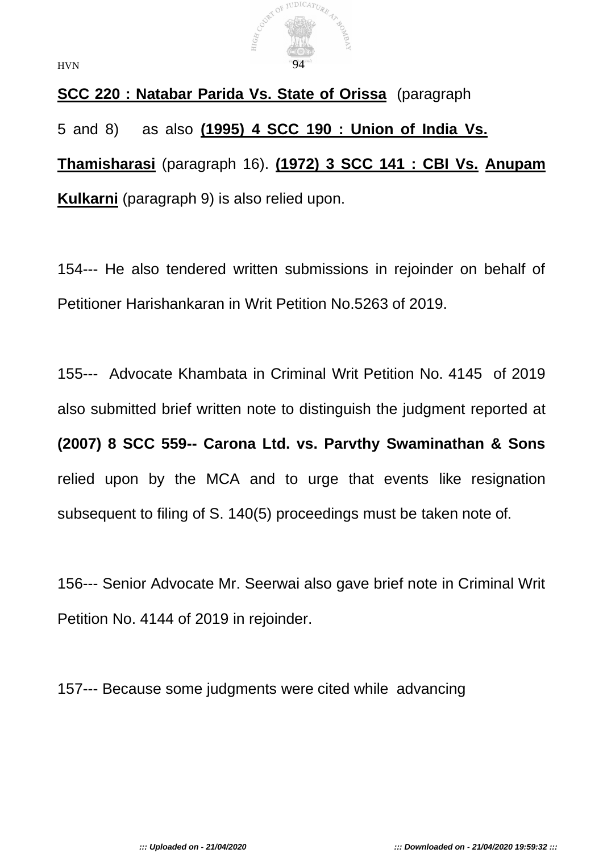

**SCC 220 : Natabar Parida Vs. State of Orissa** (paragraph 5 and 8) as also **(1995) 4 SCC 190 : Union of India Vs. Thamisharasi** (paragraph 16). **(1972) 3 SCC 141 : CBI Vs. Anupam Kulkarni** (paragraph 9) is also relied upon.

154--- He also tendered written submissions in rejoinder on behalf of Petitioner Harishankaran in Writ Petition No.5263 of 2019.

155--- Advocate Khambata in Criminal Writ Petition No. 4145 of 2019 also submitted brief written note to distinguish the judgment reported at **(2007) 8 SCC 559-- Carona Ltd. vs. Parvthy Swaminathan & Sons**  relied upon by the MCA and to urge that events like resignation subsequent to filing of S. 140(5) proceedings must be taken note of.

156--- Senior Advocate Mr. Seerwai also gave brief note in Criminal Writ Petition No. 4144 of 2019 in rejoinder.

157--- Because some judgments were cited while advancing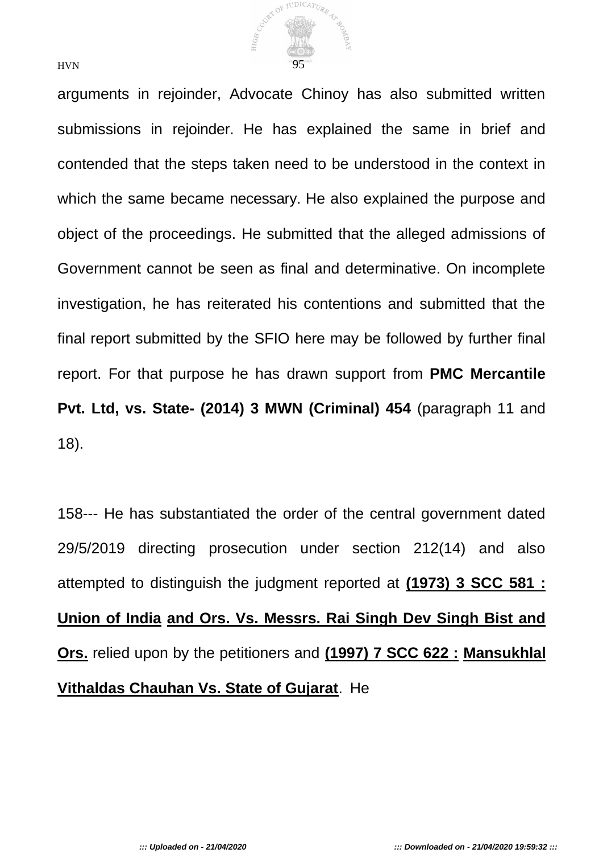

arguments in rejoinder, Advocate Chinoy has also submitted written submissions in rejoinder. He has explained the same in brief and contended that the steps taken need to be understood in the context in which the same became necessary. He also explained the purpose and object of the proceedings. He submitted that the alleged admissions of Government cannot be seen as final and determinative. On incomplete investigation, he has reiterated his contentions and submitted that the final report submitted by the SFIO here may be followed by further final report. For that purpose he has drawn support from **PMC Mercantile Pvt. Ltd, vs. State- (2014) 3 MWN (Criminal) 454** (paragraph 11 and 18).

158--- He has substantiated the order of the central government dated 29/5/2019 directing prosecution under section 212(14) and also attempted to distinguish the judgment reported at **(1973) 3 SCC 581 : Union of India and Ors. Vs. Messrs. Rai Singh Dev Singh Bist and Ors.** relied upon by the petitioners and **(1997) 7 SCC 622 : Mansukhlal Vithaldas Chauhan Vs. State of Gujarat**. He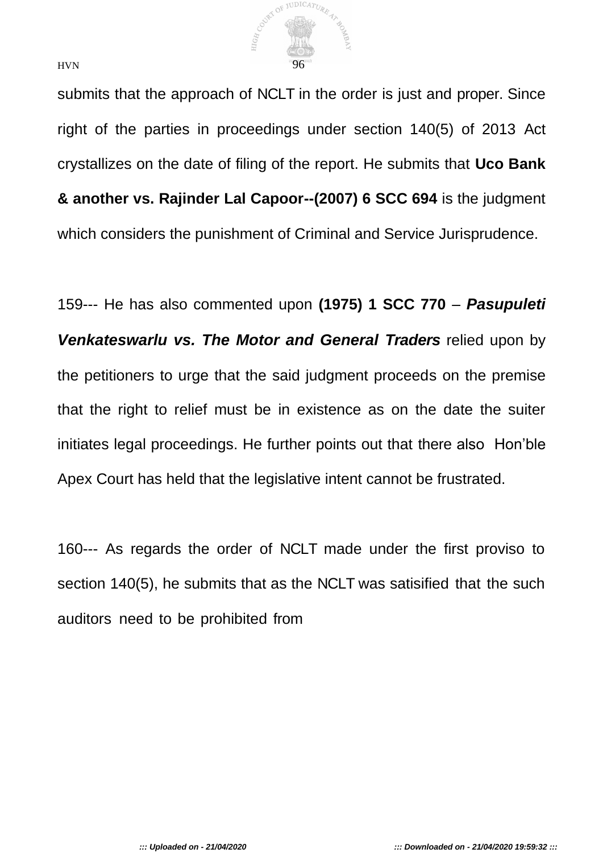

submits that the approach of NCLT in the order is just and proper. Since right of the parties in proceedings under section 140(5) of 2013 Act crystallizes on the date of filing of the report. He submits that **Uco Bank & another vs. Rajinder Lal Capoor--(2007) 6 SCC 694** is the judgment which considers the punishment of Criminal and Service Jurisprudence.

159--- He has also commented upon **(1975) 1 SCC 770** – *Pasupuleti*  Venkateswarlu vs. The Motor and General Traders relied upon by the petitioners to urge that the said judgment proceeds on the premise that the right to relief must be in existence as on the date the suiter initiates legal proceedings. He further points out that there also Hon'ble Apex Court has held that the legislative intent cannot be frustrated.

160--- As regards the order of NCLT made under the first proviso to section 140(5), he submits that as the NCLT was satisified that the such auditors need to be prohibited from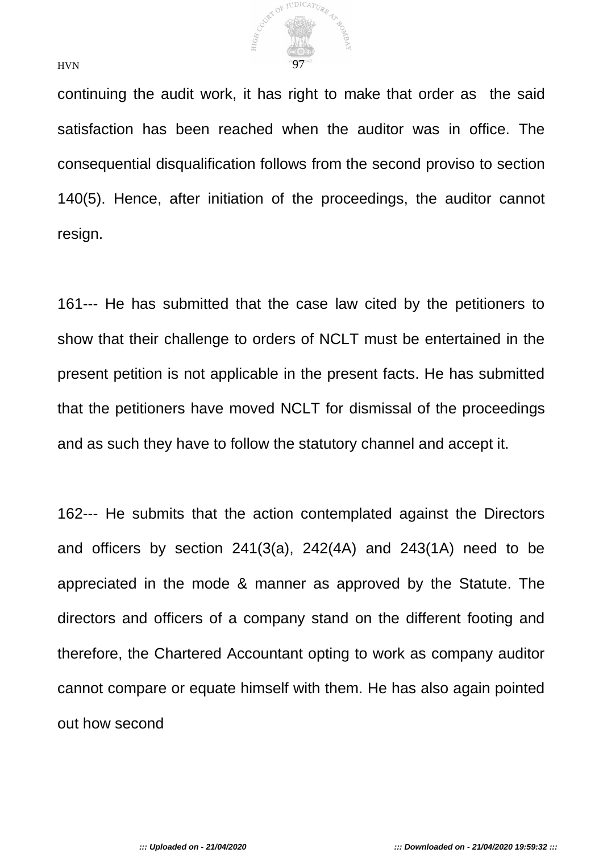

continuing the audit work, it has right to make that order as the said satisfaction has been reached when the auditor was in office. The consequential disqualification follows from the second proviso to section 140(5). Hence, after initiation of the proceedings, the auditor cannot resign.

161--- He has submitted that the case law cited by the petitioners to show that their challenge to orders of NCLT must be entertained in the present petition is not applicable in the present facts. He has submitted that the petitioners have moved NCLT for dismissal of the proceedings and as such they have to follow the statutory channel and accept it.

162--- He submits that the action contemplated against the Directors and officers by section 241(3(a), 242(4A) and 243(1A) need to be appreciated in the mode & manner as approved by the Statute. The directors and officers of a company stand on the different footing and therefore, the Chartered Accountant opting to work as company auditor cannot compare or equate himself with them. He has also again pointed out how second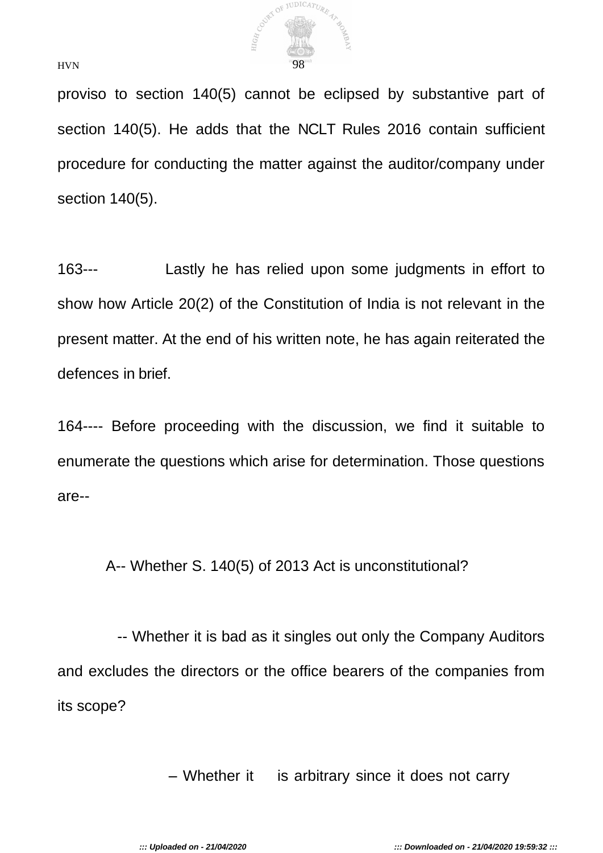

proviso to section 140(5) cannot be eclipsed by substantive part of section 140(5). He adds that the NCLT Rules 2016 contain sufficient procedure for conducting the matter against the auditor/company under section 140(5).

163--- Lastly he has relied upon some judgments in effort to show how Article 20(2) of the Constitution of India is not relevant in the present matter. At the end of his written note, he has again reiterated the defences in brief.

164---- Before proceeding with the discussion, we find it suitable to enumerate the questions which arise for determination. Those questions are--

A-- Whether S. 140(5) of 2013 Act is unconstitutional?

-- Whether it is bad as it singles out only the Company Auditors and excludes the directors or the office bearers of the companies from its scope?

– Whether it is arbitrary since it does not carry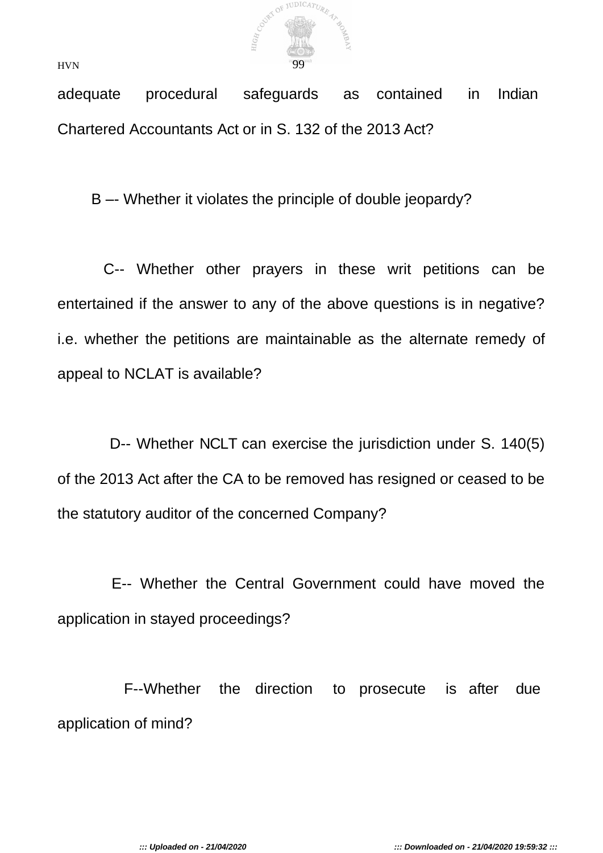

adequate procedural safeguards as contained in Indian Chartered Accountants Act or in S. 132 of the 2013 Act?

B –- Whether it violates the principle of double jeopardy?

C-- Whether other prayers in these writ petitions can be entertained if the answer to any of the above questions is in negative? i.e. whether the petitions are maintainable as the alternate remedy of appeal to NCLAT is available?

D-- Whether NCLT can exercise the jurisdiction under S. 140(5) of the 2013 Act after the CA to be removed has resigned or ceased to be the statutory auditor of the concerned Company?

E-- Whether the Central Government could have moved the application in stayed proceedings?

F--Whether the direction to prosecute is after due application of mind?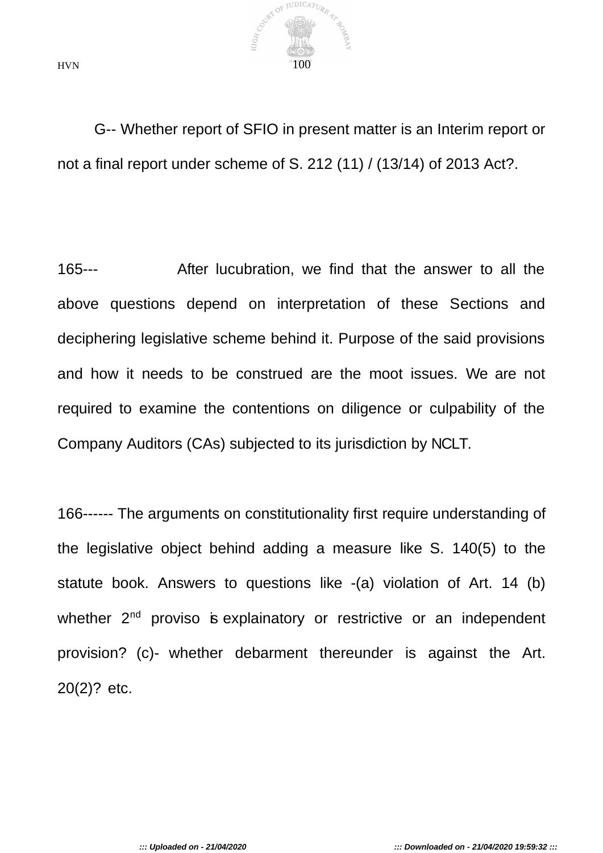

G-- Whether report of SFIO in present matter is an Interim report or not a final report under scheme of S. 212 (11) / (13/14) of 2013 Act?.

165--- After lucubration, we find that the answer to all the above questions depend on interpretation of these Sections and deciphering legislative scheme behind it. Purpose of the said provisions and how it needs to be construed are the moot issues. We are not required to examine the contentions on diligence or culpability of the Company Auditors (CAs) subjected to its jurisdiction by NCLT.

166------ The arguments on constitutionality first require understanding of the legislative object behind adding a measure like S. 140(5) to the statute book. Answers to questions like -(a) violation of Art. 14 (b) whether 2<sup>nd</sup> proviso is explainatory or restrictive or an independent provision? (c)- whether debarment thereunder is against the Art. 20(2)? etc.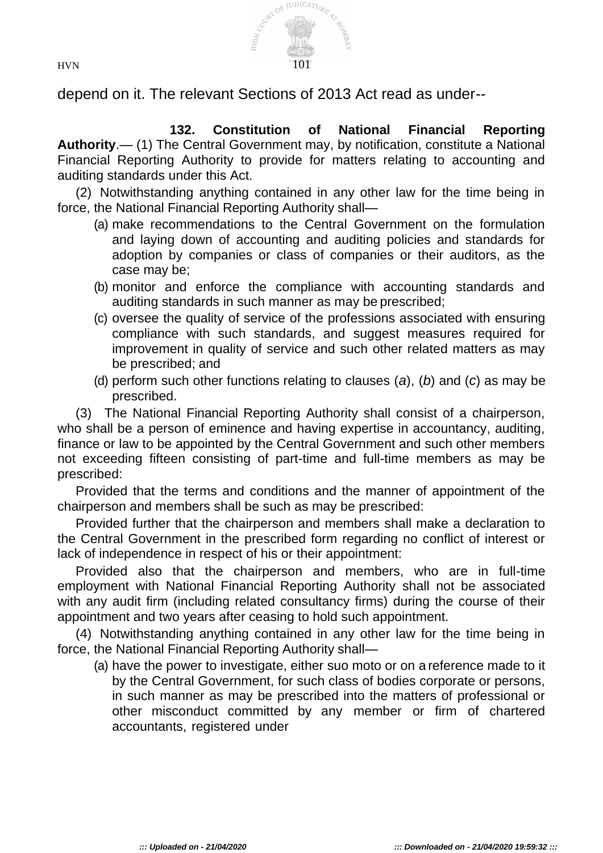

depend on it. The relevant Sections of 2013 Act read as under--

**132. Constitution of National Financial Reporting Authority**.— (1) The Central Government may, by notification, constitute a National Financial Reporting Authority to provide for matters relating to accounting and auditing standards under this Act.

(2) Notwithstanding anything contained in any other law for the time being in force, the National Financial Reporting Authority shall—

- (a) make recommendations to the Central Government on the formulation and laying down of accounting and auditing policies and standards for adoption by companies or class of companies or their auditors, as the case may be;
- (b) monitor and enforce the compliance with accounting standards and auditing standards in such manner as may be prescribed;
- (c) oversee the quality of service of the professions associated with ensuring compliance with such standards, and suggest measures required for improvement in quality of service and such other related matters as may be prescribed; and
- (d) perform such other functions relating to clauses (*a*), (*b*) and (*c*) as may be prescribed.

(3) The National Financial Reporting Authority shall consist of a chairperson, who shall be a person of eminence and having expertise in accountancy, auditing, finance or law to be appointed by the Central Government and such other members not exceeding fifteen consisting of part-time and full-time members as may be prescribed:

Provided that the terms and conditions and the manner of appointment of the chairperson and members shall be such as may be prescribed:

Provided further that the chairperson and members shall make a declaration to the Central Government in the prescribed form regarding no conflict of interest or lack of independence in respect of his or their appointment:

Provided also that the chairperson and members, who are in full-time employment with National Financial Reporting Authority shall not be associated with any audit firm (including related consultancy firms) during the course of their appointment and two years after ceasing to hold such appointment.

(4) Notwithstanding anything contained in any other law for the time being in force, the National Financial Reporting Authority shall—

(a) have the power to investigate, either suo moto or on a reference made to it by the Central Government, for such class of bodies corporate or persons, in such manner as may be prescribed into the matters of professional or other misconduct committed by any member or firm of chartered accountants, registered under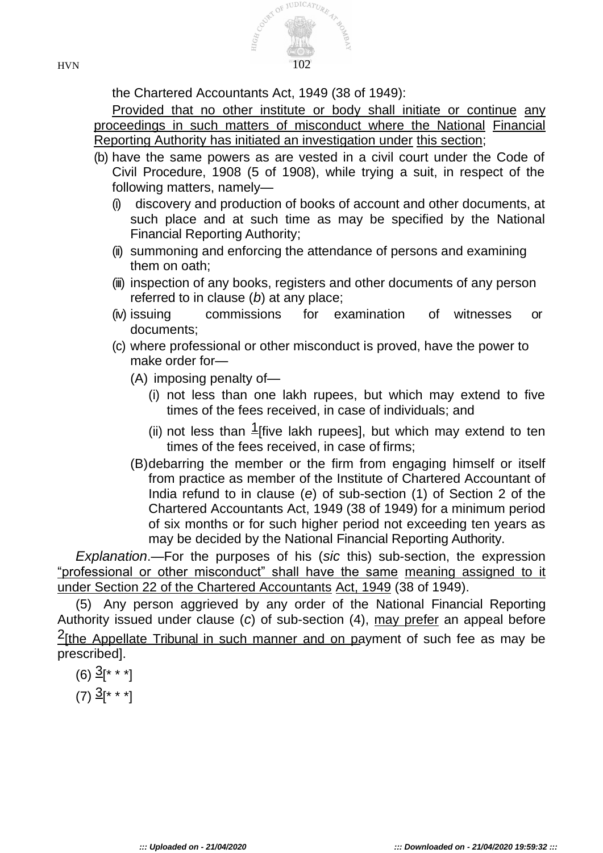

the Chartered Accountants Act, 1949 (38 of 1949):

Provided that no other institute or body shall initiate or continue any proceedings in such matters of misconduct where the National Financial Reporting Authority has initiated an investigation under this section;

- (b) have the same powers as are vested in a civil court under the Code of Civil Procedure, 1908 (5 of 1908), while trying a suit, in respect of the following matters, namely—
	- (i) discovery and production of books of account and other documents, at such place and at such time as may be specified by the National Financial Reporting Authority;
	- (ii) summoning and enforcing the attendance of persons and examining them on oath;
	- (iii) inspection of any books, registers and other documents of any person referred to in clause (*b*) at any place;
	- (iv) issuing commissions for examination of witnesses or documents;
	- (c) where professional or other misconduct is proved, have the power to make order for—
		- (A) imposing penalty of—
			- (i) not less than one lakh rupees, but which may extend to five times of the fees received, in case of individuals; and
			- (ii) not less than  $1$  five lakh rupees], but which may extend to ten times of the fees received, in case of firms;
		- (B)debarring the member or the firm from engaging himself or itself from practice as member of the Institute of Chartered Accountant of India refund to in clause (*e*) of sub-section (1) of Section 2 of the Chartered Accountants Act, 1949 (38 of 1949) for a minimum period of six months or for such higher period not exceeding ten years as may be decided by the National Financial Reporting Authority.

*Explanation*.—For the purposes of his (*sic* this) sub-section, the expression "professional or other misconduct" shall have the same meaning assigned to it under Section 22 of the Chartered Accountants Act, 1949 (38 of 1949).

(5) Any person aggrieved by any order of the National Financial Reporting Authority issued under clause (*c*) of sub-section (4), may prefer an appeal before 2[the Appellate Tribunal in such manner and on payment of such fee as may be prescribed].

 $(6)$   $\frac{3}{5}$  \* \* \*]

 $(7)$   $\frac{3}{5}$ [\* \* \*]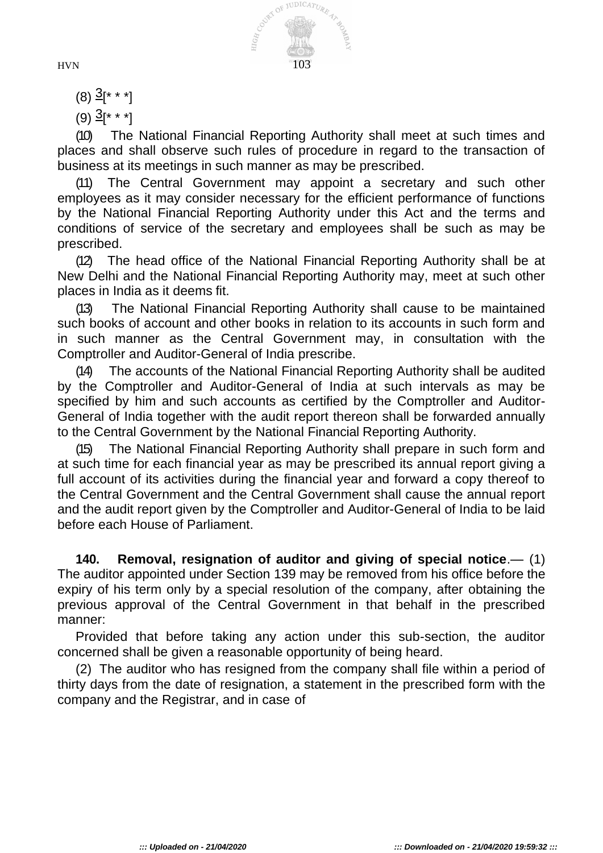

 $(8)$   $\frac{3}{5}$  \* \* \*]

 $(9)$   $\frac{3}{5}$  \* \* \*]

(10) The National Financial Reporting Authority shall meet at such times and places and shall observe such rules of procedure in regard to the transaction of business at its meetings in such manner as may be prescribed.

(11) The Central Government may appoint a secretary and such other employees as it may consider necessary for the efficient performance of functions by the National Financial Reporting Authority under this Act and the terms and conditions of service of the secretary and employees shall be such as may be prescribed.

(12) The head office of the National Financial Reporting Authority shall be at New Delhi and the National Financial Reporting Authority may, meet at such other places in India as it deems fit.

(13) The National Financial Reporting Authority shall cause to be maintained such books of account and other books in relation to its accounts in such form and in such manner as the Central Government may, in consultation with the Comptroller and Auditor-General of India prescribe.

(14) The accounts of the National Financial Reporting Authority shall be audited by the Comptroller and Auditor-General of India at such intervals as may be specified by him and such accounts as certified by the Comptroller and Auditor-General of India together with the audit report thereon shall be forwarded annually to the Central Government by the National Financial Reporting Authority.

The National Financial Reporting Authority shall prepare in such form and at such time for each financial year as may be prescribed its annual report giving a full account of its activities during the financial year and forward a copy thereof to the Central Government and the Central Government shall cause the annual report and the audit report given by the Comptroller and Auditor-General of India to be laid before each House of Parliament.

**140. Removal, resignation of auditor and giving of special notice**.— (1) The auditor appointed under Section 139 may be removed from his office before the expiry of his term only by a special resolution of the company, after obtaining the previous approval of the Central Government in that behalf in the prescribed manner:

Provided that before taking any action under this sub-section, the auditor concerned shall be given a reasonable opportunity of being heard.

(2) The auditor who has resigned from the company shall file within a period of thirty days from the date of resignation, a statement in the prescribed form with the company and the Registrar, and in case of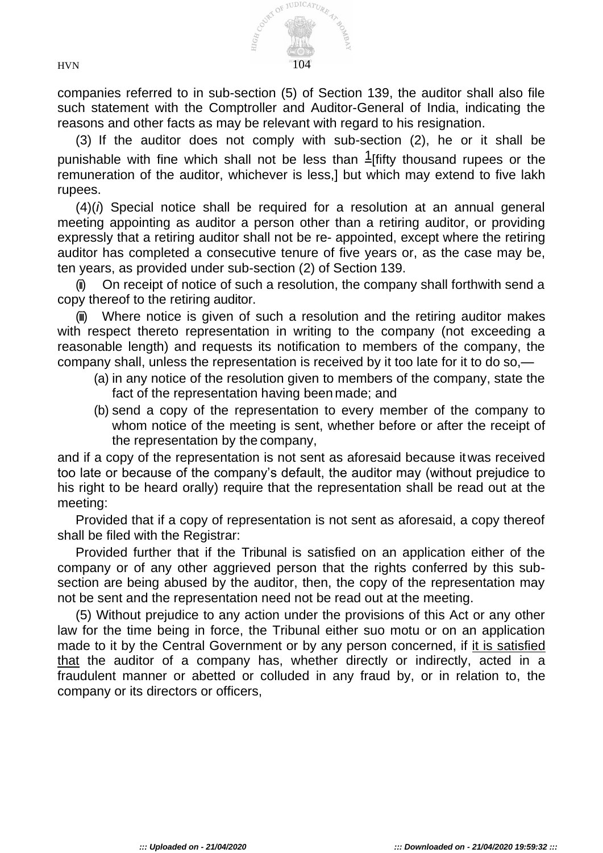

companies referred to in sub-section (5) of Section 139, the auditor shall also file such statement with the Comptroller and Auditor-General of India, indicating the reasons and other facts as may be relevant with regard to his resignation.

(3) If the auditor does not comply with sub-section (2), he or it shall be punishable with fine which shall not be less than  $\frac{1}{1}$  fifty thousand rupees or the remuneration of the auditor, whichever is less,] but which may extend to five lakh rupees.

(4)(*i*) Special notice shall be required for a resolution at an annual general meeting appointing as auditor a person other than a retiring auditor, or providing expressly that a retiring auditor shall not be re- appointed, except where the retiring auditor has completed a consecutive tenure of five years or, as the case may be, ten years, as provided under sub-section (2) of Section 139.

(ii) On receipt of notice of such a resolution, the company shall forthwith send a copy thereof to the retiring auditor.

Where notice is given of such a resolution and the retiring auditor makes with respect thereto representation in writing to the company (not exceeding a reasonable length) and requests its notification to members of the company, the company shall, unless the representation is received by it too late for it to do so,—

- (a) in any notice of the resolution given to members of the company, state the fact of the representation having been made; and
- (b) send a copy of the representation to every member of the company to whom notice of the meeting is sent, whether before or after the receipt of the representation by the company,

and if a copy of the representation is not sent as aforesaid because itwas received too late or because of the company's default, the auditor may (without prejudice to his right to be heard orally) require that the representation shall be read out at the meeting:

Provided that if a copy of representation is not sent as aforesaid, a copy thereof shall be filed with the Registrar:

Provided further that if the Tribunal is satisfied on an application either of the company or of any other aggrieved person that the rights conferred by this subsection are being abused by the auditor, then, the copy of the representation may not be sent and the representation need not be read out at the meeting.

(5) Without prejudice to any action under the provisions of this Act or any other law for the time being in force, the Tribunal either suo motu or on an application made to it by the Central Government or by any person concerned, if it is satisfied that the auditor of a company has, whether directly or indirectly, acted in a fraudulent manner or abetted or colluded in any fraud by, or in relation to, the company or its directors or officers,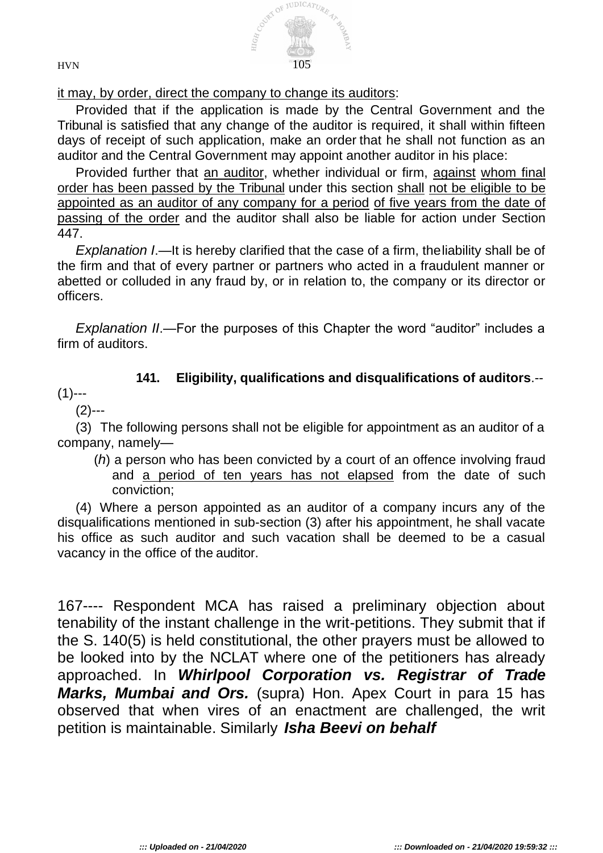

it may, by order, direct the company to change its auditors:

Provided that if the application is made by the Central Government and the Tribunal is satisfied that any change of the auditor is required, it shall within fifteen days of receipt of such application, make an order that he shall not function as an auditor and the Central Government may appoint another auditor in his place:

Provided further that an auditor, whether individual or firm, against whom final order has been passed by the Tribunal under this section shall not be eligible to be appointed as an auditor of any company for a period of five years from the date of passing of the order and the auditor shall also be liable for action under Section 447.

*Explanation I*.—It is hereby clarified that the case of a firm, theliability shall be of the firm and that of every partner or partners who acted in a fraudulent manner or abetted or colluded in any fraud by, or in relation to, the company or its director or officers.

*Explanation II*.—For the purposes of this Chapter the word "auditor" includes a firm of auditors.

## **141. Eligibility, qualifications and disqualifications of auditors**.--

## $(1)$ ---

## (2)---

(3) The following persons shall not be eligible for appointment as an auditor of a company, namely—

(*h*) a person who has been convicted by a court of an offence involving fraud and a period of ten years has not elapsed from the date of such conviction;

(4) Where a person appointed as an auditor of a company incurs any of the disqualifications mentioned in sub-section (3) after his appointment, he shall vacate his office as such auditor and such vacation shall be deemed to be a casual vacancy in the office of the auditor.

167---- Respondent MCA has raised a preliminary objection about tenability of the instant challenge in the writ-petitions. They submit that if the S. 140(5) is held constitutional, the other prayers must be allowed to be looked into by the NCLAT where one of the petitioners has already approached. In *Whirlpool Corporation vs. Registrar of Trade Marks, Mumbai and Ors.* (supra) Hon. Apex Court in para 15 has observed that when vires of an enactment are challenged, the writ petition is maintainable. Similarly *Isha Beevi on behalf*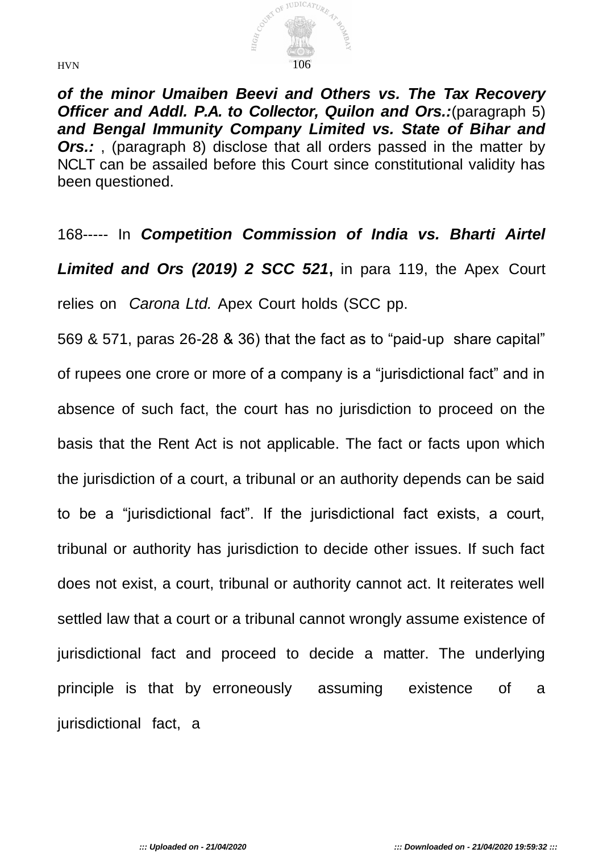

*of the minor Umaiben Beevi and Others vs. The Tax Recovery Officer and Addl. P.A. to Collector, Quilon and Ors.:*(paragraph 5) *and Bengal Immunity Company Limited vs. State of Bihar and*  **Ors.:**, (paragraph 8) disclose that all orders passed in the matter by NCLT can be assailed before this Court since constitutional validity has been questioned.

168----- In *Competition Commission of India vs. Bharti Airtel Limited and Ors (2019) 2 SCC 521***,** in para 119, the Apex Court relies on *Carona Ltd.* Apex Court holds (SCC pp.

569 & 571, paras 26-28 & 36) that the fact as to "paid-up share capital" of rupees one crore or more of a company is a "jurisdictional fact" and in absence of such fact, the court has no jurisdiction to proceed on the basis that the Rent Act is not applicable. The fact or facts upon which the jurisdiction of a court, a tribunal or an authority depends can be said to be a "jurisdictional fact". If the jurisdictional fact exists, a court, tribunal or authority has jurisdiction to decide other issues. If such fact does not exist, a court, tribunal or authority cannot act. It reiterates well settled law that a court or a tribunal cannot wrongly assume existence of jurisdictional fact and proceed to decide a matter. The underlying principle is that by erroneously assuming existence of a jurisdictional fact, a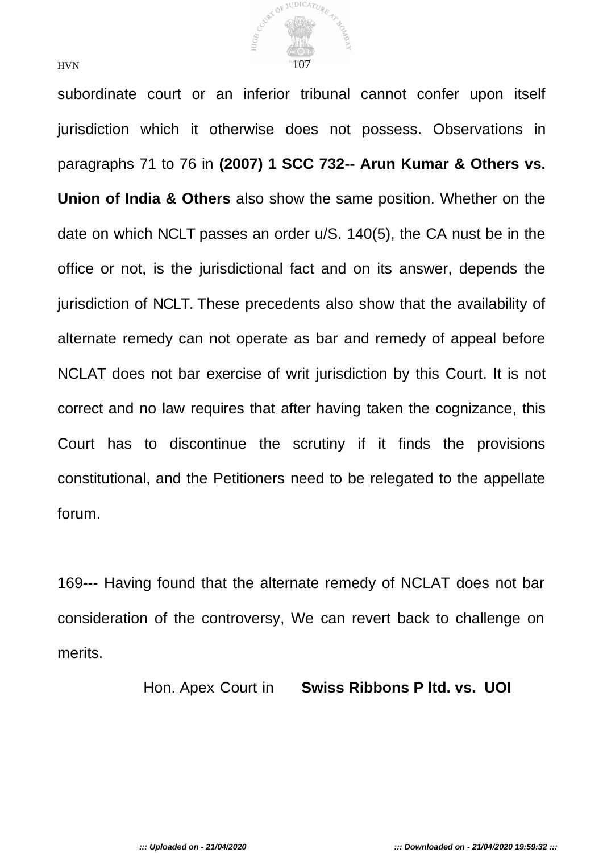

subordinate court or an inferior tribunal cannot confer upon itself jurisdiction which it otherwise does not possess. Observations in paragraphs 71 to 76 in **(2007) 1 SCC 732-- Arun Kumar & Others vs. Union of India & Others** also show the same position. Whether on the date on which NCLT passes an order u/S. 140(5), the CA nust be in the office or not, is the jurisdictional fact and on its answer, depends the jurisdiction of NCLT. These precedents also show that the availability of alternate remedy can not operate as bar and remedy of appeal before NCLAT does not bar exercise of writ jurisdiction by this Court. It is not correct and no law requires that after having taken the cognizance, this Court has to discontinue the scrutiny if it finds the provisions constitutional, and the Petitioners need to be relegated to the appellate forum.

169--- Having found that the alternate remedy of NCLAT does not bar consideration of the controversy, We can revert back to challenge on merits.

Hon. Apex Court in **Swiss Ribbons P ltd. vs. UOI**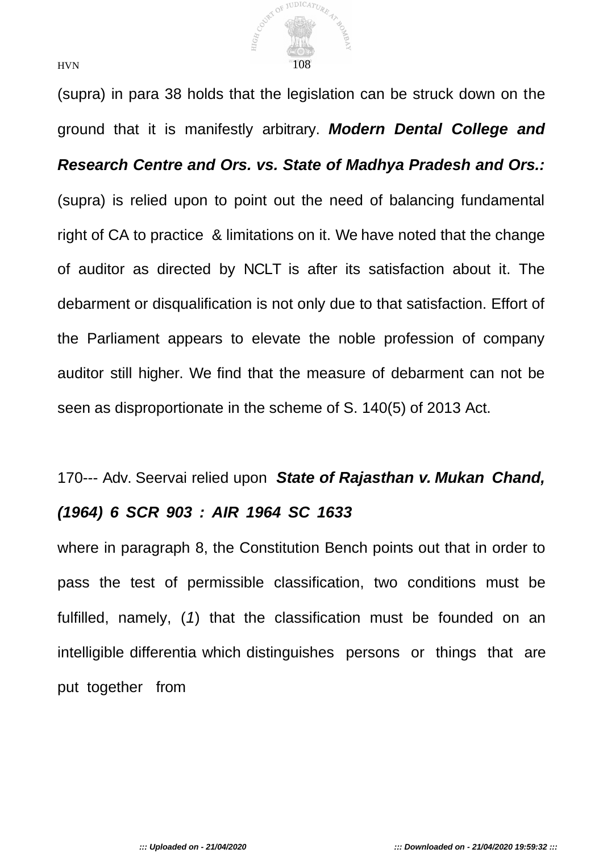

(supra) in para 38 holds that the legislation can be struck down on the ground that it is manifestly arbitrary. *Modern Dental College and Research Centre and Ors. vs. State of Madhya Pradesh and Ors.:*  (supra) is relied upon to point out the need of balancing fundamental right of CA to practice & limitations on it. We have noted that the change of auditor as directed by NCLT is after its satisfaction about it. The debarment or disqualification is not only due to that satisfaction. Effort of the Parliament appears to elevate the noble profession of company auditor still higher. We find that the measure of debarment can not be seen as disproportionate in the scheme of S. 140(5) of 2013 Act.

## 170--- Adv. Seervai relied upon *State of Rajasthan v. Mukan Chand, (1964) 6 SCR 903 : AIR 1964 SC 1633*

where in paragraph 8, the Constitution Bench points out that in order to pass the test of permissible classification, two conditions must be fulfilled, namely, (*1*) that the classification must be founded on an intelligible differentia which distinguishes persons or things that are put together from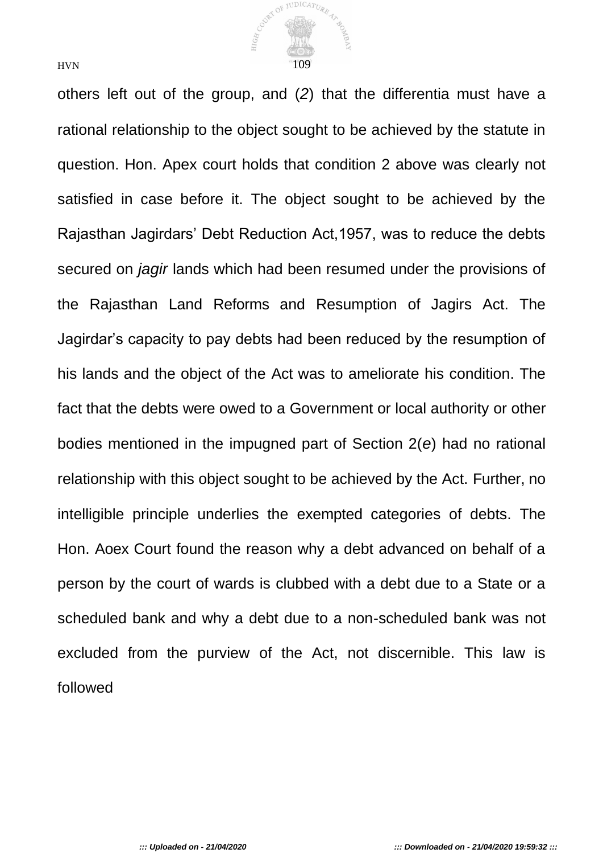

others left out of the group, and (*2*) that the differentia must have a rational relationship to the object sought to be achieved by the statute in question. Hon. Apex court holds that condition 2 above was clearly not satisfied in case before it. The object sought to be achieved by the Rajasthan Jagirdars' Debt Reduction Act,1957, was to reduce the debts secured on *jagir* lands which had been resumed under the provisions of the Rajasthan Land Reforms and Resumption of Jagirs Act. The Jagirdar's capacity to pay debts had been reduced by the resumption of his lands and the object of the Act was to ameliorate his condition. The fact that the debts were owed to a Government or local authority or other bodies mentioned in the impugned part of Section 2(*e*) had no rational relationship with this object sought to be achieved by the Act. Further, no intelligible principle underlies the exempted categories of debts. The Hon. Aoex Court found the reason why a debt advanced on behalf of a person by the court of wards is clubbed with a debt due to a State or a scheduled bank and why a debt due to a non-scheduled bank was not excluded from the purview of the Act, not discernible. This law is followed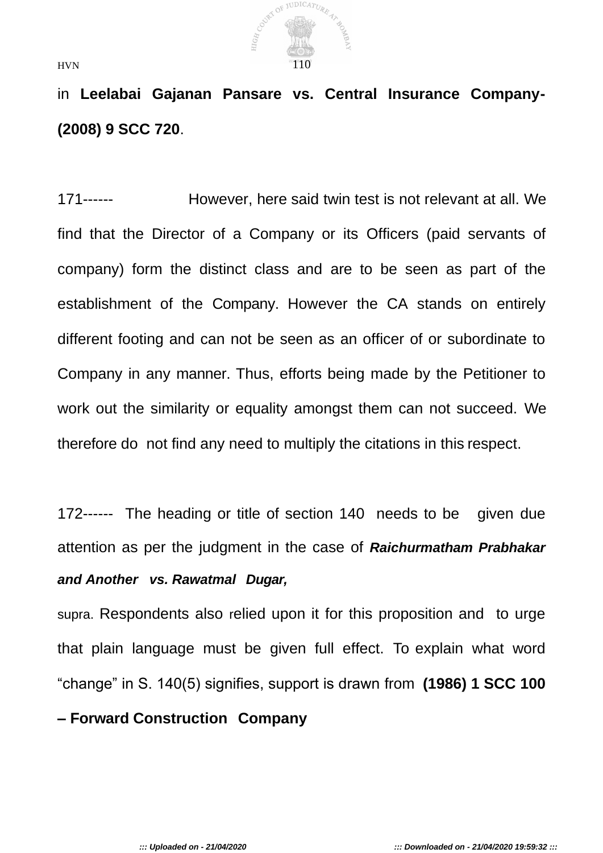

in **Leelabai Gajanan Pansare vs. Central Insurance Company- (2008) 9 SCC 720**.

171------ However, here said twin test is not relevant at all. We find that the Director of a Company or its Officers (paid servants of company) form the distinct class and are to be seen as part of the establishment of the Company. However the CA stands on entirely different footing and can not be seen as an officer of or subordinate to Company in any manner. Thus, efforts being made by the Petitioner to work out the similarity or equality amongst them can not succeed. We therefore do not find any need to multiply the citations in this respect.

172------ The heading or title of section 140 needs to be given due attention as per the judgment in the case of *Raichurmatham Prabhakar and Another vs. Rawatmal Dugar,*

supra. Respondents also relied upon it for this proposition and to urge that plain language must be given full effect. To explain what word "change" in S. 140(5) signifies, support is drawn from **(1986) 1 SCC 100 – Forward Construction Company**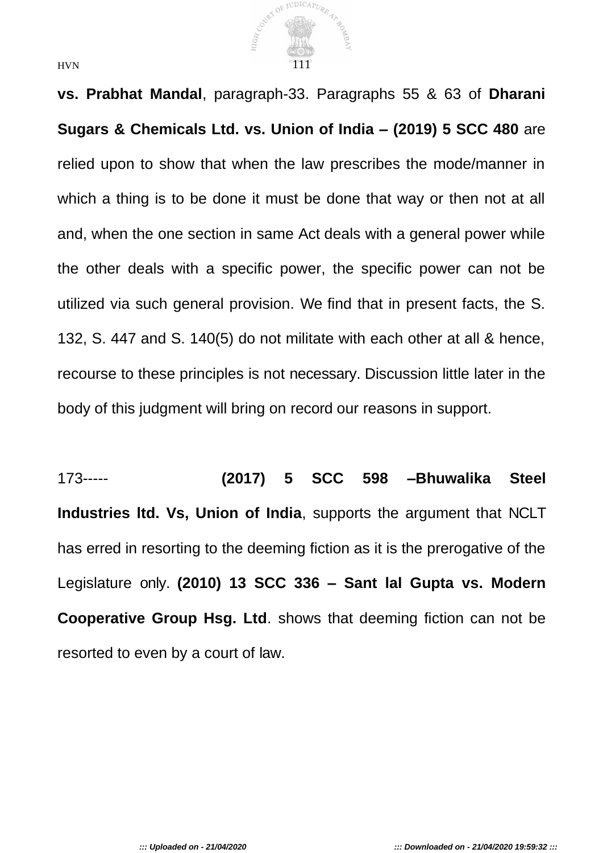

**vs. Prabhat Mandal**, paragraph-33. Paragraphs 55 & 63 of **Dharani Sugars & Chemicals Ltd. vs. Union of India – (2019) 5 SCC 480** are relied upon to show that when the law prescribes the mode/manner in which a thing is to be done it must be done that way or then not at all and, when the one section in same Act deals with a general power while the other deals with a specific power, the specific power can not be utilized via such general provision. We find that in present facts, the S. 132, S. 447 and S. 140(5) do not militate with each other at all & hence, recourse to these principles is not necessary. Discussion little later in the body of this judgment will bring on record our reasons in support.

173----- **(2017) 5 SCC 598 –Bhuwalika Steel Industries ltd. Vs, Union of India**, supports the argument that NCLT has erred in resorting to the deeming fiction as it is the prerogative of the Legislature only. **(2010) 13 SCC 336 – Sant lal Gupta vs. Modern Cooperative Group Hsg. Ltd**. shows that deeming fiction can not be resorted to even by a court of law.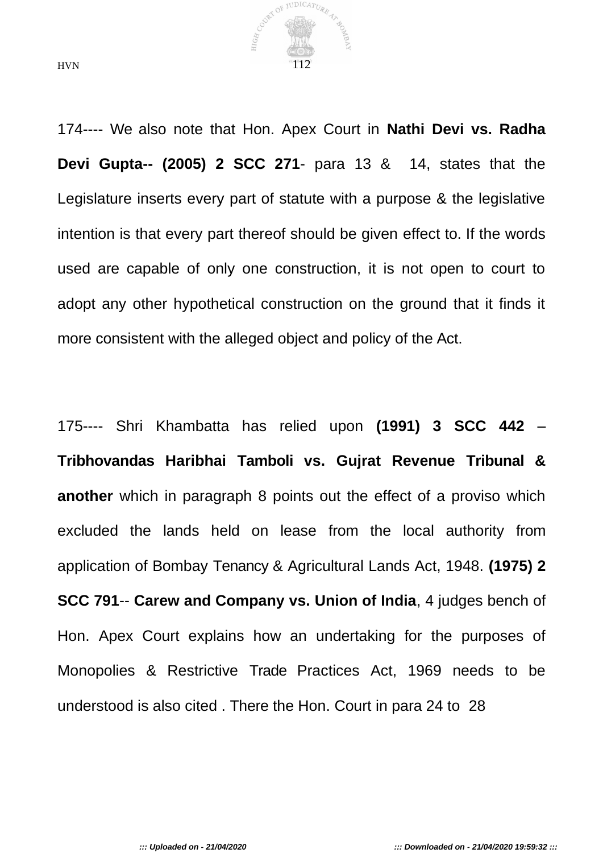

174---- We also note that Hon. Apex Court in **Nathi Devi vs. Radha Devi Gupta-- (2005) 2 SCC 271**- para 13 & 14, states that the Legislature inserts every part of statute with a purpose & the legislative intention is that every part thereof should be given effect to. If the words used are capable of only one construction, it is not open to court to adopt any other hypothetical construction on the ground that it finds it more consistent with the alleged object and policy of the Act.

175---- Shri Khambatta has relied upon **(1991) 3 SCC 442** – **Tribhovandas Haribhai Tamboli vs. Gujrat Revenue Tribunal & another** which in paragraph 8 points out the effect of a proviso which excluded the lands held on lease from the local authority from application of Bombay Tenancy & Agricultural Lands Act, 1948. **(1975) 2 SCC 791**-- **Carew and Company vs. Union of India**, 4 judges bench of Hon. Apex Court explains how an undertaking for the purposes of Monopolies & Restrictive Trade Practices Act, 1969 needs to be understood is also cited . There the Hon. Court in para 24 to 28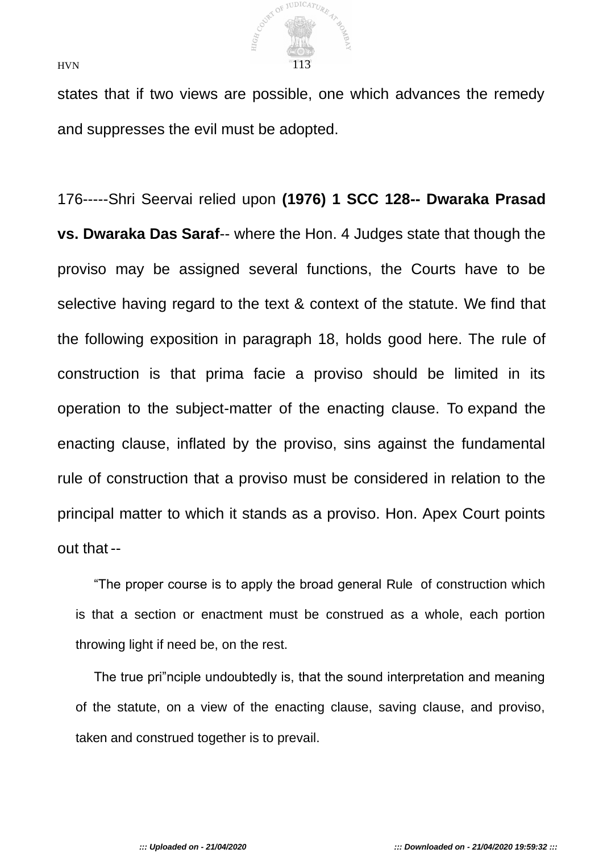

states that if two views are possible, one which advances the remedy and suppresses the evil must be adopted.

176-----Shri Seervai relied upon **(1976) 1 SCC 128-- Dwaraka Prasad vs. Dwaraka Das Saraf**-- where the Hon. 4 Judges state that though the proviso may be assigned several functions, the Courts have to be selective having regard to the text & context of the statute. We find that the following exposition in paragraph 18, holds good here. The rule of construction is that prima facie a proviso should be limited in its operation to the subject-matter of the enacting clause. To expand the enacting clause, inflated by the proviso, sins against the fundamental rule of construction that a proviso must be considered in relation to the principal matter to which it stands as a proviso. Hon. Apex Court points out that --

"The proper course is to apply the broad general Rule of construction which is that a section or enactment must be construed as a whole, each portion throwing light if need be, on the rest.

The true pri"nciple undoubtedly is, that the sound interpretation and meaning of the statute, on a view of the enacting clause, saving clause, and proviso, taken and construed together is to prevail.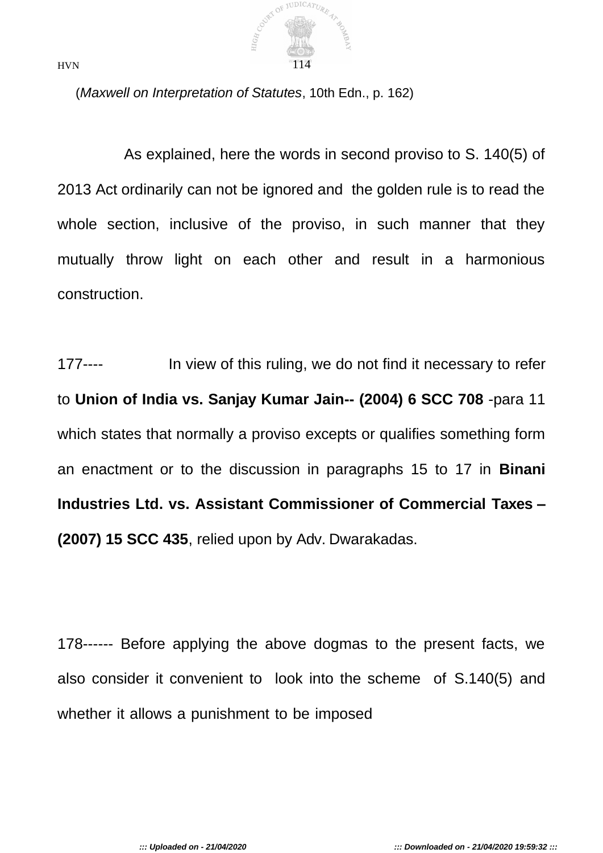

(*Maxwell on Interpretation of Statutes*, 10th Edn., p. 162)

As explained, here the words in second proviso to S. 140(5) of 2013 Act ordinarily can not be ignored and the golden rule is to read the whole section, inclusive of the proviso, in such manner that they mutually throw light on each other and result in a harmonious construction.

177---- In view of this ruling, we do not find it necessary to refer to **Union of India vs. Sanjay Kumar Jain-- (2004) 6 SCC 708** -para 11 which states that normally a proviso excepts or qualifies something form an enactment or to the discussion in paragraphs 15 to 17 in **Binani Industries Ltd. vs. Assistant Commissioner of Commercial Taxes – (2007) 15 SCC 435**, relied upon by Adv. Dwarakadas.

178------ Before applying the above dogmas to the present facts, we also consider it convenient to look into the scheme of S.140(5) and whether it allows a punishment to be imposed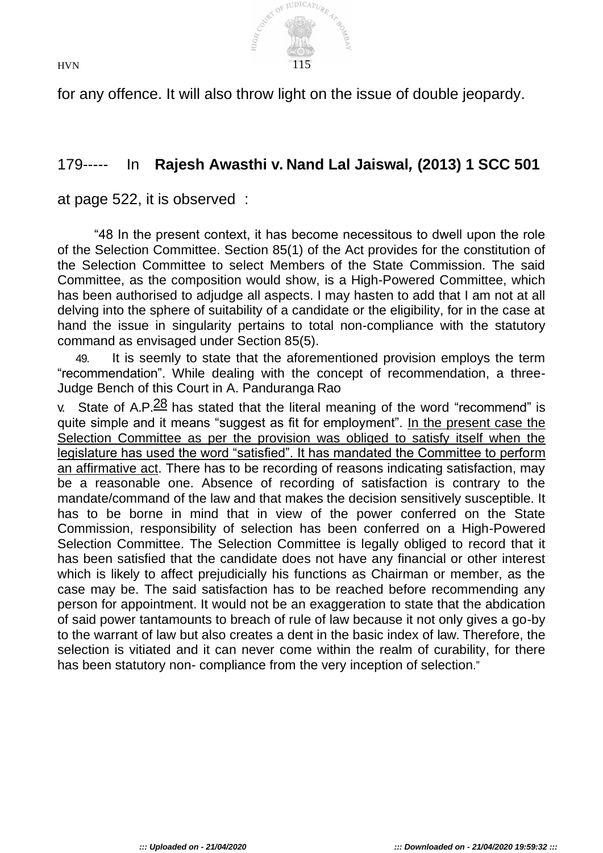**JUDICATURE**  $\Omega$ HIGH,  $HVN$  115

for any offence. It will also throw light on the issue of double jeopardy.

# 179----- In **Rajesh Awasthi v. Nand Lal Jaiswal***,* **(2013) 1 SCC 501**

at page 522, it is observed :

"48 In the present context, it has become necessitous to dwell upon the role of the Selection Committee. Section 85(1) of the Act provides for the constitution of the Selection Committee to select Members of the State Commission. The said Committee, as the composition would show, is a High-Powered Committee, which has been authorised to adjudge all aspects. I may hasten to add that I am not at all delving into the sphere of suitability of a candidate or the eligibility, for in the case at hand the issue in singularity pertains to total non-compliance with the statutory command as envisaged under Section 85(5).

49. It is seemly to state that the aforementioned provision employs the term "recommendation". While dealing with the concept of recommendation, a three-Judge Bench of this Court in A. Panduranga Rao

v. State of A.P. $\frac{28}{3}$  has stated that the literal meaning of the word "recommend" is quite simple and it means "suggest as fit for employment". In the present case the Selection Committee as per the provision was obliged to satisfy itself when the legislature has used the word "satisfied". It has mandated the Committee to perform an affirmative act. There has to be recording of reasons indicating satisfaction, may be a reasonable one. Absence of recording of satisfaction is contrary to the mandate/command of the law and that makes the decision sensitively susceptible. It has to be borne in mind that in view of the power conferred on the State Commission, responsibility of selection has been conferred on a High-Powered Selection Committee. The Selection Committee is legally obliged to record that it has been satisfied that the candidate does not have any financial or other interest which is likely to affect prejudicially his functions as Chairman or member, as the case may be. The said satisfaction has to be reached before recommending any person for appointment. It would not be an exaggeration to state that the abdication of said power tantamounts to breach of rule of law because it not only gives a go-by to the warrant of law but also creates a dent in the basic index of law. Therefore, the selection is vitiated and it can never come within the realm of curability, for there has been statutory non- compliance from the very inception of selection."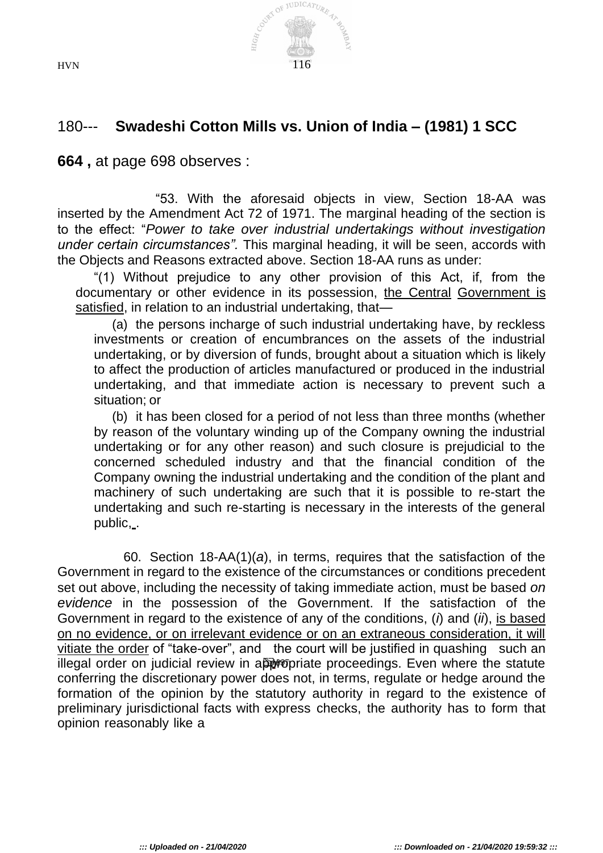

## 180--- **Swadeshi Cotton Mills vs. Union of India – (1981) 1 SCC**

**664 ,** at page 698 observes :

"53. With the aforesaid objects in view, Section 18-AA was inserted by the Amendment Act 72 of 1971. The marginal heading of the section is to the effect: "*Power to take over industrial undertakings without investigation under certain circumstances".* This marginal heading, it will be seen, accords with the Objects and Reasons extracted above. Section 18-AA runs as under:

"(1) Without prejudice to any other provision of this Act, if, from the documentary or other evidence in its possession, the Central Government is satisfied, in relation to an industrial undertaking, that—

(a) the persons incharge of such industrial undertaking have, by reckless investments or creation of encumbrances on the assets of the industrial undertaking, or by diversion of funds, brought about a situation which is likely to affect the production of articles manufactured or produced in the industrial undertaking, and that immediate action is necessary to prevent such a situation; or

(b) it has been closed for a period of not less than three months (whether by reason of the voluntary winding up of the Company owning the industrial undertaking or for any other reason) and such closure is prejudicial to the concerned scheduled industry and that the financial condition of the Company owning the industrial undertaking and the condition of the plant and machinery of such undertaking are such that it is possible to re-start the undertaking and such re-starting is necessary in the interests of the general public,..

60. Section 18-AA(1)(*a*), in terms, requires that the satisfaction of the Government in regard to the existence of the circumstances or conditions precedent set out above, including the necessity of taking immediate action, must be based *on evidence* in the possession of the Government. If the satisfaction of the Government in regard to the existence of any of the conditions, (*i*) and (*ii*), is based on no evidence, or on irrelevant evidence or on an extraneous consideration, it will vitiate the order of "take-over", and the court will be justified in quashing such an illegal order on judicial review in appropriate proceedings. Even where the statute conferring the discretionary power does not, in terms, regulate or hedge around the formation of the opinion by the statutory authority in regard to the existence of preliminary jurisdictional facts with express checks, the authority has to form that opinion reasonably like a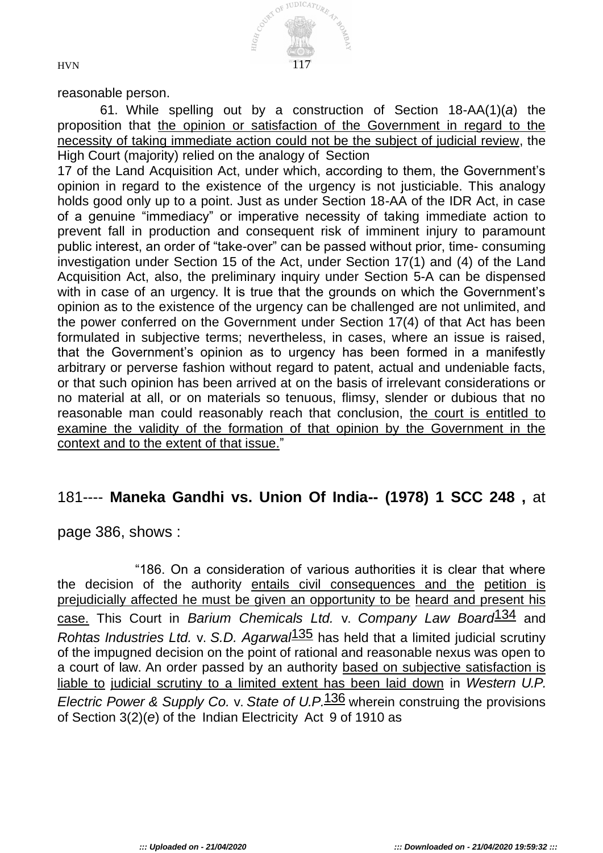

reasonable person.

61. While spelling out by a construction of Section 18-AA(1)(*a*) the proposition that the opinion or satisfaction of the Government in regard to the necessity of taking immediate action could not be the subject of judicial review, the High Court (majority) relied on the analogy of Section

17 of the Land Acquisition Act, under which, according to them, the Government's opinion in regard to the existence of the urgency is not justiciable. This analogy holds good only up to a point. Just as under Section 18-AA of the IDR Act, in case of a genuine "immediacy" or imperative necessity of taking immediate action to prevent fall in production and consequent risk of imminent injury to paramount public interest, an order of "take-over" can be passed without prior, time- consuming investigation under Section 15 of the Act, under Section 17(1) and (4) of the Land Acquisition Act, also, the preliminary inquiry under Section 5-A can be dispensed with in case of an urgency. It is true that the grounds on which the Government's opinion as to the existence of the urgency can be challenged are not unlimited, and the power conferred on the Government under Section 17(4) of that Act has been formulated in subjective terms; nevertheless, in cases, where an issue is raised, that the Government's opinion as to urgency has been formed in a manifestly arbitrary or perverse fashion without regard to patent, actual and undeniable facts, or that such opinion has been arrived at on the basis of irrelevant considerations or no material at all, or on materials so tenuous, flimsy, slender or dubious that no reasonable man could reasonably reach that conclusion, the court is entitled to examine the validity of the formation of that opinion by the Government in the context and to the extent of that issue."

### 181---- **Maneka Gandhi vs. Union Of India-- (1978) 1 SCC 248 ,** at

page 386, shows :

"186. On a consideration of various authorities it is clear that where the decision of the authority entails civil consequences and the petition is prejudicially affected he must be given an opportunity to be heard and present his case. This Court in *Barium Chemicals Ltd.* v. *Company Law Board*134 and *Rohtas Industries Ltd.* v. *S.D. Agarwal*135 has held that a limited judicial scrutiny of the impugned decision on the point of rational and reasonable nexus was open to a court of law. An order passed by an authority based on subjective satisfaction is liable to judicial scrutiny to a limited extent has been laid down in *Western U.P. Electric Power & Supply Co.* v. *State of U.P.*136 wherein construing the provisions of Section 3(2)(*e*) of the Indian Electricity Act 9 of 1910 as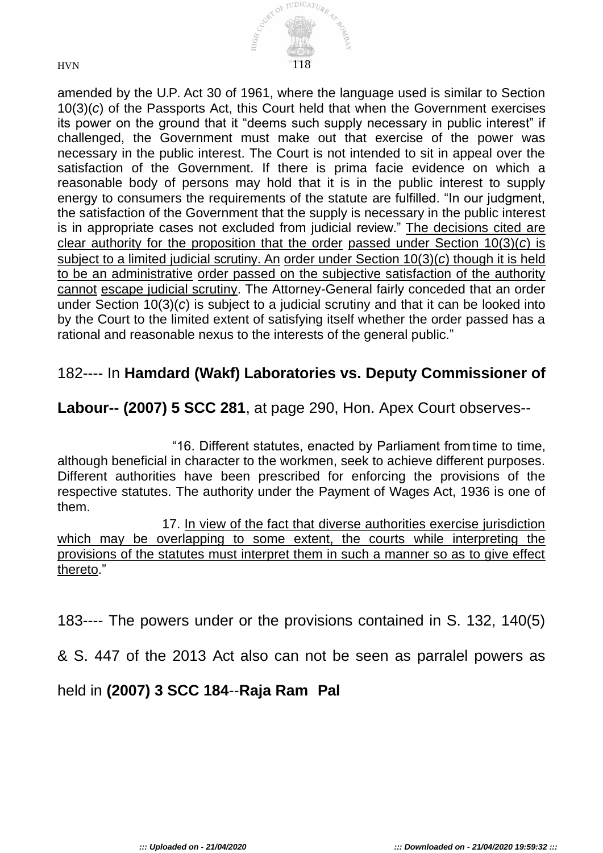

amended by the U.P. Act 30 of 1961, where the language used is similar to Section 10(3)(*c*) of the Passports Act, this Court held that when the Government exercises its power on the ground that it "deems such supply necessary in public interest" if challenged, the Government must make out that exercise of the power was necessary in the public interest. The Court is not intended to sit in appeal over the satisfaction of the Government. If there is prima facie evidence on which a reasonable body of persons may hold that it is in the public interest to supply energy to consumers the requirements of the statute are fulfilled. "In our judgment, the satisfaction of the Government that the supply is necessary in the public interest is in appropriate cases not excluded from judicial review." The decisions cited are clear authority for the proposition that the order passed under Section 10(3)(*c*) is subject to a limited judicial scrutiny. An order under Section 10(3)(*c*) though it is held to be an administrative order passed on the subjective satisfaction of the authority cannot escape judicial scrutiny. The Attorney-General fairly conceded that an order under Section 10(3)(*c*) is subject to a judicial scrutiny and that it can be looked into by the Court to the limited extent of satisfying itself whether the order passed has a rational and reasonable nexus to the interests of the general public."

## 182---- In **Hamdard (Wakf) Laboratories vs. Deputy Commissioner of**

#### **Labour-- (2007) 5 SCC 281**, at page 290, Hon. Apex Court observes--

"16. Different statutes, enacted by Parliament fromtime to time, although beneficial in character to the workmen, seek to achieve different purposes. Different authorities have been prescribed for enforcing the provisions of the respective statutes. The authority under the Payment of Wages Act, 1936 is one of them.

17. In view of the fact that diverse authorities exercise jurisdiction which may be overlapping to some extent, the courts while interpreting the provisions of the statutes must interpret them in such a manner so as to give effect thereto."

183---- The powers under or the provisions contained in S. 132, 140(5)

& S. 447 of the 2013 Act also can not be seen as parralel powers as

### held in **(2007) 3 SCC 184**--**Raja Ram Pal**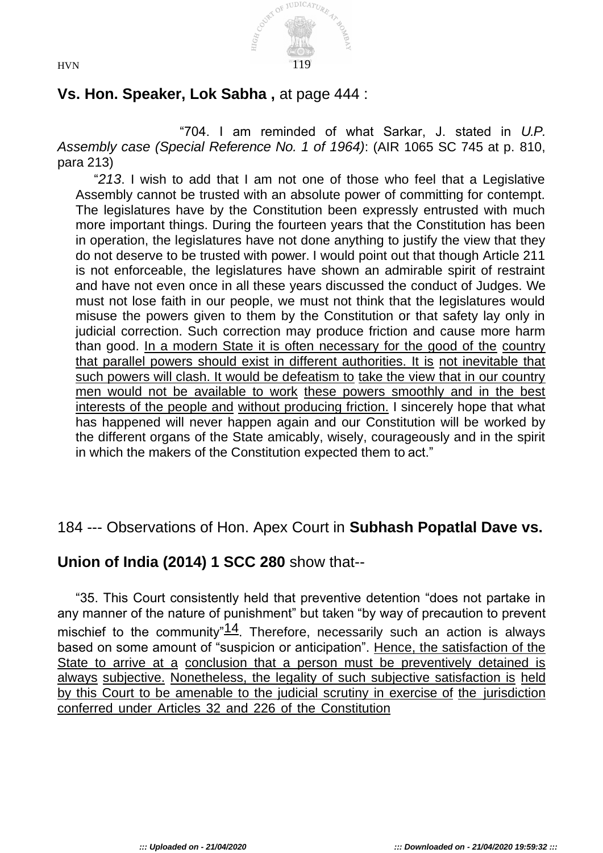

# **Vs. Hon. Speaker, Lok Sabha ,** at page 444 :

"704. I am reminded of what Sarkar, J. stated in *U.P. Assembly case (Special Reference No. 1 of 1964)*: (AIR 1065 SC 745 at p. 810, para 213)

"*213*. I wish to add that I am not one of those who feel that a Legislative Assembly cannot be trusted with an absolute power of committing for contempt. The legislatures have by the Constitution been expressly entrusted with much more important things. During the fourteen years that the Constitution has been in operation, the legislatures have not done anything to justify the view that they do not deserve to be trusted with power. I would point out that though Article 211 is not enforceable, the legislatures have shown an admirable spirit of restraint and have not even once in all these years discussed the conduct of Judges. We must not lose faith in our people, we must not think that the legislatures would misuse the powers given to them by the Constitution or that safety lay only in judicial correction. Such correction may produce friction and cause more harm than good. In a modern State it is often necessary for the good of the country that parallel powers should exist in different authorities. It is not inevitable that such powers will clash. It would be defeatism to take the view that in our country men would not be available to work these powers smoothly and in the best interests of the people and without producing friction. I sincerely hope that what has happened will never happen again and our Constitution will be worked by the different organs of the State amicably, wisely, courageously and in the spirit in which the makers of the Constitution expected them to act."

# 184 --- Observations of Hon. Apex Court in **Subhash Popatlal Dave vs.**

# **Union of India (2014) 1 SCC 280** show that--

"35. This Court consistently held that preventive detention "does not partake in any manner of the nature of punishment" but taken "by way of precaution to prevent mischief to the community" $14$ . Therefore, necessarily such an action is always based on some amount of "suspicion or anticipation". Hence, the satisfaction of the State to arrive at a conclusion that a person must be preventively detained is always subjective. Nonetheless, the legality of such subjective satisfaction is held by this Court to be amenable to the judicial scrutiny in exercise of the jurisdiction conferred under Articles 32 and 226 of the Constitution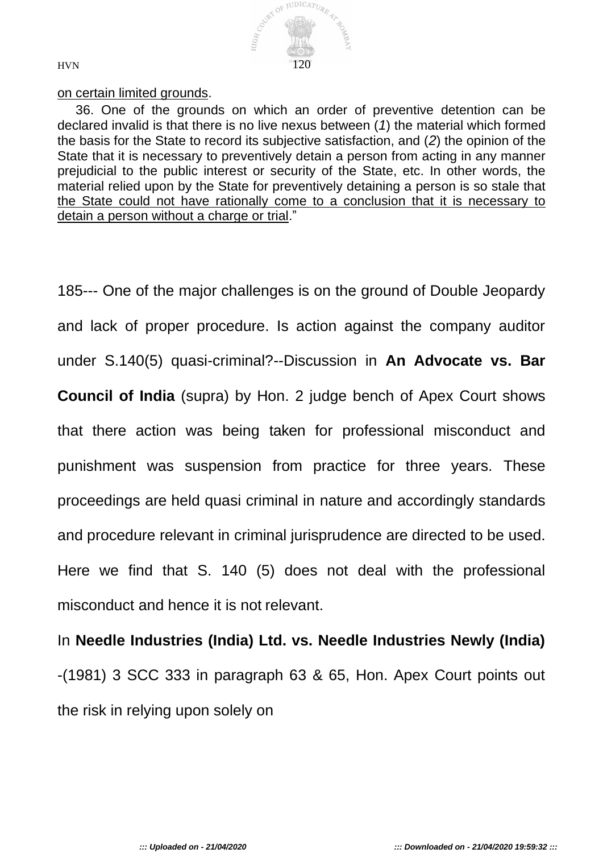

#### on certain limited grounds.

36. One of the grounds on which an order of preventive detention can be declared invalid is that there is no live nexus between (*1*) the material which formed the basis for the State to record its subjective satisfaction, and (*2*) the opinion of the State that it is necessary to preventively detain a person from acting in any manner prejudicial to the public interest or security of the State, etc. In other words, the material relied upon by the State for preventively detaining a person is so stale that the State could not have rationally come to a conclusion that it is necessary to detain a person without a charge or trial."

185--- One of the major challenges is on the ground of Double Jeopardy and lack of proper procedure. Is action against the company auditor under S.140(5) quasi-criminal?--Discussion in **An Advocate vs. Bar Council of India** (supra) by Hon. 2 judge bench of Apex Court shows that there action was being taken for professional misconduct and punishment was suspension from practice for three years. These proceedings are held quasi criminal in nature and accordingly standards and procedure relevant in criminal jurisprudence are directed to be used. Here we find that S. 140 (5) does not deal with the professional misconduct and hence it is not relevant.

In **Needle Industries (India) Ltd. vs. Needle Industries Newly (India)**  -(1981) 3 SCC 333 in paragraph 63 & 65, Hon. Apex Court points out the risk in relying upon solely on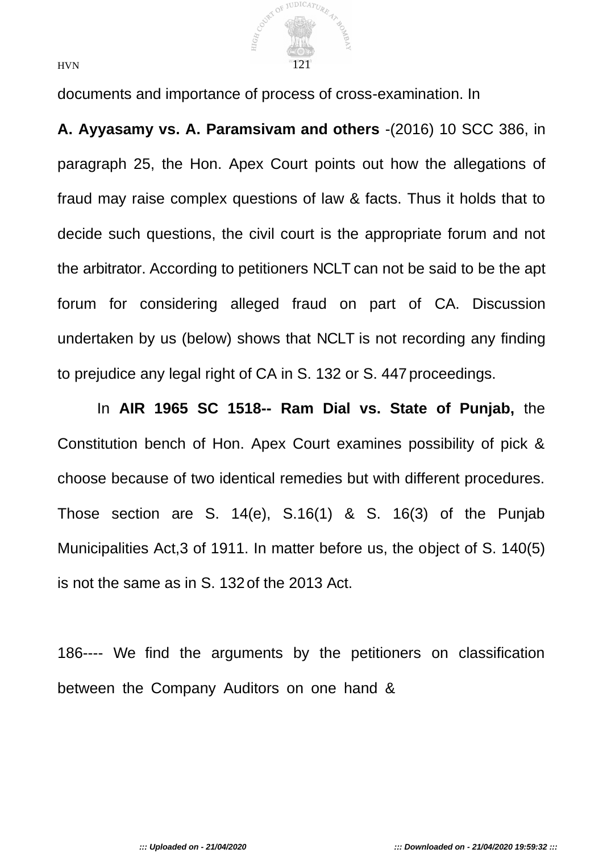

documents and importance of process of cross-examination. In

**A. Ayyasamy vs. A. Paramsivam and others** -(2016) 10 SCC 386, in paragraph 25, the Hon. Apex Court points out how the allegations of fraud may raise complex questions of law & facts. Thus it holds that to decide such questions, the civil court is the appropriate forum and not the arbitrator. According to petitioners NCLT can not be said to be the apt forum for considering alleged fraud on part of CA. Discussion undertaken by us (below) shows that NCLT is not recording any finding to prejudice any legal right of CA in S. 132 or S. 447 proceedings.

In **AIR 1965 SC 1518-- Ram Dial vs. State of Punjab,** the Constitution bench of Hon. Apex Court examines possibility of pick & choose because of two identical remedies but with different procedures. Those section are S. 14(e), S.16(1) & S. 16(3) of the Punjab Municipalities Act,3 of 1911. In matter before us, the object of S. 140(5) is not the same as in S. 132of the 2013 Act.

186---- We find the arguments by the petitioners on classification between the Company Auditors on one hand &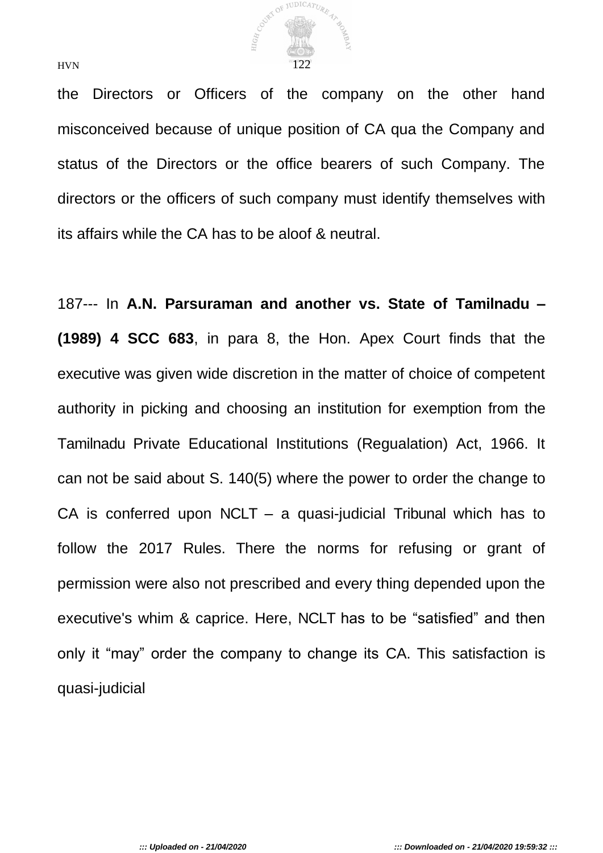

the Directors or Officers of the company on the other hand misconceived because of unique position of CA qua the Company and status of the Directors or the office bearers of such Company. The directors or the officers of such company must identify themselves with its affairs while the CA has to be aloof & neutral.

187--- In **A.N. Parsuraman and another vs. State of Tamilnadu – (1989) 4 SCC 683**, in para 8, the Hon. Apex Court finds that the executive was given wide discretion in the matter of choice of competent authority in picking and choosing an institution for exemption from the Tamilnadu Private Educational Institutions (Regualation) Act, 1966. It can not be said about S. 140(5) where the power to order the change to CA is conferred upon NCLT – a quasi-judicial Tribunal which has to follow the 2017 Rules. There the norms for refusing or grant of permission were also not prescribed and every thing depended upon the executive's whim & caprice. Here, NCLT has to be "satisfied" and then only it "may" order the company to change its CA. This satisfaction is quasi-judicial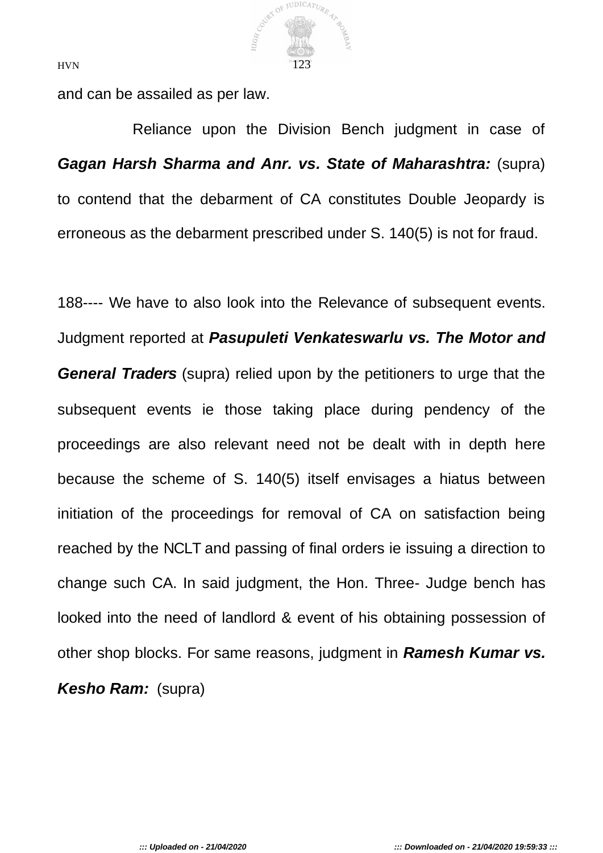

and can be assailed as per law.

Reliance upon the Division Bench judgment in case of *Gagan Harsh Sharma and Anr. vs. State of Maharashtra:* (supra) to contend that the debarment of CA constitutes Double Jeopardy is erroneous as the debarment prescribed under S. 140(5) is not for fraud.

188---- We have to also look into the Relevance of subsequent events. Judgment reported at *Pasupuleti Venkateswarlu vs. The Motor and General Traders* (supra) relied upon by the petitioners to urge that the subsequent events ie those taking place during pendency of the proceedings are also relevant need not be dealt with in depth here because the scheme of S. 140(5) itself envisages a hiatus between initiation of the proceedings for removal of CA on satisfaction being reached by the NCLT and passing of final orders ie issuing a direction to change such CA. In said judgment, the Hon. Three- Judge bench has looked into the need of landlord & event of his obtaining possession of other shop blocks. For same reasons, judgment in *Ramesh Kumar vs. Kesho Ram:* (supra)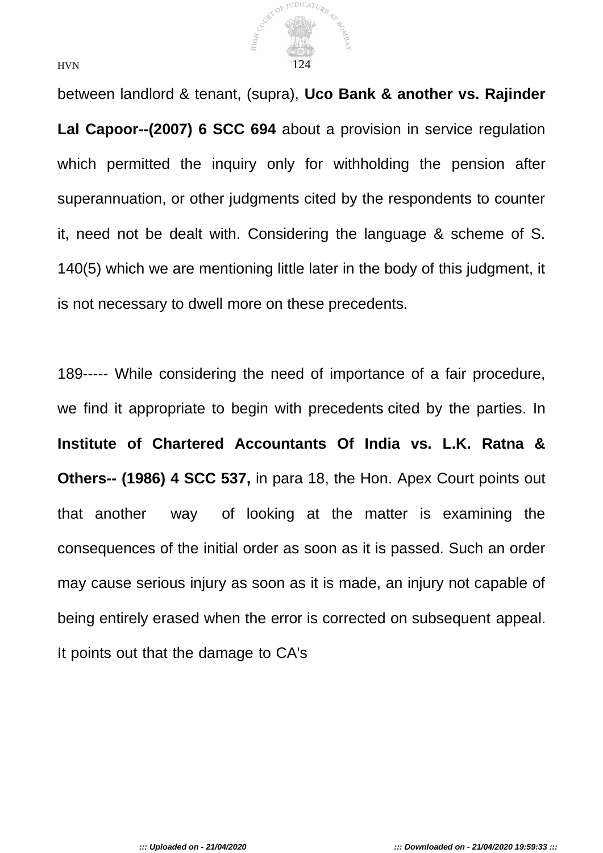

between landlord & tenant, (supra), **Uco Bank & another vs. Rajinder Lal Capoor--(2007) 6 SCC 694** about a provision in service regulation which permitted the inquiry only for withholding the pension after superannuation, or other judgments cited by the respondents to counter it, need not be dealt with. Considering the language & scheme of S. 140(5) which we are mentioning little later in the body of this judgment, it is not necessary to dwell more on these precedents.

189----- While considering the need of importance of a fair procedure, we find it appropriate to begin with precedents cited by the parties. In **Institute of Chartered Accountants Of India vs. L.K. Ratna & Others-- (1986) 4 SCC 537,** in para 18, the Hon. Apex Court points out that another way of looking at the matter is examining the consequences of the initial order as soon as it is passed. Such an order may cause serious injury as soon as it is made, an injury not capable of being entirely erased when the error is corrected on subsequent appeal. It points out that the damage to CA's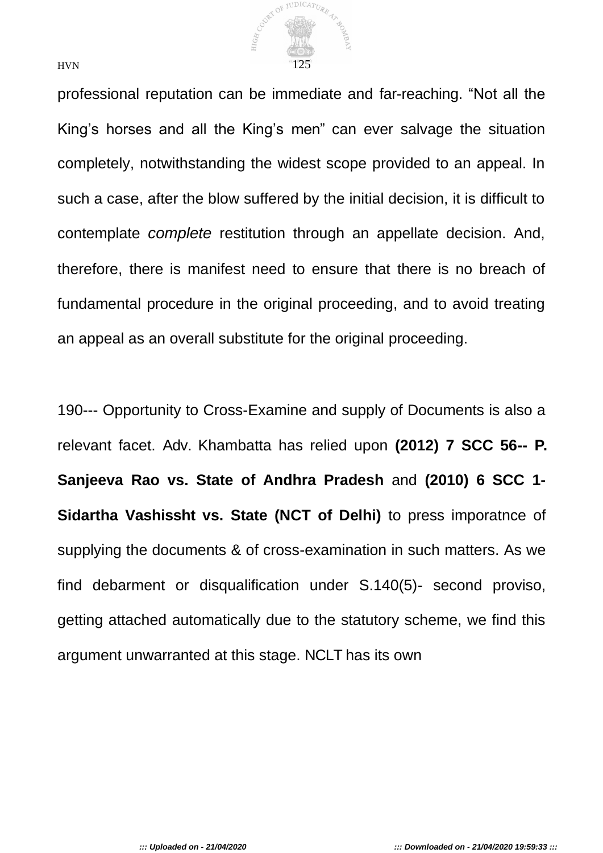

professional reputation can be immediate and far-reaching. "Not all the King's horses and all the King's men" can ever salvage the situation completely, notwithstanding the widest scope provided to an appeal. In such a case, after the blow suffered by the initial decision, it is difficult to contemplate *complete* restitution through an appellate decision. And, therefore, there is manifest need to ensure that there is no breach of fundamental procedure in the original proceeding, and to avoid treating an appeal as an overall substitute for the original proceeding.

190--- Opportunity to Cross-Examine and supply of Documents is also a relevant facet. Adv. Khambatta has relied upon **(2012) 7 SCC 56-- P. Sanjeeva Rao vs. State of Andhra Pradesh** and **(2010) 6 SCC 1- Sidartha Vashissht vs. State (NCT of Delhi)** to press imporatnce of supplying the documents & of cross-examination in such matters. As we find debarment or disqualification under S.140(5)- second proviso, getting attached automatically due to the statutory scheme, we find this argument unwarranted at this stage. NCLT has its own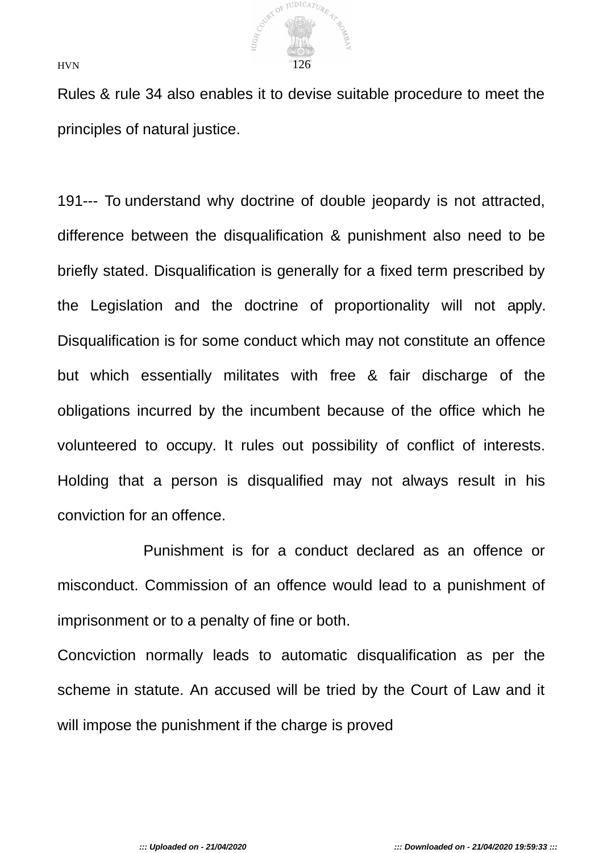

Rules & rule 34 also enables it to devise suitable procedure to meet the principles of natural justice.

191--- To understand why doctrine of double jeopardy is not attracted, difference between the disqualification & punishment also need to be briefly stated. Disqualification is generally for a fixed term prescribed by the Legislation and the doctrine of proportionality will not apply. Disqualification is for some conduct which may not constitute an offence but which essentially militates with free & fair discharge of the obligations incurred by the incumbent because of the office which he volunteered to occupy. It rules out possibility of conflict of interests. Holding that a person is disqualified may not always result in his conviction for an offence.

Punishment is for a conduct declared as an offence or misconduct. Commission of an offence would lead to a punishment of imprisonment or to a penalty of fine or both.

Concviction normally leads to automatic disqualification as per the scheme in statute. An accused will be tried by the Court of Law and it will impose the punishment if the charge is proved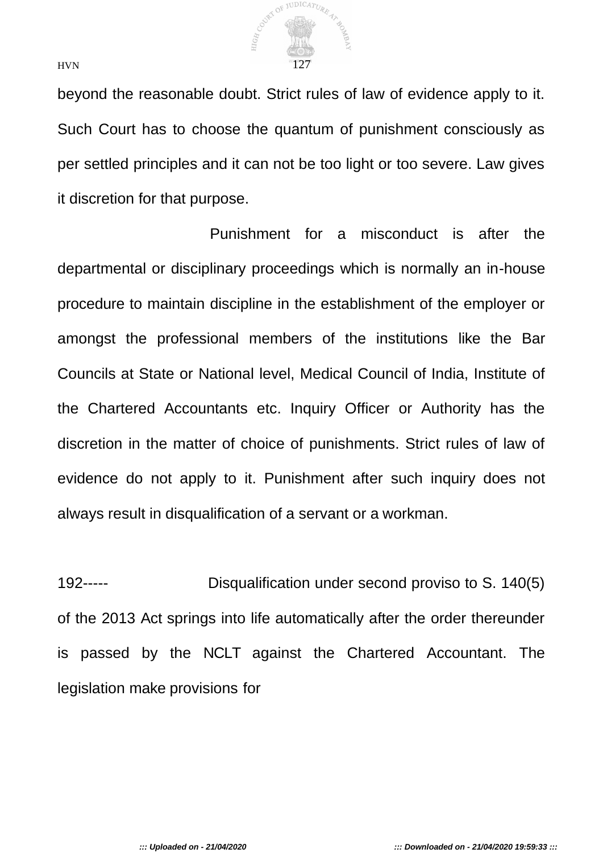

beyond the reasonable doubt. Strict rules of law of evidence apply to it. Such Court has to choose the quantum of punishment consciously as per settled principles and it can not be too light or too severe. Law gives it discretion for that purpose.

Punishment for a misconduct is after the departmental or disciplinary proceedings which is normally an in-house procedure to maintain discipline in the establishment of the employer or amongst the professional members of the institutions like the Bar Councils at State or National level, Medical Council of India, Institute of the Chartered Accountants etc. Inquiry Officer or Authority has the discretion in the matter of choice of punishments. Strict rules of law of evidence do not apply to it. Punishment after such inquiry does not always result in disqualification of a servant or a workman.

192----- Disqualification under second proviso to S. 140(5) of the 2013 Act springs into life automatically after the order thereunder is passed by the NCLT against the Chartered Accountant. The legislation make provisions for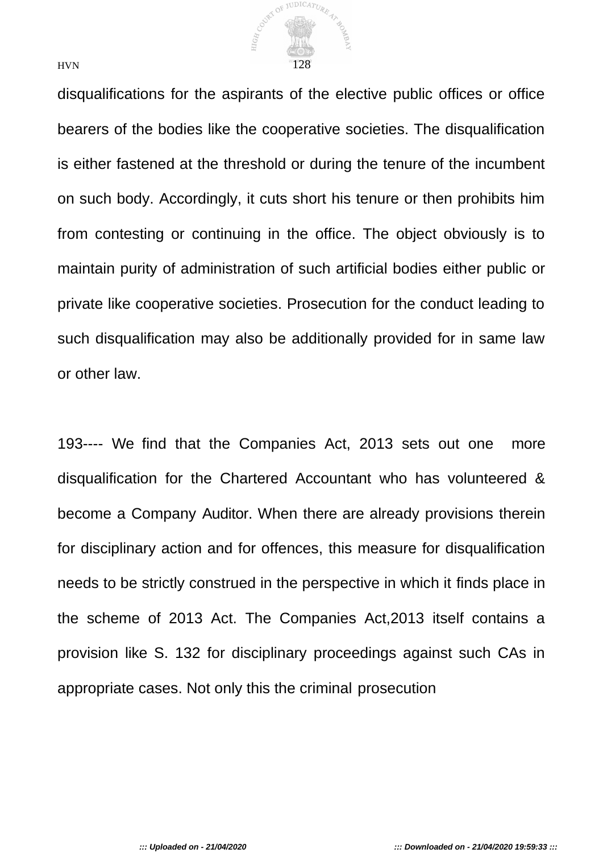

disqualifications for the aspirants of the elective public offices or office bearers of the bodies like the cooperative societies. The disqualification is either fastened at the threshold or during the tenure of the incumbent on such body. Accordingly, it cuts short his tenure or then prohibits him from contesting or continuing in the office. The object obviously is to maintain purity of administration of such artificial bodies either public or private like cooperative societies. Prosecution for the conduct leading to such disqualification may also be additionally provided for in same law or other law.

193---- We find that the Companies Act, 2013 sets out one more disqualification for the Chartered Accountant who has volunteered & become a Company Auditor. When there are already provisions therein for disciplinary action and for offences, this measure for disqualification needs to be strictly construed in the perspective in which it finds place in the scheme of 2013 Act. The Companies Act,2013 itself contains a provision like S. 132 for disciplinary proceedings against such CAs in appropriate cases. Not only this the criminal prosecution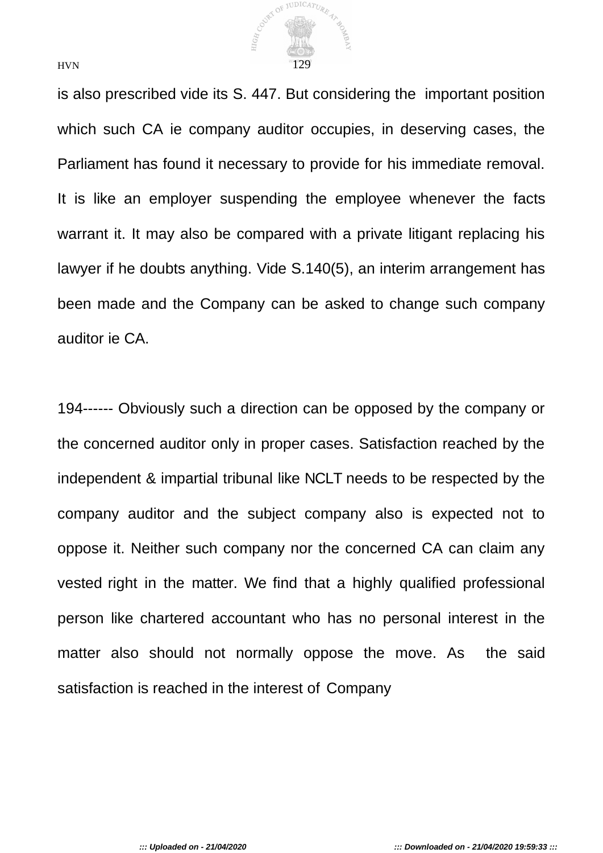

is also prescribed vide its S. 447. But considering the important position which such CA ie company auditor occupies, in deserving cases, the Parliament has found it necessary to provide for his immediate removal. It is like an employer suspending the employee whenever the facts warrant it. It may also be compared with a private litigant replacing his lawyer if he doubts anything. Vide S.140(5), an interim arrangement has been made and the Company can be asked to change such company auditor ie CA.

194------ Obviously such a direction can be opposed by the company or the concerned auditor only in proper cases. Satisfaction reached by the independent & impartial tribunal like NCLT needs to be respected by the company auditor and the subject company also is expected not to oppose it. Neither such company nor the concerned CA can claim any vested right in the matter. We find that a highly qualified professional person like chartered accountant who has no personal interest in the matter also should not normally oppose the move. As the said satisfaction is reached in the interest of Company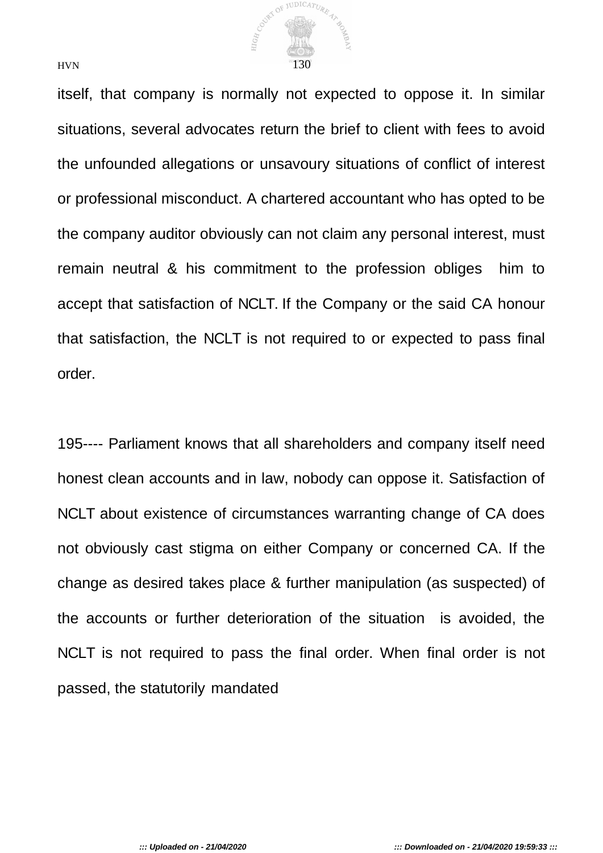

itself, that company is normally not expected to oppose it. In similar situations, several advocates return the brief to client with fees to avoid the unfounded allegations or unsavoury situations of conflict of interest or professional misconduct. A chartered accountant who has opted to be the company auditor obviously can not claim any personal interest, must remain neutral & his commitment to the profession obliges him to accept that satisfaction of NCLT. If the Company or the said CA honour that satisfaction, the NCLT is not required to or expected to pass final order.

195---- Parliament knows that all shareholders and company itself need honest clean accounts and in law, nobody can oppose it. Satisfaction of NCLT about existence of circumstances warranting change of CA does not obviously cast stigma on either Company or concerned CA. If the change as desired takes place & further manipulation (as suspected) of the accounts or further deterioration of the situation is avoided, the NCLT is not required to pass the final order. When final order is not passed, the statutorily mandated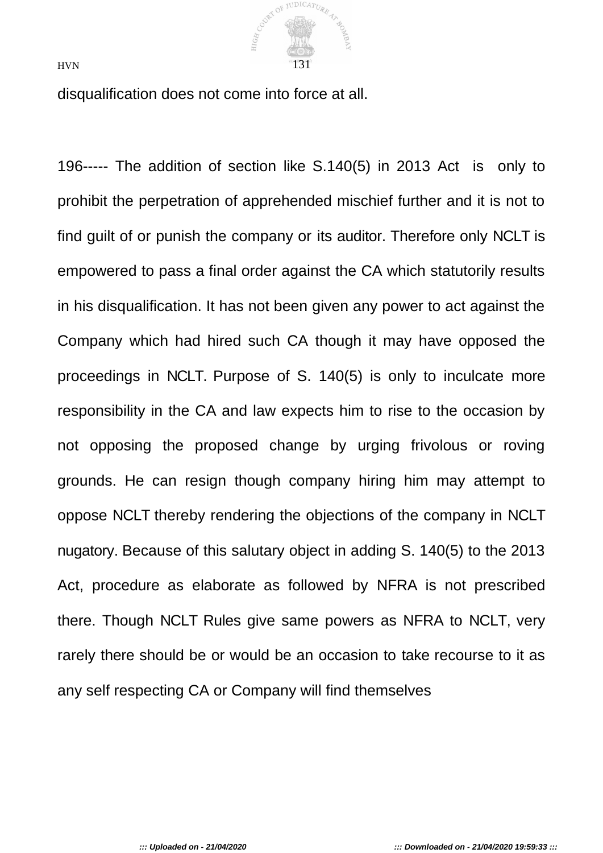

disqualification does not come into force at all.

196----- The addition of section like S.140(5) in 2013 Act is only to prohibit the perpetration of apprehended mischief further and it is not to find guilt of or punish the company or its auditor. Therefore only NCLT is empowered to pass a final order against the CA which statutorily results in his disqualification. It has not been given any power to act against the Company which had hired such CA though it may have opposed the proceedings in NCLT. Purpose of S. 140(5) is only to inculcate more responsibility in the CA and law expects him to rise to the occasion by not opposing the proposed change by urging frivolous or roving grounds. He can resign though company hiring him may attempt to oppose NCLT thereby rendering the objections of the company in NCLT nugatory. Because of this salutary object in adding S. 140(5) to the 2013 Act, procedure as elaborate as followed by NFRA is not prescribed there. Though NCLT Rules give same powers as NFRA to NCLT, very rarely there should be or would be an occasion to take recourse to it as any self respecting CA or Company will find themselves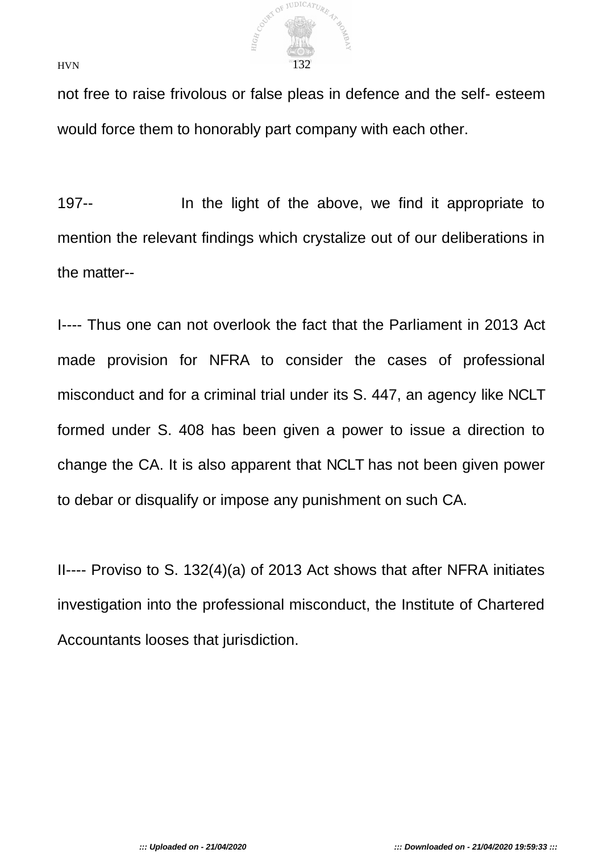

not free to raise frivolous or false pleas in defence and the self- esteem would force them to honorably part company with each other.

197-- In the light of the above, we find it appropriate to mention the relevant findings which crystalize out of our deliberations in the matter--

I---- Thus one can not overlook the fact that the Parliament in 2013 Act made provision for NFRA to consider the cases of professional misconduct and for a criminal trial under its S. 447, an agency like NCLT formed under S. 408 has been given a power to issue a direction to change the CA. It is also apparent that NCLT has not been given power to debar or disqualify or impose any punishment on such CA.

II---- Proviso to S. 132(4)(a) of 2013 Act shows that after NFRA initiates investigation into the professional misconduct, the Institute of Chartered Accountants looses that jurisdiction.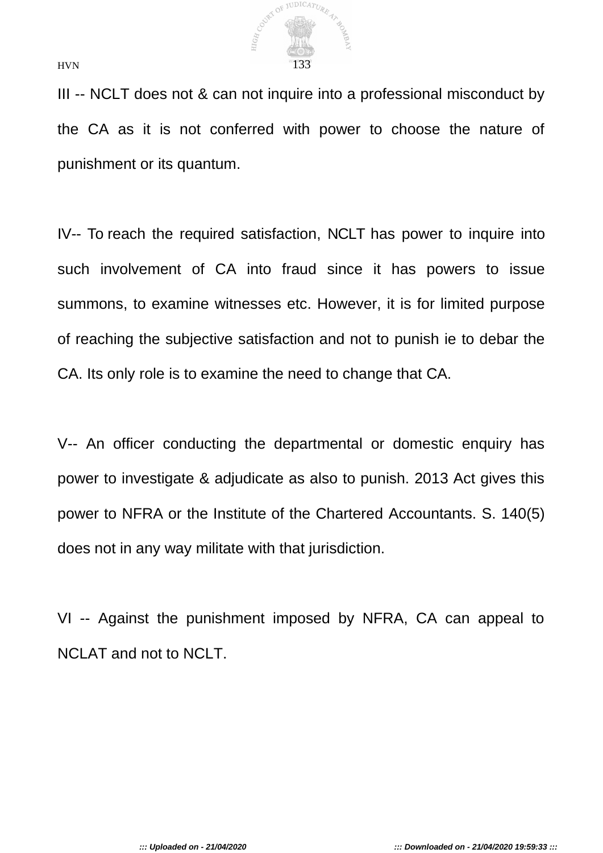

III -- NCLT does not & can not inquire into a professional misconduct by the CA as it is not conferred with power to choose the nature of punishment or its quantum.

IV-- To reach the required satisfaction, NCLT has power to inquire into such involvement of CA into fraud since it has powers to issue summons, to examine witnesses etc. However, it is for limited purpose of reaching the subjective satisfaction and not to punish ie to debar the CA. Its only role is to examine the need to change that CA.

V-- An officer conducting the departmental or domestic enquiry has power to investigate & adjudicate as also to punish. 2013 Act gives this power to NFRA or the Institute of the Chartered Accountants. S. 140(5) does not in any way militate with that jurisdiction.

VI -- Against the punishment imposed by NFRA, CA can appeal to NCLAT and not to NCLT.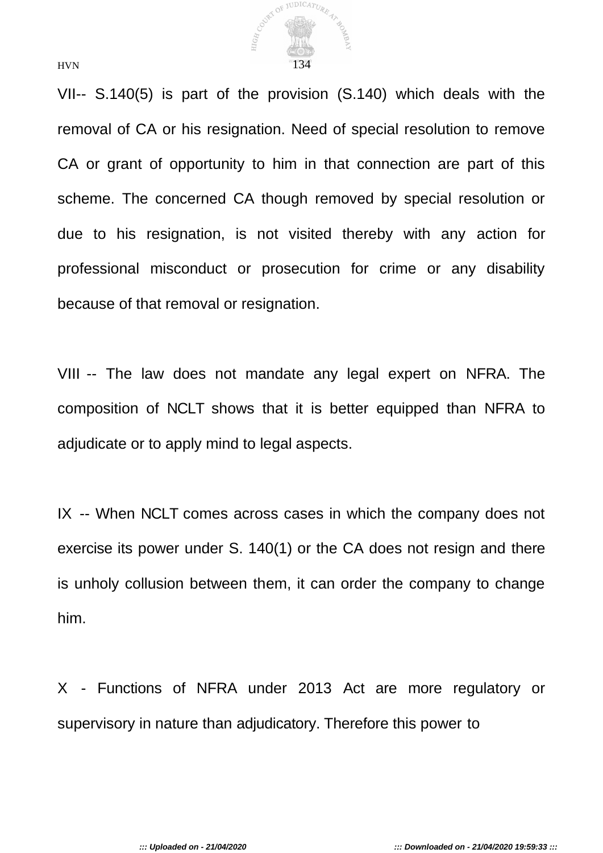

VII-- S.140(5) is part of the provision (S.140) which deals with the removal of CA or his resignation. Need of special resolution to remove CA or grant of opportunity to him in that connection are part of this scheme. The concerned CA though removed by special resolution or due to his resignation, is not visited thereby with any action for professional misconduct or prosecution for crime or any disability because of that removal or resignation.

VIII -- The law does not mandate any legal expert on NFRA. The composition of NCLT shows that it is better equipped than NFRA to adjudicate or to apply mind to legal aspects.

IX -- When NCLT comes across cases in which the company does not exercise its power under S. 140(1) or the CA does not resign and there is unholy collusion between them, it can order the company to change him.

X - Functions of NFRA under 2013 Act are more regulatory or supervisory in nature than adjudicatory. Therefore this power to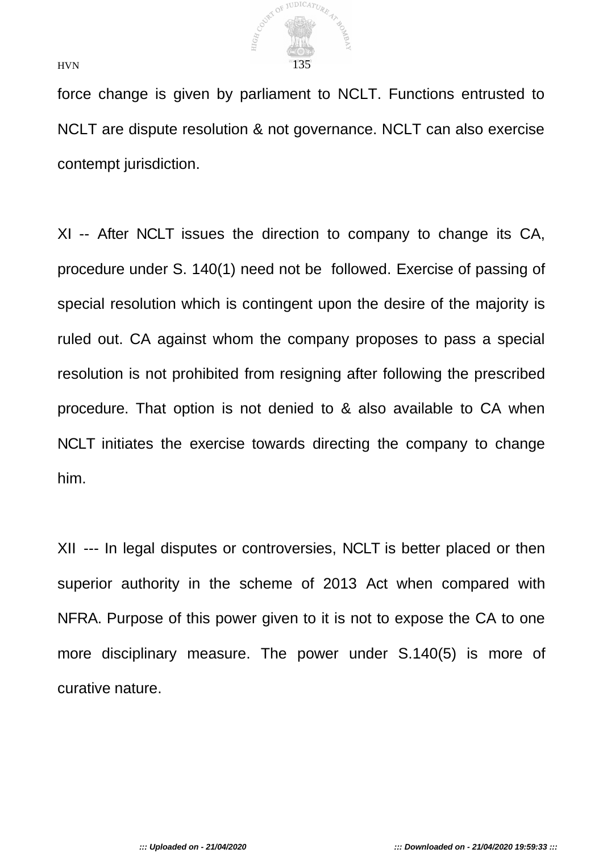

force change is given by parliament to NCLT. Functions entrusted to NCLT are dispute resolution & not governance. NCLT can also exercise contempt jurisdiction.

XI -- After NCLT issues the direction to company to change its CA, procedure under S. 140(1) need not be followed. Exercise of passing of special resolution which is contingent upon the desire of the majority is ruled out. CA against whom the company proposes to pass a special resolution is not prohibited from resigning after following the prescribed procedure. That option is not denied to & also available to CA when NCLT initiates the exercise towards directing the company to change him.

XII --- In legal disputes or controversies, NCLT is better placed or then superior authority in the scheme of 2013 Act when compared with NFRA. Purpose of this power given to it is not to expose the CA to one more disciplinary measure. The power under S.140(5) is more of curative nature.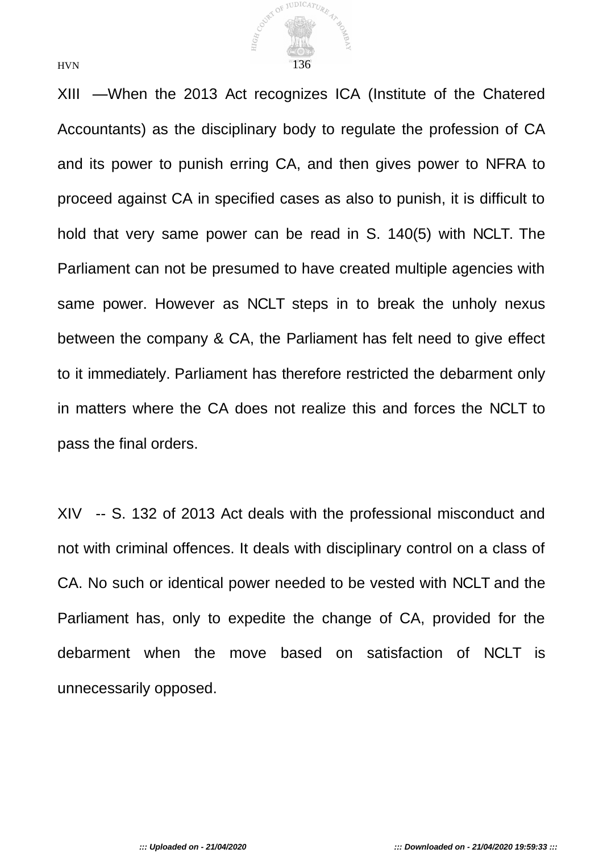

XIII —When the 2013 Act recognizes ICA (Institute of the Chatered Accountants) as the disciplinary body to regulate the profession of CA and its power to punish erring CA, and then gives power to NFRA to proceed against CA in specified cases as also to punish, it is difficult to hold that very same power can be read in S. 140(5) with NCLT. The Parliament can not be presumed to have created multiple agencies with same power. However as NCLT steps in to break the unholy nexus between the company & CA, the Parliament has felt need to give effect to it immediately. Parliament has therefore restricted the debarment only in matters where the CA does not realize this and forces the NCLT to pass the final orders.

XIV -- S. 132 of 2013 Act deals with the professional misconduct and not with criminal offences. It deals with disciplinary control on a class of CA. No such or identical power needed to be vested with NCLT and the Parliament has, only to expedite the change of CA, provided for the debarment when the move based on satisfaction of NCLT is unnecessarily opposed.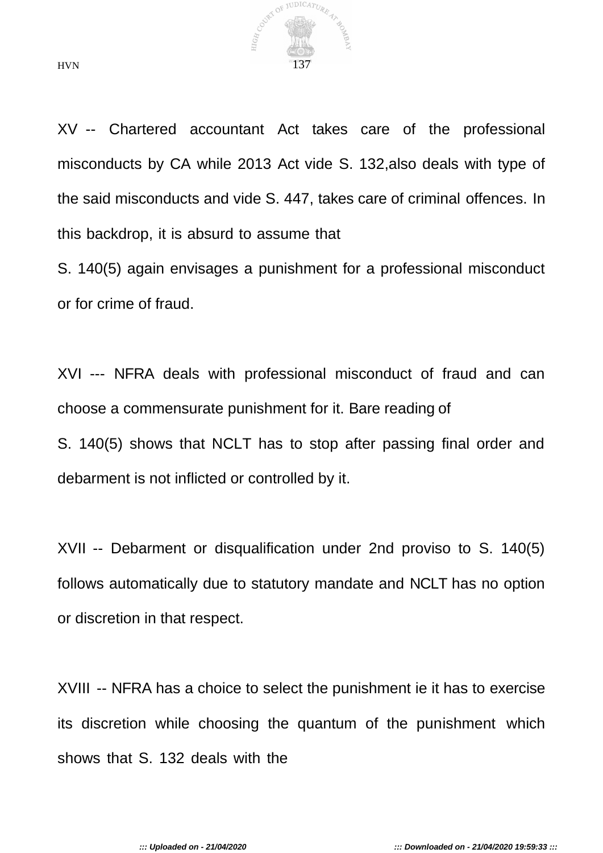

XV -- Chartered accountant Act takes care of the professional misconducts by CA while 2013 Act vide S. 132,also deals with type of the said misconducts and vide S. 447, takes care of criminal offences. In this backdrop, it is absurd to assume that

S. 140(5) again envisages a punishment for a professional misconduct or for crime of fraud.

XVI --- NFRA deals with professional misconduct of fraud and can choose a commensurate punishment for it. Bare reading of S. 140(5) shows that NCLT has to stop after passing final order and debarment is not inflicted or controlled by it.

XVII -- Debarment or disqualification under 2nd proviso to S. 140(5) follows automatically due to statutory mandate and NCLT has no option or discretion in that respect.

XVIII -- NFRA has a choice to select the punishment ie it has to exercise its discretion while choosing the quantum of the punishment which shows that S. 132 deals with the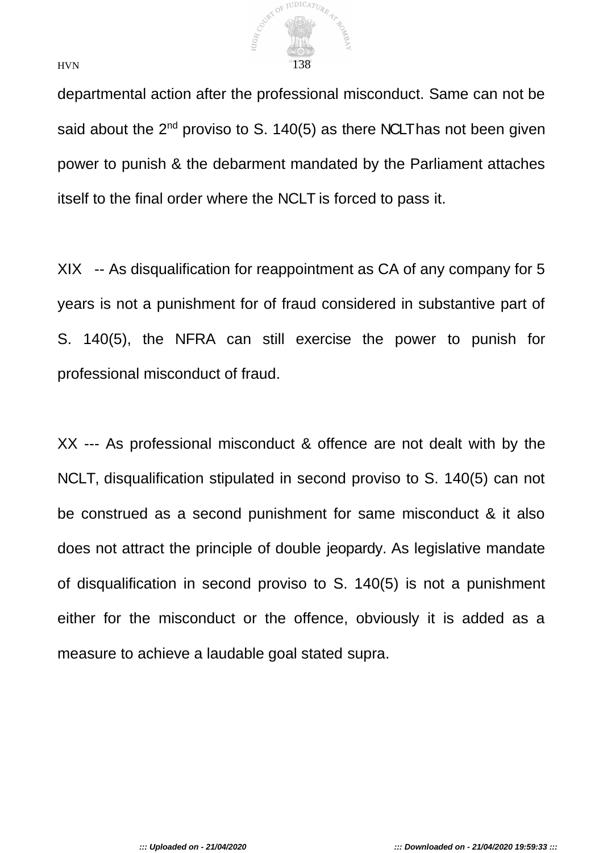

departmental action after the professional misconduct. Same can not be said about the  $2^{nd}$  proviso to S. 140(5) as there NCLT has not been given power to punish & the debarment mandated by the Parliament attaches itself to the final order where the NCLT is forced to pass it.

XIX -- As disqualification for reappointment as CA of any company for 5 years is not a punishment for of fraud considered in substantive part of S. 140(5), the NFRA can still exercise the power to punish for professional misconduct of fraud.

XX --- As professional misconduct & offence are not dealt with by the NCLT, disqualification stipulated in second proviso to S. 140(5) can not be construed as a second punishment for same misconduct & it also does not attract the principle of double jeopardy. As legislative mandate of disqualification in second proviso to S. 140(5) is not a punishment either for the misconduct or the offence, obviously it is added as a measure to achieve a laudable goal stated supra.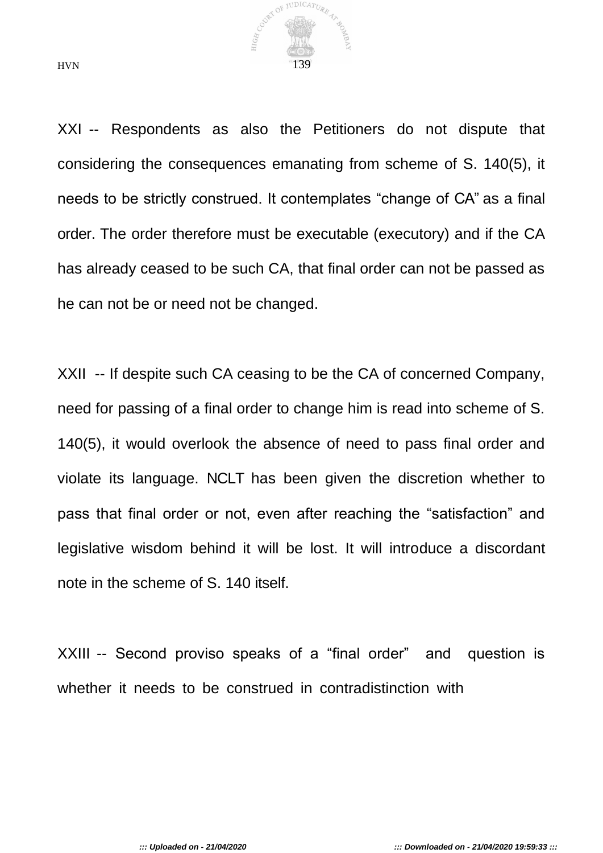

XXI -- Respondents as also the Petitioners do not dispute that considering the consequences emanating from scheme of S. 140(5), it needs to be strictly construed. It contemplates "change of CA" as a final order. The order therefore must be executable (executory) and if the CA has already ceased to be such CA, that final order can not be passed as he can not be or need not be changed.

XXII -- If despite such CA ceasing to be the CA of concerned Company, need for passing of a final order to change him is read into scheme of S. 140(5), it would overlook the absence of need to pass final order and violate its language. NCLT has been given the discretion whether to pass that final order or not, even after reaching the "satisfaction" and legislative wisdom behind it will be lost. It will introduce a discordant note in the scheme of S. 140 itself.

XXIII -- Second proviso speaks of a "final order" and question is whether it needs to be construed in contradistinction with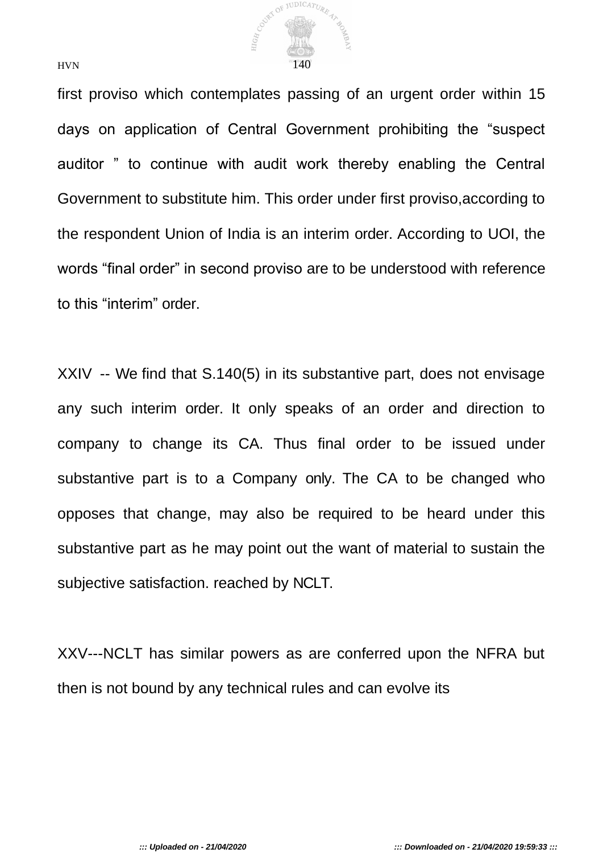

first proviso which contemplates passing of an urgent order within 15 days on application of Central Government prohibiting the "suspect auditor " to continue with audit work thereby enabling the Central Government to substitute him. This order under first proviso,according to the respondent Union of India is an interim order. According to UOI, the words "final order" in second proviso are to be understood with reference to this "interim" order.

XXIV -- We find that S.140(5) in its substantive part, does not envisage any such interim order. It only speaks of an order and direction to company to change its CA. Thus final order to be issued under substantive part is to a Company only. The CA to be changed who opposes that change, may also be required to be heard under this substantive part as he may point out the want of material to sustain the subjective satisfaction. reached by NCLT.

XXV---NCLT has similar powers as are conferred upon the NFRA but then is not bound by any technical rules and can evolve its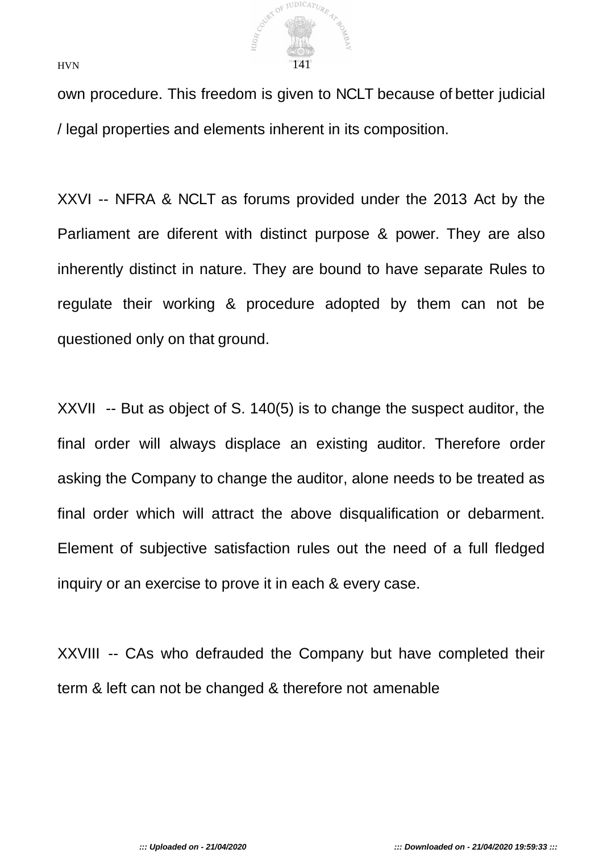

own procedure. This freedom is given to NCLT because of better judicial / legal properties and elements inherent in its composition.

XXVI -- NFRA & NCLT as forums provided under the 2013 Act by the Parliament are diferent with distinct purpose & power. They are also inherently distinct in nature. They are bound to have separate Rules to regulate their working & procedure adopted by them can not be questioned only on that ground.

XXVII -- But as object of S. 140(5) is to change the suspect auditor, the final order will always displace an existing auditor. Therefore order asking the Company to change the auditor, alone needs to be treated as final order which will attract the above disqualification or debarment. Element of subjective satisfaction rules out the need of a full fledged inquiry or an exercise to prove it in each & every case.

XXVIII -- CAs who defrauded the Company but have completed their term & left can not be changed & therefore not amenable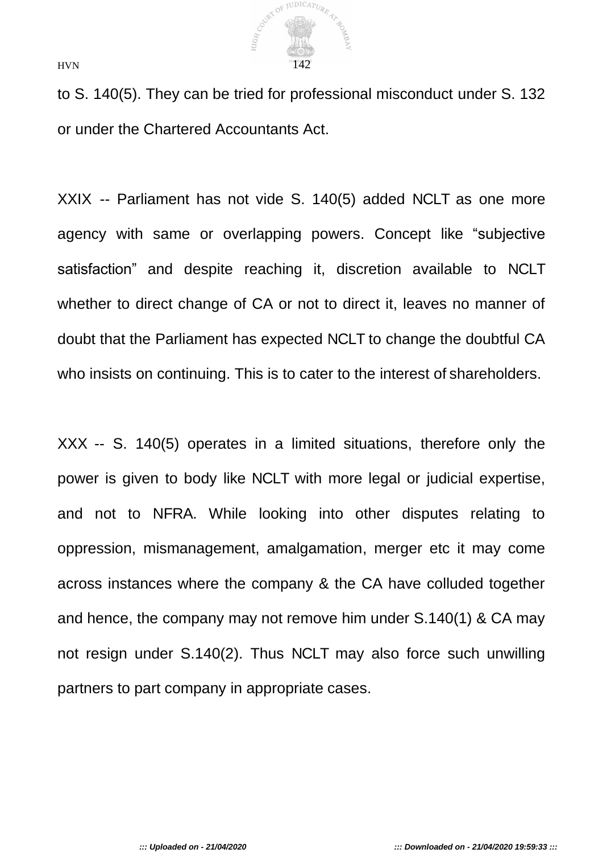

to S. 140(5). They can be tried for professional misconduct under S. 132 or under the Chartered Accountants Act.

XXIX -- Parliament has not vide S. 140(5) added NCLT as one more agency with same or overlapping powers. Concept like "subjective satisfaction" and despite reaching it, discretion available to NCLT whether to direct change of CA or not to direct it, leaves no manner of doubt that the Parliament has expected NCLT to change the doubtful CA who insists on continuing. This is to cater to the interest of shareholders.

XXX -- S. 140(5) operates in a limited situations, therefore only the power is given to body like NCLT with more legal or judicial expertise, and not to NFRA. While looking into other disputes relating to oppression, mismanagement, amalgamation, merger etc it may come across instances where the company & the CA have colluded together and hence, the company may not remove him under S.140(1) & CA may not resign under S.140(2). Thus NCLT may also force such unwilling partners to part company in appropriate cases.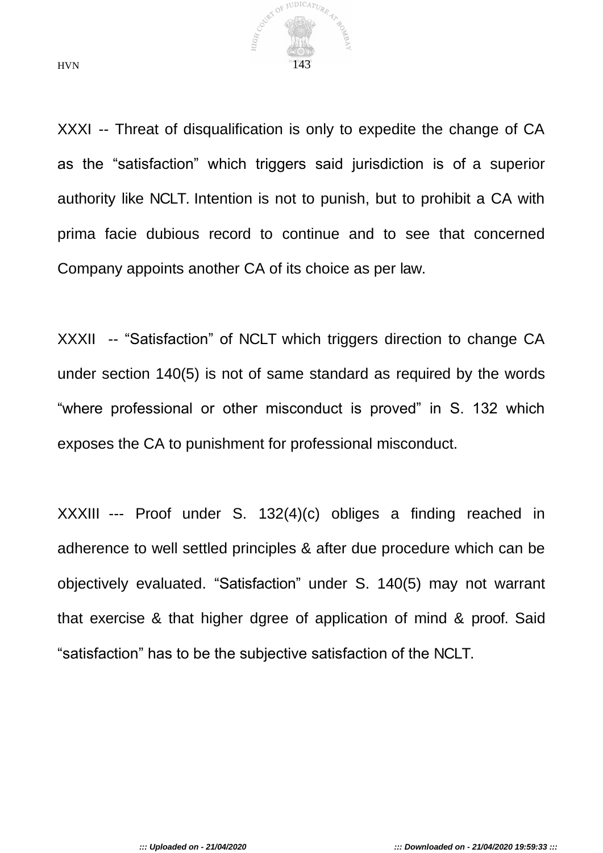

XXXI -- Threat of disqualification is only to expedite the change of CA as the "satisfaction" which triggers said jurisdiction is of a superior authority like NCLT. Intention is not to punish, but to prohibit a CA with prima facie dubious record to continue and to see that concerned Company appoints another CA of its choice as per law.

XXXII -- "Satisfaction" of NCLT which triggers direction to change CA under section 140(5) is not of same standard as required by the words "where professional or other misconduct is proved" in S. 132 which exposes the CA to punishment for professional misconduct.

XXXIII --- Proof under S. 132(4)(c) obliges a finding reached in adherence to well settled principles & after due procedure which can be objectively evaluated. "Satisfaction" under S. 140(5) may not warrant that exercise & that higher dgree of application of mind & proof. Said "satisfaction" has to be the subjective satisfaction of the NCLT.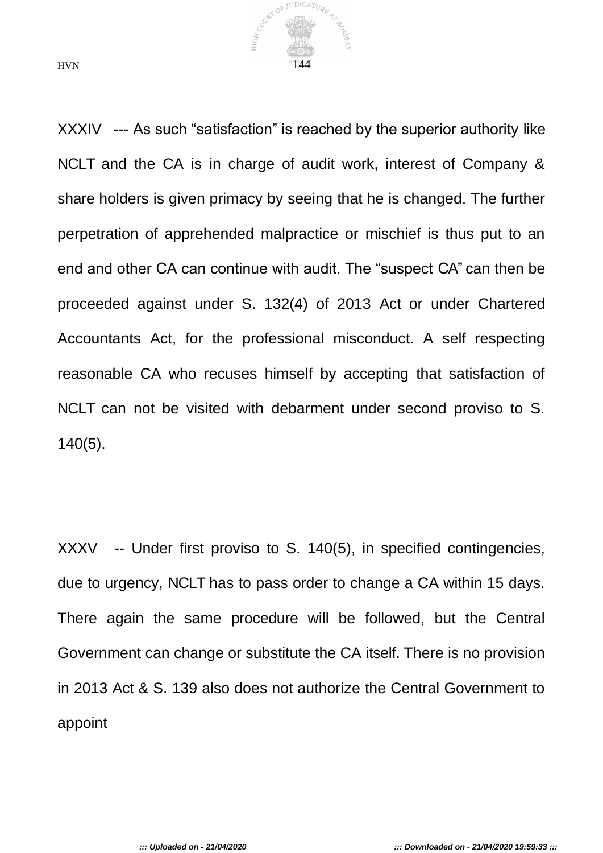

XXXIV --- As such "satisfaction" is reached by the superior authority like NCLT and the CA is in charge of audit work, interest of Company & share holders is given primacy by seeing that he is changed. The further perpetration of apprehended malpractice or mischief is thus put to an end and other CA can continue with audit. The "suspect CA" can then be proceeded against under S. 132(4) of 2013 Act or under Chartered Accountants Act, for the professional misconduct. A self respecting reasonable CA who recuses himself by accepting that satisfaction of NCLT can not be visited with debarment under second proviso to S. 140(5).

XXXV -- Under first proviso to S. 140(5), in specified contingencies, due to urgency, NCLT has to pass order to change a CA within 15 days. There again the same procedure will be followed, but the Central Government can change or substitute the CA itself. There is no provision in 2013 Act & S. 139 also does not authorize the Central Government to appoint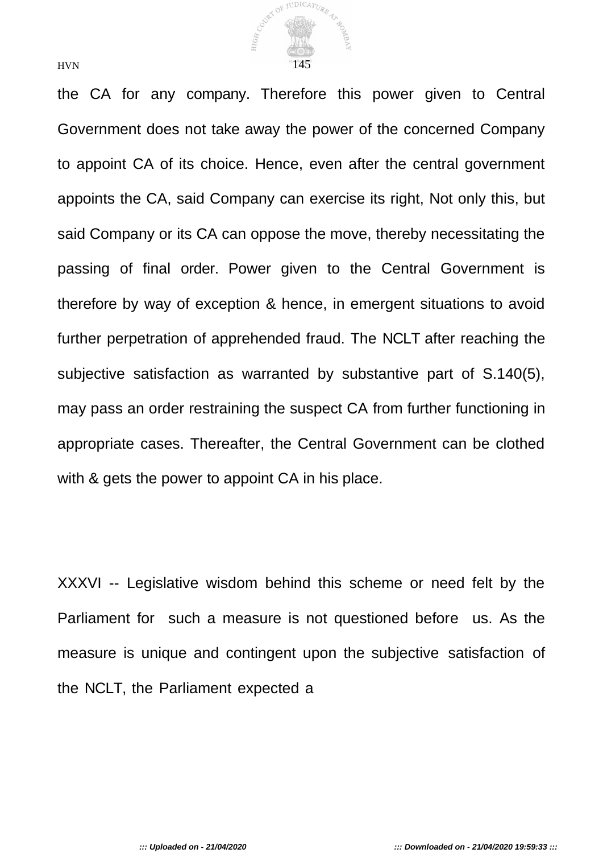

the CA for any company. Therefore this power given to Central Government does not take away the power of the concerned Company to appoint CA of its choice. Hence, even after the central government appoints the CA, said Company can exercise its right, Not only this, but said Company or its CA can oppose the move, thereby necessitating the passing of final order. Power given to the Central Government is therefore by way of exception & hence, in emergent situations to avoid further perpetration of apprehended fraud. The NCLT after reaching the subjective satisfaction as warranted by substantive part of S.140(5), may pass an order restraining the suspect CA from further functioning in appropriate cases. Thereafter, the Central Government can be clothed with & gets the power to appoint CA in his place.

XXXVI -- Legislative wisdom behind this scheme or need felt by the Parliament for such a measure is not questioned before us. As the measure is unique and contingent upon the subjective satisfaction of the NCLT, the Parliament expected a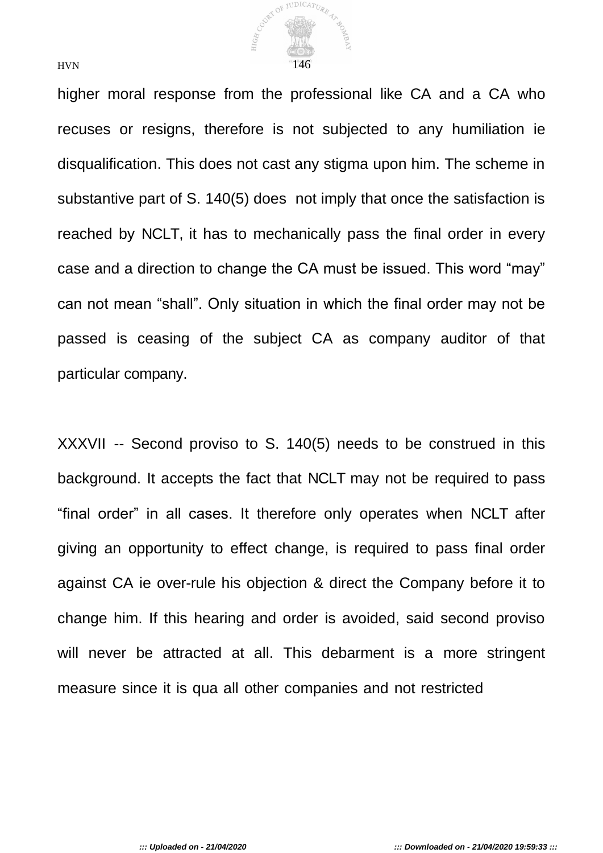

higher moral response from the professional like CA and a CA who recuses or resigns, therefore is not subjected to any humiliation ie disqualification. This does not cast any stigma upon him. The scheme in substantive part of S. 140(5) does not imply that once the satisfaction is reached by NCLT, it has to mechanically pass the final order in every case and a direction to change the CA must be issued. This word "may" can not mean "shall". Only situation in which the final order may not be passed is ceasing of the subject CA as company auditor of that particular company.

XXXVII -- Second proviso to S. 140(5) needs to be construed in this background. It accepts the fact that NCLT may not be required to pass "final order" in all cases. It therefore only operates when NCLT after giving an opportunity to effect change, is required to pass final order against CA ie over-rule his objection & direct the Company before it to change him. If this hearing and order is avoided, said second proviso will never be attracted at all. This debarment is a more stringent measure since it is qua all other companies and not restricted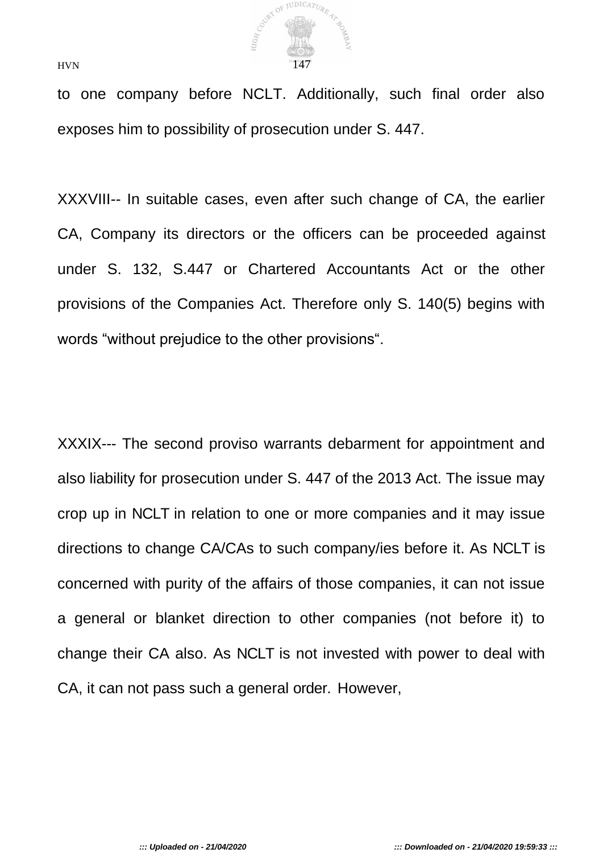

to one company before NCLT. Additionally, such final order also exposes him to possibility of prosecution under S. 447.

XXXVIII-- In suitable cases, even after such change of CA, the earlier CA, Company its directors or the officers can be proceeded against under S. 132, S.447 or Chartered Accountants Act or the other provisions of the Companies Act. Therefore only S. 140(5) begins with words "without prejudice to the other provisions".

XXXIX--- The second proviso warrants debarment for appointment and also liability for prosecution under S. 447 of the 2013 Act. The issue may crop up in NCLT in relation to one or more companies and it may issue directions to change CA/CAs to such company/ies before it. As NCLT is concerned with purity of the affairs of those companies, it can not issue a general or blanket direction to other companies (not before it) to change their CA also. As NCLT is not invested with power to deal with CA, it can not pass such a general order. However,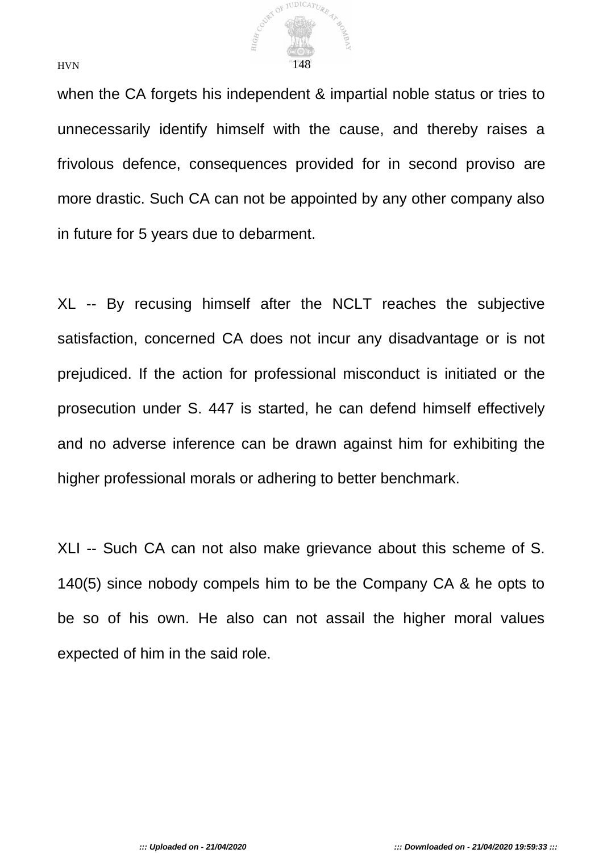

when the CA forgets his independent & impartial noble status or tries to unnecessarily identify himself with the cause, and thereby raises a frivolous defence, consequences provided for in second proviso are more drastic. Such CA can not be appointed by any other company also in future for 5 years due to debarment.

XL -- By recusing himself after the NCLT reaches the subjective satisfaction, concerned CA does not incur any disadvantage or is not prejudiced. If the action for professional misconduct is initiated or the prosecution under S. 447 is started, he can defend himself effectively and no adverse inference can be drawn against him for exhibiting the higher professional morals or adhering to better benchmark.

XLI -- Such CA can not also make grievance about this scheme of S. 140(5) since nobody compels him to be the Company CA & he opts to be so of his own. He also can not assail the higher moral values expected of him in the said role.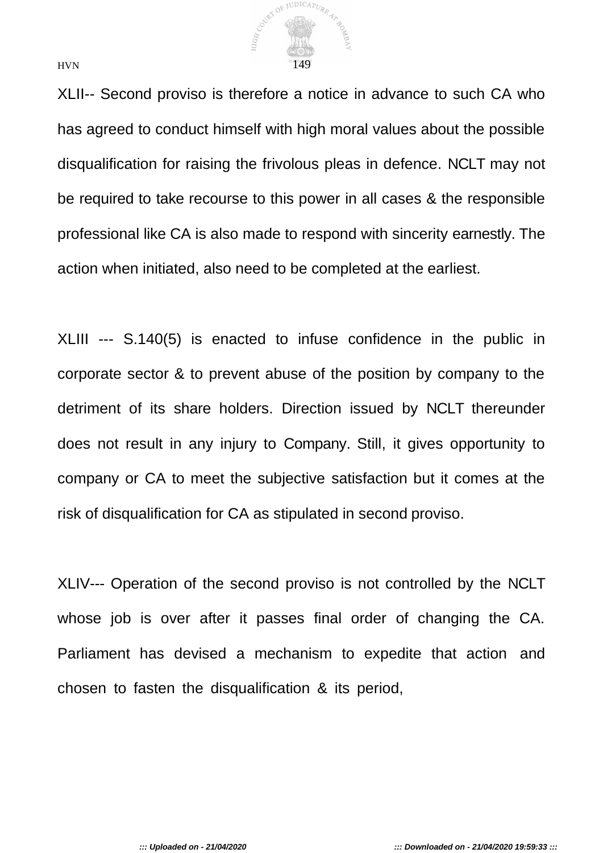

XLII-- Second proviso is therefore a notice in advance to such CA who has agreed to conduct himself with high moral values about the possible disqualification for raising the frivolous pleas in defence. NCLT may not be required to take recourse to this power in all cases & the responsible professional like CA is also made to respond with sincerity earnestly. The action when initiated, also need to be completed at the earliest.

XLIII --- S.140(5) is enacted to infuse confidence in the public in corporate sector & to prevent abuse of the position by company to the detriment of its share holders. Direction issued by NCLT thereunder does not result in any injury to Company. Still, it gives opportunity to company or CA to meet the subjective satisfaction but it comes at the risk of disqualification for CA as stipulated in second proviso.

XLIV--- Operation of the second proviso is not controlled by the NCLT whose job is over after it passes final order of changing the CA. Parliament has devised a mechanism to expedite that action and chosen to fasten the disqualification & its period,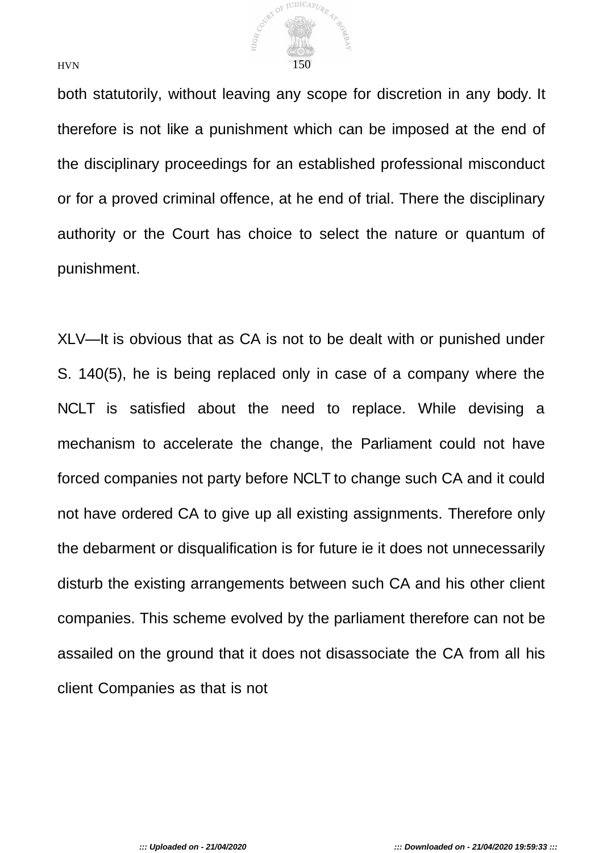

both statutorily, without leaving any scope for discretion in any body. It therefore is not like a punishment which can be imposed at the end of the disciplinary proceedings for an established professional misconduct or for a proved criminal offence, at he end of trial. There the disciplinary authority or the Court has choice to select the nature or quantum of punishment.

XLV—It is obvious that as CA is not to be dealt with or punished under S. 140(5), he is being replaced only in case of a company where the NCLT is satisfied about the need to replace. While devising a mechanism to accelerate the change, the Parliament could not have forced companies not party before NCLT to change such CA and it could not have ordered CA to give up all existing assignments. Therefore only the debarment or disqualification is for future ie it does not unnecessarily disturb the existing arrangements between such CA and his other client companies. This scheme evolved by the parliament therefore can not be assailed on the ground that it does not disassociate the CA from all his client Companies as that is not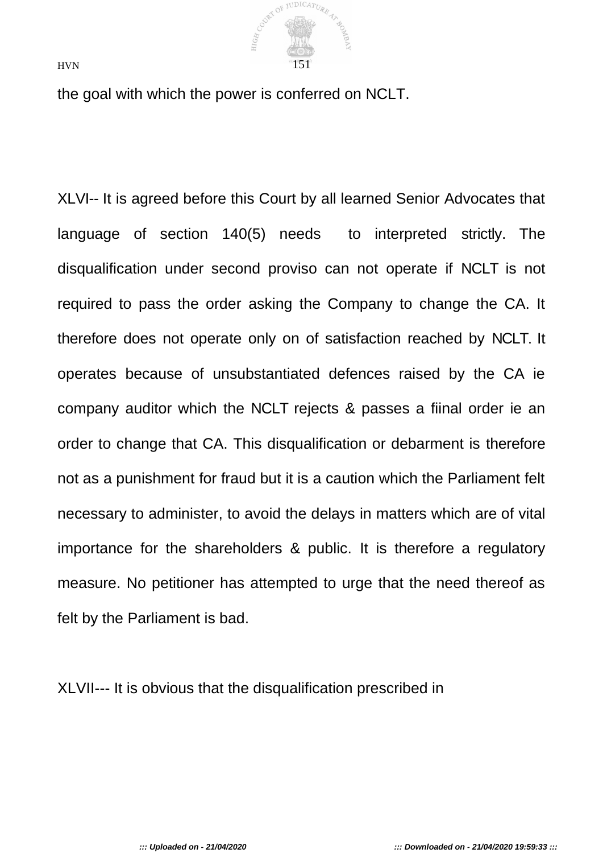

the goal with which the power is conferred on NCLT.

XLVI-- It is agreed before this Court by all learned Senior Advocates that language of section 140(5) needs to interpreted strictly. The disqualification under second proviso can not operate if NCLT is not required to pass the order asking the Company to change the CA. It therefore does not operate only on of satisfaction reached by NCLT. It operates because of unsubstantiated defences raised by the CA ie company auditor which the NCLT rejects & passes a fiinal order ie an order to change that CA. This disqualification or debarment is therefore not as a punishment for fraud but it is a caution which the Parliament felt necessary to administer, to avoid the delays in matters which are of vital importance for the shareholders & public. It is therefore a regulatory measure. No petitioner has attempted to urge that the need thereof as felt by the Parliament is bad.

XLVII--- It is obvious that the disqualification prescribed in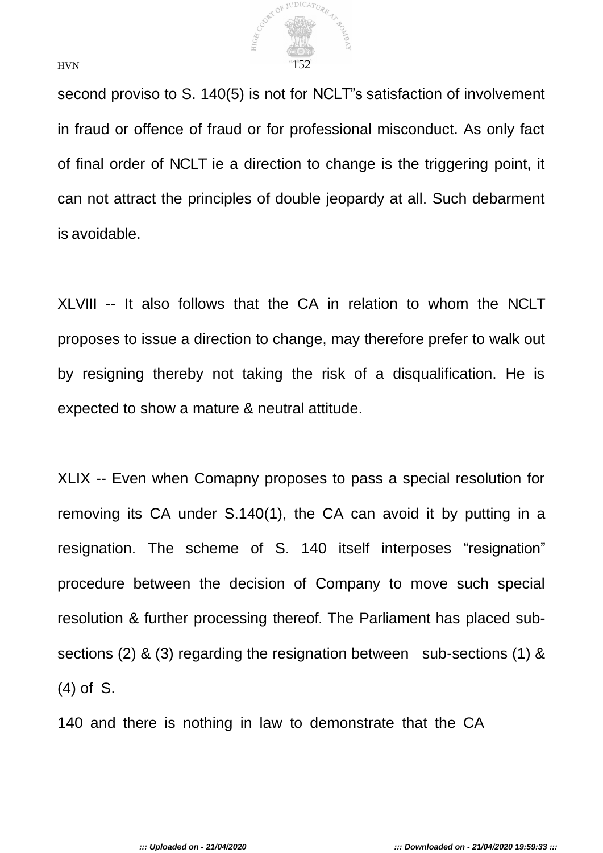

second proviso to S. 140(5) is not for NCLT"s satisfaction of involvement in fraud or offence of fraud or for professional misconduct. As only fact of final order of NCLT ie a direction to change is the triggering point, it can not attract the principles of double jeopardy at all. Such debarment is avoidable.

XLVIII -- It also follows that the CA in relation to whom the NCLT proposes to issue a direction to change, may therefore prefer to walk out by resigning thereby not taking the risk of a disqualification. He is expected to show a mature & neutral attitude.

XLIX -- Even when Comapny proposes to pass a special resolution for removing its CA under S.140(1), the CA can avoid it by putting in a resignation. The scheme of S. 140 itself interposes "resignation" procedure between the decision of Company to move such special resolution & further processing thereof. The Parliament has placed subsections (2) & (3) regarding the resignation between sub-sections (1) & (4) of S.

140 and there is nothing in law to demonstrate that the CA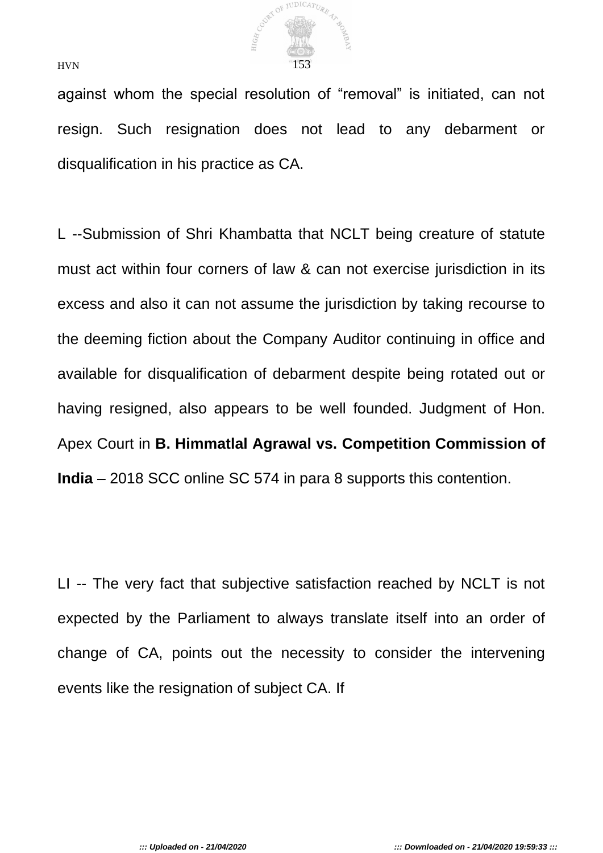

against whom the special resolution of "removal" is initiated, can not resign. Such resignation does not lead to any debarment or disqualification in his practice as CA.

L --Submission of Shri Khambatta that NCLT being creature of statute must act within four corners of law & can not exercise jurisdiction in its excess and also it can not assume the jurisdiction by taking recourse to the deeming fiction about the Company Auditor continuing in office and available for disqualification of debarment despite being rotated out or having resigned, also appears to be well founded. Judgment of Hon. Apex Court in **B. Himmatlal Agrawal vs. Competition Commission of India** – 2018 SCC online SC 574 in para 8 supports this contention.

LI -- The very fact that subjective satisfaction reached by NCLT is not expected by the Parliament to always translate itself into an order of change of CA, points out the necessity to consider the intervening events like the resignation of subject CA. If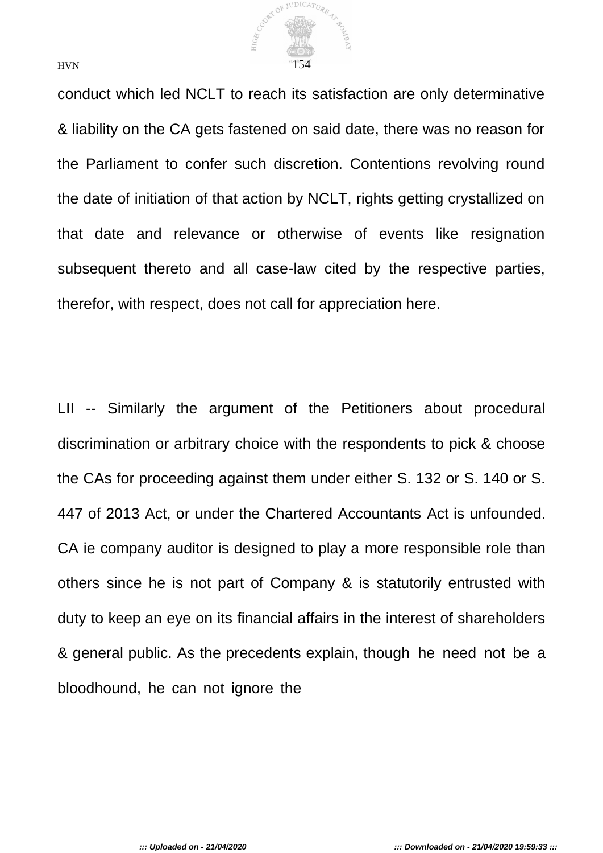

conduct which led NCLT to reach its satisfaction are only determinative & liability on the CA gets fastened on said date, there was no reason for the Parliament to confer such discretion. Contentions revolving round the date of initiation of that action by NCLT, rights getting crystallized on that date and relevance or otherwise of events like resignation subsequent thereto and all case-law cited by the respective parties, therefor, with respect, does not call for appreciation here.

LII -- Similarly the argument of the Petitioners about procedural discrimination or arbitrary choice with the respondents to pick & choose the CAs for proceeding against them under either S. 132 or S. 140 or S. 447 of 2013 Act, or under the Chartered Accountants Act is unfounded. CA ie company auditor is designed to play a more responsible role than others since he is not part of Company & is statutorily entrusted with duty to keep an eye on its financial affairs in the interest of shareholders & general public. As the precedents explain, though he need not be a bloodhound, he can not ignore the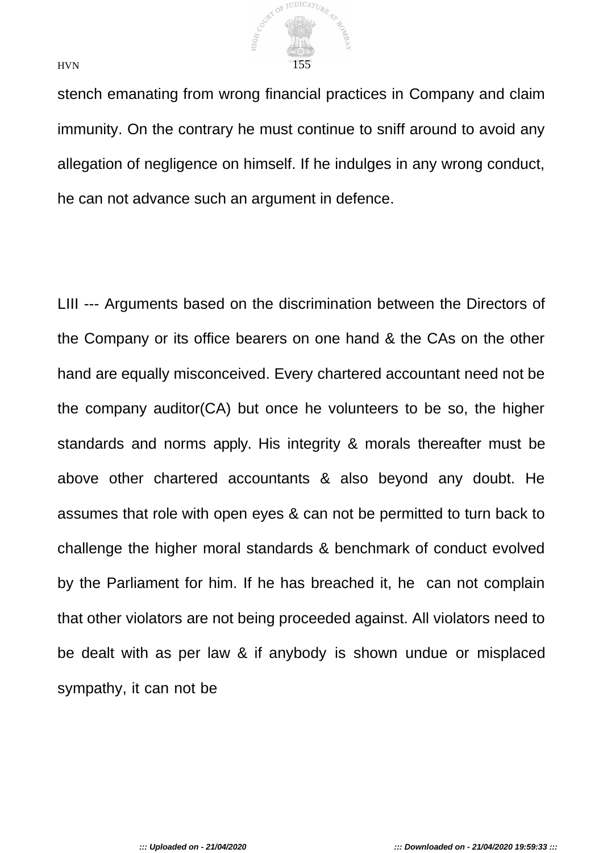

stench emanating from wrong financial practices in Company and claim immunity. On the contrary he must continue to sniff around to avoid any allegation of negligence on himself. If he indulges in any wrong conduct, he can not advance such an argument in defence.

LIII --- Arguments based on the discrimination between the Directors of the Company or its office bearers on one hand & the CAs on the other hand are equally misconceived. Every chartered accountant need not be the company auditor(CA) but once he volunteers to be so, the higher standards and norms apply. His integrity & morals thereafter must be above other chartered accountants & also beyond any doubt. He assumes that role with open eyes & can not be permitted to turn back to challenge the higher moral standards & benchmark of conduct evolved by the Parliament for him. If he has breached it, he can not complain that other violators are not being proceeded against. All violators need to be dealt with as per law & if anybody is shown undue or misplaced sympathy, it can not be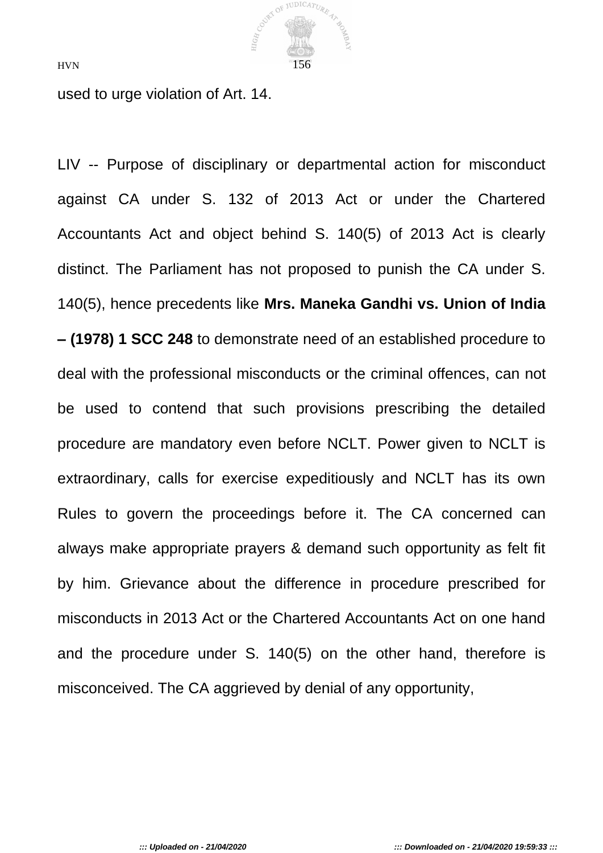

used to urge violation of Art. 14.

LIV -- Purpose of disciplinary or departmental action for misconduct against CA under S. 132 of 2013 Act or under the Chartered Accountants Act and object behind S. 140(5) of 2013 Act is clearly distinct. The Parliament has not proposed to punish the CA under S. 140(5), hence precedents like **Mrs. Maneka Gandhi vs. Union of India – (1978) 1 SCC 248** to demonstrate need of an established procedure to deal with the professional misconducts or the criminal offences, can not be used to contend that such provisions prescribing the detailed procedure are mandatory even before NCLT. Power given to NCLT is extraordinary, calls for exercise expeditiously and NCLT has its own Rules to govern the proceedings before it. The CA concerned can always make appropriate prayers & demand such opportunity as felt fit by him. Grievance about the difference in procedure prescribed for misconducts in 2013 Act or the Chartered Accountants Act on one hand and the procedure under S. 140(5) on the other hand, therefore is misconceived. The CA aggrieved by denial of any opportunity,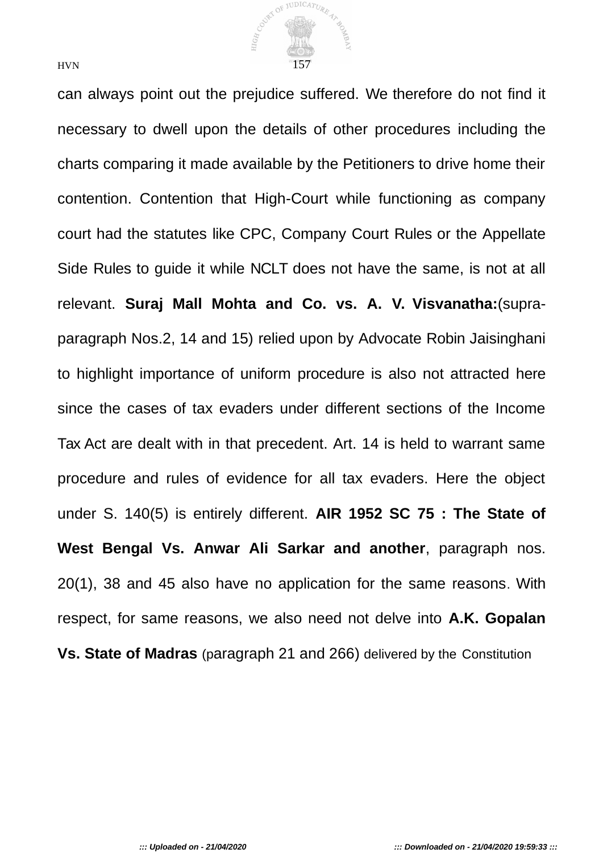

can always point out the prejudice suffered. We therefore do not find it necessary to dwell upon the details of other procedures including the charts comparing it made available by the Petitioners to drive home their contention. Contention that High-Court while functioning as company court had the statutes like CPC, Company Court Rules or the Appellate Side Rules to guide it while NCLT does not have the same, is not at all relevant. **Suraj Mall Mohta and Co. vs. A. V. Visvanatha:**(supraparagraph Nos.2, 14 and 15) relied upon by Advocate Robin Jaisinghani to highlight importance of uniform procedure is also not attracted here since the cases of tax evaders under different sections of the Income Tax Act are dealt with in that precedent. Art. 14 is held to warrant same procedure and rules of evidence for all tax evaders. Here the object under S. 140(5) is entirely different. **AIR 1952 SC 75 : The State of West Bengal Vs. Anwar Ali Sarkar and another**, paragraph nos. 20(1), 38 and 45 also have no application for the same reasons. With respect, for same reasons, we also need not delve into **A.K. Gopalan Vs. State of Madras** (paragraph 21 and 266) delivered by the Constitution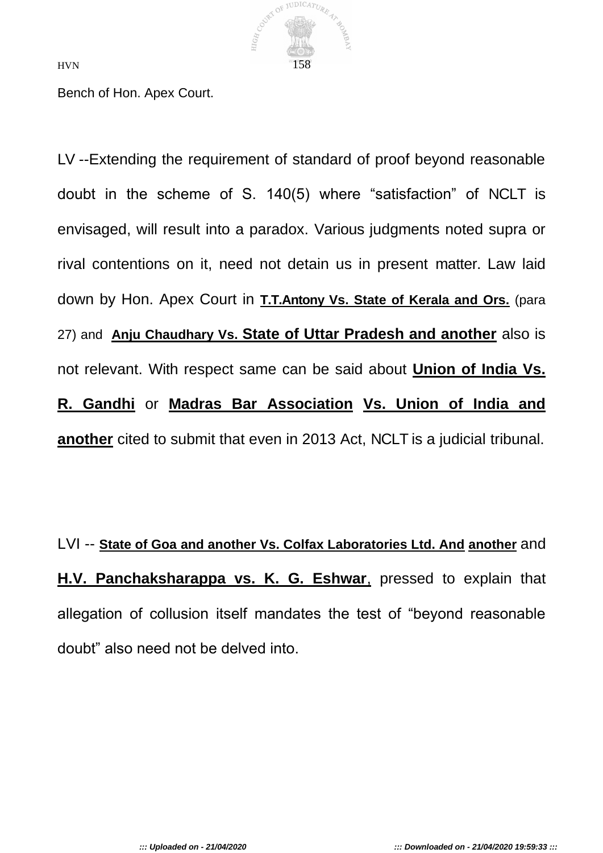

Bench of Hon. Apex Court.

LV --Extending the requirement of standard of proof beyond reasonable doubt in the scheme of S. 140(5) where "satisfaction" of NCLT is envisaged, will result into a paradox. Various judgments noted supra or rival contentions on it, need not detain us in present matter. Law laid down by Hon. Apex Court in **T.T.Antony Vs. State of Kerala and Ors.** (para 27) and **Anju Chaudhary Vs. State of Uttar Pradesh and another** also is not relevant. With respect same can be said about **Union of India Vs. R. Gandhi** or **Madras Bar Association Vs. Union of India and another** cited to submit that even in 2013 Act, NCLT is a judicial tribunal.

LVI -- **State of Goa and another Vs. Colfax Laboratories Ltd. And another** and **H.V. Panchaksharappa vs. K. G. Eshwar**, pressed to explain that allegation of collusion itself mandates the test of "beyond reasonable doubt" also need not be delved into.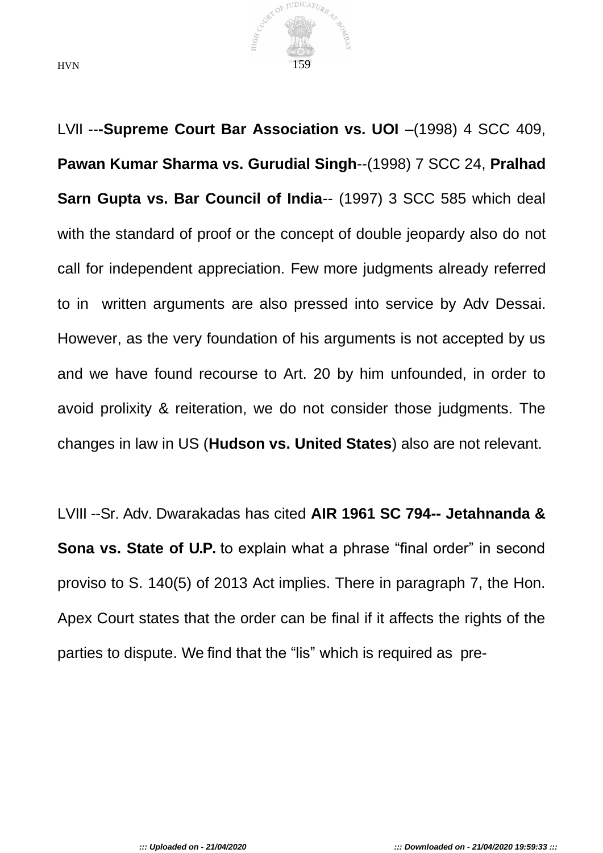

LVII --**-Supreme Court Bar Association vs. UOI** –(1998) 4 SCC 409, **Pawan Kumar Sharma vs. Gurudial Singh**--(1998) 7 SCC 24, **Pralhad Sarn Gupta vs. Bar Council of India--** (1997) 3 SCC 585 which deal with the standard of proof or the concept of double jeopardy also do not call for independent appreciation. Few more judgments already referred to in written arguments are also pressed into service by Adv Dessai. However, as the very foundation of his arguments is not accepted by us and we have found recourse to Art. 20 by him unfounded, in order to avoid prolixity & reiteration, we do not consider those judgments. The changes in law in US (**Hudson vs. United States**) also are not relevant.

LVIII --Sr. Adv. Dwarakadas has cited **AIR 1961 SC 794-- Jetahnanda & Sona vs. State of U.P.** to explain what a phrase "final order" in second proviso to S. 140(5) of 2013 Act implies. There in paragraph 7, the Hon. Apex Court states that the order can be final if it affects the rights of the parties to dispute. We find that the "lis" which is required as pre-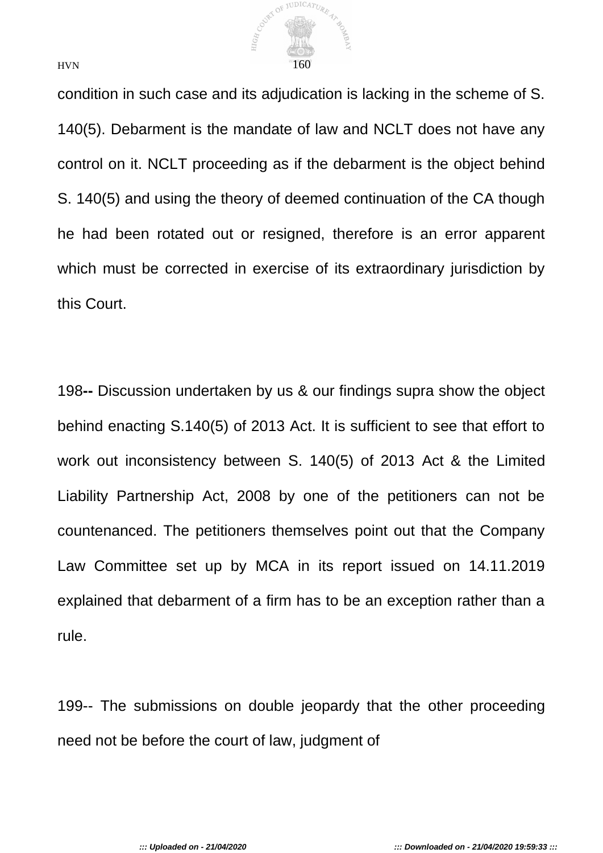

condition in such case and its adjudication is lacking in the scheme of S. 140(5). Debarment is the mandate of law and NCLT does not have any control on it. NCLT proceeding as if the debarment is the object behind S. 140(5) and using the theory of deemed continuation of the CA though he had been rotated out or resigned, therefore is an error apparent which must be corrected in exercise of its extraordinary jurisdiction by this Court.

198**--** Discussion undertaken by us & our findings supra show the object behind enacting S.140(5) of 2013 Act. It is sufficient to see that effort to work out inconsistency between S. 140(5) of 2013 Act & the Limited Liability Partnership Act, 2008 by one of the petitioners can not be countenanced. The petitioners themselves point out that the Company Law Committee set up by MCA in its report issued on 14.11.2019 explained that debarment of a firm has to be an exception rather than a rule.

199-- The submissions on double jeopardy that the other proceeding need not be before the court of law, judgment of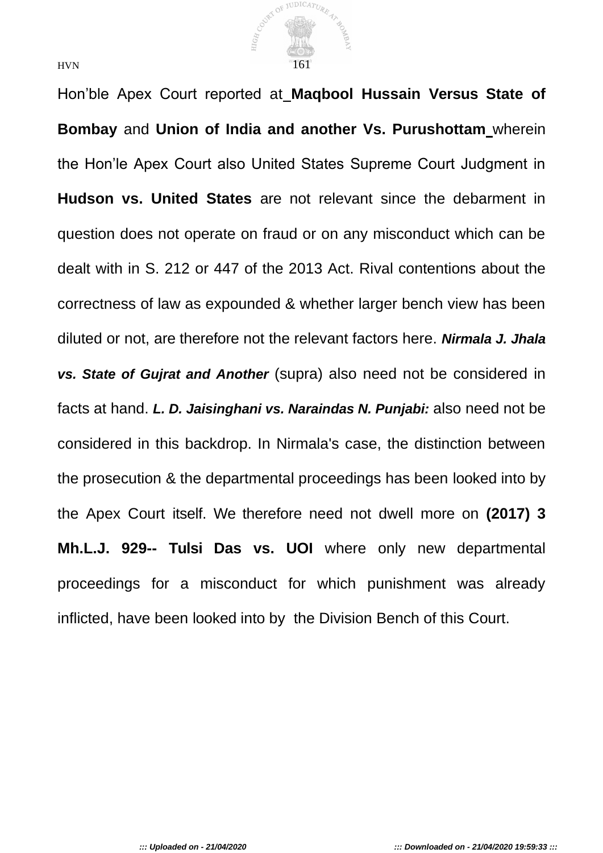

Hon'ble Apex Court reported at **Maqbool Hussain Versus State of Bombay** and **Union of India and another Vs. Purushottam** wherein the Hon'le Apex Court also United States Supreme Court Judgment in **Hudson vs. United States** are not relevant since the debarment in question does not operate on fraud or on any misconduct which can be dealt with in S. 212 or 447 of the 2013 Act. Rival contentions about the correctness of law as expounded & whether larger bench view has been diluted or not, are therefore not the relevant factors here. *Nirmala J. Jhala vs. State of Gujrat and Another* (supra) also need not be considered in facts at hand. *L. D. Jaisinghani vs. Naraindas N. Punjabi:* also need not be considered in this backdrop. In Nirmala's case, the distinction between the prosecution & the departmental proceedings has been looked into by the Apex Court itself. We therefore need not dwell more on **(2017) 3 Mh.L.J. 929-- Tulsi Das vs. UOI** where only new departmental proceedings for a misconduct for which punishment was already inflicted, have been looked into by the Division Bench of this Court.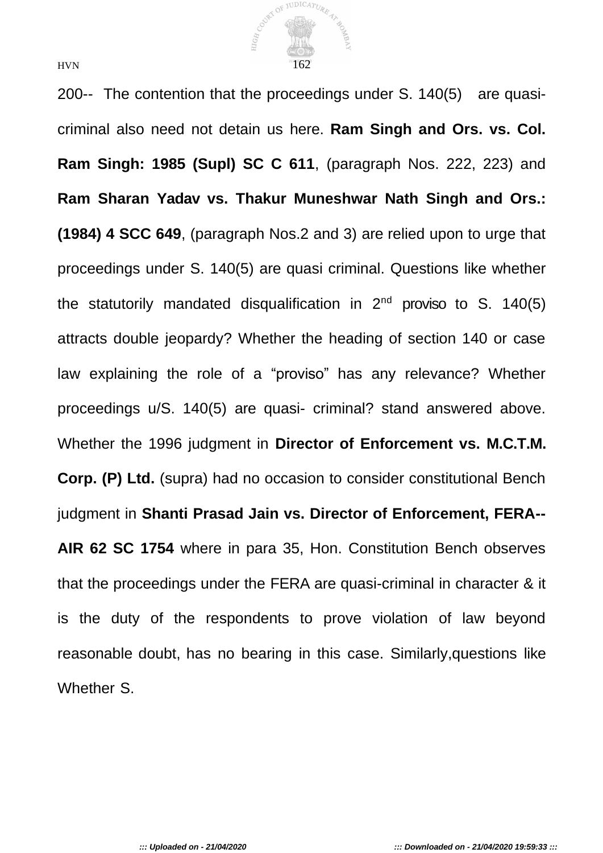

200-- The contention that the proceedings under S. 140(5) are quasicriminal also need not detain us here. **Ram Singh and Ors. vs. Col. Ram Singh: 1985 (Supl) SC C 611**, (paragraph Nos. 222, 223) and **Ram Sharan Yadav vs. Thakur Muneshwar Nath Singh and Ors.: (1984) 4 SCC 649**, (paragraph Nos.2 and 3) are relied upon to urge that proceedings under S. 140(5) are quasi criminal. Questions like whether the statutorily mandated disqualification in  $2^{nd}$  proviso to S. 140(5) attracts double jeopardy? Whether the heading of section 140 or case law explaining the role of a "proviso" has any relevance? Whether proceedings u/S. 140(5) are quasi- criminal? stand answered above. Whether the 1996 judgment in **Director of Enforcement vs. M.C.T.M. Corp. (P) Ltd.** (supra) had no occasion to consider constitutional Bench judgment in **Shanti Prasad Jain vs. Director of Enforcement, FERA-- AIR 62 SC 1754** where in para 35, Hon. Constitution Bench observes that the proceedings under the FERA are quasi-criminal in character & it is the duty of the respondents to prove violation of law beyond reasonable doubt, has no bearing in this case. Similarly,questions like Whether S.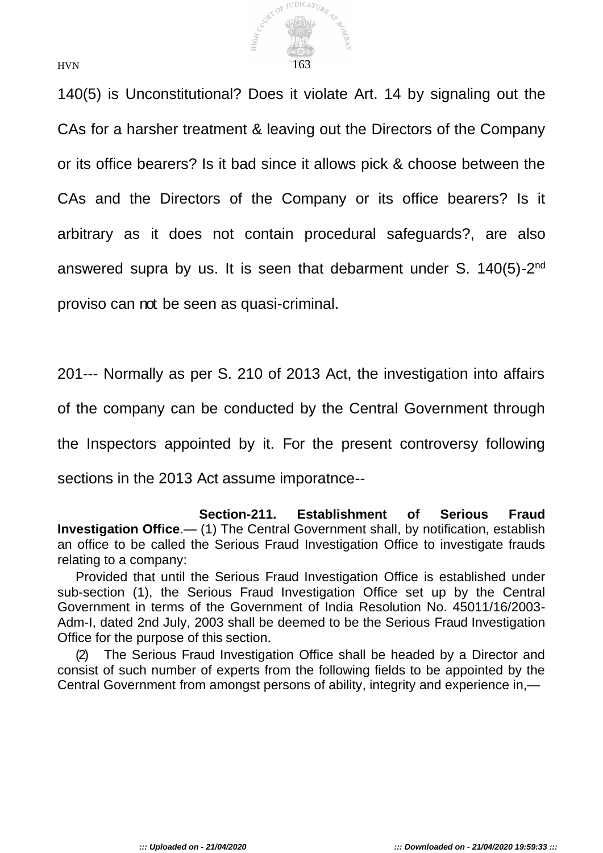

140(5) is Unconstitutional? Does it violate Art. 14 by signaling out the CAs for a harsher treatment & leaving out the Directors of the Company or its office bearers? Is it bad since it allows pick & choose between the CAs and the Directors of the Company or its office bearers? Is it arbitrary as it does not contain procedural safeguards?, are also answered supra by us. It is seen that debarment under S. 140(5)-2<sup>nd</sup> proviso can not be seen as quasi-criminal.

201--- Normally as per S. 210 of 2013 Act, the investigation into affairs

of the company can be conducted by the Central Government through

the Inspectors appointed by it. For the present controversy following

sections in the 2013 Act assume imporatnce--

**Section-211. Establishment of Serious Fraud Investigation Office**.— (1) The Central Government shall, by notification, establish an office to be called the Serious Fraud Investigation Office to investigate frauds relating to a company:

Provided that until the Serious Fraud Investigation Office is established under sub-section (1), the Serious Fraud Investigation Office set up by the Central Government in terms of the Government of India Resolution No. 45011/16/2003- Adm-I, dated 2nd July, 2003 shall be deemed to be the Serious Fraud Investigation Office for the purpose of this section.

(2) The Serious Fraud Investigation Office shall be headed by a Director and consist of such number of experts from the following fields to be appointed by the Central Government from amongst persons of ability, integrity and experience in,—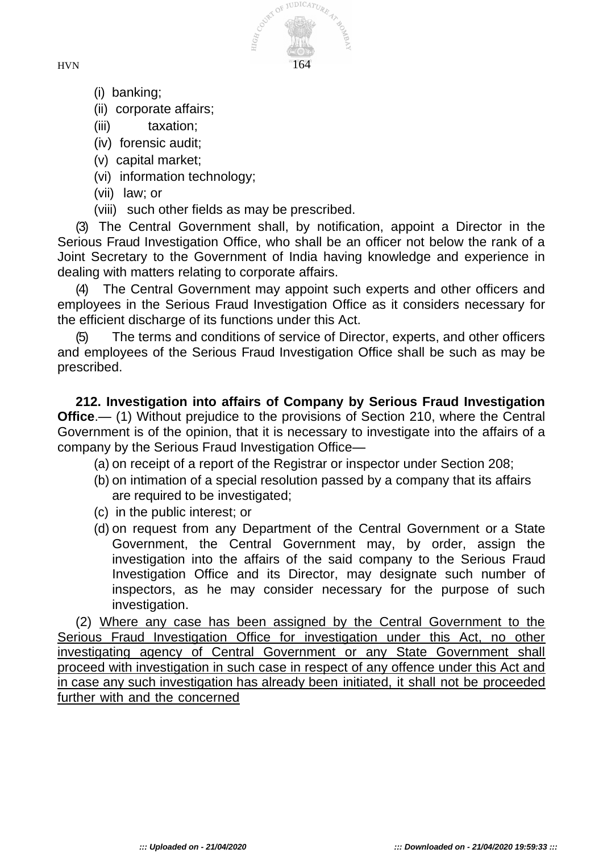

- (i) banking;
- (ii) corporate affairs;
- (iii) taxation;
- (iv) forensic audit;
- (v) capital market;
- (vi) information technology;
- (vii) law; or
- (viii) such other fields as may be prescribed.

(3) The Central Government shall, by notification, appoint a Director in the Serious Fraud Investigation Office, who shall be an officer not below the rank of a Joint Secretary to the Government of India having knowledge and experience in dealing with matters relating to corporate affairs.

The Central Government may appoint such experts and other officers and employees in the Serious Fraud Investigation Office as it considers necessary for the efficient discharge of its functions under this Act.

The terms and conditions of service of Director, experts, and other officers and employees of the Serious Fraud Investigation Office shall be such as may be prescribed.

**212. Investigation into affairs of Company by Serious Fraud Investigation Office.**— (1) Without prejudice to the provisions of Section 210, where the Central Government is of the opinion, that it is necessary to investigate into the affairs of a company by the Serious Fraud Investigation Office—

(a) on receipt of a report of the Registrar or inspector under Section 208;

- (b) on intimation of a special resolution passed by a company that its affairs are required to be investigated;
- (c) in the public interest; or
- (d) on request from any Department of the Central Government or a State Government, the Central Government may, by order, assign the investigation into the affairs of the said company to the Serious Fraud Investigation Office and its Director, may designate such number of inspectors, as he may consider necessary for the purpose of such investigation.

(2) Where any case has been assigned by the Central Government to the Serious Fraud Investigation Office for investigation under this Act, no other investigating agency of Central Government or any State Government shall proceed with investigation in such case in respect of any offence under this Act and in case any such investigation has already been initiated, it shall not be proceeded further with and the concerned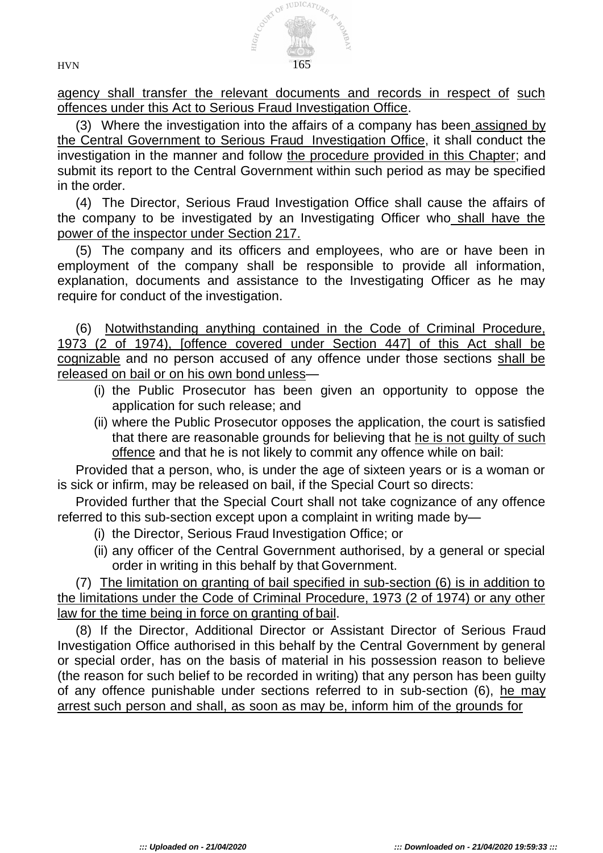

agency shall transfer the relevant documents and records in respect of such offences under this Act to Serious Fraud Investigation Office.

(3) Where the investigation into the affairs of a company has been assigned by the Central Government to Serious Fraud Investigation Office, it shall conduct the investigation in the manner and follow the procedure provided in this Chapter; and submit its report to the Central Government within such period as may be specified in the order.

(4) The Director, Serious Fraud Investigation Office shall cause the affairs of the company to be investigated by an Investigating Officer who shall have the power of the inspector under Section 217.

(5) The company and its officers and employees, who are or have been in employment of the company shall be responsible to provide all information, explanation, documents and assistance to the Investigating Officer as he may require for conduct of the investigation.

(6) Notwithstanding anything contained in the Code of Criminal Procedure, 1973 (2 of 1974), [offence covered under Section 447] of this Act shall be cognizable and no person accused of any offence under those sections shall be released on bail or on his own bond unless—

- (i) the Public Prosecutor has been given an opportunity to oppose the application for such release; and
- (ii) where the Public Prosecutor opposes the application, the court is satisfied that there are reasonable grounds for believing that he is not guilty of such offence and that he is not likely to commit any offence while on bail:

Provided that a person, who, is under the age of sixteen years or is a woman or is sick or infirm, may be released on bail, if the Special Court so directs:

Provided further that the Special Court shall not take cognizance of any offence referred to this sub-section except upon a complaint in writing made by—

- (i) the Director, Serious Fraud Investigation Office; or
- (ii) any officer of the Central Government authorised, by a general or special order in writing in this behalf by that Government.

(7) The limitation on granting of bail specified in sub-section (6) is in addition to the limitations under the Code of Criminal Procedure, 1973 (2 of 1974) or any other law for the time being in force on granting of bail.

(8) If the Director, Additional Director or Assistant Director of Serious Fraud Investigation Office authorised in this behalf by the Central Government by general or special order, has on the basis of material in his possession reason to believe (the reason for such belief to be recorded in writing) that any person has been guilty of any offence punishable under sections referred to in sub-section (6), he may arrest such person and shall, as soon as may be, inform him of the grounds for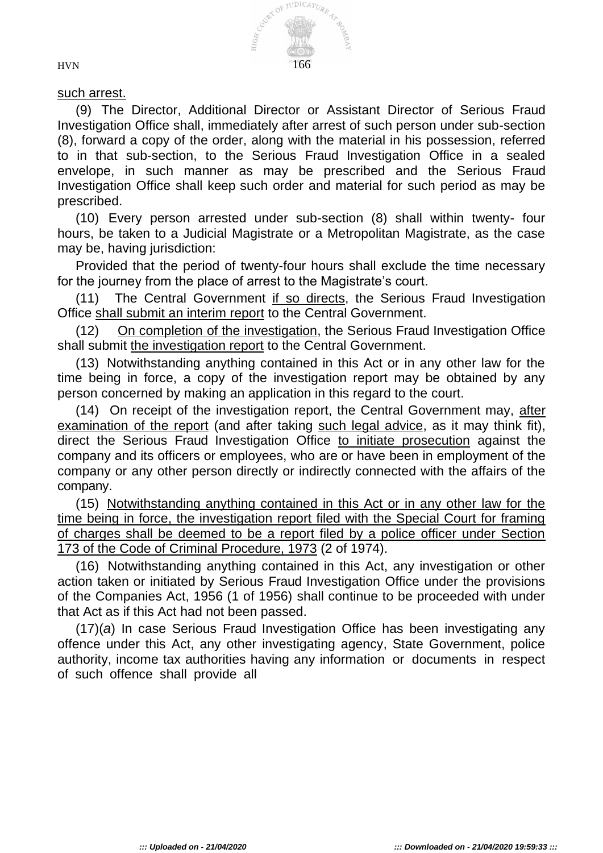

## such arrest.

(9) The Director, Additional Director or Assistant Director of Serious Fraud Investigation Office shall, immediately after arrest of such person under sub-section (8), forward a copy of the order, along with the material in his possession, referred to in that sub-section, to the Serious Fraud Investigation Office in a sealed envelope, in such manner as may be prescribed and the Serious Fraud Investigation Office shall keep such order and material for such period as may be prescribed.

(10) Every person arrested under sub-section (8) shall within twenty- four hours, be taken to a Judicial Magistrate or a Metropolitan Magistrate, as the case may be, having jurisdiction:

Provided that the period of twenty-four hours shall exclude the time necessary for the journey from the place of arrest to the Magistrate's court.

(11) The Central Government if so directs, the Serious Fraud Investigation Office shall submit an interim report to the Central Government.

(12) On completion of the investigation, the Serious Fraud Investigation Office shall submit the investigation report to the Central Government.

(13) Notwithstanding anything contained in this Act or in any other law for the time being in force, a copy of the investigation report may be obtained by any person concerned by making an application in this regard to the court.

(14) On receipt of the investigation report, the Central Government may, after examination of the report (and after taking such legal advice, as it may think fit), direct the Serious Fraud Investigation Office to initiate prosecution against the company and its officers or employees, who are or have been in employment of the company or any other person directly or indirectly connected with the affairs of the company.

(15) Notwithstanding anything contained in this Act or in any other law for the time being in force, the investigation report filed with the Special Court for framing of charges shall be deemed to be a report filed by a police officer under Section 173 of the Code of Criminal Procedure, 1973 (2 of 1974).

(16) Notwithstanding anything contained in this Act, any investigation or other action taken or initiated by Serious Fraud Investigation Office under the provisions of the Companies Act, 1956 (1 of 1956) shall continue to be proceeded with under that Act as if this Act had not been passed.

(17)(*a*) In case Serious Fraud Investigation Office has been investigating any offence under this Act, any other investigating agency, State Government, police authority, income tax authorities having any information or documents in respect of such offence shall provide all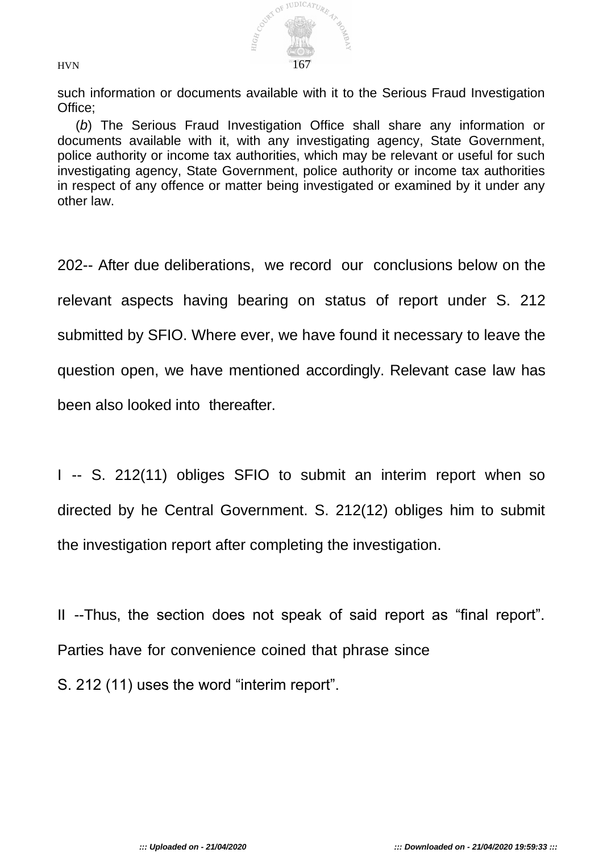

such information or documents available with it to the Serious Fraud Investigation Office;

(*b*) The Serious Fraud Investigation Office shall share any information or documents available with it, with any investigating agency, State Government, police authority or income tax authorities, which may be relevant or useful for such investigating agency, State Government, police authority or income tax authorities in respect of any offence or matter being investigated or examined by it under any other law.

202-- After due deliberations, we record our conclusions below on the relevant aspects having bearing on status of report under S. 212 submitted by SFIO. Where ever, we have found it necessary to leave the question open, we have mentioned accordingly. Relevant case law has been also looked into thereafter.

I -- S. 212(11) obliges SFIO to submit an interim report when so directed by he Central Government. S. 212(12) obliges him to submit the investigation report after completing the investigation.

II --Thus, the section does not speak of said report as "final report". Parties have for convenience coined that phrase since S. 212 (11) uses the word "interim report".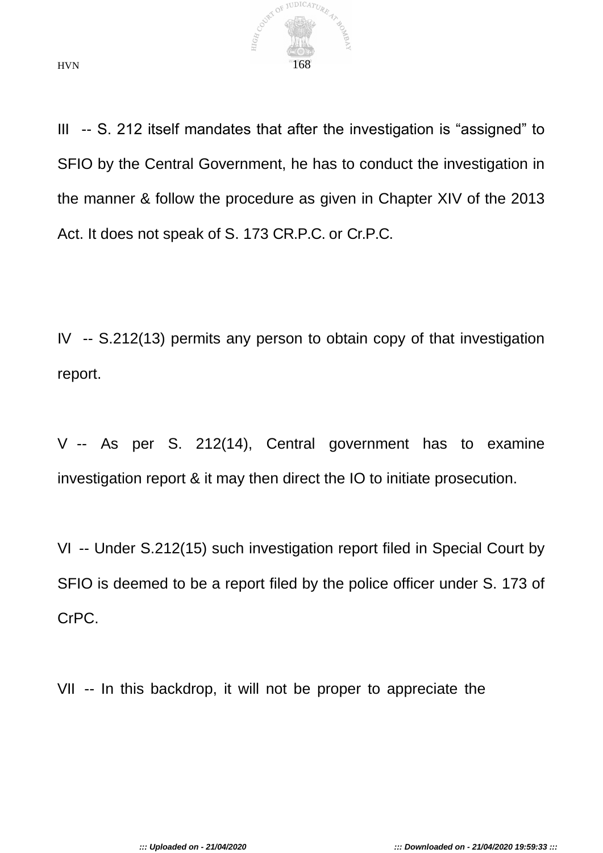

III -- S. 212 itself mandates that after the investigation is "assigned" to SFIO by the Central Government, he has to conduct the investigation in the manner & follow the procedure as given in Chapter XIV of the 2013 Act. It does not speak of S. 173 CR.P.C. or Cr.P.C.

IV -- S.212(13) permits any person to obtain copy of that investigation report.

V -- As per S. 212(14), Central government has to examine investigation report & it may then direct the IO to initiate prosecution.

VI -- Under S.212(15) such investigation report filed in Special Court by SFIO is deemed to be a report filed by the police officer under S. 173 of CrPC.

VII -- In this backdrop, it will not be proper to appreciate the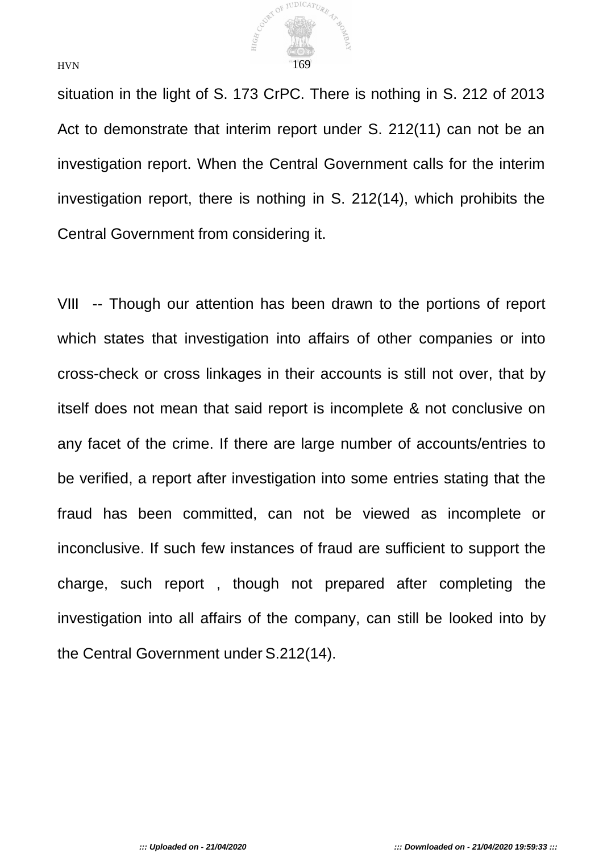

situation in the light of S. 173 CrPC. There is nothing in S. 212 of 2013 Act to demonstrate that interim report under S. 212(11) can not be an investigation report. When the Central Government calls for the interim investigation report, there is nothing in S. 212(14), which prohibits the Central Government from considering it.

VIII -- Though our attention has been drawn to the portions of report which states that investigation into affairs of other companies or into cross-check or cross linkages in their accounts is still not over, that by itself does not mean that said report is incomplete & not conclusive on any facet of the crime. If there are large number of accounts/entries to be verified, a report after investigation into some entries stating that the fraud has been committed, can not be viewed as incomplete or inconclusive. If such few instances of fraud are sufficient to support the charge, such report , though not prepared after completing the investigation into all affairs of the company, can still be looked into by the Central Government under S.212(14).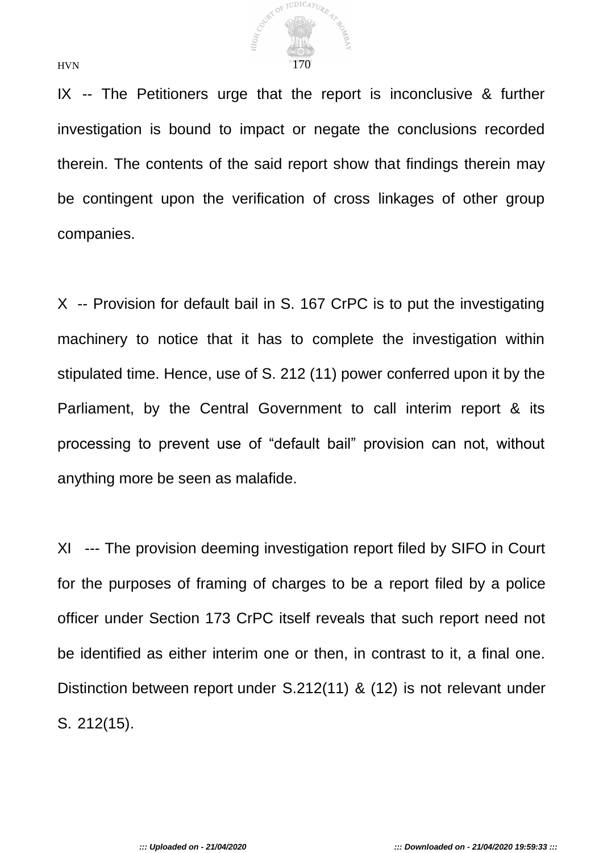

IX -- The Petitioners urge that the report is inconclusive & further investigation is bound to impact or negate the conclusions recorded therein. The contents of the said report show that findings therein may be contingent upon the verification of cross linkages of other group companies.

X -- Provision for default bail in S. 167 CrPC is to put the investigating machinery to notice that it has to complete the investigation within stipulated time. Hence, use of S. 212 (11) power conferred upon it by the Parliament, by the Central Government to call interim report & its processing to prevent use of "default bail" provision can not, without anything more be seen as malafide.

XI --- The provision deeming investigation report filed by SIFO in Court for the purposes of framing of charges to be a report filed by a police officer under Section 173 CrPC itself reveals that such report need not be identified as either interim one or then, in contrast to it, a final one. Distinction between report under S.212(11) & (12) is not relevant under S. 212(15).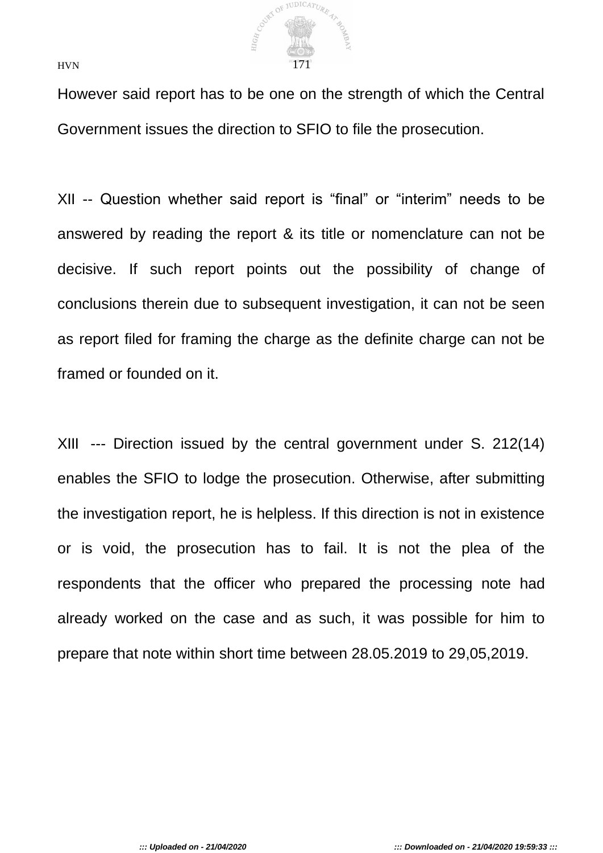

However said report has to be one on the strength of which the Central Government issues the direction to SFIO to file the prosecution.

XII -- Question whether said report is "final" or "interim" needs to be answered by reading the report & its title or nomenclature can not be decisive. If such report points out the possibility of change of conclusions therein due to subsequent investigation, it can not be seen as report filed for framing the charge as the definite charge can not be framed or founded on it.

XIII --- Direction issued by the central government under S. 212(14) enables the SFIO to lodge the prosecution. Otherwise, after submitting the investigation report, he is helpless. If this direction is not in existence or is void, the prosecution has to fail. It is not the plea of the respondents that the officer who prepared the processing note had already worked on the case and as such, it was possible for him to prepare that note within short time between 28.05.2019 to 29,05,2019.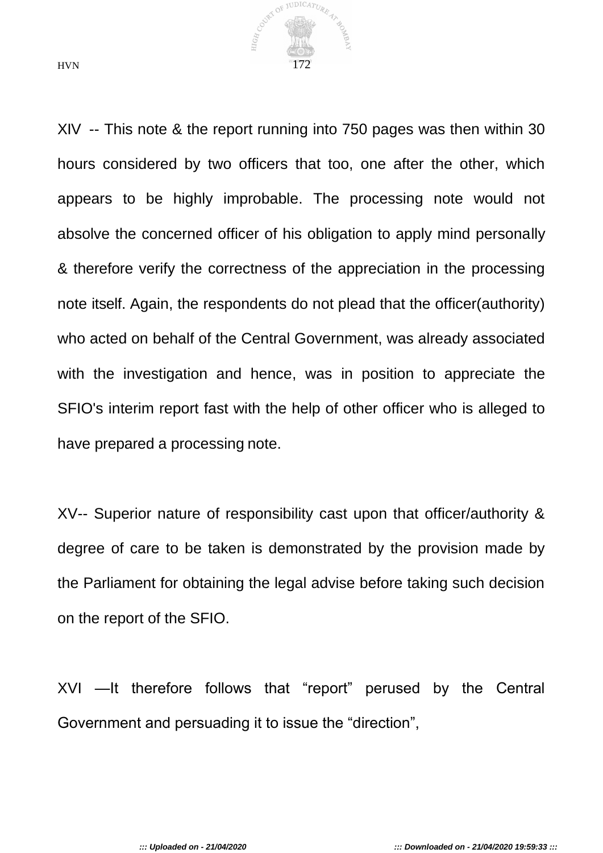

XIV -- This note & the report running into 750 pages was then within 30 hours considered by two officers that too, one after the other, which appears to be highly improbable. The processing note would not absolve the concerned officer of his obligation to apply mind personally & therefore verify the correctness of the appreciation in the processing note itself. Again, the respondents do not plead that the officer(authority) who acted on behalf of the Central Government, was already associated with the investigation and hence, was in position to appreciate the SFIO's interim report fast with the help of other officer who is alleged to have prepared a processing note.

XV-- Superior nature of responsibility cast upon that officer/authority & degree of care to be taken is demonstrated by the provision made by the Parliament for obtaining the legal advise before taking such decision on the report of the SFIO.

XVI —It therefore follows that "report" perused by the Central Government and persuading it to issue the "direction",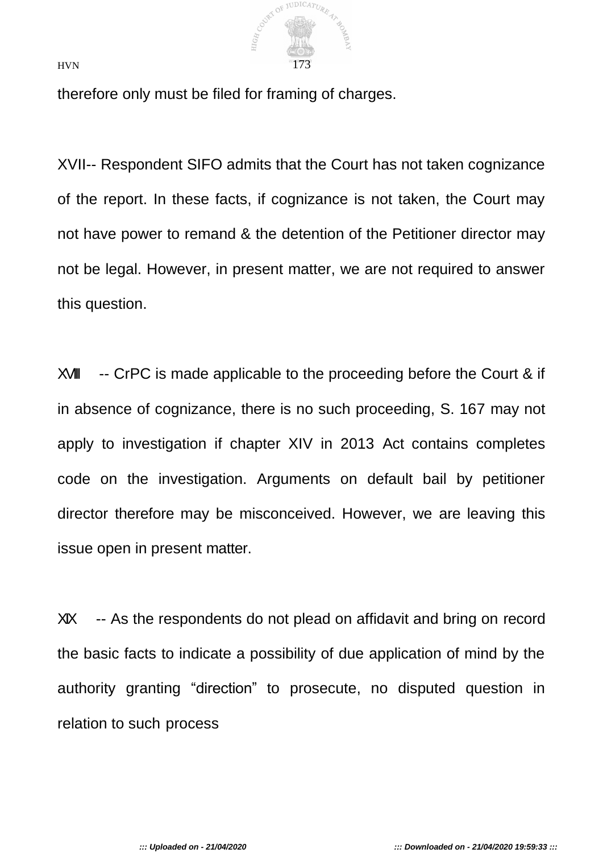

therefore only must be filed for framing of charges.

XVII-- Respondent SIFO admits that the Court has not taken cognizance of the report. In these facts, if cognizance is not taken, the Court may not have power to remand & the detention of the Petitioner director may not be legal. However, in present matter, we are not required to answer this question.

XVIII -- CrPC is made applicable to the proceeding before the Court & if in absence of cognizance, there is no such proceeding, S. 167 may not apply to investigation if chapter XIV in 2013 Act contains completes code on the investigation. Arguments on default bail by petitioner director therefore may be misconceived. However, we are leaving this issue open in present matter.

XIX -- As the respondents do not plead on affidavit and bring on record the basic facts to indicate a possibility of due application of mind by the authority granting "direction" to prosecute, no disputed question in relation to such process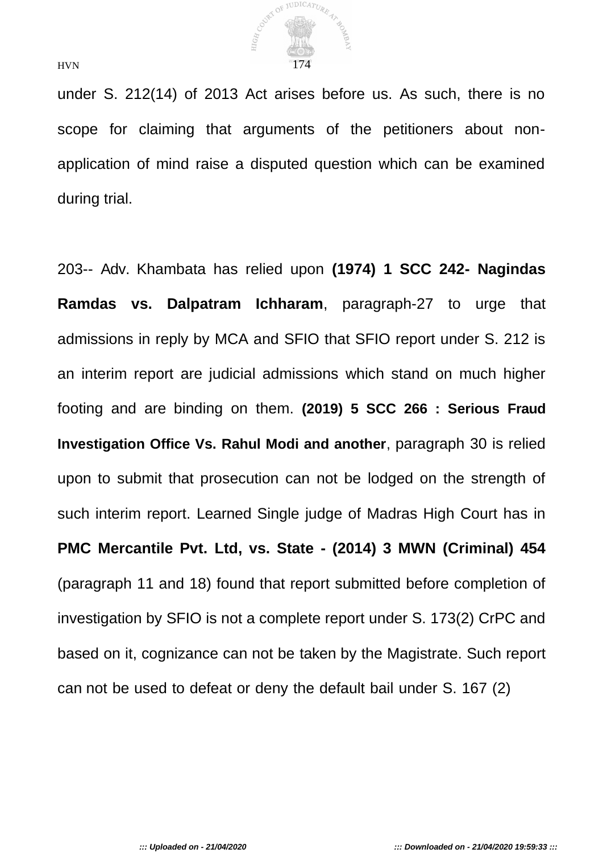

under S. 212(14) of 2013 Act arises before us. As such, there is no scope for claiming that arguments of the petitioners about nonapplication of mind raise a disputed question which can be examined during trial.

203-- Adv. Khambata has relied upon **(1974) 1 SCC 242- Nagindas Ramdas vs. Dalpatram Ichharam**, paragraph-27 to urge that admissions in reply by MCA and SFIO that SFIO report under S. 212 is an interim report are judicial admissions which stand on much higher footing and are binding on them. **(2019) 5 SCC 266 : Serious Fraud Investigation Office Vs. Rahul Modi and another**, paragraph 30 is relied upon to submit that prosecution can not be lodged on the strength of such interim report. Learned Single judge of Madras High Court has in **PMC Mercantile Pvt. Ltd, vs. State - (2014) 3 MWN (Criminal) 454**  (paragraph 11 and 18) found that report submitted before completion of investigation by SFIO is not a complete report under S. 173(2) CrPC and based on it, cognizance can not be taken by the Magistrate. Such report can not be used to defeat or deny the default bail under S. 167 (2)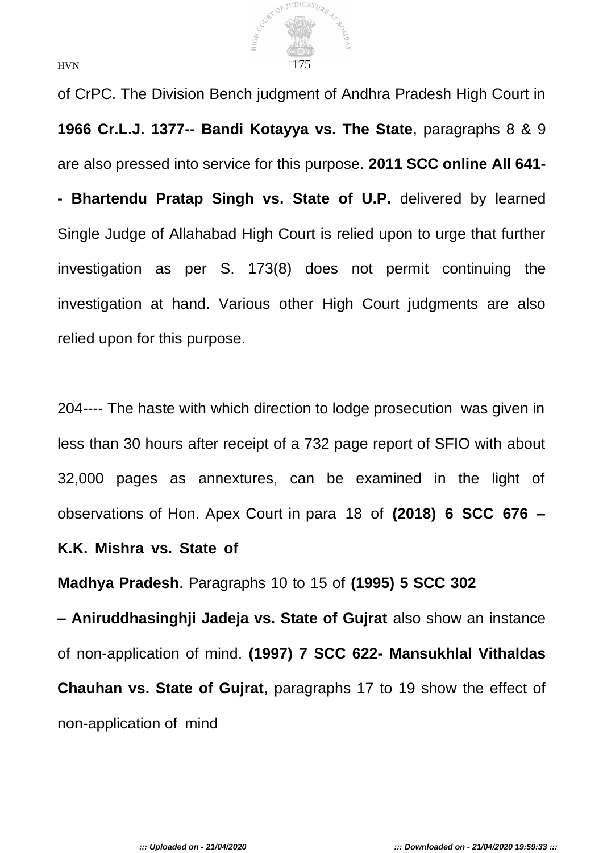

of CrPC. The Division Bench judgment of Andhra Pradesh High Court in **1966 Cr.L.J. 1377-- Bandi Kotayya vs. The State**, paragraphs 8 & 9 are also pressed into service for this purpose. **2011 SCC online All 641- - Bhartendu Pratap Singh vs. State of U.P.** delivered by learned Single Judge of Allahabad High Court is relied upon to urge that further investigation as per S. 173(8) does not permit continuing the investigation at hand. Various other High Court judgments are also relied upon for this purpose.

204---- The haste with which direction to lodge prosecution was given in less than 30 hours after receipt of a 732 page report of SFIO with about 32,000 pages as annextures, can be examined in the light of observations of Hon. Apex Court in para 18 of **(2018) 6 SCC 676 –**

## **K.K. Mishra vs. State of**

**Madhya Pradesh**. Paragraphs 10 to 15 of **(1995) 5 SCC 302**

**– Aniruddhasinghji Jadeja vs. State of Gujrat** also show an instance of non-application of mind. **(1997) 7 SCC 622- Mansukhlal Vithaldas Chauhan vs. State of Gujrat**, paragraphs 17 to 19 show the effect of non-application of mind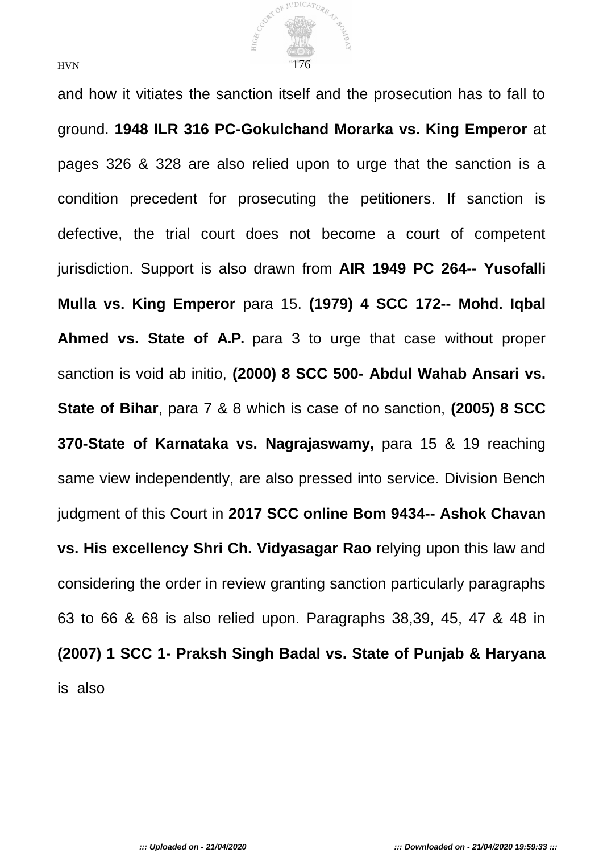

and how it vitiates the sanction itself and the prosecution has to fall to ground. **1948 ILR 316 PC-Gokulchand Morarka vs. King Emperor** at pages 326 & 328 are also relied upon to urge that the sanction is a condition precedent for prosecuting the petitioners. If sanction is defective, the trial court does not become a court of competent jurisdiction. Support is also drawn from **AIR 1949 PC 264-- Yusofalli Mulla vs. King Emperor** para 15. **(1979) 4 SCC 172-- Mohd. Iqbal Ahmed vs. State of A.P.** para 3 to urge that case without proper sanction is void ab initio, **(2000) 8 SCC 500- Abdul Wahab Ansari vs. State of Bihar**, para 7 & 8 which is case of no sanction, **(2005) 8 SCC 370-State of Karnataka vs. Nagrajaswamy,** para 15 & 19 reaching same view independently, are also pressed into service. Division Bench judgment of this Court in **2017 SCC online Bom 9434-- Ashok Chavan vs. His excellency Shri Ch. Vidyasagar Rao** relying upon this law and considering the order in review granting sanction particularly paragraphs 63 to 66 & 68 is also relied upon. Paragraphs 38,39, 45, 47 & 48 in **(2007) 1 SCC 1- Praksh Singh Badal vs. State of Punjab & Haryana**  is also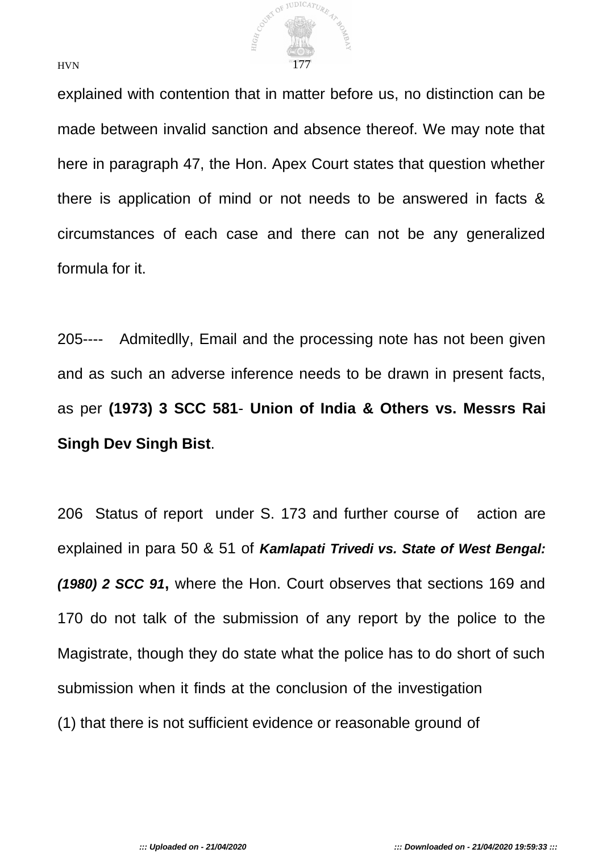

explained with contention that in matter before us, no distinction can be made between invalid sanction and absence thereof. We may note that here in paragraph 47, the Hon. Apex Court states that question whether there is application of mind or not needs to be answered in facts & circumstances of each case and there can not be any generalized formula for it.

205---- Admitedlly, Email and the processing note has not been given and as such an adverse inference needs to be drawn in present facts, as per **(1973) 3 SCC 581**- **Union of India & Others vs. Messrs Rai Singh Dev Singh Bist**.

206 Status of report under S. 173 and further course of action are explained in para 50 & 51 of *Kamlapati Trivedi vs. State of West Bengal: (1980) 2 SCC 91***,** where the Hon. Court observes that sections 169 and 170 do not talk of the submission of any report by the police to the Magistrate, though they do state what the police has to do short of such submission when it finds at the conclusion of the investigation (1) that there is not sufficient evidence or reasonable ground of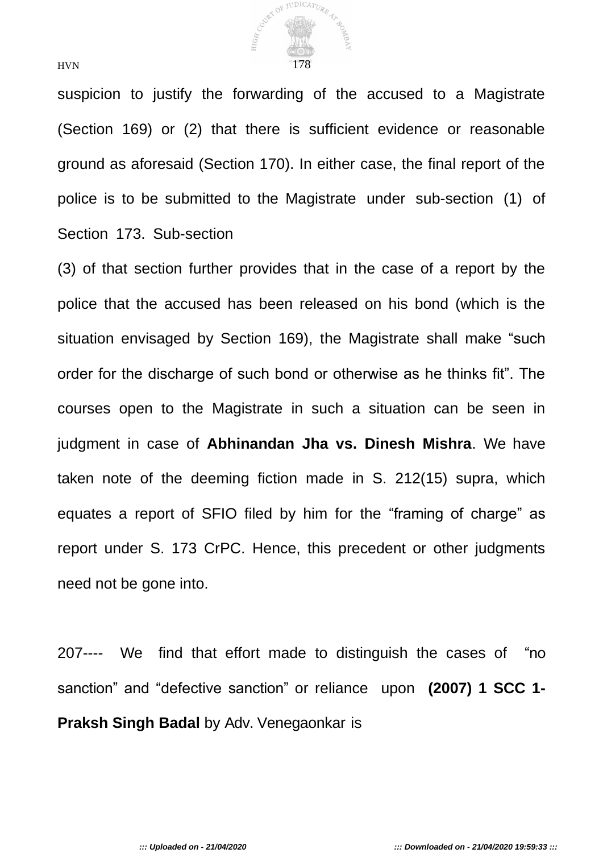

suspicion to justify the forwarding of the accused to a Magistrate (Section 169) or (2) that there is sufficient evidence or reasonable ground as aforesaid (Section 170). In either case, the final report of the police is to be submitted to the Magistrate under sub-section (1) of Section 173. Sub-section

(3) of that section further provides that in the case of a report by the police that the accused has been released on his bond (which is the situation envisaged by Section 169), the Magistrate shall make "such order for the discharge of such bond or otherwise as he thinks fit". The courses open to the Magistrate in such a situation can be seen in judgment in case of **Abhinandan Jha vs. Dinesh Mishra**. We have taken note of the deeming fiction made in S. 212(15) supra, which equates a report of SFIO filed by him for the "framing of charge" as report under S. 173 CrPC. Hence, this precedent or other judgments need not be gone into.

207---- We find that effort made to distinguish the cases of "no sanction" and "defective sanction" or reliance upon **(2007) 1 SCC 1- Praksh Singh Badal** by Adv. Venegaonkar is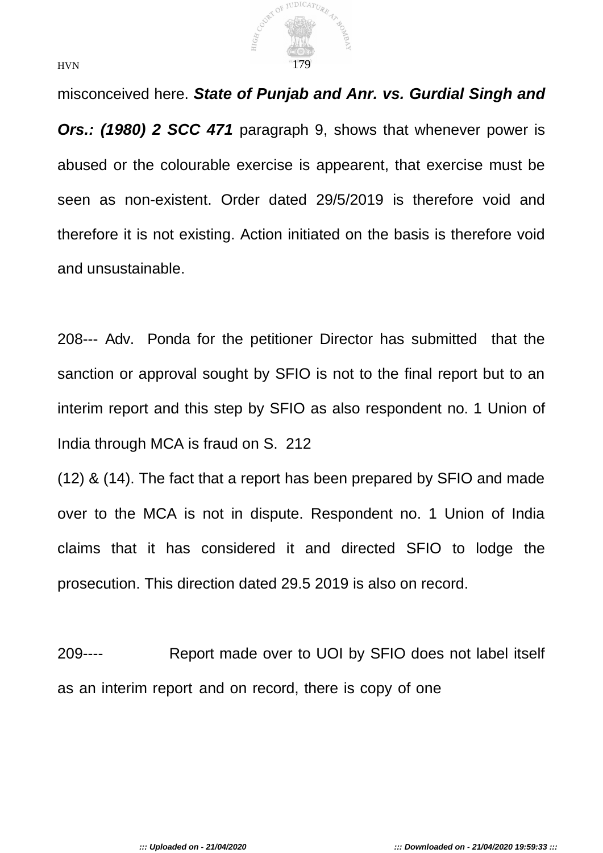

misconceived here. *State of Punjab and Anr. vs. Gurdial Singh and Ors.: (1980) 2 SCC 471* paragraph 9, shows that whenever power is abused or the colourable exercise is appearent, that exercise must be seen as non-existent. Order dated 29/5/2019 is therefore void and therefore it is not existing. Action initiated on the basis is therefore void and unsustainable.

208--- Adv. Ponda for the petitioner Director has submitted that the sanction or approval sought by SFIO is not to the final report but to an interim report and this step by SFIO as also respondent no. 1 Union of India through MCA is fraud on S. 212

(12) & (14). The fact that a report has been prepared by SFIO and made over to the MCA is not in dispute. Respondent no. 1 Union of India claims that it has considered it and directed SFIO to lodge the prosecution. This direction dated 29.5 2019 is also on record.

209---- Report made over to UOI by SFIO does not label itself as an interim report and on record, there is copy of one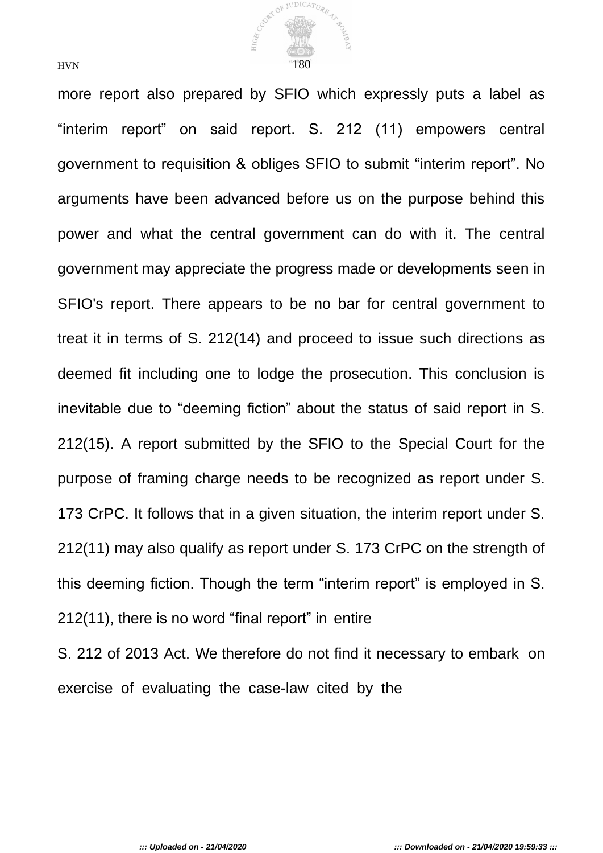

more report also prepared by SFIO which expressly puts a label as "interim report" on said report. S. 212 (11) empowers central government to requisition & obliges SFIO to submit "interim report". No arguments have been advanced before us on the purpose behind this power and what the central government can do with it. The central government may appreciate the progress made or developments seen in SFIO's report. There appears to be no bar for central government to treat it in terms of S. 212(14) and proceed to issue such directions as deemed fit including one to lodge the prosecution. This conclusion is inevitable due to "deeming fiction" about the status of said report in S. 212(15). A report submitted by the SFIO to the Special Court for the purpose of framing charge needs to be recognized as report under S. 173 CrPC. It follows that in a given situation, the interim report under S. 212(11) may also qualify as report under S. 173 CrPC on the strength of this deeming fiction. Though the term "interim report" is employed in S. 212(11), there is no word "final report" in entire

S. 212 of 2013 Act. We therefore do not find it necessary to embark on exercise of evaluating the case-law cited by the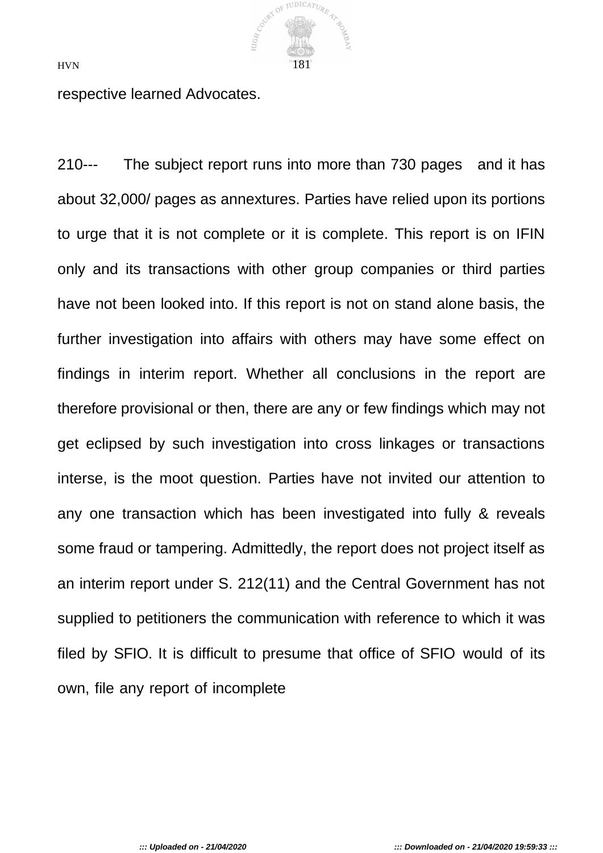

respective learned Advocates.

210--- The subject report runs into more than 730 pages and it has about 32,000/ pages as annextures. Parties have relied upon its portions to urge that it is not complete or it is complete. This report is on IFIN only and its transactions with other group companies or third parties have not been looked into. If this report is not on stand alone basis, the further investigation into affairs with others may have some effect on findings in interim report. Whether all conclusions in the report are therefore provisional or then, there are any or few findings which may not get eclipsed by such investigation into cross linkages or transactions interse, is the moot question. Parties have not invited our attention to any one transaction which has been investigated into fully & reveals some fraud or tampering. Admittedly, the report does not project itself as an interim report under S. 212(11) and the Central Government has not supplied to petitioners the communication with reference to which it was filed by SFIO. It is difficult to presume that office of SFIO would of its own, file any report of incomplete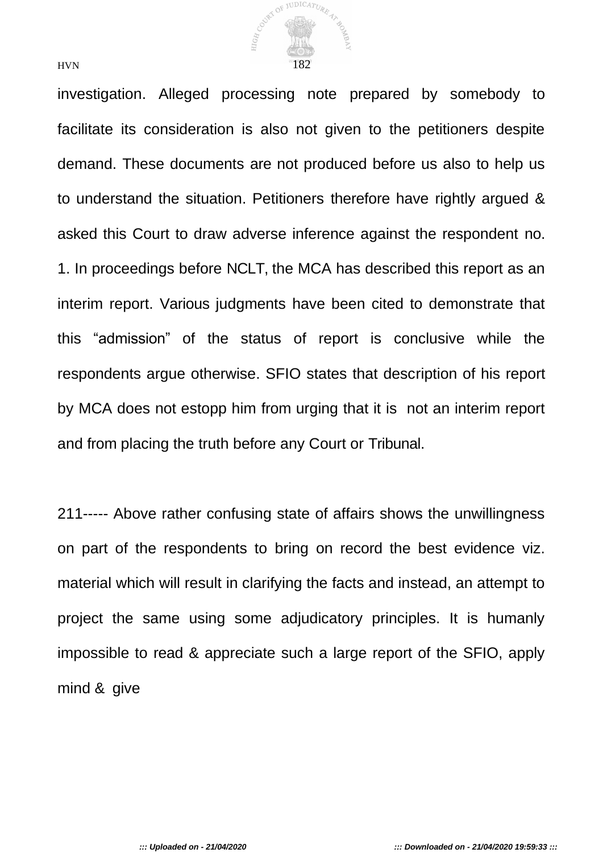

investigation. Alleged processing note prepared by somebody to facilitate its consideration is also not given to the petitioners despite demand. These documents are not produced before us also to help us to understand the situation. Petitioners therefore have rightly argued & asked this Court to draw adverse inference against the respondent no. 1. In proceedings before NCLT, the MCA has described this report as an interim report. Various judgments have been cited to demonstrate that this "admission" of the status of report is conclusive while the respondents argue otherwise. SFIO states that description of his report by MCA does not estopp him from urging that it is not an interim report and from placing the truth before any Court or Tribunal.

211----- Above rather confusing state of affairs shows the unwillingness on part of the respondents to bring on record the best evidence viz. material which will result in clarifying the facts and instead, an attempt to project the same using some adjudicatory principles. It is humanly impossible to read & appreciate such a large report of the SFIO, apply mind & give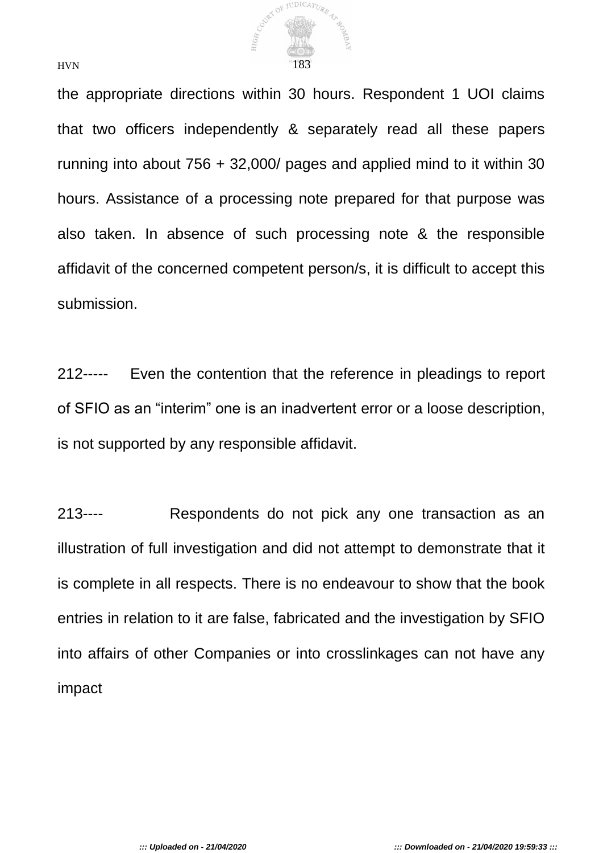

the appropriate directions within 30 hours. Respondent 1 UOI claims that two officers independently & separately read all these papers running into about 756 + 32,000/ pages and applied mind to it within 30 hours. Assistance of a processing note prepared for that purpose was also taken. In absence of such processing note & the responsible affidavit of the concerned competent person/s, it is difficult to accept this submission.

212----- Even the contention that the reference in pleadings to report of SFIO as an "interim" one is an inadvertent error or a loose description, is not supported by any responsible affidavit.

213---- Respondents do not pick any one transaction as an illustration of full investigation and did not attempt to demonstrate that it is complete in all respects. There is no endeavour to show that the book entries in relation to it are false, fabricated and the investigation by SFIO into affairs of other Companies or into crosslinkages can not have any impact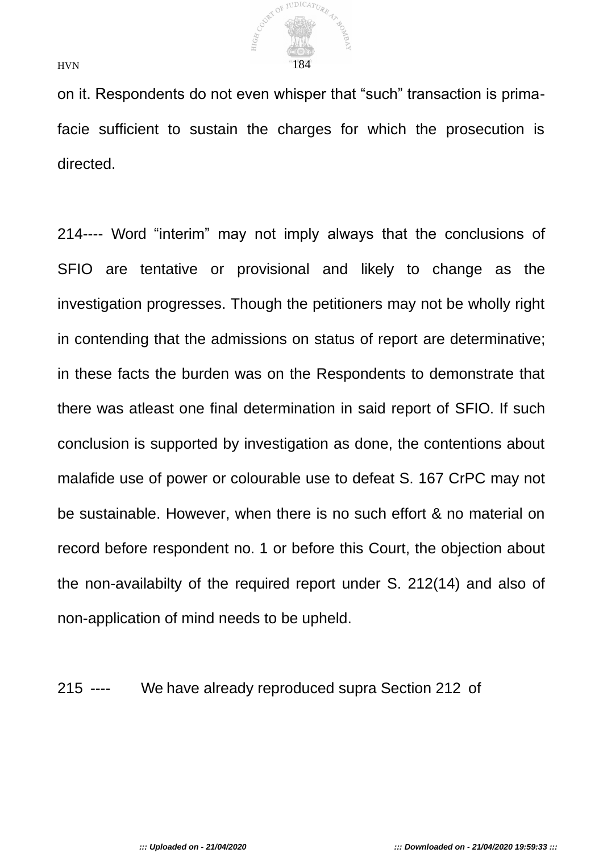

on it. Respondents do not even whisper that "such" transaction is primafacie sufficient to sustain the charges for which the prosecution is directed.

214---- Word "interim" may not imply always that the conclusions of SFIO are tentative or provisional and likely to change as the investigation progresses. Though the petitioners may not be wholly right in contending that the admissions on status of report are determinative; in these facts the burden was on the Respondents to demonstrate that there was atleast one final determination in said report of SFIO. If such conclusion is supported by investigation as done, the contentions about malafide use of power or colourable use to defeat S. 167 CrPC may not be sustainable. However, when there is no such effort & no material on record before respondent no. 1 or before this Court, the objection about the non-availabilty of the required report under S. 212(14) and also of non-application of mind needs to be upheld.

215 ---- We have already reproduced supra Section 212 of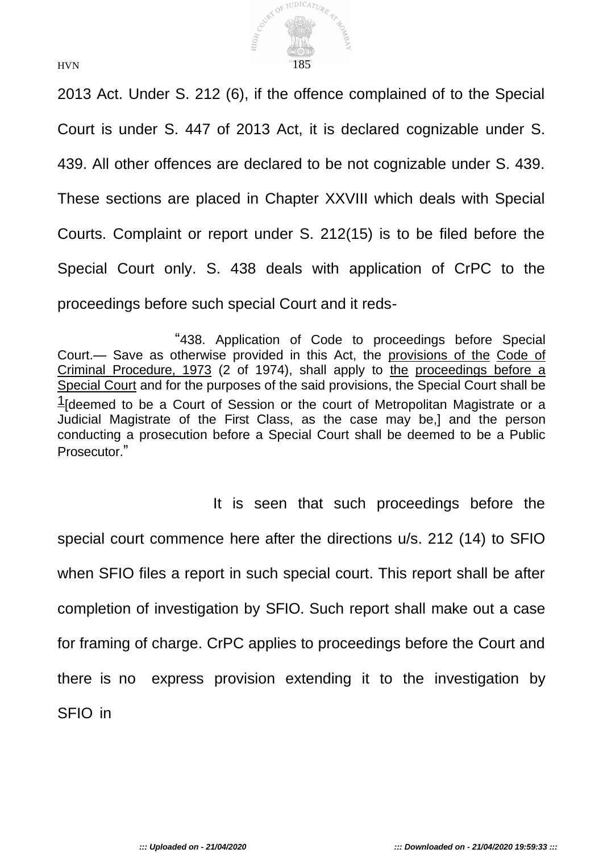

2013 Act. Under S. 212 (6), if the offence complained of to the Special Court is under S. 447 of 2013 Act, it is declared cognizable under S. 439. All other offences are declared to be not cognizable under S. 439. These sections are placed in Chapter XXVIII which deals with Special Courts. Complaint or report under S. 212(15) is to be filed before the Special Court only. S. 438 deals with application of CrPC to the proceedings before such special Court and it reds-

"438. Application of Code to proceedings before Special Court.— Save as otherwise provided in this Act, the provisions of the Code of Criminal Procedure, 1973 (2 of 1974), shall apply to the proceedings before a Special Court and for the purposes of the said provisions, the Special Court shall be  $\frac{1}{2}$  deemed to be a Court of Session or the court of Metropolitan Magistrate or a Judicial Magistrate of the First Class, as the case may be,] and the person conducting a prosecution before a Special Court shall be deemed to be a Public Prosecutor."

It is seen that such proceedings before the special court commence here after the directions u/s. 212 (14) to SFIO when SFIO files a report in such special court. This report shall be after completion of investigation by SFIO. Such report shall make out a case for framing of charge. CrPC applies to proceedings before the Court and there is no express provision extending it to the investigation by SFIO in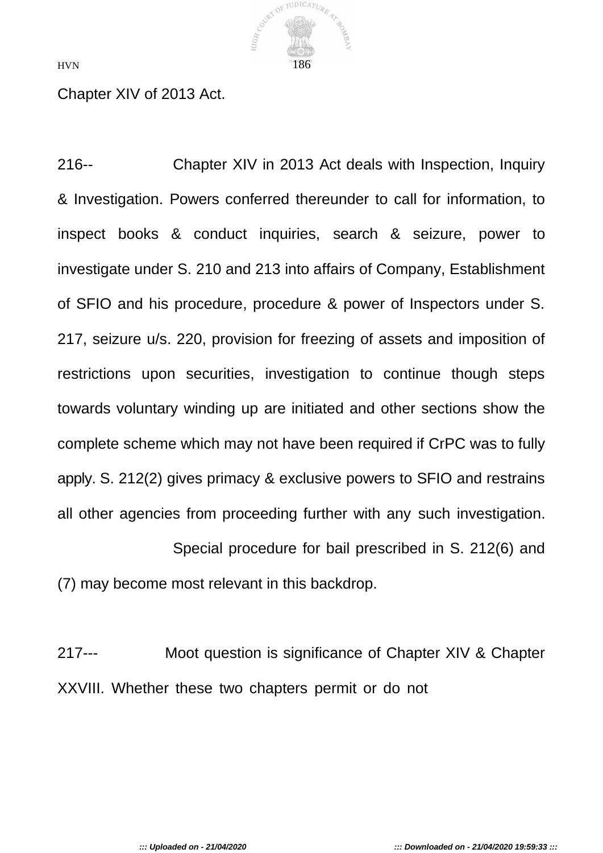COURT OF JUDICATURE HIGH  $HVN$  186

Chapter XIV of 2013 Act.

216-- Chapter XIV in 2013 Act deals with Inspection, Inquiry & Investigation. Powers conferred thereunder to call for information, to inspect books & conduct inquiries, search & seizure, power to investigate under S. 210 and 213 into affairs of Company, Establishment of SFIO and his procedure, procedure & power of Inspectors under S. 217, seizure u/s. 220, provision for freezing of assets and imposition of restrictions upon securities, investigation to continue though steps towards voluntary winding up are initiated and other sections show the complete scheme which may not have been required if CrPC was to fully apply. S. 212(2) gives primacy & exclusive powers to SFIO and restrains all other agencies from proceeding further with any such investigation.

Special procedure for bail prescribed in S. 212(6) and (7) may become most relevant in this backdrop.

217--- Moot question is significance of Chapter XIV & Chapter XXVIII. Whether these two chapters permit or do not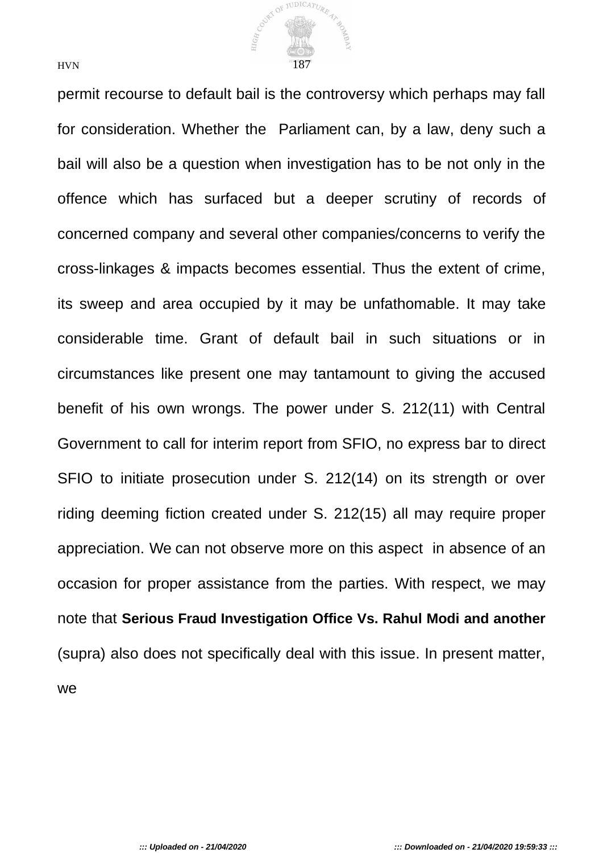

permit recourse to default bail is the controversy which perhaps may fall for consideration. Whether the Parliament can, by a law, deny such a bail will also be a question when investigation has to be not only in the offence which has surfaced but a deeper scrutiny of records of concerned company and several other companies/concerns to verify the cross-linkages & impacts becomes essential. Thus the extent of crime, its sweep and area occupied by it may be unfathomable. It may take considerable time. Grant of default bail in such situations or in circumstances like present one may tantamount to giving the accused benefit of his own wrongs. The power under S. 212(11) with Central Government to call for interim report from SFIO, no express bar to direct SFIO to initiate prosecution under S. 212(14) on its strength or over riding deeming fiction created under S. 212(15) all may require proper appreciation. We can not observe more on this aspect in absence of an occasion for proper assistance from the parties. With respect, we may note that **Serious Fraud Investigation Office Vs. Rahul Modi and another**  (supra) also does not specifically deal with this issue. In present matter, we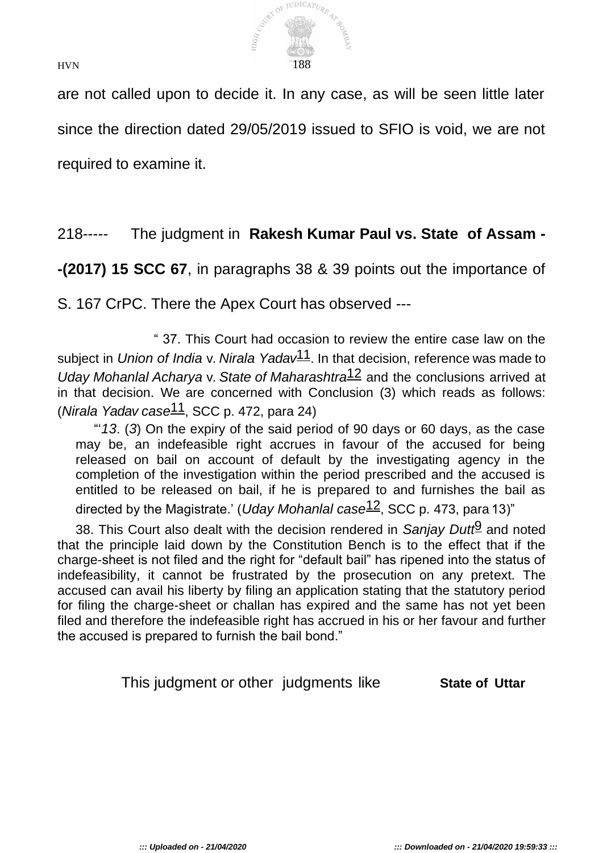

are not called upon to decide it. In any case, as will be seen little later since the direction dated 29/05/2019 issued to SFIO is void, we are not required to examine it.

# 218----- The judgment in **Rakesh Kumar Paul vs. State of Assam -**

**-(2017) 15 SCC 67**, in paragraphs 38 & 39 points out the importance of

S. 167 CrPC. There the Apex Court has observed ---

" 37. This Court had occasion to review the entire case law on the subject in *Union of India* v. *Nirala Yadav*11. In that decision, reference was made to *Uday Mohanlal Acharya* v. *State of Maharashtra*12 and the conclusions arrived at in that decision. We are concerned with Conclusion (3) which reads as follows: (*Nirala Yadav case*11, SCC p. 472, para 24)

"'*13*. (*3*) On the expiry of the said period of 90 days or 60 days, as the case may be, an indefeasible right accrues in favour of the accused for being released on bail on account of default by the investigating agency in the completion of the investigation within the period prescribed and the accused is entitled to be released on bail, if he is prepared to and furnishes the bail as directed by the Magistrate.' (*Uday Mohanlal case*12, SCC p. 473, para 13)"

38. This Court also dealt with the decision rendered in *Sanjay Dutt*9 and noted that the principle laid down by the Constitution Bench is to the effect that if the charge-sheet is not filed and the right for "default bail" has ripened into the status of indefeasibility, it cannot be frustrated by the prosecution on any pretext. The accused can avail his liberty by filing an application stating that the statutory period for filing the charge-sheet or challan has expired and the same has not yet been filed and therefore the indefeasible right has accrued in his or her favour and further the accused is prepared to furnish the bail bond."

This judgment or other judgments like **State of Uttar**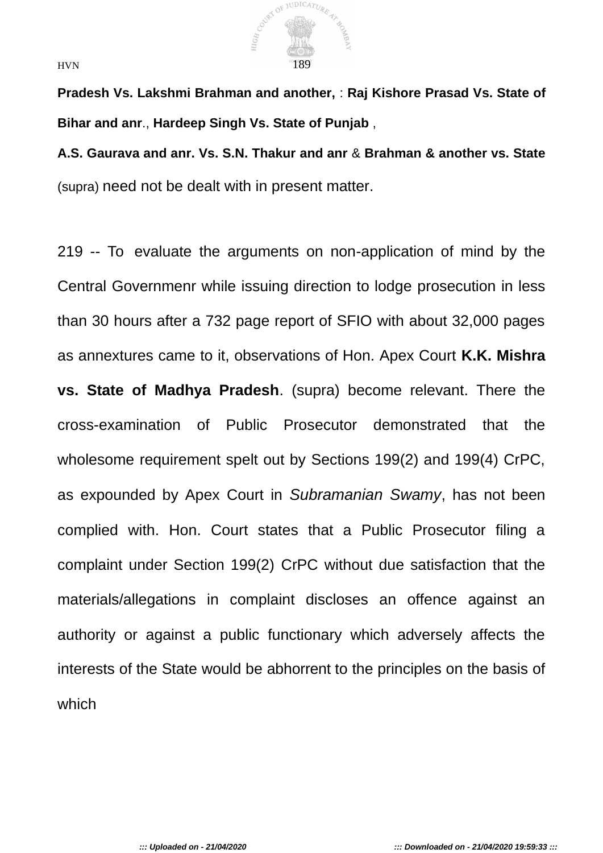

**Pradesh Vs. Lakshmi Brahman and another,** : **Raj Kishore Prasad Vs. State of Bihar and anr**., **Hardeep Singh Vs. State of Punjab** ,

**A.S. Gaurava and anr. Vs. S.N. Thakur and anr** & **Brahman & another vs. State**  (supra) need not be dealt with in present matter.

219 -- To evaluate the arguments on non-application of mind by the Central Governmenr while issuing direction to lodge prosecution in less than 30 hours after a 732 page report of SFIO with about 32,000 pages as annextures came to it, observations of Hon. Apex Court **K.K. Mishra vs. State of Madhya Pradesh**. (supra) become relevant. There the cross-examination of Public Prosecutor demonstrated that the wholesome requirement spelt out by Sections 199(2) and 199(4) CrPC, as expounded by Apex Court in *Subramanian Swamy*, has not been complied with. Hon. Court states that a Public Prosecutor filing a complaint under Section 199(2) CrPC without due satisfaction that the materials/allegations in complaint discloses an offence against an authority or against a public functionary which adversely affects the interests of the State would be abhorrent to the principles on the basis of which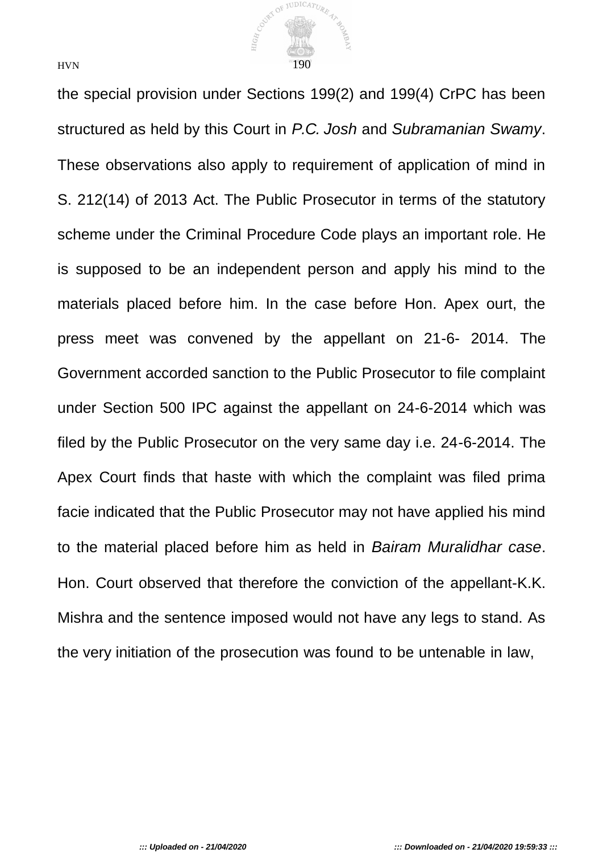

the special provision under Sections 199(2) and 199(4) CrPC has been structured as held by this Court in *P.C. Josh* and *Subramanian Swamy*. These observations also apply to requirement of application of mind in S. 212(14) of 2013 Act. The Public Prosecutor in terms of the statutory scheme under the Criminal Procedure Code plays an important role. He is supposed to be an independent person and apply his mind to the materials placed before him. In the case before Hon. Apex ourt, the press meet was convened by the appellant on 21-6- 2014. The Government accorded sanction to the Public Prosecutor to file complaint under Section 500 IPC against the appellant on 24-6-2014 which was filed by the Public Prosecutor on the very same day i.e. 24-6-2014. The Apex Court finds that haste with which the complaint was filed prima facie indicated that the Public Prosecutor may not have applied his mind to the material placed before him as held in *Bairam Muralidhar case*. Hon. Court observed that therefore the conviction of the appellant-K.K. Mishra and the sentence imposed would not have any legs to stand. As the very initiation of the prosecution was found to be untenable in law,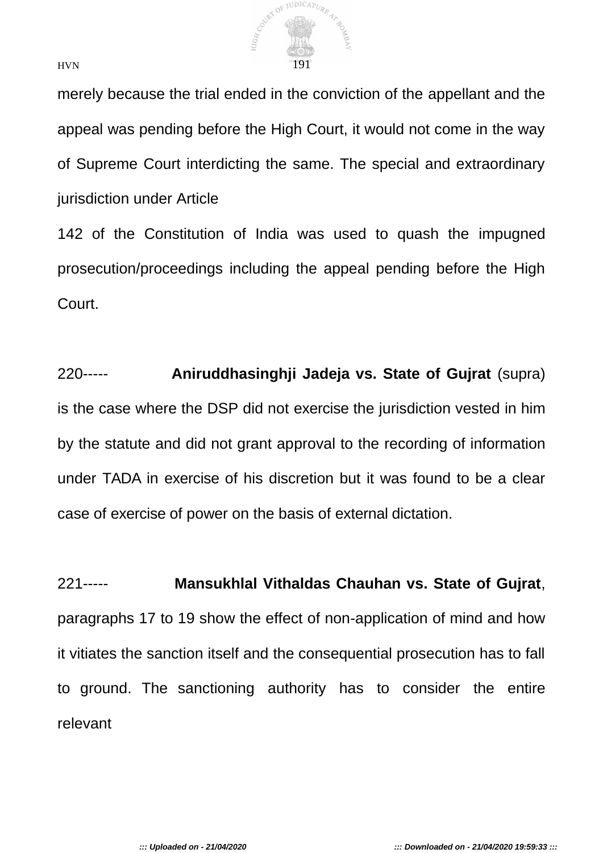

merely because the trial ended in the conviction of the appellant and the appeal was pending before the High Court, it would not come in the way of Supreme Court interdicting the same. The special and extraordinary jurisdiction under Article

142 of the Constitution of India was used to quash the impugned prosecution/proceedings including the appeal pending before the High Court.

220----- **Aniruddhasinghji Jadeja vs. State of Gujrat** (supra) is the case where the DSP did not exercise the jurisdiction vested in him by the statute and did not grant approval to the recording of information under TADA in exercise of his discretion but it was found to be a clear case of exercise of power on the basis of external dictation.

221----- **Mansukhlal Vithaldas Chauhan vs. State of Gujrat**, paragraphs 17 to 19 show the effect of non-application of mind and how it vitiates the sanction itself and the consequential prosecution has to fall to ground. The sanctioning authority has to consider the entire relevant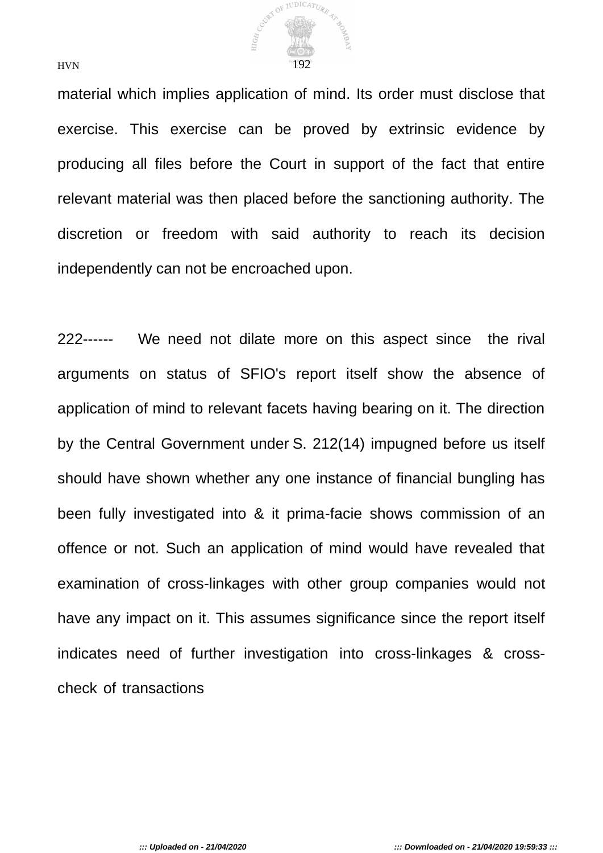

material which implies application of mind. Its order must disclose that exercise. This exercise can be proved by extrinsic evidence by producing all files before the Court in support of the fact that entire relevant material was then placed before the sanctioning authority. The discretion or freedom with said authority to reach its decision independently can not be encroached upon.

222------ We need not dilate more on this aspect since the rival arguments on status of SFIO's report itself show the absence of application of mind to relevant facets having bearing on it. The direction by the Central Government under S. 212(14) impugned before us itself should have shown whether any one instance of financial bungling has been fully investigated into & it prima-facie shows commission of an offence or not. Such an application of mind would have revealed that examination of cross-linkages with other group companies would not have any impact on it. This assumes significance since the report itself indicates need of further investigation into cross-linkages & crosscheck of transactions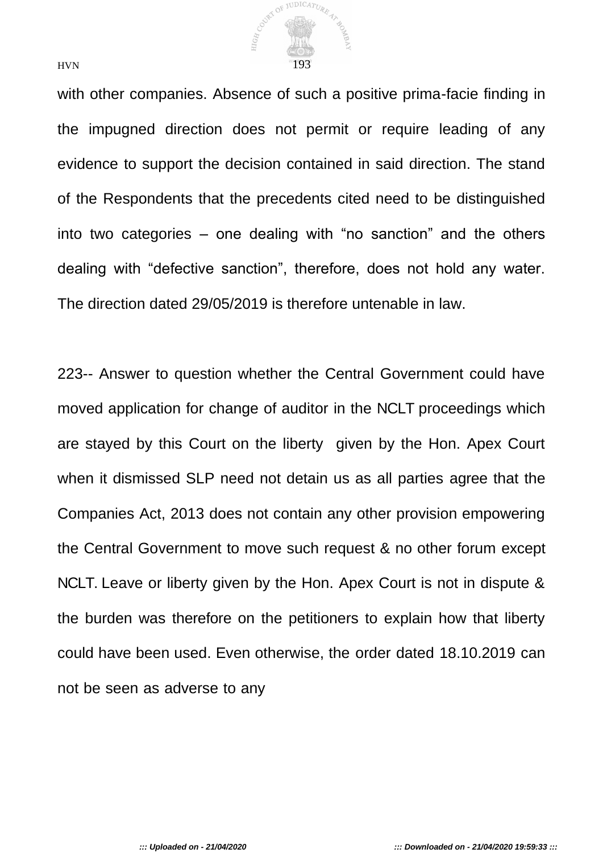

with other companies. Absence of such a positive prima-facie finding in the impugned direction does not permit or require leading of any evidence to support the decision contained in said direction. The stand of the Respondents that the precedents cited need to be distinguished into two categories – one dealing with "no sanction" and the others dealing with "defective sanction", therefore, does not hold any water. The direction dated 29/05/2019 is therefore untenable in law.

223-- Answer to question whether the Central Government could have moved application for change of auditor in the NCLT proceedings which are stayed by this Court on the liberty given by the Hon. Apex Court when it dismissed SLP need not detain us as all parties agree that the Companies Act, 2013 does not contain any other provision empowering the Central Government to move such request & no other forum except NCLT. Leave or liberty given by the Hon. Apex Court is not in dispute & the burden was therefore on the petitioners to explain how that liberty could have been used. Even otherwise, the order dated 18.10.2019 can not be seen as adverse to any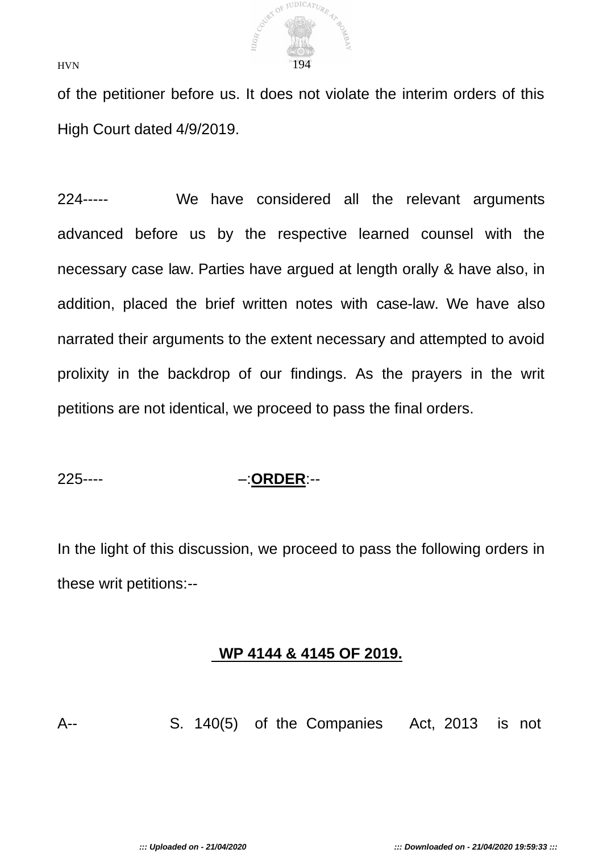

of the petitioner before us. It does not violate the interim orders of this High Court dated 4/9/2019.

224----- We have considered all the relevant arguments advanced before us by the respective learned counsel with the necessary case law. Parties have argued at length orally & have also, in addition, placed the brief written notes with case-law. We have also narrated their arguments to the extent necessary and attempted to avoid prolixity in the backdrop of our findings. As the prayers in the writ petitions are not identical, we proceed to pass the final orders.

## 225---- –:**ORDER**:--

In the light of this discussion, we proceed to pass the following orders in these writ petitions:--

## **WP 4144 & 4145 OF 2019.**

A-- S. 140(5) of the Companies Act, 2013 is not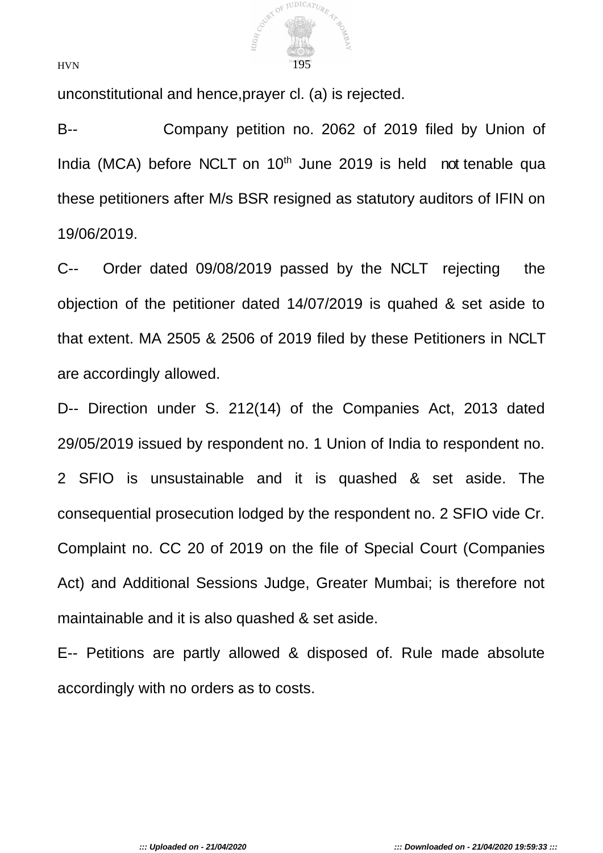

unconstitutional and hence,prayer cl. (a) is rejected.

B-- Company petition no. 2062 of 2019 filed by Union of India (MCA) before NCLT on 10<sup>th</sup> June 2019 is held not tenable qua these petitioners after M/s BSR resigned as statutory auditors of IFIN on 19/06/2019.

C-- Order dated 09/08/2019 passed by the NCLT rejecting the objection of the petitioner dated 14/07/2019 is quahed & set aside to that extent. MA 2505 & 2506 of 2019 filed by these Petitioners in NCLT are accordingly allowed.

D-- Direction under S. 212(14) of the Companies Act, 2013 dated 29/05/2019 issued by respondent no. 1 Union of India to respondent no. 2 SFIO is unsustainable and it is quashed & set aside. The consequential prosecution lodged by the respondent no. 2 SFIO vide Cr. Complaint no. CC 20 of 2019 on the file of Special Court (Companies Act) and Additional Sessions Judge, Greater Mumbai; is therefore not maintainable and it is also quashed & set aside.

E-- Petitions are partly allowed & disposed of. Rule made absolute accordingly with no orders as to costs.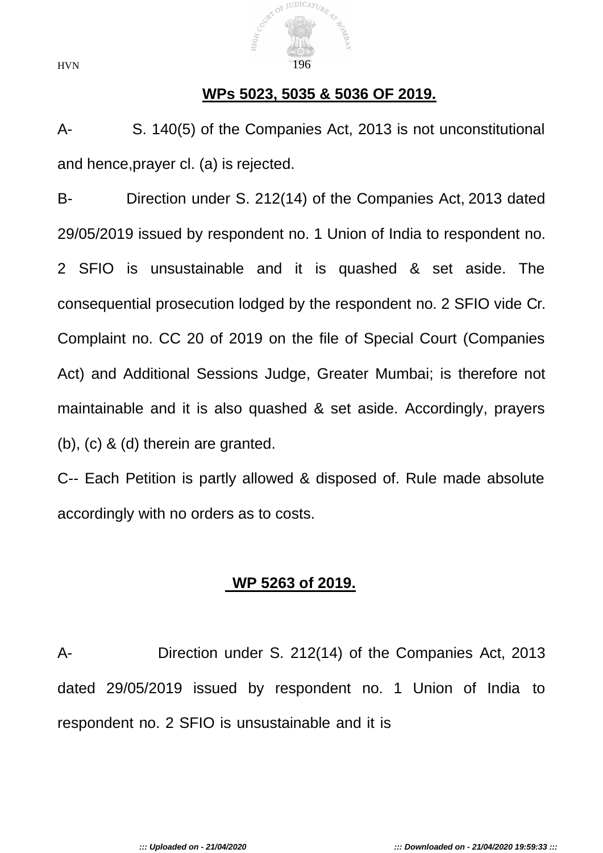

### **WPs 5023, 5035 & 5036 OF 2019.**

A- S. 140(5) of the Companies Act, 2013 is not unconstitutional and hence,prayer cl. (a) is rejected.

B- Direction under S. 212(14) of the Companies Act, 2013 dated 29/05/2019 issued by respondent no. 1 Union of India to respondent no. 2 SFIO is unsustainable and it is quashed & set aside. The consequential prosecution lodged by the respondent no. 2 SFIO vide Cr. Complaint no. CC 20 of 2019 on the file of Special Court (Companies Act) and Additional Sessions Judge, Greater Mumbai; is therefore not maintainable and it is also quashed & set aside. Accordingly, prayers (b), (c) & (d) therein are granted.

C-- Each Petition is partly allowed & disposed of. Rule made absolute accordingly with no orders as to costs.

## **WP 5263 of 2019.**

A- Direction under S. 212(14) of the Companies Act, 2013 dated 29/05/2019 issued by respondent no. 1 Union of India to respondent no. 2 SFIO is unsustainable and it is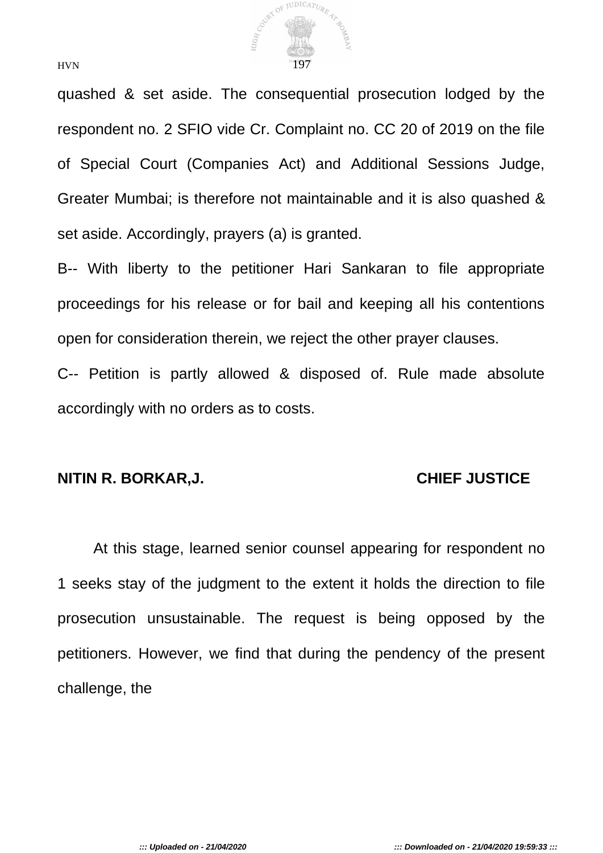

quashed & set aside. The consequential prosecution lodged by the respondent no. 2 SFIO vide Cr. Complaint no. CC 20 of 2019 on the file of Special Court (Companies Act) and Additional Sessions Judge, Greater Mumbai; is therefore not maintainable and it is also quashed & set aside. Accordingly, prayers (a) is granted.

B-- With liberty to the petitioner Hari Sankaran to file appropriate proceedings for his release or for bail and keeping all his contentions open for consideration therein, we reject the other prayer clauses.

C-- Petition is partly allowed & disposed of. Rule made absolute accordingly with no orders as to costs.

#### **NITIN R. BORKAR,J. CHIEF JUSTICE**

At this stage, learned senior counsel appearing for respondent no 1 seeks stay of the judgment to the extent it holds the direction to file prosecution unsustainable. The request is being opposed by the petitioners. However, we find that during the pendency of the present challenge, the